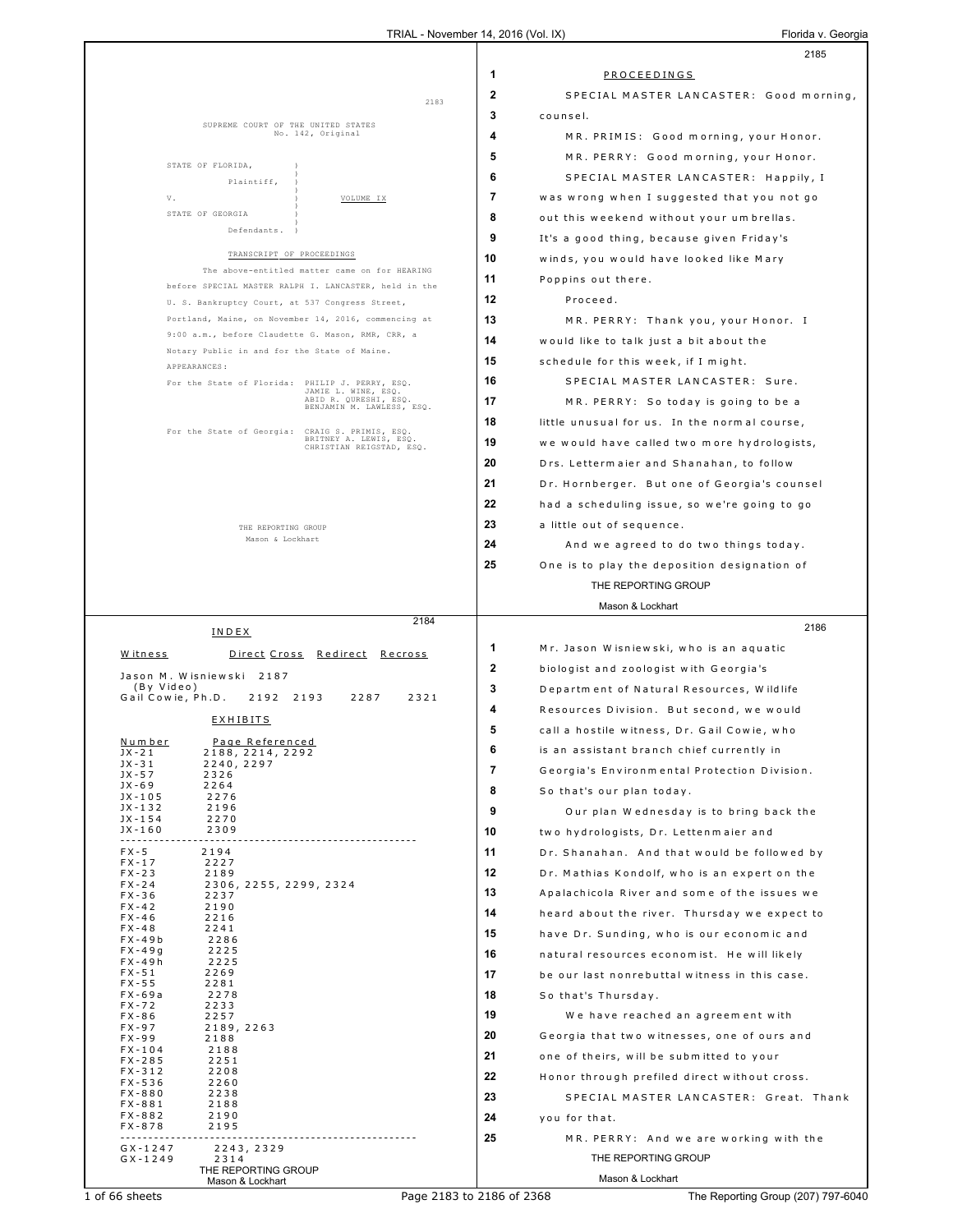|                                            |                                                                                                         |              | 2185                                          |
|--------------------------------------------|---------------------------------------------------------------------------------------------------------|--------------|-----------------------------------------------|
|                                            |                                                                                                         | 1            | PROCEEDINGS                                   |
|                                            | 2183                                                                                                    | $\mathbf{2}$ | SPECIAL MASTER LANCASTER: Good morning,       |
|                                            |                                                                                                         | 3            | counsel.                                      |
|                                            | SUPREME COURT OF THE UNITED STATES<br>No. 142, Original                                                 | 4            | MR. PRIMIS: Good morning, your Honor.         |
|                                            |                                                                                                         | 5            | MR. PERRY: Good morning, your Honor.          |
| STATE OF FLORIDA,<br>Plaintiff,            |                                                                                                         | 6            | SPECIAL MASTER LANCASTER: Happily, I          |
| V.                                         | VOLUME IX                                                                                               | 7            | was wrong when I suggested that you not go    |
| STATE OF GEORGIA                           |                                                                                                         | 8            | out this weekend without your umbrellas.      |
| Defendants.                                |                                                                                                         | 9            | It's a good thing, because given Friday's     |
|                                            | TRANSCRIPT OF PROCEEDINGS                                                                               | 10           | winds, you would have looked like Mary        |
|                                            | The above-entitled matter came on for HEARING                                                           | 11           | Poppins out there.                            |
|                                            | before SPECIAL MASTER RALPH I. LANCASTER, held in the                                                   | 12           | Proceed.                                      |
|                                            | U. S. Bankruptcy Court, at 537 Congress Street,<br>Portland, Maine, on November 14, 2016, commencing at | 13           | MR. PERRY: Thank you, your Honor. I           |
|                                            | 9:00 a.m., before Claudette G. Mason, RMR, CRR, a                                                       | 14           | would like to talk just a bit about the       |
|                                            | Notary Public in and for the State of Maine.                                                            | 15           | schedule for this week, if I might.           |
| APPEARANCES:                               |                                                                                                         | 16           | SPECIAL MASTER LANCASTER: Sure.               |
|                                            | For the State of Florida: PHILIP J. PERRY, ESO.<br>JAMIE L. WINE, ESQ.<br>ABID R. QURESHI, ESQ.         |              |                                               |
|                                            | BENJAMIN M. LAWLESS, ESQ.                                                                               | 17           | MR. PERRY: So today is going to be a          |
|                                            | For the State of Georgia: CRAIG S. PRIMIS, ESQ.<br>BRITNEY A. LEWIS, ESQ.                               | 18           | little unusual for us. In the normal course,  |
|                                            | CHRISTIAN REIGSTAD, ESQ.                                                                                | 19           | we would have called two more hydrologists,   |
|                                            |                                                                                                         | 20           | Drs. Lettermaier and Shanahan, to follow      |
|                                            |                                                                                                         | 21           | Dr. Hornberger. But one of Georgia's counsel  |
|                                            |                                                                                                         | 22           | had a scheduling issue, so we're going to go  |
|                                            | THE REPORTING GROUP<br>Mason & Lockhart                                                                 | 23           | a little out of sequence.                     |
|                                            |                                                                                                         | 24           | And we agreed to do two things today.         |
|                                            |                                                                                                         | 25           | One is to play the deposition designation of  |
|                                            |                                                                                                         |              | THE REPORTING GROUP                           |
|                                            | 2184                                                                                                    |              | Mason & Lockhart                              |
| INDEX                                      |                                                                                                         |              | 2186                                          |
| Witness                                    | <u>Direct Cross Redirect Recross</u>                                                                    | 1            | Mr. Jason Wisniewski, who is an aquatic       |
| Jason M. Wisniewski 2187                   |                                                                                                         | $\mathbf{2}$ | biologist and zoologist with Georgia's        |
| (By Video)<br>Gail Cowie, Ph.D.            | 2192 2193<br>2287<br>2321                                                                               | 3            | Department of Natural Resources, Wildlife     |
| <b>EXHIBITS</b>                            |                                                                                                         | 4            | Resources Division. But second, we would      |
| Number<br>Page Referenced                  |                                                                                                         | 5            | call a hostile witness, Dr. Gail Cowie, who   |
| 2188, 2214, 2292<br>JX - 21                |                                                                                                         | O            | is an assistant branch chief currently in     |
| JX - 31<br>2240, 2297<br>$JX - 57$<br>2326 |                                                                                                         | 7            | Georgia's Environmental Protection Division.  |
| $JX - 69$<br>2264<br>JX-105<br>2276        |                                                                                                         | 8            | So that's our plan today.                     |
| JX-132<br>2196<br>$JX - 154$<br>2270       |                                                                                                         | 9            | Our plan Wednesday is to bring back the       |
| $JX - 160$<br>2309                         |                                                                                                         | 10           | two hydrologists, Dr. Lettenmaier and         |
| $FX - 5$<br>2194                           |                                                                                                         | 11           | Dr. Shanahan. And that would be followed by   |
| $FX - 17$<br>2227<br>$FX - 23$<br>2189     |                                                                                                         | 12           | Dr. Mathias Kondolf, who is an expert on the  |
| $FX - 24$<br>$FX - 36$<br>2237             | 2306, 2255, 2299, 2324                                                                                  | 13           | Apalachicola River and some of the issues we  |
| $FX - 42$<br>2190<br>$FX - 46$<br>2216     |                                                                                                         | 14           | heard about the river. Thursday we expect to  |
| $FX - 48$<br>2241<br>$FX - 49b$<br>2286    |                                                                                                         | 15           | have Dr. Sunding, who is our economic and     |
| $FX - 49g$<br>2225                         |                                                                                                         | 16           | natural resources economist. He will likely   |
| FX-49h<br>2225<br>$FX - 51$<br>2269        |                                                                                                         | 17           | be our last nonrebuttal witness in this case. |
| $FX - 55$<br>2281<br>FX-69a<br>2278        |                                                                                                         | 18           | So that's Thursday.                           |
| 2233<br>FX-72<br>$FX - 86$<br>2257         |                                                                                                         | 19           | We have reached an agreement with             |
| $FX - 97$<br>2189, 2263<br>FX-99<br>2188   |                                                                                                         | 20           | Georgia that two witnesses, one of ours and   |
| $FX - 104$<br>2188                         |                                                                                                         | 21           | one of theirs, will be submitted to your      |
| $FX - 285$<br>2251<br>$FX - 312$<br>2208   |                                                                                                         | 22           | Honor through prefiled direct without cross.  |
| FX-536<br>2260<br>$FX - 880$<br>2238       |                                                                                                         | 23           | SPECIAL MASTER LANCASTER: Great. Thank        |
| $FX - 881$<br>2188<br>FX-882<br>2190       |                                                                                                         | 24           | you for that.                                 |
| FX-878<br>2195                             |                                                                                                         | 25           |                                               |
| $GX - 1247$<br>2243, 2329                  |                                                                                                         |              | MR. PERRY: And we are working with the        |
| $GX - 1249$<br>2314<br>THE REPORTING GROUP |                                                                                                         |              | THE REPORTING GROUP                           |
| Mason & Lockhart                           |                                                                                                         |              | Mason & Lockhart                              |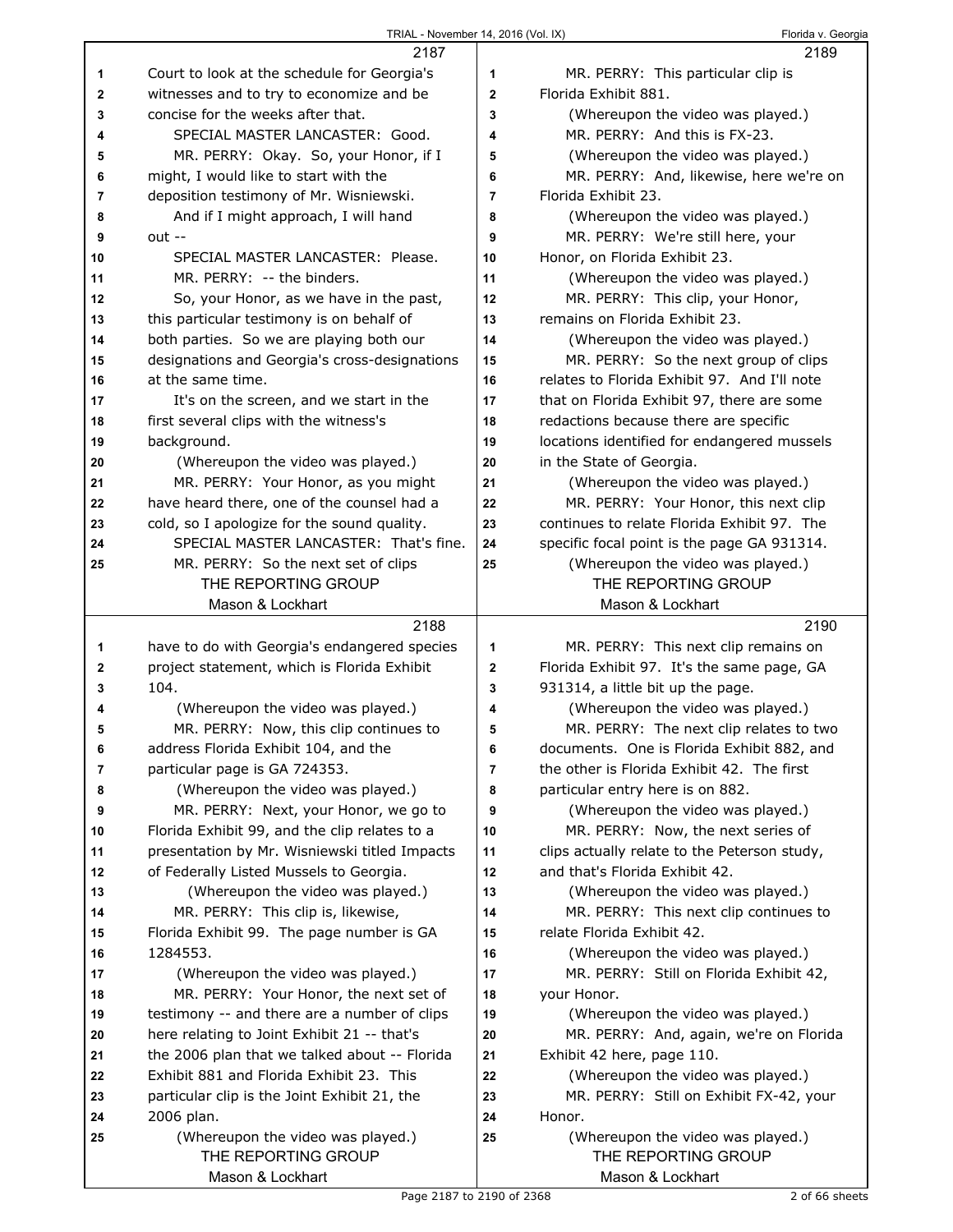|    | 2187                                          |              | 2189                                         |
|----|-----------------------------------------------|--------------|----------------------------------------------|
| 1  | Court to look at the schedule for Georgia's   | 1            | MR. PERRY: This particular clip is           |
| 2  | witnesses and to try to economize and be      | $\mathbf{2}$ | Florida Exhibit 881.                         |
| 3  | concise for the weeks after that.             | 3            | (Whereupon the video was played.)            |
| 4  | SPECIAL MASTER LANCASTER: Good.               | 4            | MR. PERRY: And this is FX-23.                |
| 5  | MR. PERRY: Okay. So, your Honor, if I         | 5            | (Whereupon the video was played.)            |
| 6  | might, I would like to start with the         | 6            | MR. PERRY: And, likewise, here we're on      |
| 7  | deposition testimony of Mr. Wisniewski.       | 7            | Florida Exhibit 23.                          |
| 8  | And if I might approach, I will hand          | 8            | (Whereupon the video was played.)            |
| 9  | $out -$                                       | 9            | MR. PERRY: We're still here, your            |
| 10 | SPECIAL MASTER LANCASTER: Please.             | 10           | Honor, on Florida Exhibit 23.                |
| 11 | MR. PERRY: -- the binders.                    | 11           | (Whereupon the video was played.)            |
| 12 | So, your Honor, as we have in the past,       | 12           | MR. PERRY: This clip, your Honor,            |
| 13 | this particular testimony is on behalf of     | 13           | remains on Florida Exhibit 23.               |
| 14 | both parties. So we are playing both our      | 14           | (Whereupon the video was played.)            |
| 15 | designations and Georgia's cross-designations | 15           | MR. PERRY: So the next group of clips        |
| 16 | at the same time.                             | 16           | relates to Florida Exhibit 97. And I'll note |
| 17 | It's on the screen, and we start in the       | 17           | that on Florida Exhibit 97, there are some   |
| 18 | first several clips with the witness's        | 18           | redactions because there are specific        |
| 19 | background.                                   | 19           | locations identified for endangered mussels  |
| 20 | (Whereupon the video was played.)             | 20           | in the State of Georgia.                     |
| 21 | MR. PERRY: Your Honor, as you might           | 21           | (Whereupon the video was played.)            |
| 22 | have heard there, one of the counsel had a    | 22           | MR. PERRY: Your Honor, this next clip        |
| 23 | cold, so I apologize for the sound quality.   | 23           | continues to relate Florida Exhibit 97. The  |
| 24 | SPECIAL MASTER LANCASTER: That's fine.        | 24           | specific focal point is the page GA 931314.  |
| 25 | MR. PERRY: So the next set of clips           | 25           | (Whereupon the video was played.)            |
|    | THE REPORTING GROUP                           |              | THE REPORTING GROUP                          |
|    | Mason & Lockhart                              |              | Mason & Lockhart                             |
|    |                                               |              |                                              |
|    | 2188                                          |              | 2190                                         |
| 1  | have to do with Georgia's endangered species  | 1            | MR. PERRY: This next clip remains on         |
| 2  | project statement, which is Florida Exhibit   | $\mathbf 2$  | Florida Exhibit 97. It's the same page, GA   |
| 3  | 104.                                          | 3            | 931314, a little bit up the page.            |
| 4  | (Whereupon the video was played.)             | 4            | (Whereupon the video was played.)            |
| 5  | MR. PERRY: Now, this clip continues to        | 5            | MR. PERRY: The next clip relates to two      |
| 6  | address Florida Exhibit 104, and the          | 6            | documents. One is Florida Exhibit 882, and   |
| 7  | particular page is GA 724353.                 | 7            | the other is Florida Exhibit 42. The first   |
| 8  | (Whereupon the video was played.)             | 8            | particular entry here is on 882.             |
| 9  | MR. PERRY: Next, your Honor, we go to         | 9            | (Whereupon the video was played.)            |
| 10 | Florida Exhibit 99, and the clip relates to a | 10           | MR. PERRY: Now, the next series of           |
| 11 | presentation by Mr. Wisniewski titled Impacts | 11           | clips actually relate to the Peterson study, |
| 12 | of Federally Listed Mussels to Georgia.       | 12           | and that's Florida Exhibit 42.               |
| 13 | (Whereupon the video was played.)             | 13           | (Whereupon the video was played.)            |
| 14 | MR. PERRY: This clip is, likewise,            | 14           | MR. PERRY: This next clip continues to       |
| 15 | Florida Exhibit 99. The page number is GA     | 15           | relate Florida Exhibit 42.                   |
| 16 | 1284553.                                      | 16           | (Whereupon the video was played.)            |
| 17 | (Whereupon the video was played.)             | 17           | MR. PERRY: Still on Florida Exhibit 42,      |
| 18 | MR. PERRY: Your Honor, the next set of        | 18           | your Honor.                                  |
| 19 | testimony -- and there are a number of clips  | 19           | (Whereupon the video was played.)            |
| 20 | here relating to Joint Exhibit 21 -- that's   | 20           | MR. PERRY: And, again, we're on Florida      |
| 21 | the 2006 plan that we talked about -- Florida | 21           | Exhibit 42 here, page 110.                   |
| 22 | Exhibit 881 and Florida Exhibit 23. This      | 22           | (Whereupon the video was played.)            |
| 23 | particular clip is the Joint Exhibit 21, the  | 23           | MR. PERRY: Still on Exhibit FX-42, your      |
| 24 | 2006 plan.                                    | 24           | Honor.                                       |
| 25 | (Whereupon the video was played.)             | 25           | (Whereupon the video was played.)            |
|    | THE REPORTING GROUP<br>Mason & Lockhart       |              | THE REPORTING GROUP<br>Mason & Lockhart      |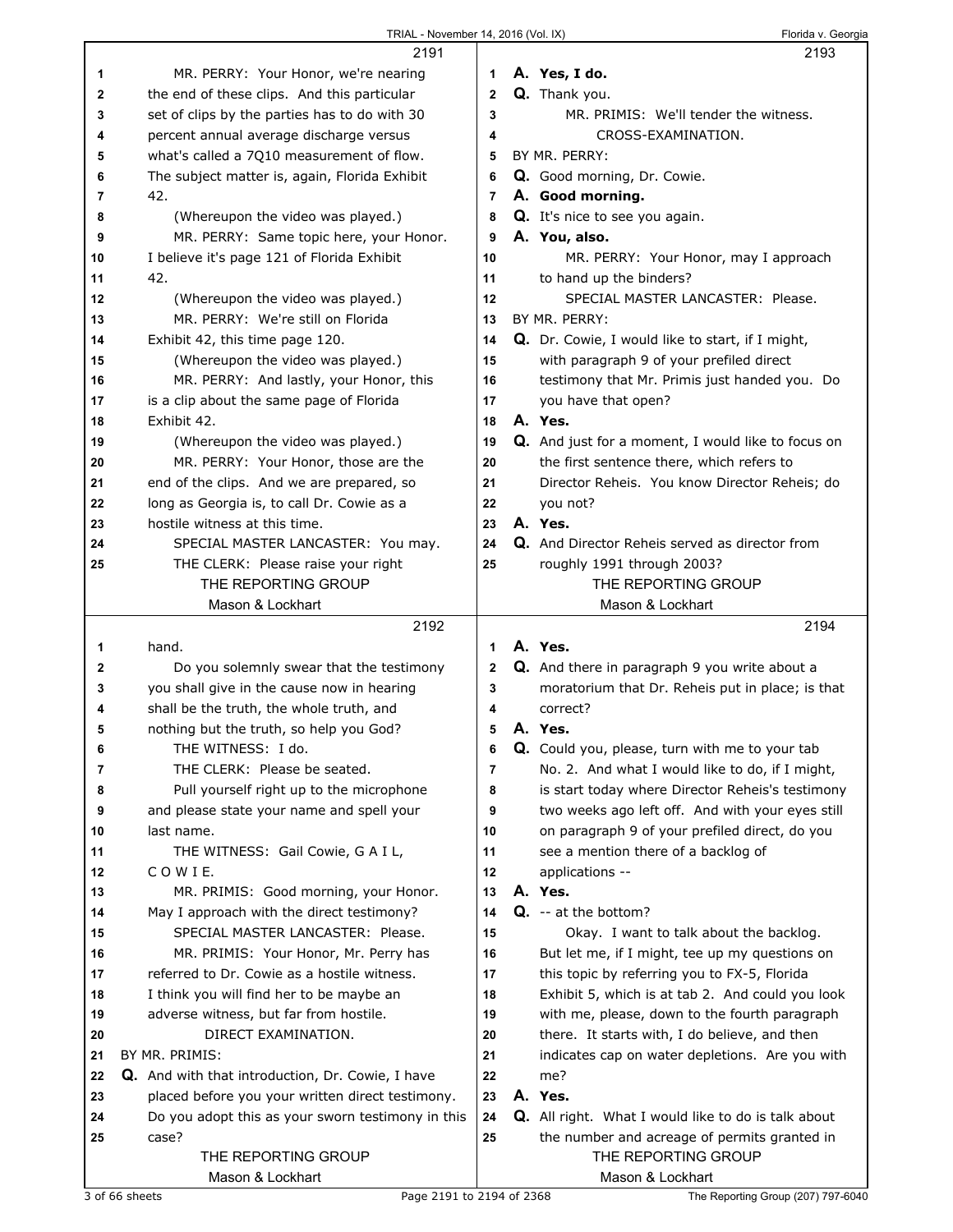## TRIAL - November 14, 2016 (Vol. IX) TRIAL - November 14, 2016 (Vol. IX)

|    | 2191                                              |             | 1, 20, 00, 00, 00 | 2193                                                      |
|----|---------------------------------------------------|-------------|-------------------|-----------------------------------------------------------|
| 1  | MR. PERRY: Your Honor, we're nearing              | 1           |                   | A. Yes, I do.                                             |
|    |                                                   |             |                   |                                                           |
| 2  | the end of these clips. And this particular       | $\mathbf 2$ |                   | Q. Thank you.                                             |
| 3  | set of clips by the parties has to do with 30     | 3           |                   | MR. PRIMIS: We'll tender the witness.                     |
| 4  | percent annual average discharge versus           | 4           |                   | CROSS-EXAMINATION.                                        |
| 5  | what's called a 7Q10 measurement of flow.         | 5           |                   | BY MR. PERRY:                                             |
| 6  | The subject matter is, again, Florida Exhibit     | 6           |                   | Q. Good morning, Dr. Cowie.                               |
| 7  | 42.                                               | 7           |                   | A. Good morning.                                          |
| 8  | (Whereupon the video was played.)                 | 8           |                   | Q. It's nice to see you again.                            |
| 9  | MR. PERRY: Same topic here, your Honor.           | 9           |                   | A. You, also.                                             |
| 10 | I believe it's page 121 of Florida Exhibit        | 10          |                   | MR. PERRY: Your Honor, may I approach                     |
| 11 | 42.                                               | 11          |                   | to hand up the binders?                                   |
| 12 | (Whereupon the video was played.)                 | 12          |                   | SPECIAL MASTER LANCASTER: Please.                         |
| 13 | MR. PERRY: We're still on Florida                 | 13          |                   | BY MR. PERRY:                                             |
| 14 | Exhibit 42, this time page 120.                   | 14          |                   | Q. Dr. Cowie, I would like to start, if I might,          |
| 15 | (Whereupon the video was played.)                 | 15          |                   | with paragraph 9 of your prefiled direct                  |
| 16 | MR. PERRY: And lastly, your Honor, this           | 16          |                   | testimony that Mr. Primis just handed you. Do             |
| 17 | is a clip about the same page of Florida          | 17          |                   | you have that open?                                       |
| 18 | Exhibit 42.                                       | 18          |                   | A. Yes.                                                   |
| 19 | (Whereupon the video was played.)                 | 19          |                   | <b>Q.</b> And just for a moment, I would like to focus on |
| 20 | MR. PERRY: Your Honor, those are the              | 20          |                   | the first sentence there, which refers to                 |
| 21 | end of the clips. And we are prepared, so         | 21          |                   | Director Reheis. You know Director Reheis; do             |
| 22 | long as Georgia is, to call Dr. Cowie as a        | 22          |                   |                                                           |
|    |                                                   |             |                   | you not?<br>A. Yes.                                       |
| 23 | hostile witness at this time.                     | 23          |                   |                                                           |
| 24 | SPECIAL MASTER LANCASTER: You may.                | 24          |                   | Q. And Director Reheis served as director from            |
| 25 | THE CLERK: Please raise your right                | 25          |                   | roughly 1991 through 2003?                                |
|    | THE REPORTING GROUP                               |             |                   | THE REPORTING GROUP                                       |
|    | Mason & Lockhart                                  |             |                   | Mason & Lockhart                                          |
|    |                                                   |             |                   |                                                           |
|    | 2192                                              |             |                   | 2194                                                      |
| 1  | hand.                                             | 1           |                   | A. Yes.                                                   |
| 2  | Do you solemnly swear that the testimony          | 2           |                   | Q. And there in paragraph 9 you write about a             |
| 3  | you shall give in the cause now in hearing        | 3           |                   | moratorium that Dr. Reheis put in place; is that          |
| 4  | shall be the truth, the whole truth, and          | 4           |                   | correct?                                                  |
| 5  | nothing but the truth, so help you God?           | 5           |                   | A. Yes.                                                   |
| 6  | THE WITNESS: I do.                                | 6           |                   | Q. Could you, please, turn with me to your tab            |
| 7  | THE CLERK: Please be seated.                      | 7           |                   | No. 2. And what I would like to do, if I might,           |
| 8  | Pull yourself right up to the microphone          | 8           |                   | is start today where Director Reheis's testimony          |
| 9  | and please state your name and spell your         | 9           |                   | two weeks ago left off. And with your eyes still          |
| 10 | last name.                                        | 10          |                   | on paragraph 9 of your prefiled direct, do you            |
| 11 | THE WITNESS: Gail Cowie, G A I L,                 | 11          |                   | see a mention there of a backlog of                       |
| 12 | COWIE.                                            | 12          |                   | applications --                                           |
| 13 | MR. PRIMIS: Good morning, your Honor.             | 13          |                   | A. Yes.                                                   |
| 14 | May I approach with the direct testimony?         | 14          |                   | $Q. -at$ the bottom?                                      |
| 15 | SPECIAL MASTER LANCASTER: Please.                 | 15          |                   | Okay. I want to talk about the backlog.                   |
| 16 | MR. PRIMIS: Your Honor, Mr. Perry has             | 16          |                   |                                                           |
| 17 | referred to Dr. Cowie as a hostile witness.       | 17          |                   | But let me, if I might, tee up my questions on            |
| 18 |                                                   | 18          |                   | this topic by referring you to FX-5, Florida              |
|    | I think you will find her to be maybe an          |             |                   | Exhibit 5, which is at tab 2. And could you look          |
| 19 | adverse witness, but far from hostile.            | 19          |                   | with me, please, down to the fourth paragraph             |
| 20 | DIRECT EXAMINATION.                               | 20          |                   | there. It starts with, I do believe, and then             |
| 21 | BY MR. PRIMIS:                                    | 21          |                   | indicates cap on water depletions. Are you with           |
| 22 | Q. And with that introduction, Dr. Cowie, I have  | 22          |                   | me?                                                       |
| 23 | placed before you your written direct testimony.  | 23          |                   | A. Yes.                                                   |
| 24 | Do you adopt this as your sworn testimony in this | 24          |                   | Q. All right. What I would like to do is talk about       |
| 25 | case?                                             | 25          |                   | the number and acreage of permits granted in              |
|    | THE REPORTING GROUP<br>Mason & Lockhart           |             |                   | THE REPORTING GROUP<br>Mason & Lockhart                   |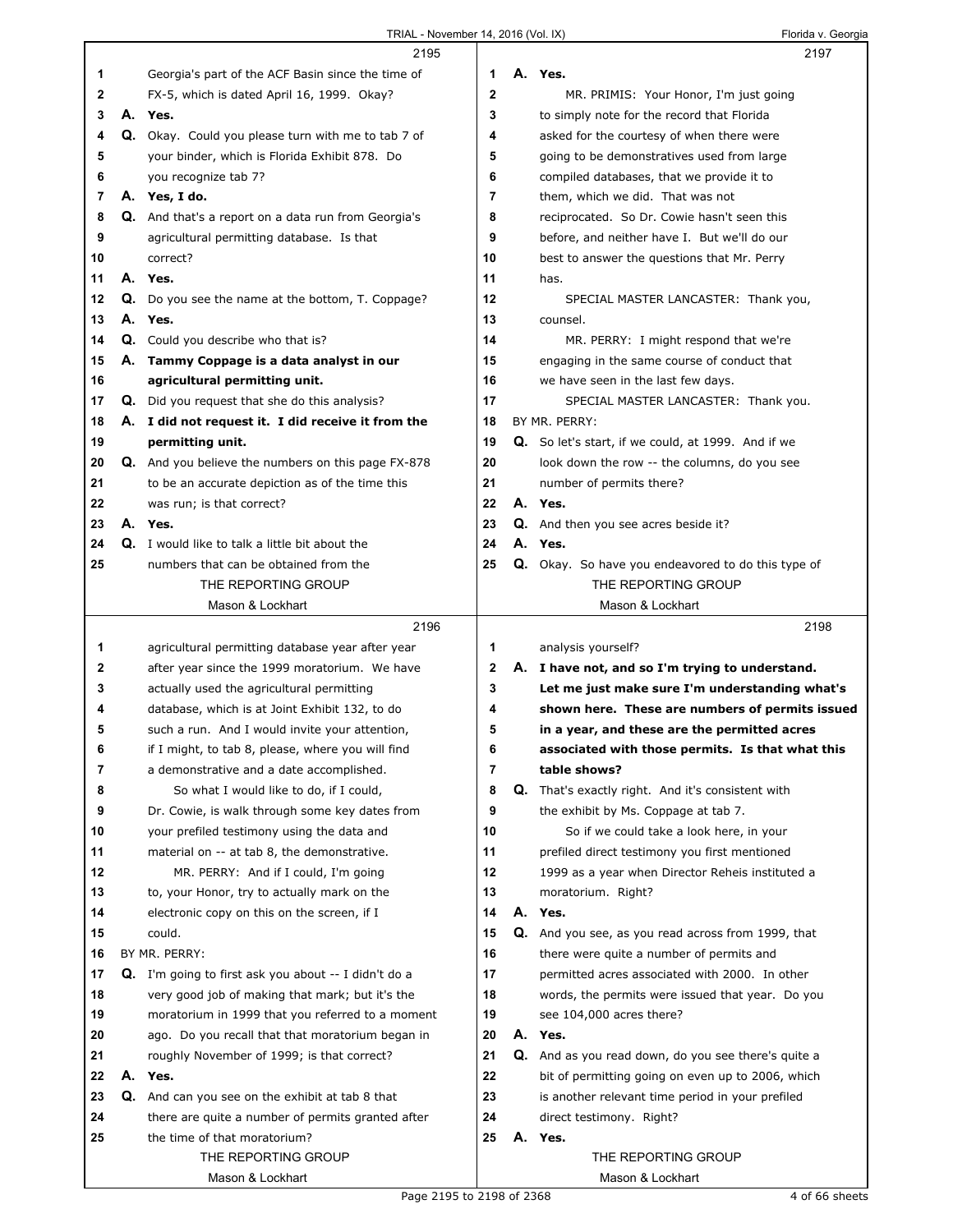|              |    | 2195                                                      |              | 2197                                                     |
|--------------|----|-----------------------------------------------------------|--------------|----------------------------------------------------------|
| 1            |    | Georgia's part of the ACF Basin since the time of         | 1            | A. Yes.                                                  |
| $\mathbf{2}$ |    | FX-5, which is dated April 16, 1999. Okay?                | $\mathbf{2}$ | MR. PRIMIS: Your Honor, I'm just going                   |
| 3            |    | A. Yes.                                                   | 3            | to simply note for the record that Florida               |
| 4            |    | Q. Okay. Could you please turn with me to tab 7 of        | 4            | asked for the courtesy of when there were                |
| 5            |    | your binder, which is Florida Exhibit 878. Do             | 5            | going to be demonstratives used from large               |
| 6            |    | you recognize tab 7?                                      | 6            | compiled databases, that we provide it to                |
| 7            |    | A. Yes, I do.                                             | 7            | them, which we did. That was not                         |
| 8            |    | Q. And that's a report on a data run from Georgia's       | 8            | reciprocated. So Dr. Cowie hasn't seen this              |
| 9            |    | agricultural permitting database. Is that                 | 9            | before, and neither have I. But we'll do our             |
| 10           |    | correct?                                                  | 10           | best to answer the questions that Mr. Perry              |
| 11           |    | A. Yes.                                                   | 11           | has.                                                     |
| 12           | Q. | Do you see the name at the bottom, T. Coppage?            | 12           | SPECIAL MASTER LANCASTER: Thank you,                     |
| 13           | А. | Yes.                                                      | 13           | counsel.                                                 |
| 14           |    | Q. Could you describe who that is?                        | 14           | MR. PERRY: I might respond that we're                    |
| 15           | А. | Tammy Coppage is a data analyst in our                    | 15           | engaging in the same course of conduct that              |
| 16           |    | agricultural permitting unit.                             | 16           | we have seen in the last few days.                       |
| 17           |    | Q. Did you request that she do this analysis?             | 17           | SPECIAL MASTER LANCASTER: Thank you.                     |
| 18           |    | A. I did not request it. I did receive it from the        | 18           | BY MR. PERRY:                                            |
| 19           |    | permitting unit.                                          | 19           | Q. So let's start, if we could, at 1999. And if we       |
| 20           |    | <b>Q.</b> And you believe the numbers on this page FX-878 | 20           | look down the row -- the columns, do you see             |
| 21           |    | to be an accurate depiction as of the time this           | 21           | number of permits there?                                 |
| 22           |    | was run; is that correct?                                 | 22           | A. Yes.                                                  |
| 23           |    | A. Yes.                                                   | 23           | Q. And then you see acres beside it?                     |
| 24           |    | Q. I would like to talk a little bit about the            | 24           | A. Yes.                                                  |
| 25           |    | numbers that can be obtained from the                     | 25           | Q. Okay. So have you endeavored to do this type of       |
|              |    | THE REPORTING GROUP                                       |              | THE REPORTING GROUP                                      |
|              |    | Mason & Lockhart                                          |              | Mason & Lockhart                                         |
|              |    | 2196                                                      |              | 2198                                                     |
|              |    |                                                           |              |                                                          |
|              |    |                                                           |              |                                                          |
| 1            |    | agricultural permitting database year after year          | 1            | analysis yourself?                                       |
| 2            |    | after year since the 1999 moratorium. We have             | 2            | A. I have not, and so I'm trying to understand.          |
| 3            |    | actually used the agricultural permitting                 | 3            | Let me just make sure I'm understanding what's           |
| 4            |    | database, which is at Joint Exhibit 132, to do            | 4            | shown here. These are numbers of permits issued          |
| 5            |    | such a run. And I would invite your attention,            | 5            | in a year, and these are the permitted acres             |
| 6            |    | if I might, to tab 8, please, where you will find         | 6            | associated with those permits. Is that what this         |
| 7            |    | a demonstrative and a date accomplished.                  | 7            | table shows?                                             |
| 8            |    | So what I would like to do, if I could,                   | 8            | <b>Q.</b> That's exactly right. And it's consistent with |
| 9            |    | Dr. Cowie, is walk through some key dates from            | 9            | the exhibit by Ms. Coppage at tab 7.                     |
| 10           |    | your prefiled testimony using the data and                | 10           | So if we could take a look here, in your                 |
| 11           |    | material on -- at tab 8, the demonstrative.               | 11           | prefiled direct testimony you first mentioned            |
| 12           |    | MR. PERRY: And if I could, I'm going                      | 12           | 1999 as a year when Director Reheis instituted a         |
| 13           |    | to, your Honor, try to actually mark on the               | 13           | moratorium. Right?                                       |
| 14           |    | electronic copy on this on the screen, if I               | 14           | A. Yes.                                                  |
| 15           |    | could.                                                    | 15           | Q. And you see, as you read across from 1999, that       |
| 16           |    | BY MR. PERRY:                                             | 16           | there were quite a number of permits and                 |
| 17           |    | Q. I'm going to first ask you about -- I didn't do a      | 17           | permitted acres associated with 2000. In other           |
| 18           |    | very good job of making that mark; but it's the           | 18           | words, the permits were issued that year. Do you         |
| 19           |    | moratorium in 1999 that you referred to a moment          | 19           | see 104,000 acres there?                                 |
| 20           |    | ago. Do you recall that that moratorium began in          | 20           | A. Yes.                                                  |
| 21           |    | roughly November of 1999; is that correct?                | 21           | Q. And as you read down, do you see there's quite a      |
| 22           |    | A. Yes.                                                   | 22           | bit of permitting going on even up to 2006, which        |
| 23           | Q. | And can you see on the exhibit at tab 8 that              | 23           | is another relevant time period in your prefiled         |
| 24           |    | there are quite a number of permits granted after         | 24<br>25     | direct testimony. Right?                                 |
| 25           |    | the time of that moratorium?<br>THE REPORTING GROUP       |              | A. Yes.<br>THE REPORTING GROUP                           |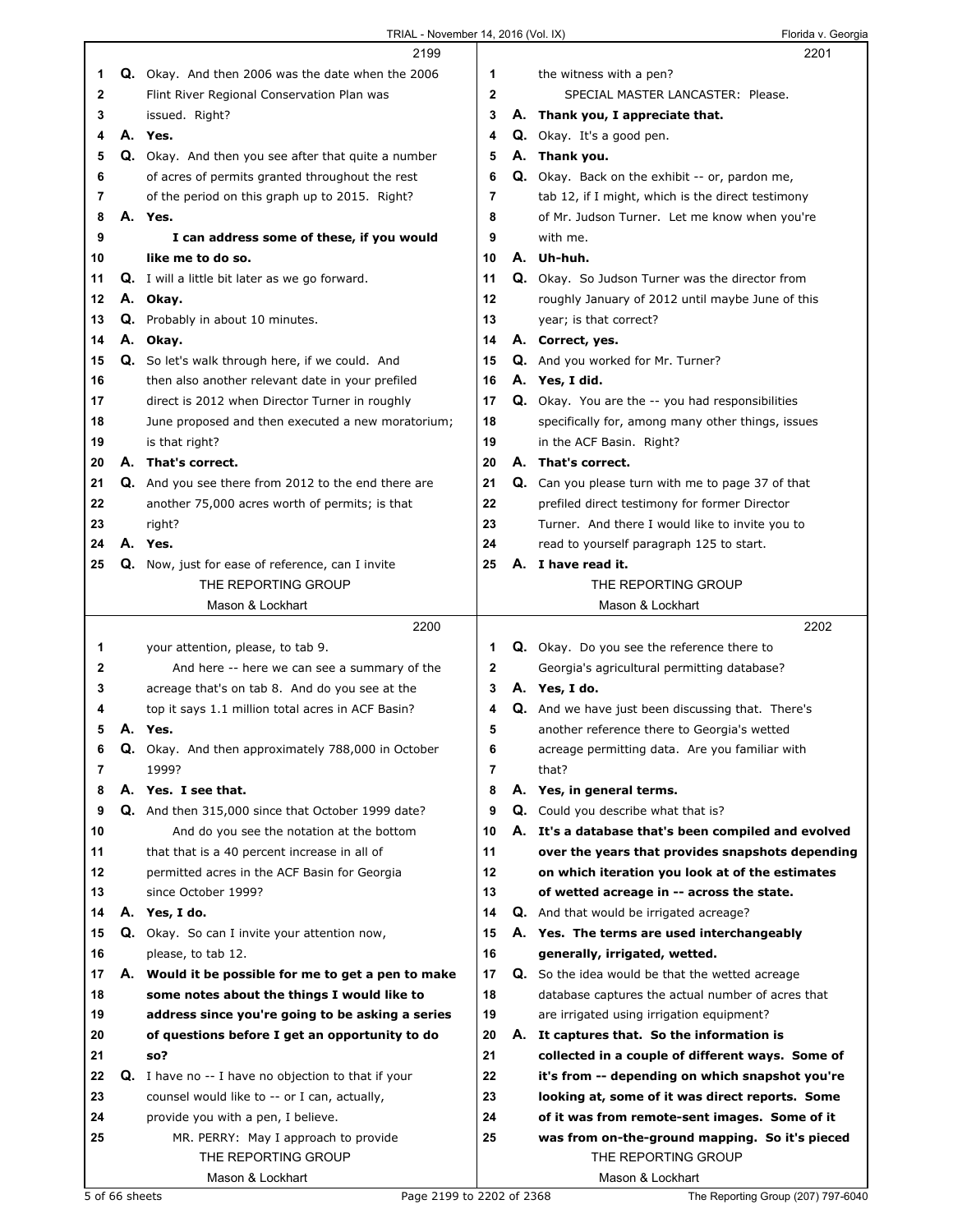| TRIAL - November 14, 2016 (Vol. IX) |  |  |
|-------------------------------------|--|--|
|                                     |  |  |

Florida v. Georgia

|    |    | 2199                                                   |                |    | 2201                                                    |
|----|----|--------------------------------------------------------|----------------|----|---------------------------------------------------------|
| 1  |    | Q. Okay. And then 2006 was the date when the 2006      | 1              |    | the witness with a pen?                                 |
| 2  |    | Flint River Regional Conservation Plan was             | $\mathbf 2$    |    | SPECIAL MASTER LANCASTER: Please.                       |
| 3  |    | issued. Right?                                         | 3              | Α. | Thank you, I appreciate that.                           |
| 4  |    | A. Yes.                                                | 4              |    | Q. Okay. It's a good pen.                               |
| 5  | Q. | Okay. And then you see after that quite a number       | 5              | А. | Thank you.                                              |
| 6  |    | of acres of permits granted throughout the rest        | 6              |    | <b>Q.</b> Okay. Back on the exhibit -- or, pardon me,   |
| 7  |    | of the period on this graph up to 2015. Right?         | 7              |    | tab 12, if I might, which is the direct testimony       |
| 8  |    | A. Yes.                                                | 8              |    |                                                         |
|    |    |                                                        |                |    | of Mr. Judson Turner. Let me know when you're           |
| 9  |    | I can address some of these, if you would              | 9              |    | with me.                                                |
| 10 |    | like me to do so.                                      | 10             |    | A. Uh-huh.                                              |
| 11 |    | <b>Q.</b> I will a little bit later as we go forward.  | 11             |    | Q. Okay. So Judson Turner was the director from         |
| 12 |    | A. Okay.                                               | 12             |    | roughly January of 2012 until maybe June of this        |
| 13 |    | Q. Probably in about 10 minutes.                       | 13             |    | year; is that correct?                                  |
| 14 | А. | Okay.                                                  | 14             |    | A. Correct, yes.                                        |
| 15 |    | <b>Q.</b> So let's walk through here, if we could. And | 15             |    | Q. And you worked for Mr. Turner?                       |
| 16 |    | then also another relevant date in your prefiled       | 16             |    | A. Yes, I did.                                          |
| 17 |    | direct is 2012 when Director Turner in roughly         | 17             |    | <b>Q.</b> Okay. You are the -- you had responsibilities |
| 18 |    | June proposed and then executed a new moratorium;      | 18             |    | specifically for, among many other things, issues       |
| 19 |    | is that right?                                         | 19             |    | in the ACF Basin. Right?                                |
| 20 |    | A. That's correct.                                     | 20             |    | A. That's correct.                                      |
| 21 | Q. | And you see there from 2012 to the end there are       | 21             | Q. | Can you please turn with me to page 37 of that          |
| 22 |    | another 75,000 acres worth of permits; is that         | 22             |    | prefiled direct testimony for former Director           |
| 23 |    | right?                                                 | 23             |    | Turner. And there I would like to invite you to         |
| 24 |    | A. Yes.                                                | 24             |    | read to yourself paragraph 125 to start.                |
| 25 | Q. | Now, just for ease of reference, can I invite          | 25             |    | A. I have read it.                                      |
|    |    | THE REPORTING GROUP                                    |                |    | THE REPORTING GROUP                                     |
|    |    |                                                        |                |    |                                                         |
|    |    | Mason & Lockhart                                       |                |    | Mason & Lockhart                                        |
|    |    | 2200                                                   |                |    |                                                         |
|    |    |                                                        |                |    | 2202                                                    |
| 1  |    | your attention, please, to tab 9.                      | 1              |    | <b>Q.</b> Okay. Do you see the reference there to       |
| 2  |    | And here -- here we can see a summary of the           | 2              |    | Georgia's agricultural permitting database?             |
| з  |    | acreage that's on tab 8. And do you see at the         | 3              |    | A. Yes, I do.                                           |
| 4  |    | top it says 1.1 million total acres in ACF Basin?      | 4              | Q. | And we have just been discussing that. There's          |
| 5  |    | A. Yes.                                                | 5              |    | another reference there to Georgia's wetted             |
| 6  | Q. | Okay. And then approximately 788,000 in October        | 6              |    | acreage permitting data. Are you familiar with          |
| 7  |    | 1999?                                                  | $\overline{7}$ |    | that?                                                   |
| 8  |    | A. Yes. I see that.                                    | 8              |    | A. Yes, in general terms.                               |
| 9  | Q. | And then 315,000 since that October 1999 date?         | 9              | Q. | Could you describe what that is?                        |
| 10 |    | And do you see the notation at the bottom              | 10             |    | A. It's a database that's been compiled and evolved     |
| 11 |    | that that is a 40 percent increase in all of           | 11             |    | over the years that provides snapshots depending        |
| 12 |    | permitted acres in the ACF Basin for Georgia           | 12             |    | on which iteration you look at of the estimates         |
| 13 |    | since October 1999?                                    | 13             |    | of wetted acreage in -- across the state.               |
| 14 |    | A. Yes, I do.                                          | 14             |    | <b>Q.</b> And that would be irrigated acreage?          |
|    |    |                                                        |                |    |                                                         |
| 15 |    | Q. Okay. So can I invite your attention now,           | 15             |    | A. Yes. The terms are used interchangeably              |
| 16 |    | please, to tab 12.                                     | 16             |    | generally, irrigated, wetted.                           |
| 17 |    | A. Would it be possible for me to get a pen to make    | 17             |    | Q. So the idea would be that the wetted acreage         |
| 18 |    | some notes about the things I would like to            | 18             |    | database captures the actual number of acres that       |
| 19 |    | address since you're going to be asking a series       | 19             |    | are irrigated using irrigation equipment?               |
| 20 |    | of questions before I get an opportunity to do         | 20             |    | A. It captures that. So the information is              |
| 21 |    | so?                                                    | 21             |    | collected in a couple of different ways. Some of        |
| 22 |    | Q. I have no -- I have no objection to that if your    | 22             |    | it's from -- depending on which snapshot you're         |
| 23 |    | counsel would like to -- or I can, actually,           | 23             |    | looking at, some of it was direct reports. Some         |
| 24 |    | provide you with a pen, I believe.                     | 24             |    | of it was from remote-sent images. Some of it           |
| 25 |    | MR. PERRY: May I approach to provide                   | 25             |    | was from on-the-ground mapping. So it's pieced          |
|    |    | THE REPORTING GROUP                                    |                |    | THE REPORTING GROUP                                     |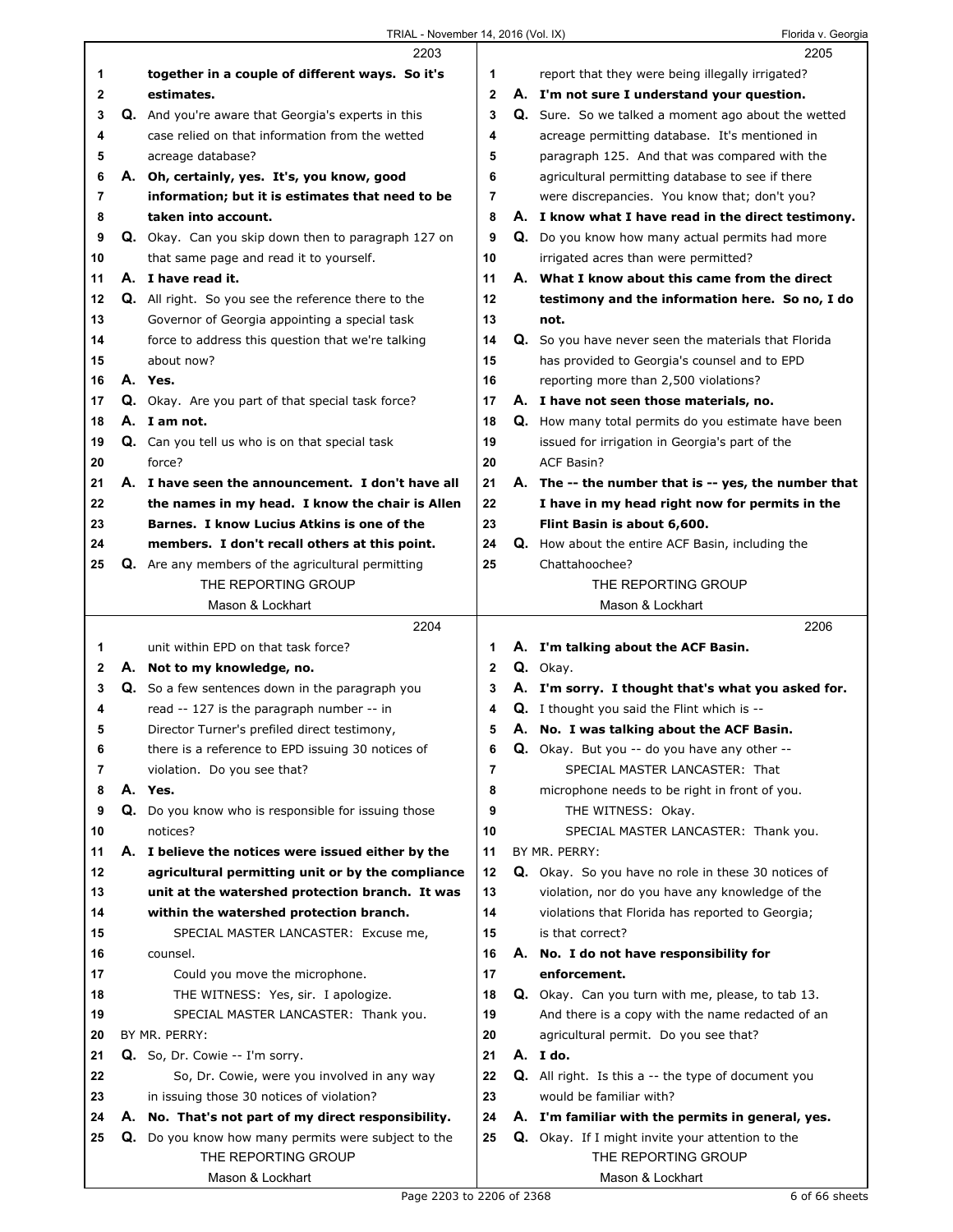|    | 2203                                                       |                | 2205                                                       |
|----|------------------------------------------------------------|----------------|------------------------------------------------------------|
| 1  | together in a couple of different ways. So it's            | 1              | report that they were being illegally irrigated?           |
| 2  | estimates.                                                 | $\mathbf 2$    | A. I'm not sure I understand your question.                |
| 3  | Q. And you're aware that Georgia's experts in this         | 3              | Q. Sure. So we talked a moment ago about the wetted        |
| 4  | case relied on that information from the wetted            | 4              | acreage permitting database. It's mentioned in             |
| 5  | acreage database?                                          | 5              | paragraph 125. And that was compared with the              |
| 6  | A. Oh, certainly, yes. It's, you know, good                | 6              | agricultural permitting database to see if there           |
| 7  | information; but it is estimates that need to be           | 7              | were discrepancies. You know that; don't you?              |
| 8  | taken into account.                                        | 8              | A. I know what I have read in the direct testimony.        |
| 9  | <b>Q.</b> Okay. Can you skip down then to paragraph 127 on | 9              | <b>Q.</b> Do you know how many actual permits had more     |
| 10 | that same page and read it to yourself.                    | 10             | irrigated acres than were permitted?                       |
| 11 | A. I have read it.                                         | 11             | A. What I know about this came from the direct             |
| 12 | <b>Q.</b> All right. So you see the reference there to the | 12             | testimony and the information here. So no, I do            |
| 13 | Governor of Georgia appointing a special task              | 13             | not.                                                       |
| 14 | force to address this question that we're talking          | 14             | Q. So you have never seen the materials that Florida       |
| 15 | about now?                                                 | 15             | has provided to Georgia's counsel and to EPD               |
| 16 | A. Yes.                                                    | 16             | reporting more than 2,500 violations?                      |
| 17 | <b>Q.</b> Okay. Are you part of that special task force?   | 17             | A. I have not seen those materials, no.                    |
| 18 | A. I am not.                                               | 18             | Q. How many total permits do you estimate have been        |
| 19 | <b>Q.</b> Can you tell us who is on that special task      | 19             | issued for irrigation in Georgia's part of the             |
| 20 | force?                                                     | 20             | <b>ACF Basin?</b>                                          |
| 21 | A. I have seen the announcement. I don't have all          | 21             | A. The -- the number that is -- yes, the number that       |
| 22 | the names in my head. I know the chair is Allen            | 22             | I have in my head right now for permits in the             |
| 23 | Barnes. I know Lucius Atkins is one of the                 | 23             | Flint Basin is about 6,600.                                |
| 24 | members. I don't recall others at this point.              | 24             | <b>Q.</b> How about the entire ACF Basin, including the    |
| 25 | <b>Q.</b> Are any members of the agricultural permitting   | 25             | Chattahoochee?                                             |
|    | THE REPORTING GROUP                                        |                | THE REPORTING GROUP                                        |
|    | Mason & Lockhart                                           |                | Mason & Lockhart                                           |
|    |                                                            |                |                                                            |
|    | 2204                                                       |                | 2206                                                       |
| 1  | unit within EPD on that task force?                        | 1              | A. I'm talking about the ACF Basin.                        |
| 2  | A. Not to my knowledge, no.                                | $\overline{2}$ | Q. Okay.                                                   |
| 3  | Q. So a few sentences down in the paragraph you            | 3              | A. I'm sorry. I thought that's what you asked for.         |
| 4  | read -- 127 is the paragraph number -- in                  | 4              | Q. I thought you said the Flint which is --                |
| 5  | Director Turner's prefiled direct testimony,               | 5              | A. No. I was talking about the ACF Basin.                  |
| 6  | there is a reference to EPD issuing 30 notices of          | 6              | Q. Okay. But you -- do you have any other --               |
| 7  | violation. Do you see that?                                | 7              | SPECIAL MASTER LANCASTER: That                             |
| 8  | A. Yes.                                                    | 8              | microphone needs to be right in front of you.              |
| 9  | Q. Do you know who is responsible for issuing those        | 9              | THE WITNESS: Okay.                                         |
| 10 | notices?                                                   | 10             | SPECIAL MASTER LANCASTER: Thank you.                       |
| 11 | A. I believe the notices were issued either by the         | 11             | BY MR. PERRY:                                              |
| 12 | agricultural permitting unit or by the compliance          | 12             | Q. Okay. So you have no role in these 30 notices of        |
| 13 | unit at the watershed protection branch. It was            | 13             | violation, nor do you have any knowledge of the            |
| 14 | within the watershed protection branch.                    | 14             | violations that Florida has reported to Georgia;           |
| 15 | SPECIAL MASTER LANCASTER: Excuse me,                       | 15             | is that correct?                                           |
| 16 | counsel.                                                   | 16             | A. No. I do not have responsibility for                    |
| 17 | Could you move the microphone.                             | 17             | enforcement.                                               |
| 18 | THE WITNESS: Yes, sir. I apologize.                        | 18             | Q. Okay. Can you turn with me, please, to tab 13.          |
| 19 | SPECIAL MASTER LANCASTER: Thank you.                       | 19             | And there is a copy with the name redacted of an           |
| 20 | BY MR. PERRY:                                              | 20             | agricultural permit. Do you see that?                      |
| 21 | Q. So, Dr. Cowie -- I'm sorry.                             | 21             | A. I do.                                                   |
| 22 | So, Dr. Cowie, were you involved in any way                | 22             | <b>Q.</b> All right. Is this a -- the type of document you |
| 23 | in issuing those 30 notices of violation?                  | 23             | would be familiar with?                                    |
| 24 | A. No. That's not part of my direct responsibility.        | 24             | A. I'm familiar with the permits in general, yes.          |
| 25 | Q. Do you know how many permits were subject to the        | 25             | Q. Okay. If I might invite your attention to the           |
|    | THE REPORTING GROUP                                        |                | THE REPORTING GROUP                                        |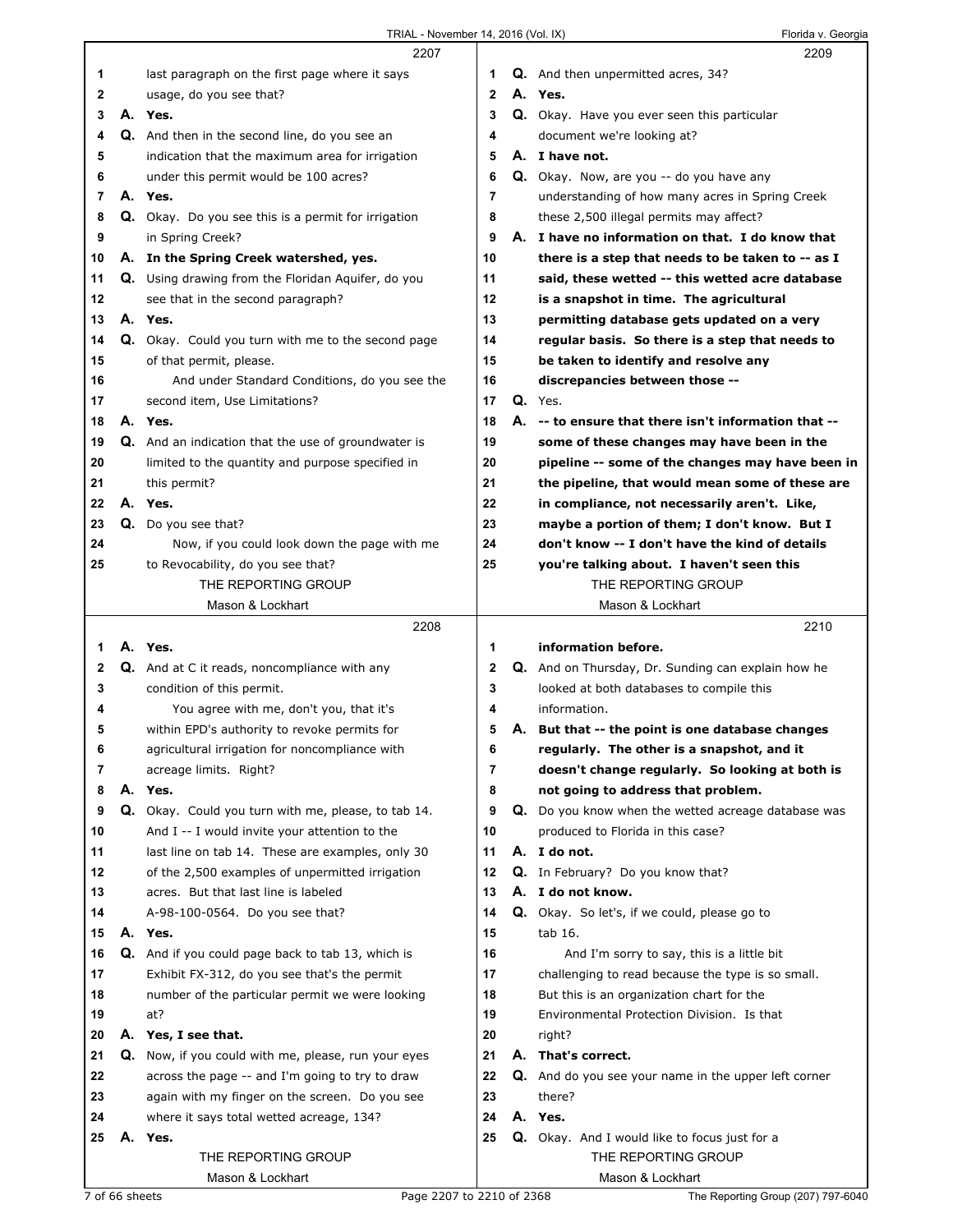TRIAL - November 14, 2016 (Vol. IX) Florida v. Georgia

|                |    | 2207                                                       |              | 2209                                                                 |
|----------------|----|------------------------------------------------------------|--------------|----------------------------------------------------------------------|
| 1              |    | last paragraph on the first page where it says             | 1            | Q. And then unpermitted acres, 34?                                   |
| 2              |    | usage, do you see that?                                    | $\mathbf{2}$ | A. Yes.                                                              |
| 3              |    | A. Yes.                                                    | 3            | Q. Okay. Have you ever seen this particular                          |
| 4              |    | Q. And then in the second line, do you see an              | 4            | document we're looking at?                                           |
| 5              |    | indication that the maximum area for irrigation            | 5            | A. I have not.                                                       |
| 6              |    | under this permit would be 100 acres?                      | 6            | Q. Okay. Now, are you -- do you have any                             |
| $\overline{7}$ |    | A. Yes.                                                    | 7            | understanding of how many acres in Spring Creek                      |
| 8              |    | <b>Q.</b> Okay. Do you see this is a permit for irrigation | 8            | these 2,500 illegal permits may affect?                              |
| 9              |    | in Spring Creek?                                           | 9            | A. I have no information on that. I do know that                     |
|                |    |                                                            | 10           |                                                                      |
| 10             |    | A. In the Spring Creek watershed, yes.                     |              | there is a step that needs to be taken to -- as I                    |
| 11             |    | Q. Using drawing from the Floridan Aquifer, do you         | 11           | said, these wetted -- this wetted acre database                      |
| 12             |    | see that in the second paragraph?                          | 12           | is a snapshot in time. The agricultural                              |
| 13             |    | A. Yes.                                                    | 13           | permitting database gets updated on a very                           |
| 14             |    | Q. Okay. Could you turn with me to the second page         | 14           | regular basis. So there is a step that needs to                      |
| 15             |    | of that permit, please.                                    | 15           | be taken to identify and resolve any                                 |
| 16             |    | And under Standard Conditions, do you see the              | 16           | discrepancies between those --                                       |
| 17             |    | second item, Use Limitations?                              | 17           | $Q.$ Yes.                                                            |
| 18             |    | A. Yes.                                                    | 18           | A. -- to ensure that there isn't information that --                 |
| 19             |    | <b>Q.</b> And an indication that the use of groundwater is | 19           | some of these changes may have been in the                           |
| 20             |    | limited to the quantity and purpose specified in           | 20           | pipeline -- some of the changes may have been in                     |
| 21             |    | this permit?                                               | 21           | the pipeline, that would mean some of these are                      |
| 22             |    | A. Yes.                                                    | 22           | in compliance, not necessarily aren't. Like,                         |
| 23             |    | Q. Do you see that?                                        | 23           | maybe a portion of them; I don't know. But I                         |
| 24             |    | Now, if you could look down the page with me               | 24           | don't know -- I don't have the kind of details                       |
| 25             |    | to Revocability, do you see that?                          | 25           | you're talking about. I haven't seen this                            |
|                |    | THE REPORTING GROUP                                        |              | THE REPORTING GROUP                                                  |
|                |    | Mason & Lockhart                                           |              | Mason & Lockhart                                                     |
|                |    | 2208                                                       |              | 2210                                                                 |
|                |    |                                                            |              |                                                                      |
| 1              |    | A. Yes.                                                    | 1            | information before.                                                  |
| 2              |    | <b>Q.</b> And at C it reads, noncompliance with any        | $\mathbf 2$  | Q. And on Thursday, Dr. Sunding can explain how he                   |
| 3              |    | condition of this permit.                                  | 3            | looked at both databases to compile this                             |
| 4              |    | You agree with me, don't you, that it's                    | 4            | information.                                                         |
| 5              |    | within EPD's authority to revoke permits for               | 5            | A. But that -- the point is one database changes                     |
| 6              |    | agricultural irrigation for noncompliance with             | 6            | regularly. The other is a snapshot, and it                           |
| 7              |    | acreage limits. Right?                                     | 7            | doesn't change regularly. So looking at both is                      |
| 8              |    | A. Yes.                                                    | 8            | not going to address that problem.                                   |
| 9              |    | Q. Okay. Could you turn with me, please, to tab 14.        | 9            | Q. Do you know when the wetted acreage database was                  |
| 10             |    | And I -- I would invite your attention to the              | 10           | produced to Florida in this case?                                    |
| 11             |    | last line on tab 14. These are examples, only 30           | 11           | A. I do not.                                                         |
| 12             |    | of the 2,500 examples of unpermitted irrigation            | 12           | Q. In February? Do you know that?                                    |
| 13             |    | acres. But that last line is labeled                       | 13           | A. I do not know.                                                    |
| 14             |    | A-98-100-0564. Do you see that?                            | 14           | Q. Okay. So let's, if we could, please go to                         |
| 15             |    | A. Yes.                                                    | 15           | tab 16.                                                              |
| 16             |    | <b>Q.</b> And if you could page back to tab 13, which is   | 16           | And I'm sorry to say, this is a little bit                           |
| 17             |    | Exhibit FX-312, do you see that's the permit               | 17           | challenging to read because the type is so small.                    |
| 18             |    | number of the particular permit we were looking            | 18           | But this is an organization chart for the                            |
| 19             |    | at?                                                        | 19           | Environmental Protection Division. Is that                           |
| 20             |    | A. Yes, I see that.                                        | 20           | right?                                                               |
| 21             | Q. | Now, if you could with me, please, run your eyes           | 21           | A. That's correct.                                                   |
| 22             |    |                                                            | 22           |                                                                      |
|                |    | across the page -- and I'm going to try to draw            | 23           | Q. And do you see your name in the upper left corner<br>there?       |
| 23             |    | again with my finger on the screen. Do you see             | 24           | A. Yes.                                                              |
| 24             |    | where it says total wetted acreage, 134?                   |              |                                                                      |
| 25             | А. | Yes.<br>THE REPORTING GROUP                                | 25           | Q. Okay. And I would like to focus just for a<br>THE REPORTING GROUP |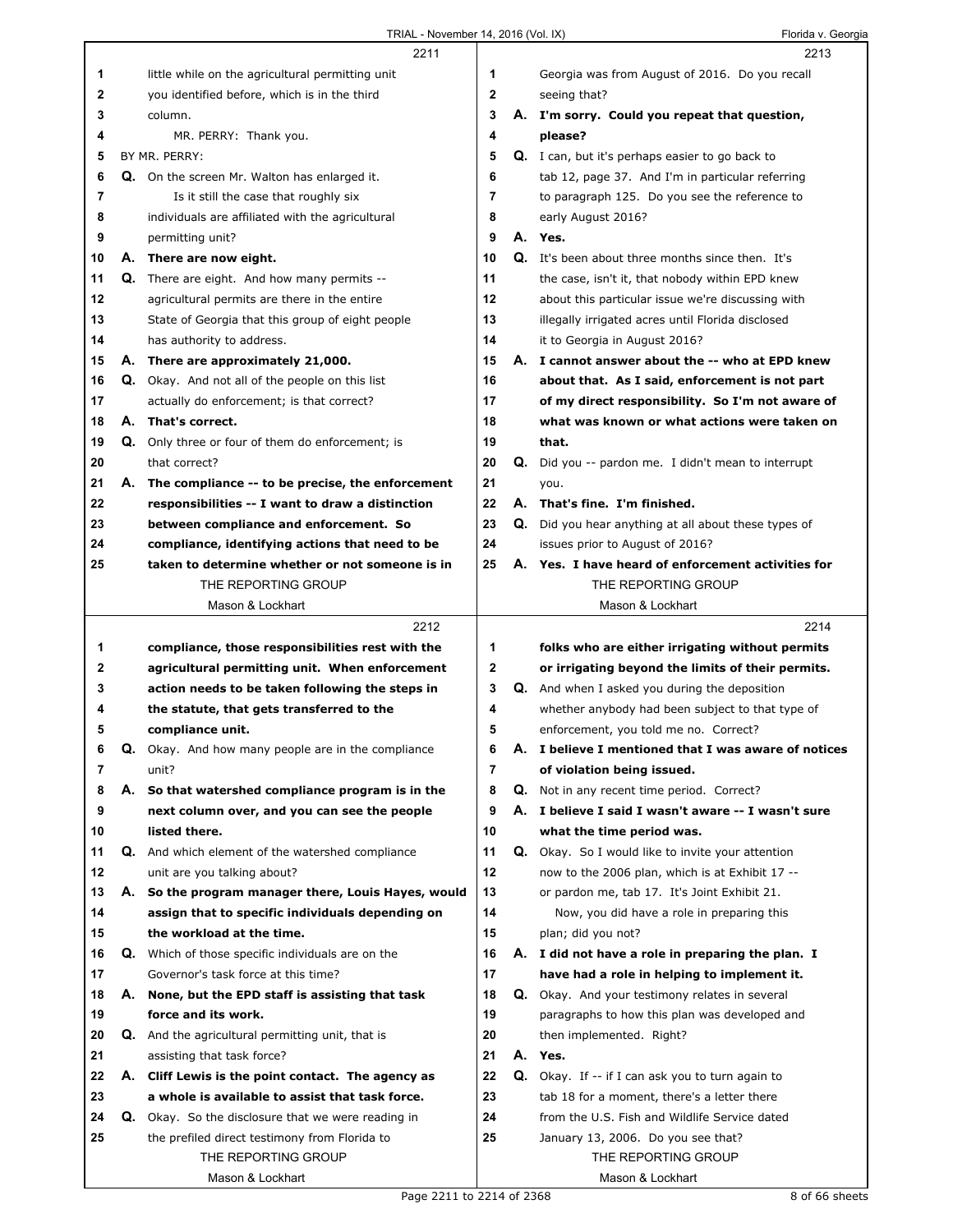|              |    | 2211                                                                                            |                |    | 2213                                                                                             |
|--------------|----|-------------------------------------------------------------------------------------------------|----------------|----|--------------------------------------------------------------------------------------------------|
| 1            |    | little while on the agricultural permitting unit                                                | 1              |    | Georgia was from August of 2016. Do you recall                                                   |
| $\mathbf{2}$ |    | you identified before, which is in the third                                                    | $\mathbf{2}$   |    | seeing that?                                                                                     |
| 3            |    | column.                                                                                         | 3              |    | A. I'm sorry. Could you repeat that question,                                                    |
| 4            |    | MR. PERRY: Thank you.                                                                           | 4              |    | please?                                                                                          |
| 5            |    | BY MR. PERRY:                                                                                   | 5              |    | Q. I can, but it's perhaps easier to go back to                                                  |
| 6            |    | Q. On the screen Mr. Walton has enlarged it.                                                    | 6              |    | tab 12, page 37. And I'm in particular referring                                                 |
| 7            |    | Is it still the case that roughly six                                                           | $\overline{7}$ |    | to paragraph 125. Do you see the reference to                                                    |
| 8            |    | individuals are affiliated with the agricultural                                                | 8              |    | early August 2016?                                                                               |
| 9            |    | permitting unit?                                                                                | 9              |    | A. Yes.                                                                                          |
| 10           |    | A. There are now eight.                                                                         | 10             |    | Q. It's been about three months since then. It's                                                 |
| 11           |    | <b>Q.</b> There are eight. And how many permits --                                              | 11             |    |                                                                                                  |
| 12           |    |                                                                                                 | 12             |    | the case, isn't it, that nobody within EPD knew                                                  |
| 13           |    | agricultural permits are there in the entire                                                    | 13             |    | about this particular issue we're discussing with                                                |
|              |    | State of Georgia that this group of eight people                                                |                |    | illegally irrigated acres until Florida disclosed                                                |
| 14           |    | has authority to address.                                                                       | 14             |    | it to Georgia in August 2016?                                                                    |
| 15           |    | A. There are approximately 21,000.                                                              | 15             |    | A. I cannot answer about the -- who at EPD knew                                                  |
| 16           |    | <b>Q.</b> Okay. And not all of the people on this list                                          | 16             |    | about that. As I said, enforcement is not part                                                   |
| 17           |    | actually do enforcement; is that correct?                                                       | 17             |    | of my direct responsibility. So I'm not aware of                                                 |
| 18           | А. | That's correct.                                                                                 | 18             |    | what was known or what actions were taken on                                                     |
| 19           | Q. | Only three or four of them do enforcement; is                                                   | 19             |    | that.                                                                                            |
| 20           |    | that correct?                                                                                   | 20             |    | <b>Q.</b> Did you -- pardon me. I didn't mean to interrupt                                       |
| 21           | А. | The compliance -- to be precise, the enforcement                                                | 21             |    | you.                                                                                             |
| 22           |    | responsibilities -- I want to draw a distinction                                                | 22             |    | A. That's fine. I'm finished.                                                                    |
| 23           |    | between compliance and enforcement. So                                                          | 23             |    | <b>Q.</b> Did you hear anything at all about these types of                                      |
| 24           |    | compliance, identifying actions that need to be                                                 | 24             |    | issues prior to August of 2016?                                                                  |
| 25           |    | taken to determine whether or not someone is in                                                 | 25             |    | A. Yes. I have heard of enforcement activities for                                               |
|              |    | THE REPORTING GROUP                                                                             |                |    | THE REPORTING GROUP                                                                              |
|              |    | Mason & Lockhart                                                                                |                |    | Mason & Lockhart                                                                                 |
|              |    |                                                                                                 |                |    |                                                                                                  |
|              |    | 2212                                                                                            |                |    | 2214                                                                                             |
| 1            |    | compliance, those responsibilities rest with the                                                | 1              |    | folks who are either irrigating without permits                                                  |
| 2            |    | agricultural permitting unit. When enforcement                                                  | 2              |    | or irrigating beyond the limits of their permits.                                                |
| 3            |    | action needs to be taken following the steps in                                                 | 3              |    | <b>Q.</b> And when I asked you during the deposition                                             |
| 4            |    | the statute, that gets transferred to the                                                       | 4              |    | whether anybody had been subject to that type of                                                 |
| 5            |    | compliance unit.                                                                                | 5              |    | enforcement, you told me no. Correct?                                                            |
| 6            | Q. | Okay. And how many people are in the compliance                                                 | 6              | Α. | I believe I mentioned that I was aware of notices                                                |
| 7            |    | unit?                                                                                           | 7              |    | of violation being issued.                                                                       |
| 8            | А. | So that watershed compliance program is in the                                                  | 8              | Q. | Not in any recent time period. Correct?                                                          |
| 9            |    | next column over, and you can see the people                                                    | 9              | А. | I believe I said I wasn't aware -- I wasn't sure                                                 |
| 10           |    | listed there.                                                                                   | 10             |    | what the time period was.                                                                        |
| 11           |    | <b>Q.</b> And which element of the watershed compliance                                         | 11             | Q. | Okay. So I would like to invite your attention                                                   |
| 12           |    | unit are you talking about?                                                                     | 12             |    | now to the 2006 plan, which is at Exhibit 17 --                                                  |
| 13           | А. | So the program manager there, Louis Hayes, would                                                | 13             |    | or pardon me, tab 17. It's Joint Exhibit 21.                                                     |
| 14           |    | assign that to specific individuals depending on                                                | 14             |    | Now, you did have a role in preparing this                                                       |
| 15           |    | the workload at the time.                                                                       | 15             |    | plan; did you not?                                                                               |
| 16           |    |                                                                                                 | 16             |    |                                                                                                  |
| 17           |    | <b>Q.</b> Which of those specific individuals are on the<br>Governor's task force at this time? | 17             |    | A. I did not have a role in preparing the plan. I<br>have had a role in helping to implement it. |
|              |    |                                                                                                 |                |    |                                                                                                  |
| 18           |    | A. None, but the EPD staff is assisting that task                                               | 18             |    | Q. Okay. And your testimony relates in several                                                   |
| 19           |    | force and its work.                                                                             | 19             |    | paragraphs to how this plan was developed and                                                    |
| 20           |    | <b>Q.</b> And the agricultural permitting unit, that is                                         | 20             |    | then implemented. Right?                                                                         |
| 21           |    | assisting that task force?                                                                      | 21             |    | A. Yes.                                                                                          |
| 22           | А. | Cliff Lewis is the point contact. The agency as                                                 | 22             |    | Q. Okay. If -- if I can ask you to turn again to                                                 |
| 23           |    | a whole is available to assist that task force.                                                 | 23             |    | tab 18 for a moment, there's a letter there                                                      |
| 24           | Q. | Okay. So the disclosure that we were reading in                                                 | 24             |    | from the U.S. Fish and Wildlife Service dated                                                    |
| 25           |    | the prefiled direct testimony from Florida to                                                   | 25             |    | January 13, 2006. Do you see that?                                                               |
|              |    | THE REPORTING GROUP<br>Mason & Lockhart                                                         |                |    | THE REPORTING GROUP<br>Mason & Lockhart                                                          |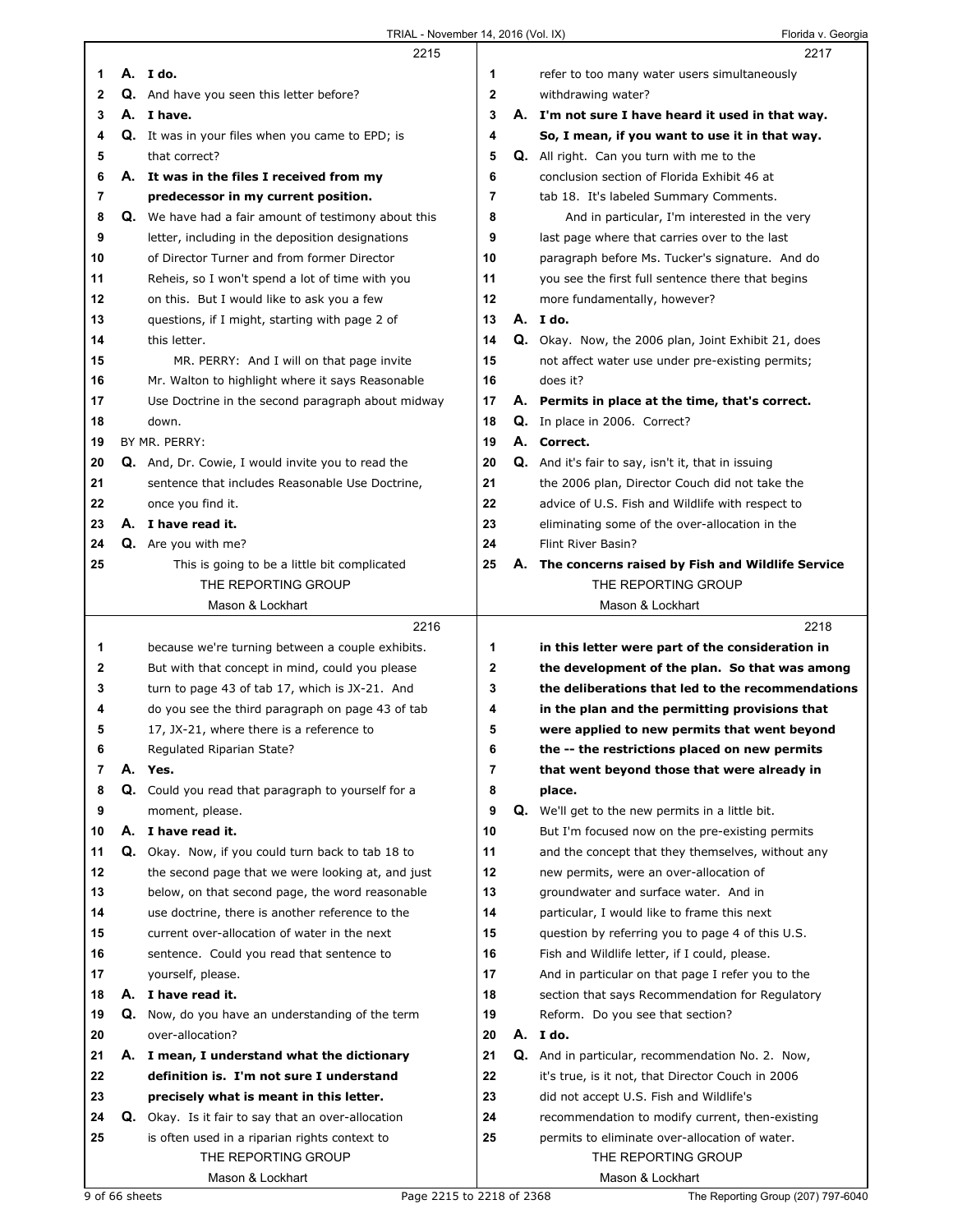|              | 2215                                                        |              | 2217                                                      |
|--------------|-------------------------------------------------------------|--------------|-----------------------------------------------------------|
| 1            | A. I do.                                                    | 1            | refer to too many water users simultaneously              |
| $\mathbf{2}$ | Q. And have you seen this letter before?                    | $\mathbf{2}$ | withdrawing water?                                        |
| 3            | A. I have.                                                  | 3            | A. I'm not sure I have heard it used in that way.         |
| 4            | Q. It was in your files when you came to EPD; is            | 4            | So, I mean, if you want to use it in that way.            |
| 5            | that correct?                                               | 5            | Q. All right. Can you turn with me to the                 |
| 6            |                                                             | 6            |                                                           |
|              | A. It was in the files I received from my                   |              | conclusion section of Florida Exhibit 46 at               |
| 7            | predecessor in my current position.                         | 7            | tab 18. It's labeled Summary Comments.                    |
| 8            | <b>Q.</b> We have had a fair amount of testimony about this | 8            | And in particular, I'm interested in the very             |
| 9            | letter, including in the deposition designations            | 9            | last page where that carries over to the last             |
| 10           | of Director Turner and from former Director                 | 10           | paragraph before Ms. Tucker's signature. And do           |
| 11           | Reheis, so I won't spend a lot of time with you             | 11           | you see the first full sentence there that begins         |
| 12           | on this. But I would like to ask you a few                  | 12           | more fundamentally, however?                              |
| 13           | questions, if I might, starting with page 2 of              | 13           | A. I do.                                                  |
| 14           | this letter.                                                | 14           | Q. Okay. Now, the 2006 plan, Joint Exhibit 21, does       |
| 15           | MR. PERRY: And I will on that page invite                   | 15           | not affect water use under pre-existing permits;          |
| 16           | Mr. Walton to highlight where it says Reasonable            | 16           | does it?                                                  |
| 17           | Use Doctrine in the second paragraph about midway           | 17           | A. Permits in place at the time, that's correct.          |
| 18           | down.                                                       | 18           | Q. In place in 2006. Correct?                             |
| 19           | BY MR. PERRY:                                               | 19           | A. Correct.                                               |
| 20           | <b>Q.</b> And, Dr. Cowie, I would invite you to read the    | 20           | <b>Q.</b> And it's fair to say, isn't it, that in issuing |
| 21           | sentence that includes Reasonable Use Doctrine,             | 21           | the 2006 plan, Director Couch did not take the            |
| 22           | once you find it.                                           | 22           | advice of U.S. Fish and Wildlife with respect to          |
| 23           | A. I have read it.                                          | 23           |                                                           |
|              | Q. Are you with me?                                         | 24           | eliminating some of the over-allocation in the            |
| 24           |                                                             |              | Flint River Basin?                                        |
| 25           | This is going to be a little bit complicated                | 25           | A. The concerns raised by Fish and Wildlife Service       |
|              | THE REPORTING GROUP                                         |              | THE REPORTING GROUP                                       |
|              | Mason & Lockhart                                            |              | Mason & Lockhart                                          |
|              |                                                             |              |                                                           |
|              | 2216                                                        |              | 2218                                                      |
| 1            | because we're turning between a couple exhibits.            | 1            | in this letter were part of the consideration in          |
| 2            | But with that concept in mind, could you please             | 2            | the development of the plan. So that was among            |
| 3            | turn to page 43 of tab 17, which is JX-21. And              | 3            | the deliberations that led to the recommendations         |
| 4            | do you see the third paragraph on page 43 of tab            | 4            | in the plan and the permitting provisions that            |
| 5            | 17, JX-21, where there is a reference to                    | 5            | were applied to new permits that went beyond              |
| 6            | Regulated Riparian State?                                   | 6            | the -- the restrictions placed on new permits             |
| 7            | A. Yes.                                                     | 7            | that went beyond those that were already in               |
| 8            | Q. Could you read that paragraph to yourself for a          | 8            | place.                                                    |
| 9            | moment, please.                                             | 9            | <b>Q.</b> We'll get to the new permits in a little bit.   |
| 10           | A. I have read it.                                          | 10           | But I'm focused now on the pre-existing permits           |
| 11           | Q. Okay. Now, if you could turn back to tab 18 to           | 11           | and the concept that they themselves, without any         |
| 12           |                                                             | 12           | new permits, were an over-allocation of                   |
|              | the second page that we were looking at, and just           |              |                                                           |
| 13           | below, on that second page, the word reasonable             | 13           | groundwater and surface water. And in                     |
| 14           | use doctrine, there is another reference to the             | 14           | particular, I would like to frame this next               |
| 15           | current over-allocation of water in the next                | 15           | question by referring you to page 4 of this U.S.          |
| 16           | sentence. Could you read that sentence to                   | 16           | Fish and Wildlife letter, if I could, please.             |
| 17           | yourself, please.                                           | 17           | And in particular on that page I refer you to the         |
| 18           | A. I have read it.                                          | 18           | section that says Recommendation for Regulatory           |
| 19           | Q. Now, do you have an understanding of the term            | 19           | Reform. Do you see that section?                          |
| 20           | over-allocation?                                            | 20           | A. I do.                                                  |
| 21           | A. I mean, I understand what the dictionary                 | 21           | Q. And in particular, recommendation No. 2. Now,          |
| 22           | definition is. I'm not sure I understand                    | 22           | it's true, is it not, that Director Couch in 2006         |
| 23           | precisely what is meant in this letter.                     | 23           | did not accept U.S. Fish and Wildlife's                   |
| 24           | <b>Q.</b> Okay. Is it fair to say that an over-allocation   | 24           | recommendation to modify current, then-existing           |
| 25           | is often used in a riparian rights context to               | 25           | permits to eliminate over-allocation of water.            |
|              | THE REPORTING GROUP                                         |              | THE REPORTING GROUP                                       |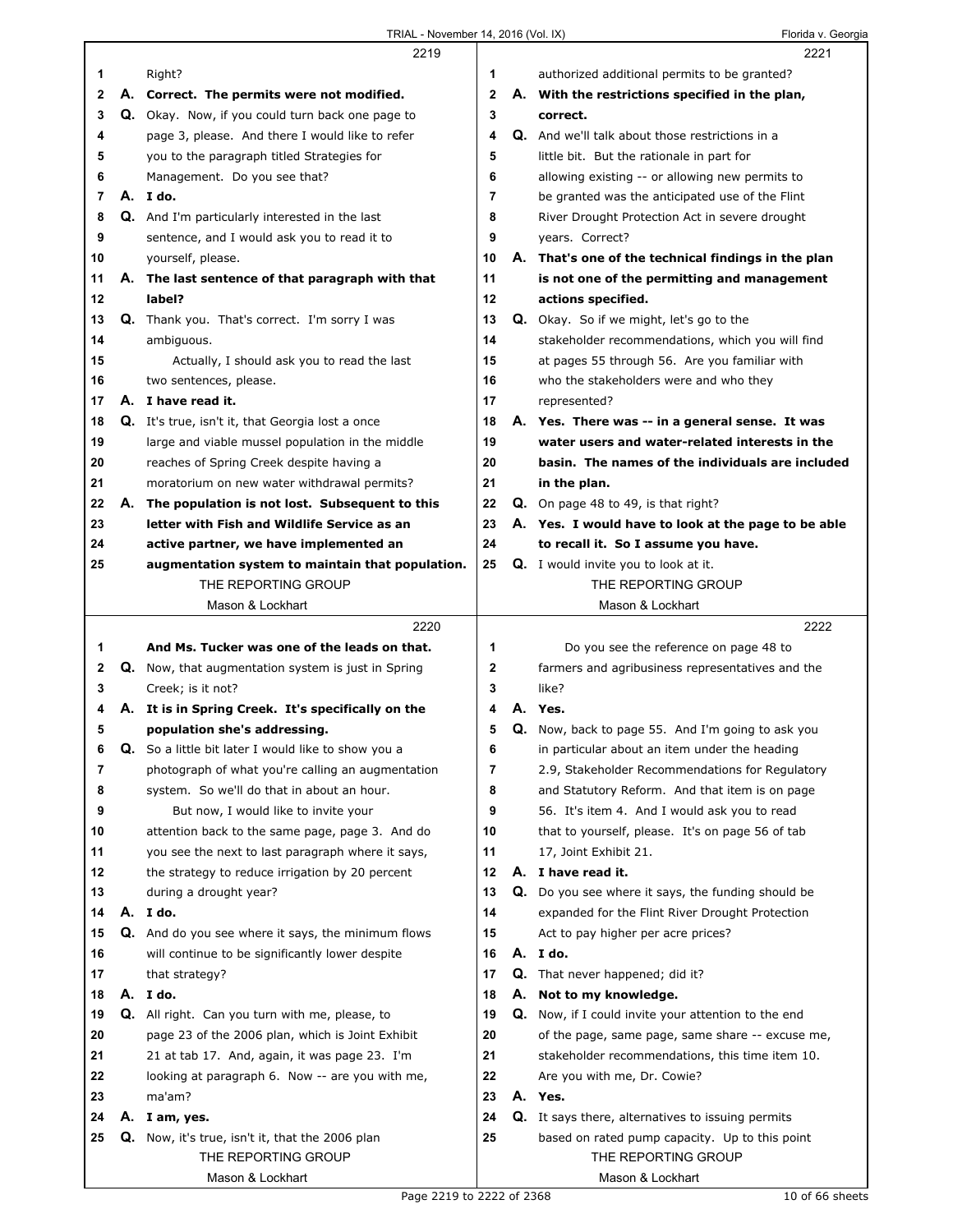$\Gamma$ 

|              |    | 2219                                                      |                |    | 2221                                                                                                  |
|--------------|----|-----------------------------------------------------------|----------------|----|-------------------------------------------------------------------------------------------------------|
| 1            |    | Right?                                                    | 1              |    | authorized additional permits to be granted?                                                          |
| 2            |    | A. Correct. The permits were not modified.                | $\mathbf{2}$   |    | A. With the restrictions specified in the plan,                                                       |
| 3            |    | Q. Okay. Now, if you could turn back one page to          | 3              |    | correct.                                                                                              |
| 4            |    | page 3, please. And there I would like to refer           | 4              |    | Q. And we'll talk about those restrictions in a                                                       |
| 5            |    | you to the paragraph titled Strategies for                | 5              |    | little bit. But the rationale in part for                                                             |
| 6            |    | Management. Do you see that?                              | 6              |    | allowing existing -- or allowing new permits to                                                       |
| 7            |    | A. I do.                                                  | $\overline{7}$ |    | be granted was the anticipated use of the Flint                                                       |
| 8            |    | <b>Q.</b> And I'm particularly interested in the last     | 8              |    | River Drought Protection Act in severe drought                                                        |
| 9            |    | sentence, and I would ask you to read it to               | 9              |    | years. Correct?                                                                                       |
| 10           |    | yourself, please.                                         | 10             |    | A. That's one of the technical findings in the plan                                                   |
| 11           |    | A. The last sentence of that paragraph with that          | 11             |    | is not one of the permitting and management                                                           |
| 12           |    | label?                                                    | 12             |    | actions specified.                                                                                    |
| 13           |    | <b>Q.</b> Thank you. That's correct. I'm sorry I was      | 13             |    | <b>Q.</b> Okay. So if we might, let's go to the                                                       |
| 14           |    | ambiguous.                                                | 14             |    | stakeholder recommendations, which you will find                                                      |
| 15           |    | Actually, I should ask you to read the last               | 15             |    | at pages 55 through 56. Are you familiar with                                                         |
| 16           |    | two sentences, please.                                    | 16             |    | who the stakeholders were and who they                                                                |
| 17           |    | A. I have read it.                                        | 17             |    | represented?                                                                                          |
| 18           |    | Q. It's true, isn't it, that Georgia lost a once          | 18             |    | A. Yes. There was -- in a general sense. It was                                                       |
| 19           |    | large and viable mussel population in the middle          | 19             |    | water users and water-related interests in the                                                        |
| 20           |    | reaches of Spring Creek despite having a                  | 20             |    | basin. The names of the individuals are included                                                      |
| 21           |    | moratorium on new water withdrawal permits?               | 21             |    | in the plan.                                                                                          |
| 22           |    | A. The population is not lost. Subsequent to this         | 22             |    | Q. On page 48 to 49, is that right?                                                                   |
| 23           |    | letter with Fish and Wildlife Service as an               | 23             |    | A. Yes. I would have to look at the page to be able                                                   |
| 24           |    | active partner, we have implemented an                    | 24             |    | to recall it. So I assume you have.                                                                   |
| 25           |    | augmentation system to maintain that population.          | 25             |    | <b>Q.</b> I would invite you to look at it.                                                           |
|              |    | THE REPORTING GROUP                                       |                |    | THE REPORTING GROUP                                                                                   |
|              |    | Mason & Lockhart                                          |                |    | Mason & Lockhart                                                                                      |
|              |    |                                                           |                |    |                                                                                                       |
|              |    | 2220                                                      |                |    | 2222                                                                                                  |
| 1            |    | And Ms. Tucker was one of the leads on that.              | 1              |    |                                                                                                       |
| $\mathbf{2}$ |    | <b>Q.</b> Now, that augmentation system is just in Spring | $\mathbf{2}$   |    | Do you see the reference on page 48 to<br>farmers and agribusiness representatives and the            |
| 3            |    | Creek; is it not?                                         | 3              |    | like?                                                                                                 |
| 4            |    | A. It is in Spring Creek. It's specifically on the        | 4              |    | A. Yes.                                                                                               |
| 5            |    | population she's addressing.                              | 5              |    | Q. Now, back to page 55. And I'm going to ask you                                                     |
| 6            | Q. | So a little bit later I would like to show you a          | 6              |    | in particular about an item under the heading                                                         |
| 7            |    | photograph of what you're calling an augmentation         | 7              |    | 2.9, Stakeholder Recommendations for Regulatory                                                       |
| 8            |    | system. So we'll do that in about an hour.                | 8              |    | and Statutory Reform. And that item is on page                                                        |
| 9            |    | But now, I would like to invite your                      | 9              |    | 56. It's item 4. And I would ask you to read                                                          |
| 10           |    | attention back to the same page, page 3. And do           | 10             |    | that to yourself, please. It's on page 56 of tab                                                      |
| 11           |    | you see the next to last paragraph where it says,         | 11             |    | 17, Joint Exhibit 21.                                                                                 |
| 12           |    | the strategy to reduce irrigation by 20 percent           | 12             |    | A. I have read it.                                                                                    |
| 13           |    | during a drought year?                                    | 13             |    |                                                                                                       |
| 14           |    | A. I do.                                                  | 14             |    | Q. Do you see where it says, the funding should be<br>expanded for the Flint River Drought Protection |
| 15           |    | Q. And do you see where it says, the minimum flows        | 15             |    | Act to pay higher per acre prices?                                                                    |
| 16           |    | will continue to be significantly lower despite           | 16             |    | A. I do.                                                                                              |
| 17           |    | that strategy?                                            | 17             |    | <b>Q.</b> That never happened; did it?                                                                |
| 18           |    | A. I do.                                                  | 18             |    | A. Not to my knowledge.                                                                               |
| 19           | Q. | All right. Can you turn with me, please, to               | 19             | Q. | Now, if I could invite your attention to the end                                                      |
| 20           |    | page 23 of the 2006 plan, which is Joint Exhibit          | 20             |    | of the page, same page, same share -- excuse me,                                                      |
| 21           |    | 21 at tab 17. And, again, it was page 23. I'm             | 21             |    | stakeholder recommendations, this time item 10.                                                       |
| 22           |    | looking at paragraph 6. Now -- are you with me,           | 22             |    | Are you with me, Dr. Cowie?                                                                           |
| 23           |    | ma'am?                                                    | 23             |    | A. Yes.                                                                                               |
| 24           | А. | I am, yes.                                                | 24             |    | <b>Q.</b> It says there, alternatives to issuing permits                                              |
| 25           |    | Q. Now, it's true, isn't it, that the 2006 plan           | 25             |    | based on rated pump capacity. Up to this point                                                        |
|              |    | THE REPORTING GROUP                                       |                |    | THE REPORTING GROUP                                                                                   |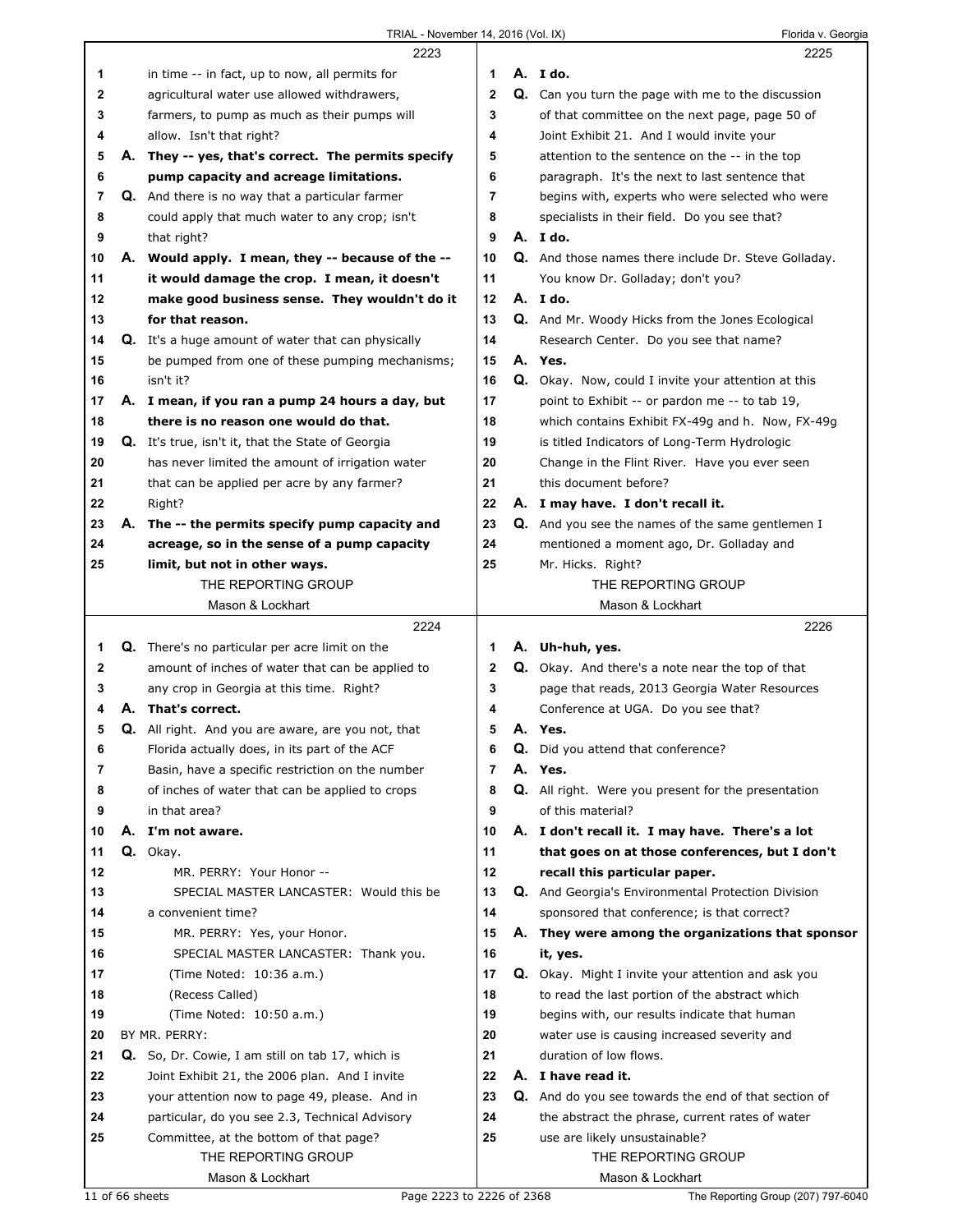| A. Ido.<br>in time -- in fact, up to now, all permits for<br>1<br>1                                                                         | 2225 |
|---------------------------------------------------------------------------------------------------------------------------------------------|------|
|                                                                                                                                             |      |
| $\overline{2}$<br>$\mathbf{2}$<br>Q. Can you turn the page with me to the discussion<br>agricultural water use allowed withdrawers,         |      |
| 3<br>3<br>farmers, to pump as much as their pumps will<br>of that committee on the next page, page 50 of                                    |      |
| Joint Exhibit 21. And I would invite your<br>4<br>allow. Isn't that right?<br>4                                                             |      |
| 5<br>5<br>A. They -- yes, that's correct. The permits specify<br>attention to the sentence on the -- in the top                             |      |
| 6<br>6<br>pump capacity and acreage limitations.<br>paragraph. It's the next to last sentence that                                          |      |
| Q. And there is no way that a particular farmer<br>7<br>7<br>begins with, experts who were selected who were                                |      |
| 8<br>8<br>could apply that much water to any crop; isn't<br>specialists in their field. Do you see that?                                    |      |
| 9<br>A. Ido.<br>9<br>that right?                                                                                                            |      |
| A. Would apply. I mean, they -- because of the --<br>10<br>Q. And those names there include Dr. Steve Golladay.<br>10                       |      |
| 11<br>11<br>it would damage the crop. I mean, it doesn't<br>You know Dr. Golladay; don't you?                                               |      |
| 12<br>make good business sense. They wouldn't do it<br>12<br>A. Ido.                                                                        |      |
| 13<br>13<br>for that reason.<br><b>Q.</b> And Mr. Woody Hicks from the Jones Ecological                                                     |      |
| 14<br>14<br><b>Q.</b> It's a huge amount of water that can physically<br>Research Center. Do you see that name?                             |      |
| 15<br>be pumped from one of these pumping mechanisms;<br>15<br>A. Yes.                                                                      |      |
| 16<br>16<br>Q. Okay. Now, could I invite your attention at this<br>isn't it?                                                                |      |
| 17<br>17<br>A. I mean, if you ran a pump 24 hours a day, but<br>point to Exhibit -- or pardon me -- to tab 19,                              |      |
| 18<br>there is no reason one would do that.<br>18<br>which contains Exhibit FX-49g and h. Now, FX-49g                                       |      |
| 19<br>Q. It's true, isn't it, that the State of Georgia<br>19<br>is titled Indicators of Long-Term Hydrologic                               |      |
| 20<br>has never limited the amount of irrigation water<br>20<br>Change in the Flint River. Have you ever seen                               |      |
| 21<br>21<br>this document before?<br>that can be applied per acre by any farmer?                                                            |      |
| 22<br>22<br>Right?<br>A. I may have. I don't recall it.                                                                                     |      |
| 23<br>23<br>A. The -- the permits specify pump capacity and<br><b>Q.</b> And you see the names of the same gentlemen I                      |      |
| 24<br>acreage, so in the sense of a pump capacity<br>24<br>mentioned a moment ago, Dr. Golladay and                                         |      |
| 25<br>25<br>limit, but not in other ways.<br>Mr. Hicks. Right?                                                                              |      |
| THE REPORTING GROUP<br>THE REPORTING GROUP                                                                                                  |      |
| Mason & Lockhart<br>Mason & Lockhart                                                                                                        |      |
| 2224                                                                                                                                        | 2226 |
| <b>Q.</b> There's no particular per acre limit on the<br>A. Uh-huh, yes.<br>1<br>1                                                          |      |
| $\mathbf{2}$<br>$\mathbf{2}$<br>amount of inches of water that can be applied to<br><b>Q.</b> Okay. And there's a note near the top of that |      |
| 3<br>3<br>any crop in Georgia at this time. Right?<br>page that reads, 2013 Georgia Water Resources                                         |      |
| A. That's correct.<br>4<br>Conference at UGA. Do you see that?<br>4                                                                         |      |
|                                                                                                                                             |      |
| Q. All right. And you are aware, are you not, that<br>5<br>5<br>A. Yes.                                                                     |      |
| 6<br>Florida actually does, in its part of the ACF<br><b>Q.</b> Did you attend that conference?<br>6                                        |      |
| 7<br>Basin, have a specific restriction on the number<br>7<br>A. Yes.                                                                       |      |
| 8<br>of inches of water that can be applied to crops<br>8<br><b>Q.</b> All right. Were you present for the presentation                     |      |
| 9<br>9<br>in that area?<br>of this material?                                                                                                |      |
| A. I'm not aware.<br>10<br>10<br>A. I don't recall it. I may have. There's a lot                                                            |      |
| Q. Okay.<br>11<br>11<br>that goes on at those conferences, but I don't                                                                      |      |
| 12<br>12<br>MR. PERRY: Your Honor --<br>recall this particular paper.                                                                       |      |
| 13<br>13<br>SPECIAL MASTER LANCASTER: Would this be<br>Q. And Georgia's Environmental Protection Division                                   |      |
| 14<br>14<br>a convenient time?<br>sponsored that conference; is that correct?                                                               |      |
| 15<br>15<br>A. They were among the organizations that sponsor<br>MR. PERRY: Yes, your Honor.                                                |      |
| 16<br>SPECIAL MASTER LANCASTER: Thank you.<br>16<br>it, yes.                                                                                |      |
| 17<br>(Time Noted: 10:36 a.m.)<br>17<br>Q. Okay. Might I invite your attention and ask you                                                  |      |
| 18<br>(Recess Called)<br>18<br>to read the last portion of the abstract which                                                               |      |
| (Time Noted: 10:50 a.m.)<br>19<br>19<br>begins with, our results indicate that human                                                        |      |
| BY MR. PERRY:<br>20<br>water use is causing increased severity and<br>20                                                                    |      |
| 21<br>duration of low flows.<br>21<br>Q. So, Dr. Cowie, I am still on tab 17, which is                                                      |      |
| A. I have read it.<br>22<br>Joint Exhibit 21, the 2006 plan. And I invite<br>22                                                             |      |
| 23<br>23<br>your attention now to page 49, please. And in<br>Q. And do you see towards the end of that section of                           |      |
| 24<br>24<br>particular, do you see 2.3, Technical Advisory<br>the abstract the phrase, current rates of water                               |      |
| 25<br>25<br>use are likely unsustainable?<br>Committee, at the bottom of that page?                                                         |      |
| THE REPORTING GROUP<br>THE REPORTING GROUP<br>Mason & Lockhart<br>Mason & Lockhart                                                          |      |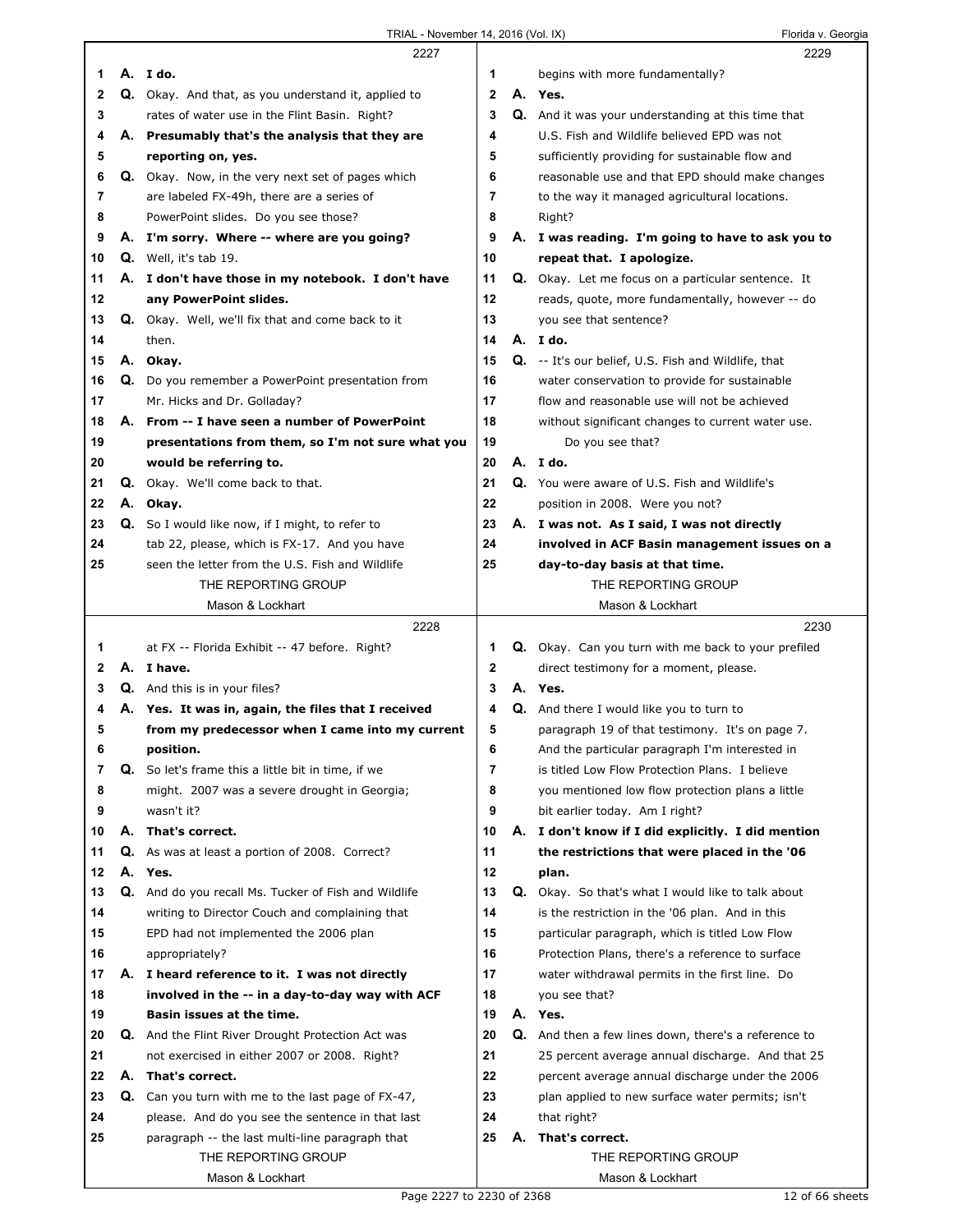|              |          | 2227                                                     |                |    | 2229                                                       |  |
|--------------|----------|----------------------------------------------------------|----------------|----|------------------------------------------------------------|--|
| 1            |          | A. I do.                                                 | 1              |    | begins with more fundamentally?                            |  |
| $\mathbf{2}$ |          | Q. Okay. And that, as you understand it, applied to      | 2              |    | A. Yes.                                                    |  |
| 3            |          | rates of water use in the Flint Basin. Right?            | 3              |    | Q. And it was your understanding at this time that         |  |
| 4            |          | A. Presumably that's the analysis that they are          | 4              |    | U.S. Fish and Wildlife believed EPD was not                |  |
| 5            |          |                                                          | 5              |    | sufficiently providing for sustainable flow and            |  |
|              |          | reporting on, yes.                                       |                |    |                                                            |  |
| 6            |          | Q. Okay. Now, in the very next set of pages which        | 6              |    | reasonable use and that EPD should make changes            |  |
| 7            |          | are labeled FX-49h, there are a series of                | $\overline{7}$ |    | to the way it managed agricultural locations.              |  |
| 8            |          | PowerPoint slides. Do you see those?                     | 8              |    | Right?                                                     |  |
| 9            |          | A. I'm sorry. Where -- where are you going?              | 9              |    | A. I was reading. I'm going to have to ask you to          |  |
| 10           |          | Q. Well, it's tab 19.                                    | 10             |    | repeat that. I apologize.                                  |  |
| 11           |          | A. I don't have those in my notebook. I don't have       | 11             |    | <b>Q.</b> Okay. Let me focus on a particular sentence. It  |  |
| 12           |          | any PowerPoint slides.                                   | 12             |    | reads, quote, more fundamentally, however -- do            |  |
| 13           |          | <b>Q.</b> Okay. Well, we'll fix that and come back to it | 13             |    | you see that sentence?                                     |  |
| 14           |          | then.                                                    | 14             |    | A. I do.                                                   |  |
| 15           |          | A. Okay.                                                 | 15             |    | <b>Q.</b> -- It's our belief, U.S. Fish and Wildlife, that |  |
|              |          |                                                          |                |    |                                                            |  |
| 16           | Q.       | Do you remember a PowerPoint presentation from           | 16             |    | water conservation to provide for sustainable              |  |
| 17           |          | Mr. Hicks and Dr. Golladay?                              | 17             |    | flow and reasonable use will not be achieved               |  |
| 18           |          | A. From -- I have seen a number of PowerPoint            | 18             |    | without significant changes to current water use.          |  |
| 19           |          | presentations from them, so I'm not sure what you        | 19             |    | Do you see that?                                           |  |
| 20           |          | would be referring to.                                   | 20             |    | A. I do.                                                   |  |
| 21           |          | <b>Q.</b> Okay. We'll come back to that.                 | 21             |    | Q. You were aware of U.S. Fish and Wildlife's              |  |
| 22           |          | A. Okay.                                                 | 22             |    | position in 2008. Were you not?                            |  |
| 23           | Q.       | So I would like now, if I might, to refer to             | 23             |    | A. I was not. As I said, I was not directly                |  |
| 24           |          | tab 22, please, which is FX-17. And you have             | 24             |    | involved in ACF Basin management issues on a               |  |
| 25           |          | seen the letter from the U.S. Fish and Wildlife          | 25             |    | day-to-day basis at that time.                             |  |
|              |          | THE REPORTING GROUP                                      |                |    | THE REPORTING GROUP                                        |  |
|              |          | Mason & Lockhart                                         |                |    | Mason & Lockhart                                           |  |
|              |          |                                                          |                |    |                                                            |  |
|              |          |                                                          |                |    |                                                            |  |
|              |          | 2228                                                     |                |    | 2230                                                       |  |
| 1            |          | at FX -- Florida Exhibit -- 47 before. Right?            | 1              |    | Q. Okay. Can you turn with me back to your prefiled        |  |
| 2            |          | A. I have.                                               | $\mathbf{2}$   |    | direct testimony for a moment, please.                     |  |
| 3            |          | Q. And this is in your files?                            | 3              |    | A. Yes.                                                    |  |
| 4            |          | A. Yes. It was in, again, the files that I received      | 4              |    | Q. And there I would like you to turn to                   |  |
| 5            |          | from my predecessor when I came into my current          | 5              |    | paragraph 19 of that testimony. It's on page 7.            |  |
| 6            |          | position.                                                | 6              |    | And the particular paragraph I'm interested in             |  |
| 7            |          | Q. So let's frame this a little bit in time, if we       | $\overline{7}$ |    | is titled Low Flow Protection Plans. I believe             |  |
| 8            |          | might. 2007 was a severe drought in Georgia;             | 8              |    | you mentioned low flow protection plans a little           |  |
| 9            |          | wasn't it?                                               | 9              |    | bit earlier today. Am I right?                             |  |
| 10           | А.       | That's correct.                                          | 10             |    | A. I don't know if I did explicitly. I did mention         |  |
| 11           |          | As was at least a portion of 2008. Correct?              | 11             |    |                                                            |  |
| 12           | Q.<br>А. | Yes.                                                     | 12             |    | the restrictions that were placed in the '06               |  |
| 13           | Q.       | And do you recall Ms. Tucker of Fish and Wildlife        | 13             | Q. | plan.                                                      |  |
|              |          |                                                          |                |    | Okay. So that's what I would like to talk about            |  |
| 14           |          | writing to Director Couch and complaining that           | 14             |    | is the restriction in the '06 plan. And in this            |  |
| 15           |          | EPD had not implemented the 2006 plan                    | 15             |    | particular paragraph, which is titled Low Flow             |  |
| 16           |          | appropriately?                                           | 16             |    | Protection Plans, there's a reference to surface           |  |
| 17           |          | A. I heard reference to it. I was not directly           | 17             |    | water withdrawal permits in the first line. Do             |  |
| 18           |          | involved in the -- in a day-to-day way with ACF          | 18             |    | you see that?                                              |  |
| 19           |          | Basin issues at the time.                                | 19             |    | A. Yes.                                                    |  |
| 20           |          | <b>Q.</b> And the Flint River Drought Protection Act was | 20             |    | Q. And then a few lines down, there's a reference to       |  |
| 21           |          | not exercised in either 2007 or 2008. Right?             | 21             |    | 25 percent average annual discharge. And that 25           |  |
| 22           | А.       | That's correct.                                          | 22             |    | percent average annual discharge under the 2006            |  |
| 23           | Q.       | Can you turn with me to the last page of FX-47,          | 23             |    | plan applied to new surface water permits; isn't           |  |
| 24           |          | please. And do you see the sentence in that last         | 24             |    | that right?                                                |  |
| 25           |          | paragraph -- the last multi-line paragraph that          | 25             | А. | That's correct.                                            |  |
|              |          | THE REPORTING GROUP                                      |                |    | THE REPORTING GROUP                                        |  |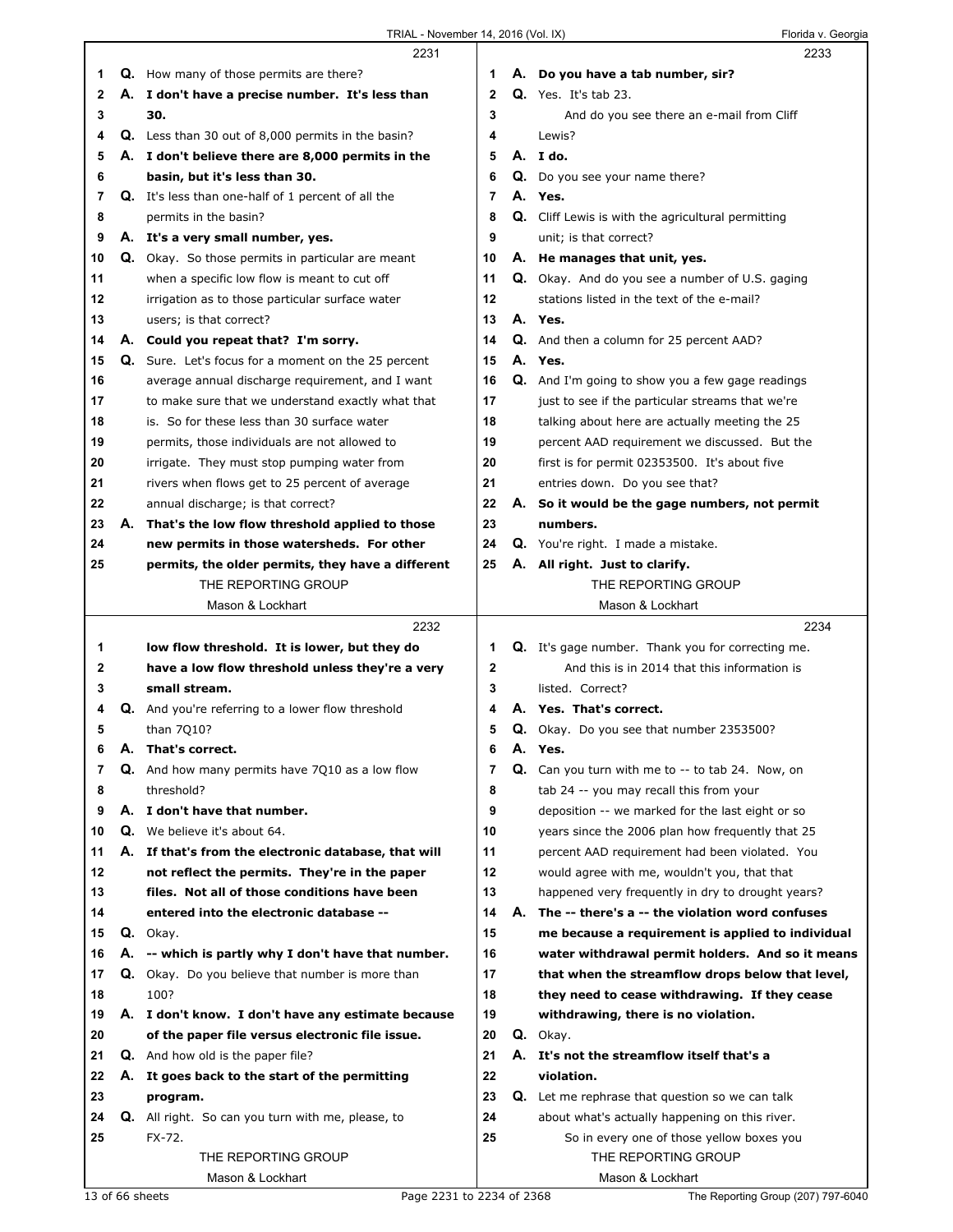|    |    | TRIAL - November 14, 2016 (Vol. IX)                       |              |    | Florida v. Georgia                                        |
|----|----|-----------------------------------------------------------|--------------|----|-----------------------------------------------------------|
|    |    | 2231                                                      |              |    | 2233                                                      |
| 1  |    | <b>Q.</b> How many of those permits are there?            | 1.           |    | A. Do you have a tab number, sir?                         |
| 2  |    | A. I don't have a precise number. It's less than          | $\mathbf{2}$ |    | <b>Q.</b> Yes. It's tab 23.                               |
| 3  |    | 30.                                                       | 3            |    | And do you see there an e-mail from Cliff                 |
| 4  |    | <b>Q.</b> Less than 30 out of 8,000 permits in the basin? | 4            |    | Lewis?                                                    |
| 5  |    | A. I don't believe there are 8,000 permits in the         | 5            |    | A. I do.                                                  |
| 6  |    | basin, but it's less than 30.                             | 6            |    | Q. Do you see your name there?                            |
| 7  |    | Q. It's less than one-half of 1 percent of all the        | 7            |    | A. Yes.                                                   |
| 8  |    | permits in the basin?                                     | 8            |    | <b>Q.</b> Cliff Lewis is with the agricultural permitting |
| 9  |    | A. It's a very small number, yes.                         | 9            |    | unit; is that correct?                                    |
| 10 |    | Q. Okay. So those permits in particular are meant         | 10           |    | A. He manages that unit, yes.                             |
| 11 |    | when a specific low flow is meant to cut off              | 11           |    | <b>Q.</b> Okay. And do you see a number of U.S. gaging    |
| 12 |    | irrigation as to those particular surface water           | 12           |    | stations listed in the text of the e-mail?                |
| 13 |    | users; is that correct?                                   | 13           |    | A. Yes.                                                   |
| 14 |    | A. Could you repeat that? I'm sorry.                      | 14           |    | <b>Q.</b> And then a column for 25 percent AAD?           |
| 15 |    | Q. Sure. Let's focus for a moment on the 25 percent       | 15           |    | A. Yes.                                                   |
| 16 |    | average annual discharge requirement, and I want          | 16           |    | Q. And I'm going to show you a few gage readings          |
| 17 |    | to make sure that we understand exactly what that         | 17           |    | just to see if the particular streams that we're          |
| 18 |    | is. So for these less than 30 surface water               | 18           |    | talking about here are actually meeting the 25            |
| 19 |    | permits, those individuals are not allowed to             | 19           |    | percent AAD requirement we discussed. But the             |
| 20 |    | irrigate. They must stop pumping water from               | 20           |    | first is for permit 02353500. It's about five             |
| 21 |    | rivers when flows get to 25 percent of average            | 21           |    | entries down. Do you see that?                            |
| 22 |    | annual discharge; is that correct?                        | 22           |    | A. So it would be the gage numbers, not permit            |
| 23 | А. | That's the low flow threshold applied to those            | 23           |    | numbers.                                                  |
| 24 |    | new permits in those watersheds. For other                | 24           |    | Q. You're right. I made a mistake.                        |
| 25 |    | permits, the older permits, they have a different         | 25           |    | A. All right. Just to clarify.                            |
|    |    | THE REPORTING GROUP                                       |              |    | THE REPORTING GROUP                                       |
|    |    | Mason & Lockhart                                          |              |    | Mason & Lockhart                                          |
|    |    | 2232                                                      |              |    | 2234                                                      |
| 1  |    | low flow threshold. It is lower, but they do              | 1            |    | Q. It's gage number. Thank you for correcting me.         |
| 2  |    | have a low flow threshold unless they're a very           | $\mathbf{2}$ |    | And this is in 2014 that this information is              |
| 3  |    | small stream.                                             | 3            |    | listed. Correct?                                          |
| 4  |    | <b>Q.</b> And you're referring to a lower flow threshold  | 4            |    | A. Yes. That's correct.                                   |
| 5  |    | than 7Q10?                                                | 5            |    | Q. Okay. Do you see that number 2353500?                  |
| 6  |    | A. That's correct.                                        | 6            |    | A. Yes.                                                   |
| 7  |    | Q. And how many permits have 7Q10 as a low flow           | 7            | Q. | Can you turn with me to -- to tab 24. Now, on             |
| 8  |    | threshold?                                                | 8            |    | tab 24 -- you may recall this from your                   |
| 9  |    | A. I don't have that number.                              | 9            |    | deposition -- we marked for the last eight or so          |
| 10 | Q. | We believe it's about 64.                                 | 10           |    | years since the 2006 plan how frequently that 25          |
| 11 | А. | If that's from the electronic database, that will         | 11           |    | percent AAD requirement had been violated. You            |
| 12 |    | not reflect the permits. They're in the paper             | 12           |    | would agree with me, wouldn't you, that that              |
| 13 |    | files. Not all of those conditions have been              | 13           |    | happened very frequently in dry to drought years?         |
| 14 |    | entered into the electronic database --                   | 14           | А. | The -- there's a -- the violation word confuses           |
| 15 |    | Q. Okay.                                                  | 15           |    | me because a requirement is applied to individual         |
| 16 |    | A. -- which is partly why I don't have that number.       | 16           |    | water withdrawal permit holders. And so it means          |
| 17 |    | Q. Okay. Do you believe that number is more than          | 17           |    | that when the streamflow drops below that level,          |
| 18 |    | 100?                                                      | 18           |    | they need to cease withdrawing. If they cease             |
| 19 |    | A. I don't know. I don't have any estimate because        | 19           |    | withdrawing, there is no violation.                       |
| 20 |    | of the paper file versus electronic file issue.           | 20           |    | Q. Okay.                                                  |
| 21 |    | <b>Q.</b> And how old is the paper file?                  | 21           |    | A. It's not the streamflow itself that's a                |
| 22 | А. | It goes back to the start of the permitting               | 22           |    | violation.                                                |
| 23 |    | program.                                                  | 23           |    | Q. Let me rephrase that question so we can talk           |
| 24 |    | Q. All right. So can you turn with me, please, to         | 24           |    | about what's actually happening on this river.            |
| 25 |    | FX-72.                                                    | 25           |    | So in every one of those yellow boxes you                 |
|    |    | THE REPORTING GROUP                                       |              |    | THE REPORTING GROUP                                       |
|    |    | Mason & Lockhart                                          |              |    | Mason & Lockhart                                          |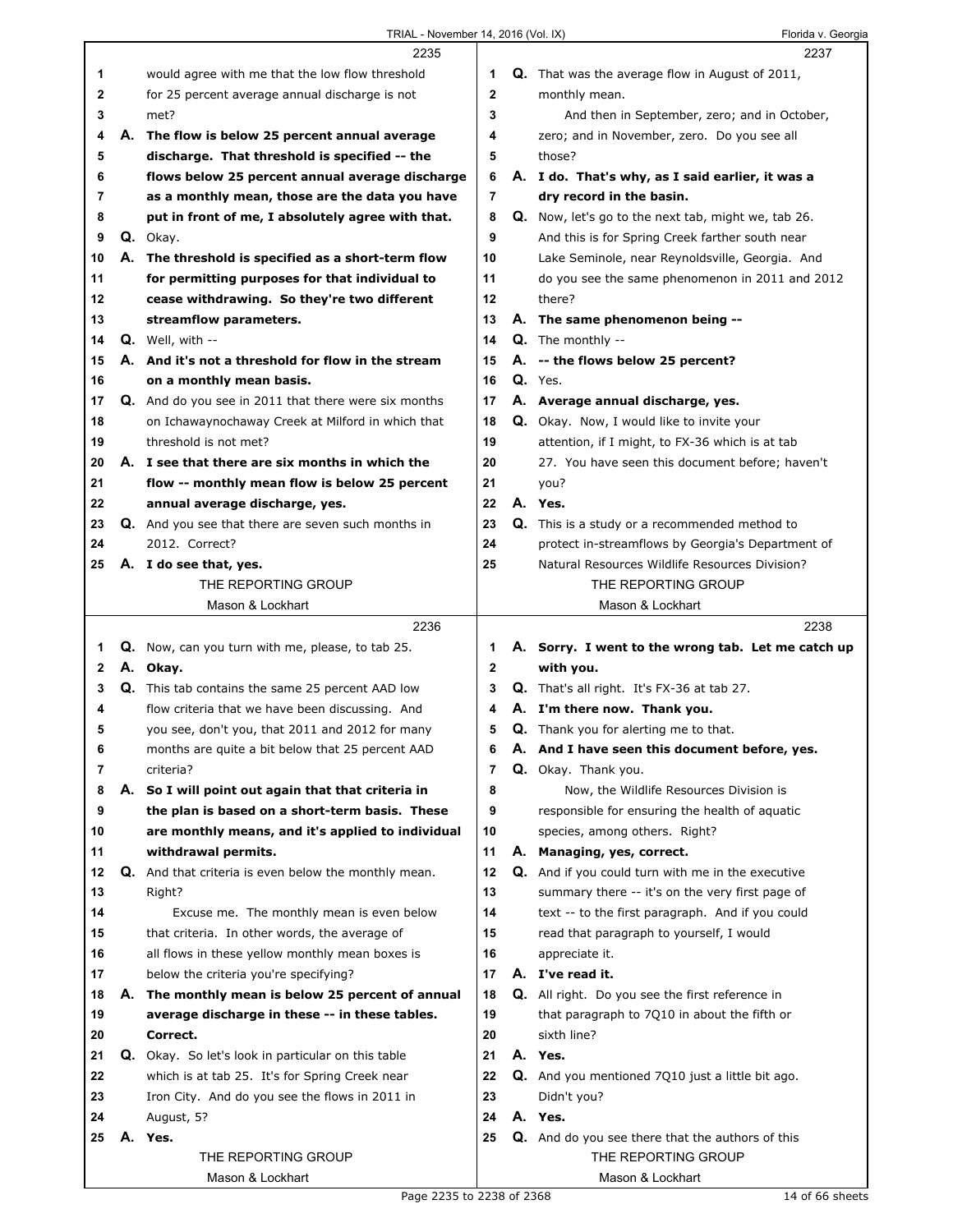|    |    | 2235                                                        |                |    | 2237                                                       |
|----|----|-------------------------------------------------------------|----------------|----|------------------------------------------------------------|
| 1. |    | would agree with me that the low flow threshold             | 1              |    | <b>Q.</b> That was the average flow in August of 2011,     |
| 2  |    | for 25 percent average annual discharge is not              | $\mathbf 2$    |    | monthly mean.                                              |
| 3  |    | met?                                                        | 3              |    | And then in September, zero; and in October,               |
| 4  | А. | The flow is below 25 percent annual average                 | 4              |    | zero; and in November, zero. Do you see all                |
| 5  |    | discharge. That threshold is specified -- the               | 5              |    | those?                                                     |
| 6  |    | flows below 25 percent annual average discharge             | 6              |    | A. I do. That's why, as I said earlier, it was a           |
|    |    |                                                             |                |    |                                                            |
| 7  |    | as a monthly mean, those are the data you have              | 7              |    | dry record in the basin.                                   |
| 8  |    | put in front of me, I absolutely agree with that.           | 8              |    | <b>Q.</b> Now, let's go to the next tab, might we, tab 26. |
| 9  |    | Q. Okay.                                                    | 9              |    | And this is for Spring Creek farther south near            |
| 10 |    | A. The threshold is specified as a short-term flow          | 10             |    | Lake Seminole, near Reynoldsville, Georgia. And            |
| 11 |    | for permitting purposes for that individual to              | 11             |    | do you see the same phenomenon in 2011 and 2012            |
| 12 |    | cease withdrawing. So they're two different                 | 12             |    | there?                                                     |
| 13 |    | streamflow parameters.                                      | 13             |    | A. The same phenomenon being --                            |
| 14 |    | Q. Well, with --                                            | 14             |    | Q. The monthly --                                          |
| 15 | А. | And it's not a threshold for flow in the stream             | 15             |    | A. -- the flows below 25 percent?                          |
| 16 |    | on a monthly mean basis.                                    | 16             |    | Q. Yes.                                                    |
| 17 |    | <b>Q.</b> And do you see in 2011 that there were six months | 17             |    | A. Average annual discharge, yes.                          |
| 18 |    | on Ichawaynochaway Creek at Milford in which that           | 18             |    | <b>Q.</b> Okay. Now, I would like to invite your           |
| 19 |    | threshold is not met?                                       | 19             |    | attention, if I might, to FX-36 which is at tab            |
| 20 |    | A. I see that there are six months in which the             | 20             |    | 27. You have seen this document before; haven't            |
| 21 |    | flow -- monthly mean flow is below 25 percent               | 21             |    | you?                                                       |
| 22 |    | annual average discharge, yes.                              | 22             |    | A. Yes.                                                    |
| 23 |    | Q. And you see that there are seven such months in          | 23             |    | <b>Q.</b> This is a study or a recommended method to       |
| 24 |    | 2012. Correct?                                              | 24             |    | protect in-streamflows by Georgia's Department of          |
| 25 |    | A. I do see that, yes.                                      | 25             |    | Natural Resources Wildlife Resources Division?             |
|    |    | THE REPORTING GROUP                                         |                |    | THE REPORTING GROUP                                        |
|    |    | Mason & Lockhart                                            |                |    | Mason & Lockhart                                           |
|    |    |                                                             |                |    |                                                            |
|    |    |                                                             |                |    |                                                            |
|    |    | 2236                                                        |                |    | 2238                                                       |
| 1. | Q. | Now, can you turn with me, please, to tab 25.               | 1              |    | A. Sorry. I went to the wrong tab. Let me catch up         |
| 2  |    | A. Okay.                                                    | $\mathbf 2$    |    | with you.                                                  |
| 3  | Q. | This tab contains the same 25 percent AAD low               | 3              |    | Q. That's all right. It's FX-36 at tab 27.                 |
| 4  |    | flow criteria that we have been discussing. And             | 4              |    | A. I'm there now. Thank you.                               |
| 5  |    | you see, don't you, that 2011 and 2012 for many             | 5              |    | <b>Q.</b> Thank you for alerting me to that.               |
| 6  |    | months are quite a bit below that 25 percent AAD            | 6              | А. | And I have seen this document before, yes.                 |
| 7  |    | criteria?                                                   | $\overline{7}$ |    | Q. Okay. Thank you.                                        |
| 8  | А. | So I will point out again that that criteria in             | 8              |    | Now, the Wildlife Resources Division is                    |
| 9  |    | the plan is based on a short-term basis. These              | 9              |    | responsible for ensuring the health of aquatic             |
| 10 |    | are monthly means, and it's applied to individual           | 10             |    | species, among others. Right?                              |
| 11 |    | withdrawal permits.                                         | 11             |    | A. Managing, yes, correct.                                 |
| 12 |    | <b>Q.</b> And that criteria is even below the monthly mean. | 12             |    | Q. And if you could turn with me in the executive          |
| 13 |    | Right?                                                      | 13             |    | summary there -- it's on the very first page of            |
| 14 |    | Excuse me. The monthly mean is even below                   | 14             |    | text -- to the first paragraph. And if you could           |
| 15 |    | that criteria. In other words, the average of               | 15             |    | read that paragraph to yourself, I would                   |
| 16 |    | all flows in these yellow monthly mean boxes is             | 16             |    | appreciate it.                                             |
| 17 |    | below the criteria you're specifying?                       | 17             |    | A. I've read it.                                           |
| 18 |    | A. The monthly mean is below 25 percent of annual           | 18             |    | Q. All right. Do you see the first reference in            |
| 19 |    | average discharge in these -- in these tables.              | 19             |    | that paragraph to 7Q10 in about the fifth or               |
| 20 |    | Correct.                                                    | 20             |    | sixth line?                                                |
| 21 |    |                                                             | 21             |    | A. Yes.                                                    |
| 22 |    | Q. Okay. So let's look in particular on this table          | 22             |    |                                                            |
| 23 |    | which is at tab 25. It's for Spring Creek near              | 23             |    | Q. And you mentioned 7Q10 just a little bit ago.           |
|    |    | Iron City. And do you see the flows in 2011 in              |                |    | Didn't you?                                                |
| 24 |    | August, 5?                                                  | 24             |    | A. Yes.                                                    |
| 25 | А. | Yes.                                                        | 25             |    | Q. And do you see there that the authors of this           |
|    |    | THE REPORTING GROUP<br>Mason & Lockhart                     |                |    | THE REPORTING GROUP<br>Mason & Lockhart                    |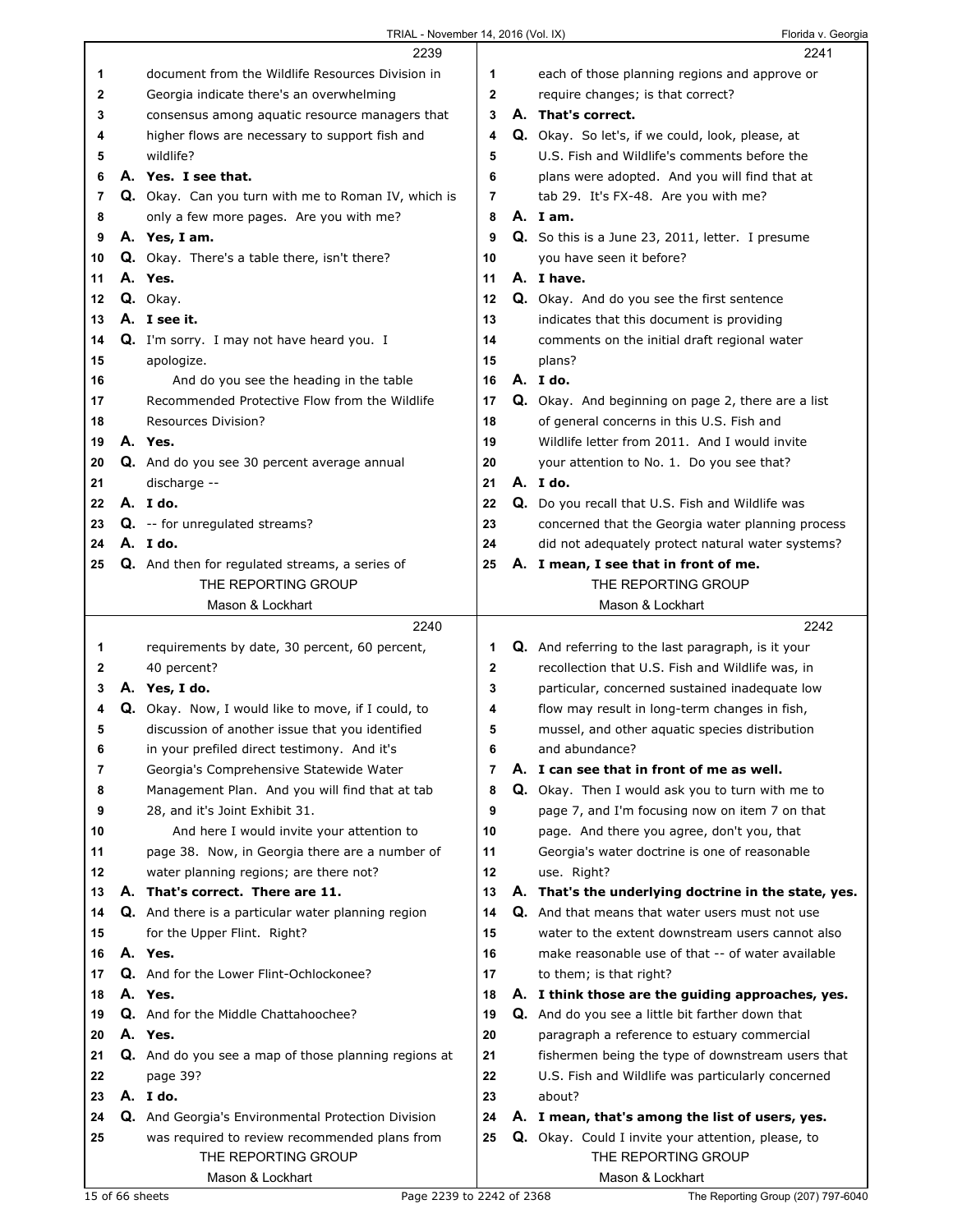| TRIAL - November 14, 2016 (Vol. IX) |  |  |
|-------------------------------------|--|--|
|                                     |  |  |

Florida v. Georgia

|    | 2239                                                  |                | 2241                                                      |
|----|-------------------------------------------------------|----------------|-----------------------------------------------------------|
| 1  | document from the Wildlife Resources Division in      | 1              | each of those planning regions and approve or             |
| 2  | Georgia indicate there's an overwhelming              | $\mathbf 2$    | require changes; is that correct?                         |
| 3  | consensus among aquatic resource managers that        | 3              | A. That's correct.                                        |
| 4  | higher flows are necessary to support fish and        | 4              | Q. Okay. So let's, if we could, look, please, at          |
| 5  | wildlife?                                             | 5              | U.S. Fish and Wildlife's comments before the              |
| 6  | A. Yes. I see that.                                   | 6              | plans were adopted. And you will find that at             |
| 7  | Q. Okay. Can you turn with me to Roman IV, which is   | 7              | tab 29. It's FX-48. Are you with me?                      |
| 8  | only a few more pages. Are you with me?               | 8              | A. Iam.                                                   |
| 9  | A. Yes, I am.                                         | 9              | <b>Q.</b> So this is a June 23, 2011, letter. I presume   |
| 10 | Q. Okay. There's a table there, isn't there?          | 10             | you have seen it before?                                  |
| 11 | A. Yes.                                               | 11             | A. I have.                                                |
| 12 | Q. Okay.                                              | 12             | Q. Okay. And do you see the first sentence                |
| 13 | A. I see it.                                          | 13             | indicates that this document is providing                 |
| 14 | Q. I'm sorry. I may not have heard you. I             | 14             | comments on the initial draft regional water              |
| 15 | apologize.                                            | 15             | plans?                                                    |
| 16 | And do you see the heading in the table               | 16             | A. Ido.                                                   |
| 17 | Recommended Protective Flow from the Wildlife         | 17             | Q. Okay. And beginning on page 2, there are a list        |
| 18 | Resources Division?                                   | 18             | of general concerns in this U.S. Fish and                 |
| 19 | A. Yes.                                               | 19             | Wildlife letter from 2011. And I would invite             |
| 20 | Q. And do you see 30 percent average annual           | 20             | your attention to No. 1. Do you see that?                 |
| 21 | discharge --                                          | 21             | A. Ido.                                                   |
| 22 | A. I do.                                              | 22             | Q. Do you recall that U.S. Fish and Wildlife was          |
| 23 | <b>Q.</b> -- for unregulated streams?                 | 23             | concerned that the Georgia water planning process         |
| 24 | A. Ido.                                               | 24             | did not adequately protect natural water systems?         |
| 25 | <b>Q.</b> And then for regulated streams, a series of | 25             | A. I mean, I see that in front of me.                     |
|    | THE REPORTING GROUP                                   |                | THE REPORTING GROUP                                       |
|    | Mason & Lockhart                                      |                | Mason & Lockhart                                          |
|    |                                                       |                |                                                           |
|    | 2240                                                  |                | 2242                                                      |
| 1  | requirements by date, 30 percent, 60 percent,         | 1              | <b>Q.</b> And referring to the last paragraph, is it your |
| 2  | 40 percent?                                           | $\mathbf 2$    | recollection that U.S. Fish and Wildlife was, in          |
| 3  | A. Yes, I do.                                         | 3              | particular, concerned sustained inadequate low            |
| 4  | Q. Okay. Now, I would like to move, if I could, to    | 4              | flow may result in long-term changes in fish,             |
| 5  | discussion of another issue that you identified       | 5              | mussel, and other aquatic species distribution            |
| 6  | in your prefiled direct testimony. And it's           | 6              | and abundance?                                            |
| 7  | Georgia's Comprehensive Statewide Water               | $\overline{7}$ | A. I can see that in front of me as well.                 |
| 8  | Management Plan. And you will find that at tab        | 8              | Q. Okay. Then I would ask you to turn with me to          |
| 9  | 28, and it's Joint Exhibit 31.                        | 9              | page 7, and I'm focusing now on item 7 on that            |
| 10 | And here I would invite your attention to             | 10             | page. And there you agree, don't you, that                |
| 11 | page 38. Now, in Georgia there are a number of        | 11             | Georgia's water doctrine is one of reasonable             |
| 12 | water planning regions; are there not?                | 12             | use. Right?                                               |
| 13 | A. That's correct. There are 11.                      | 13             | A. That's the underlying doctrine in the state, yes.      |
| 14 | Q. And there is a particular water planning region    | 14             | Q. And that means that water users must not use           |
| 15 | for the Upper Flint. Right?                           | 15             | water to the extent downstream users cannot also          |
| 16 | A. Yes.                                               | 16             | make reasonable use of that -- of water available         |
| 17 | Q. And for the Lower Flint-Ochlockonee?               | 17             | to them; is that right?                                   |
| 18 | A. Yes.                                               | 18             | A. I think those are the guiding approaches, yes.         |
| 19 | Q. And for the Middle Chattahoochee?                  | 19             | Q. And do you see a little bit farther down that          |
| 20 | A. Yes.                                               | 20             | paragraph a reference to estuary commercial               |
| 21 | Q. And do you see a map of those planning regions at  | 21             | fishermen being the type of downstream users that         |
| 22 | page 39?                                              | 22             | U.S. Fish and Wildlife was particularly concerned         |
| 23 | A. I do.                                              | 23             | about?                                                    |
| 24 | Q. And Georgia's Environmental Protection Division    | 24             | A. I mean, that's among the list of users, yes.           |
| 25 | was required to review recommended plans from         | 25             | Q. Okay. Could I invite your attention, please, to        |
|    | THE REPORTING GROUP                                   |                | THE REPORTING GROUP                                       |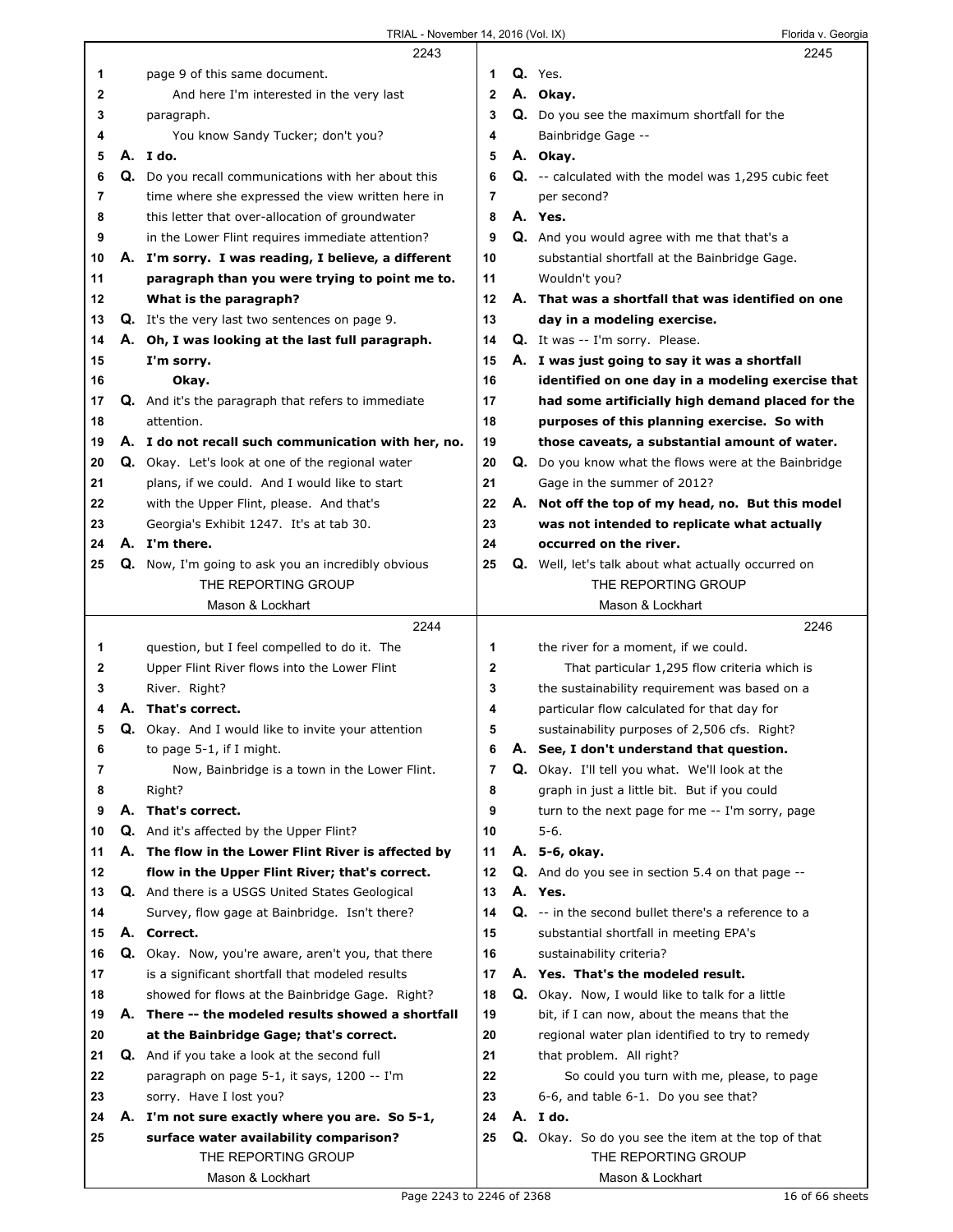|    |    | 2243                                                      |              |    | 2245                                                       |
|----|----|-----------------------------------------------------------|--------------|----|------------------------------------------------------------|
| 1  |    | page 9 of this same document.                             | 1            |    | Q. Yes.                                                    |
| 2  |    | And here I'm interested in the very last                  | $\mathbf{2}$ |    | A. Okay.                                                   |
| 3  |    | paragraph.                                                | 3            |    | Q. Do you see the maximum shortfall for the                |
| 4  |    | You know Sandy Tucker; don't you?                         | 4            |    | Bainbridge Gage --                                         |
| 5  |    | A. Ido.                                                   | 5            |    | A. Okay.                                                   |
| 6  |    | Q. Do you recall communications with her about this       | 6            |    | Q. -- calculated with the model was 1,295 cubic feet       |
| 7  |    | time where she expressed the view written here in         | 7            |    | per second?                                                |
| 8  |    | this letter that over-allocation of groundwater           | 8            |    | A. Yes.                                                    |
| 9  |    | in the Lower Flint requires immediate attention?          | 9            |    | Q. And you would agree with me that that's a               |
| 10 |    | A. I'm sorry. I was reading, I believe, a different       | 10           |    | substantial shortfall at the Bainbridge Gage.              |
| 11 |    | paragraph than you were trying to point me to.            | 11           |    | Wouldn't you?                                              |
| 12 |    | What is the paragraph?                                    | 12           | А. | That was a shortfall that was identified on one            |
| 13 |    | <b>Q.</b> It's the very last two sentences on page 9.     | 13           |    | day in a modeling exercise.                                |
| 14 |    | A. Oh, I was looking at the last full paragraph.          | 14           |    | Q. It was -- I'm sorry. Please.                            |
| 15 |    | I'm sorry.                                                | 15           |    | A. I was just going to say it was a shortfall              |
| 16 |    | Okay.                                                     | 16           |    | identified on one day in a modeling exercise that          |
| 17 |    | <b>Q.</b> And it's the paragraph that refers to immediate | 17           |    | had some artificially high demand placed for the           |
| 18 |    | attention.                                                | 18           |    | purposes of this planning exercise. So with                |
| 19 |    | A. I do not recall such communication with her, no.       | 19           |    | those caveats, a substantial amount of water.              |
| 20 |    | Q. Okay. Let's look at one of the regional water          | 20           |    | Q. Do you know what the flows were at the Bainbridge       |
| 21 |    | plans, if we could. And I would like to start             | 21           |    | Gage in the summer of 2012?                                |
| 22 |    | with the Upper Flint, please. And that's                  | 22           | А. | Not off the top of my head, no. But this model             |
| 23 |    | Georgia's Exhibit 1247. It's at tab 30.                   | 23           |    | was not intended to replicate what actually                |
| 24 |    | A. I'm there.                                             | 24           |    | occurred on the river.                                     |
| 25 |    | Q. Now, I'm going to ask you an incredibly obvious        | 25           |    | <b>Q.</b> Well, let's talk about what actually occurred on |
|    |    | THE REPORTING GROUP                                       |              |    | THE REPORTING GROUP                                        |
|    |    | Mason & Lockhart                                          |              |    | Mason & Lockhart                                           |
|    |    | 2244                                                      |              |    | 2246                                                       |
| 1  |    | question, but I feel compelled to do it. The              | 1            |    | the river for a moment, if we could.                       |
| 2  |    | Upper Flint River flows into the Lower Flint              | 2            |    | That particular 1,295 flow criteria which is               |
| 3  |    | River. Right?                                             | 3            |    | the sustainability requirement was based on a              |
| 4  | А. | That's correct.                                           | 4            |    | particular flow calculated for that day for                |
| 5  |    | <b>Q.</b> Okay. And I would like to invite your attention | 5            |    | sustainability purposes of 2,506 cfs. Right?               |
| 6  |    | to page 5-1, if I might.                                  | 6            |    | A. See, I don't understand that question.                  |
| 7  |    | Now, Bainbridge is a town in the Lower Flint.             | 7            |    | Q. Okay. I'll tell you what. We'll look at the             |
| 8  |    | Right?                                                    | 8            |    | graph in just a little bit. But if you could               |
| 9  |    | A. That's correct.                                        | 9            |    | turn to the next page for me -- I'm sorry, page            |
| 10 |    | Q. And it's affected by the Upper Flint?                  | 10           |    | 5-6.                                                       |
| 11 | А. | The flow in the Lower Flint River is affected by          | 11           |    | A. 5-6, okay.                                              |
| 12 |    | flow in the Upper Flint River; that's correct.            | 12           |    | <b>Q.</b> And do you see in section 5.4 on that page --    |
| 13 |    | <b>Q.</b> And there is a USGS United States Geological    | 13           |    | A. Yes.                                                    |
| 14 |    | Survey, flow gage at Bainbridge. Isn't there?             | 14           |    | Q. -- in the second bullet there's a reference to a        |
| 15 |    | A. Correct.                                               | 15           |    | substantial shortfall in meeting EPA's                     |
| 16 |    | Q. Okay. Now, you're aware, aren't you, that there        | 16           |    | sustainability criteria?                                   |
| 17 |    | is a significant shortfall that modeled results           | 17           |    | A. Yes. That's the modeled result.                         |
| 18 |    | showed for flows at the Bainbridge Gage. Right?           | 18           |    | <b>Q.</b> Okay. Now, I would like to talk for a little     |
| 19 | А. | There -- the modeled results showed a shortfall           | 19           |    | bit, if I can now, about the means that the                |
| 20 |    | at the Bainbridge Gage; that's correct.                   | 20           |    | regional water plan identified to try to remedy            |
| 21 |    | <b>Q.</b> And if you take a look at the second full       | 21           |    | that problem. All right?                                   |
| 22 |    | paragraph on page 5-1, it says, 1200 -- I'm               | 22           |    | So could you turn with me, please, to page                 |
| 23 |    | sorry. Have I lost you?                                   | 23           |    | 6-6, and table 6-1. Do you see that?                       |
| 24 |    | A. I'm not sure exactly where you are. So 5-1,            | 24           |    | A. I do.                                                   |
| 25 |    | surface water availability comparison?                    | 25           |    | Q. Okay. So do you see the item at the top of that         |
|    |    |                                                           |              |    |                                                            |
|    |    | THE REPORTING GROUP                                       |              |    | THE REPORTING GROUP                                        |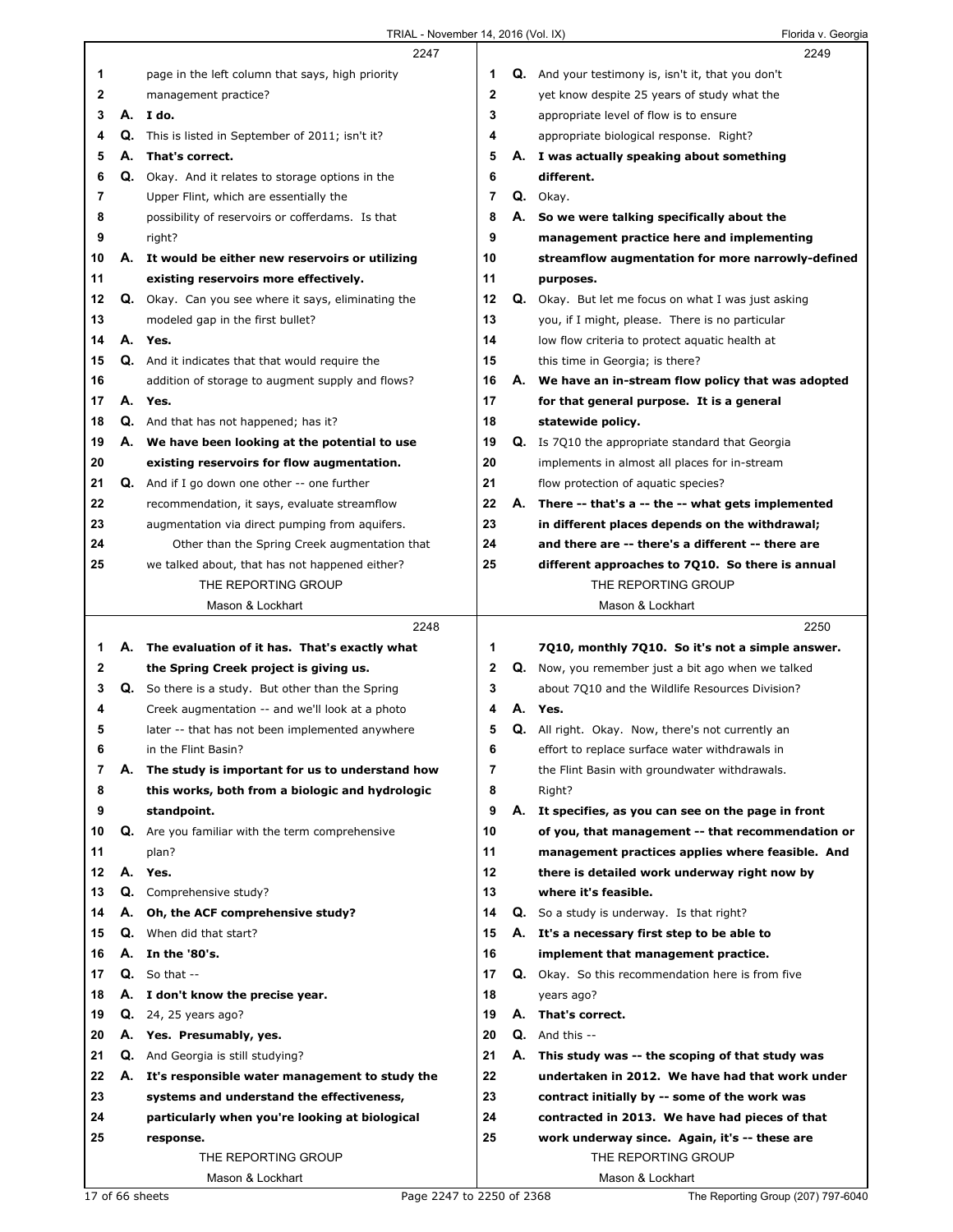|        |    | 2247                                                                   |             |    | 2249                                                                                            |
|--------|----|------------------------------------------------------------------------|-------------|----|-------------------------------------------------------------------------------------------------|
| 1      |    | page in the left column that says, high priority                       | 1           |    | <b>Q.</b> And your testimony is, isn't it, that you don't                                       |
| 2      |    | management practice?                                                   | $\mathbf 2$ |    | yet know despite 25 years of study what the                                                     |
| 3      | А. | I do.                                                                  | 3           |    | appropriate level of flow is to ensure                                                          |
| 4      | Q. | This is listed in September of 2011; isn't it?                         | 4           |    | appropriate biological response. Right?                                                         |
| 5      | А. | That's correct.                                                        | 5           |    | A. I was actually speaking about something                                                      |
| 6      |    | Q. Okay. And it relates to storage options in the                      | 6           |    | different.                                                                                      |
| 7      |    | Upper Flint, which are essentially the                                 | 7           |    | Q. Okay.                                                                                        |
| 8      |    | possibility of reservoirs or cofferdams. Is that                       | 8           | А. | So we were talking specifically about the                                                       |
| 9      |    | right?                                                                 | 9           |    | management practice here and implementing                                                       |
| 10     |    | A. It would be either new reservoirs or utilizing                      | 10          |    | streamflow augmentation for more narrowly-defined                                               |
| 11     |    | existing reservoirs more effectively.                                  | 11          |    | purposes.                                                                                       |
| 12     |    | Q. Okay. Can you see where it says, eliminating the                    | 12          |    | Q. Okay. But let me focus on what I was just asking                                             |
| 13     |    | modeled gap in the first bullet?                                       | 13          |    | you, if I might, please. There is no particular                                                 |
| 14     |    | A. Yes.                                                                | 14          |    | low flow criteria to protect aquatic health at                                                  |
| 15     |    | <b>Q.</b> And it indicates that that would require the                 | 15          |    | this time in Georgia; is there?                                                                 |
| 16     |    | addition of storage to augment supply and flows?                       | 16          |    | A. We have an in-stream flow policy that was adopted                                            |
| 17     |    | A. Yes.                                                                | 17          |    | for that general purpose. It is a general                                                       |
| 18     |    | <b>Q.</b> And that has not happened; has it?                           | 18          |    | statewide policy.                                                                               |
| 19     |    | A. We have been looking at the potential to use                        | 19          |    | <b>Q.</b> Is 7Q10 the appropriate standard that Georgia                                         |
| 20     |    | existing reservoirs for flow augmentation.                             | 20          |    | implements in almost all places for in-stream                                                   |
| 21     |    | <b>Q.</b> And if I go down one other -- one further                    | 21          |    | flow protection of aquatic species?                                                             |
| 22     |    | recommendation, it says, evaluate streamflow                           | 22          | А. | There -- that's a -- the -- what gets implemented                                               |
| 23     |    | augmentation via direct pumping from aquifers.                         | 23          |    | in different places depends on the withdrawal;                                                  |
| 24     |    | Other than the Spring Creek augmentation that                          | 24          |    | and there are -- there's a different -- there are                                               |
| 25     |    | we talked about, that has not happened either?                         | 25          |    | different approaches to 7Q10. So there is annual                                                |
|        |    | THE REPORTING GROUP                                                    |             |    | THE REPORTING GROUP                                                                             |
|        |    | Mason & Lockhart                                                       |             |    | Mason & Lockhart                                                                                |
|        |    |                                                                        |             |    |                                                                                                 |
|        |    |                                                                        |             |    |                                                                                                 |
|        |    | 2248                                                                   |             |    | 2250                                                                                            |
| 1      |    | A. The evaluation of it has. That's exactly what                       | 1           |    | 7Q10, monthly 7Q10. So it's not a simple answer.                                                |
| 2      |    | the Spring Creek project is giving us.                                 | 2           |    | <b>Q.</b> Now, you remember just a bit ago when we talked                                       |
| 3<br>4 |    | Q. So there is a study. But other than the Spring                      | 3<br>4      | А. | about 7Q10 and the Wildlife Resources Division?<br>Yes.                                         |
| 5      |    | Creek augmentation -- and we'll look at a photo                        | 5           |    |                                                                                                 |
| 6      |    | later -- that has not been implemented anywhere<br>in the Flint Basin? |             |    | Q. All right. Okay. Now, there's not currently an                                               |
| 7      | А. |                                                                        | 6<br>7      |    | effort to replace surface water withdrawals in<br>the Flint Basin with groundwater withdrawals. |
| 8      |    | The study is important for us to understand how                        | 8           |    |                                                                                                 |
| 9      |    | this works, both from a biologic and hydrologic<br>standpoint.         | 9           | А. | Right?<br>It specifies, as you can see on the page in front                                     |
| 10     | Q. | Are you familiar with the term comprehensive                           | 10          |    | of you, that management -- that recommendation or                                               |
| 11     |    | plan?                                                                  | 11          |    | management practices applies where feasible. And                                                |
| 12     |    | A. Yes.                                                                | 12          |    | there is detailed work underway right now by                                                    |
| 13     |    | Q. Comprehensive study?                                                | 13          |    | where it's feasible.                                                                            |
| 14     | А. | Oh, the ACF comprehensive study?                                       | 14          |    | <b>Q.</b> So a study is underway. Is that right?                                                |
| 15     |    | <b>Q.</b> When did that start?                                         | 15          |    | A. It's a necessary first step to be able to                                                    |
| 16     | А. | In the '80's.                                                          | 16          |    | implement that management practice.                                                             |
| 17     |    | $Q.$ So that $-$                                                       | 17          |    | Q. Okay. So this recommendation here is from five                                               |
| 18     | А. | I don't know the precise year.                                         | 18          |    | years ago?                                                                                      |
| 19     | Q. | 24, 25 years ago?                                                      | 19          |    | A. That's correct.                                                                              |
| 20     | А. | Yes. Presumably, yes.                                                  | 20          |    | $Q.$ And this $-$                                                                               |
| 21     |    | Q. And Georgia is still studying?                                      | 21          | А. | This study was -- the scoping of that study was                                                 |
| 22     | А. | It's responsible water management to study the                         | 22          |    | undertaken in 2012. We have had that work under                                                 |
| 23     |    | systems and understand the effectiveness,                              | 23          |    | contract initially by -- some of the work was                                                   |
| 24     |    | particularly when you're looking at biological                         | 24          |    | contracted in 2013. We have had pieces of that                                                  |
| 25     |    | response.                                                              | 25          |    | work underway since. Again, it's -- these are                                                   |
|        |    | THE REPORTING GROUP                                                    |             |    | THE REPORTING GROUP                                                                             |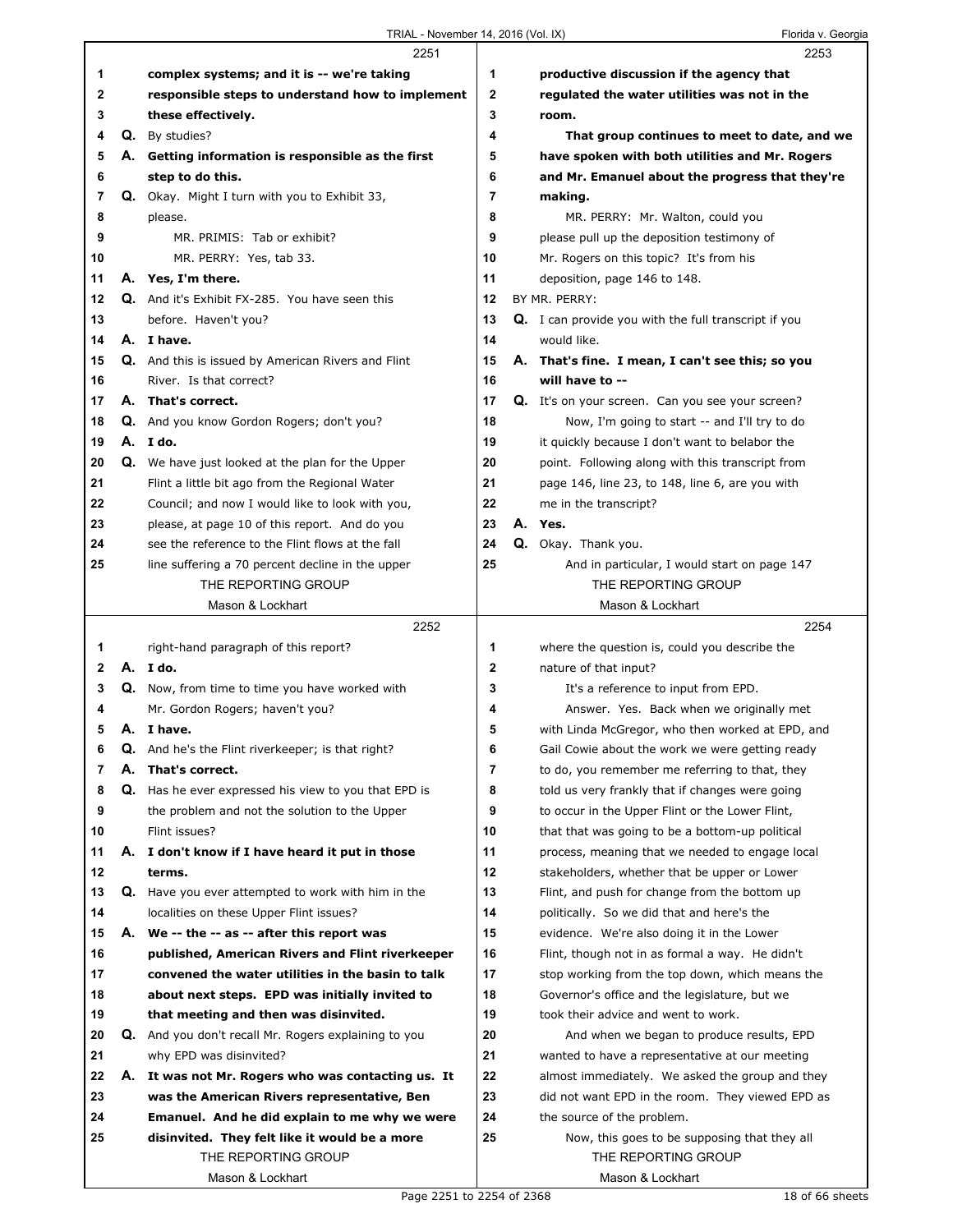|    |    | 2251                                                                                 |    | 2253                                                                                             |
|----|----|--------------------------------------------------------------------------------------|----|--------------------------------------------------------------------------------------------------|
| 1  |    | complex systems; and it is -- we're taking                                           | 1  | productive discussion if the agency that                                                         |
| 2  |    | responsible steps to understand how to implement                                     | 2  | regulated the water utilities was not in the                                                     |
| 3  |    | these effectively.                                                                   | 3  | room.                                                                                            |
| 4  |    | Q. By studies?                                                                       | 4  | That group continues to meet to date, and we                                                     |
| 5  |    | A. Getting information is responsible as the first                                   | 5  | have spoken with both utilities and Mr. Rogers                                                   |
| 6  |    | step to do this.                                                                     | 6  | and Mr. Emanuel about the progress that they're                                                  |
| 7  |    | Q. Okay. Might I turn with you to Exhibit 33,                                        | 7  | making.                                                                                          |
| 8  |    | please.                                                                              | 8  | MR. PERRY: Mr. Walton, could you                                                                 |
| 9  |    | MR. PRIMIS: Tab or exhibit?                                                          | 9  | please pull up the deposition testimony of                                                       |
| 10 |    | MR. PERRY: Yes, tab 33.                                                              | 10 | Mr. Rogers on this topic? It's from his                                                          |
| 11 |    | A. Yes, I'm there.                                                                   | 11 | deposition, page 146 to 148.                                                                     |
| 12 |    | Q. And it's Exhibit FX-285. You have seen this                                       | 12 | BY MR. PERRY:                                                                                    |
| 13 |    | before. Haven't you?                                                                 | 13 | <b>Q.</b> I can provide you with the full transcript if you                                      |
| 14 |    | A. I have.                                                                           | 14 | would like.                                                                                      |
| 15 |    |                                                                                      | 15 | A. That's fine. I mean, I can't see this; so you                                                 |
|    |    | <b>Q.</b> And this is issued by American Rivers and Flint<br>River. Is that correct? | 16 | will have to --                                                                                  |
| 16 |    | A. That's correct.                                                                   | 17 | Q. It's on your screen. Can you see your screen?                                                 |
| 17 |    |                                                                                      |    |                                                                                                  |
| 18 |    | Q. And you know Gordon Rogers; don't you?                                            | 18 | Now, I'm going to start -- and I'll try to do                                                    |
| 19 |    | A. I do.                                                                             | 19 | it quickly because I don't want to belabor the                                                   |
| 20 |    | Q. We have just looked at the plan for the Upper                                     | 20 | point. Following along with this transcript from                                                 |
| 21 |    | Flint a little bit ago from the Regional Water                                       | 21 | page 146, line 23, to 148, line 6, are you with                                                  |
| 22 |    | Council; and now I would like to look with you,                                      | 22 | me in the transcript?                                                                            |
| 23 |    | please, at page 10 of this report. And do you                                        | 23 | A. Yes.                                                                                          |
| 24 |    | see the reference to the Flint flows at the fall                                     | 24 | Q. Okay. Thank you.                                                                              |
| 25 |    | line suffering a 70 percent decline in the upper                                     | 25 | And in particular, I would start on page 147                                                     |
|    |    | THE REPORTING GROUP                                                                  |    | THE REPORTING GROUP                                                                              |
|    |    | Mason & Lockhart                                                                     |    | Mason & Lockhart                                                                                 |
|    |    | 2252                                                                                 |    | 2254                                                                                             |
| 1  |    | right-hand paragraph of this report?                                                 | 1  | where the question is, could you describe the                                                    |
| 2  |    | A. I do.                                                                             | 2  | nature of that input?                                                                            |
| 3  |    | <b>Q.</b> Now, from time to time you have worked with                                | 3  | It's a reference to input from EPD.                                                              |
| 4  |    | Mr. Gordon Rogers; haven't you?                                                      | 4  | Answer. Yes. Back when we originally met                                                         |
| 5  |    | A. I have.                                                                           | 5  | with Linda McGregor, who then worked at EPD, and                                                 |
| 6  | Q. | And he's the Flint riverkeeper; is that right?                                       | ь  | Gail Cowie about the work we were getting ready                                                  |
| 7  | А. | That's correct.                                                                      | 7  |                                                                                                  |
| 8  |    |                                                                                      |    | to do, you remember me referring to that, they                                                   |
| 9  |    | Q. Has he ever expressed his view to you that EPD is                                 | 8  | told us very frankly that if changes were going                                                  |
|    |    | the problem and not the solution to the Upper                                        | 9  | to occur in the Upper Flint or the Lower Flint,                                                  |
| 10 |    | Flint issues?                                                                        | 10 | that that was going to be a bottom-up political                                                  |
| 11 |    | A. I don't know if I have heard it put in those                                      | 11 | process, meaning that we needed to engage local                                                  |
| 12 |    | terms.                                                                               | 12 | stakeholders, whether that be upper or Lower                                                     |
| 13 |    | <b>Q.</b> Have you ever attempted to work with him in the                            | 13 | Flint, and push for change from the bottom up                                                    |
| 14 |    | localities on these Upper Flint issues?                                              | 14 | politically. So we did that and here's the                                                       |
| 15 | А. | We -- the -- as -- after this report was                                             | 15 | evidence. We're also doing it in the Lower                                                       |
| 16 |    | published, American Rivers and Flint riverkeeper                                     | 16 | Flint, though not in as formal a way. He didn't                                                  |
| 17 |    | convened the water utilities in the basin to talk                                    | 17 |                                                                                                  |
| 18 |    | about next steps. EPD was initially invited to                                       | 18 | stop working from the top down, which means the<br>Governor's office and the legislature, but we |
| 19 |    |                                                                                      | 19 | took their advice and went to work.                                                              |
|    |    | that meeting and then was disinvited.                                                |    |                                                                                                  |
| 20 |    | <b>Q.</b> And you don't recall Mr. Rogers explaining to you                          | 20 | And when we began to produce results, EPD                                                        |
| 21 |    | why EPD was disinvited?                                                              | 21 | wanted to have a representative at our meeting                                                   |
| 22 |    | A. It was not Mr. Rogers who was contacting us. It                                   | 22 | almost immediately. We asked the group and they                                                  |
| 23 |    | was the American Rivers representative, Ben                                          | 23 | did not want EPD in the room. They viewed EPD as                                                 |
| 24 |    | Emanuel. And he did explain to me why we were                                        | 24 | the source of the problem.                                                                       |
| 25 |    | disinvited. They felt like it would be a more                                        | 25 | Now, this goes to be supposing that they all                                                     |
|    |    | THE REPORTING GROUP<br>Mason & Lockhart                                              |    | THE REPORTING GROUP<br>Mason & Lockhart                                                          |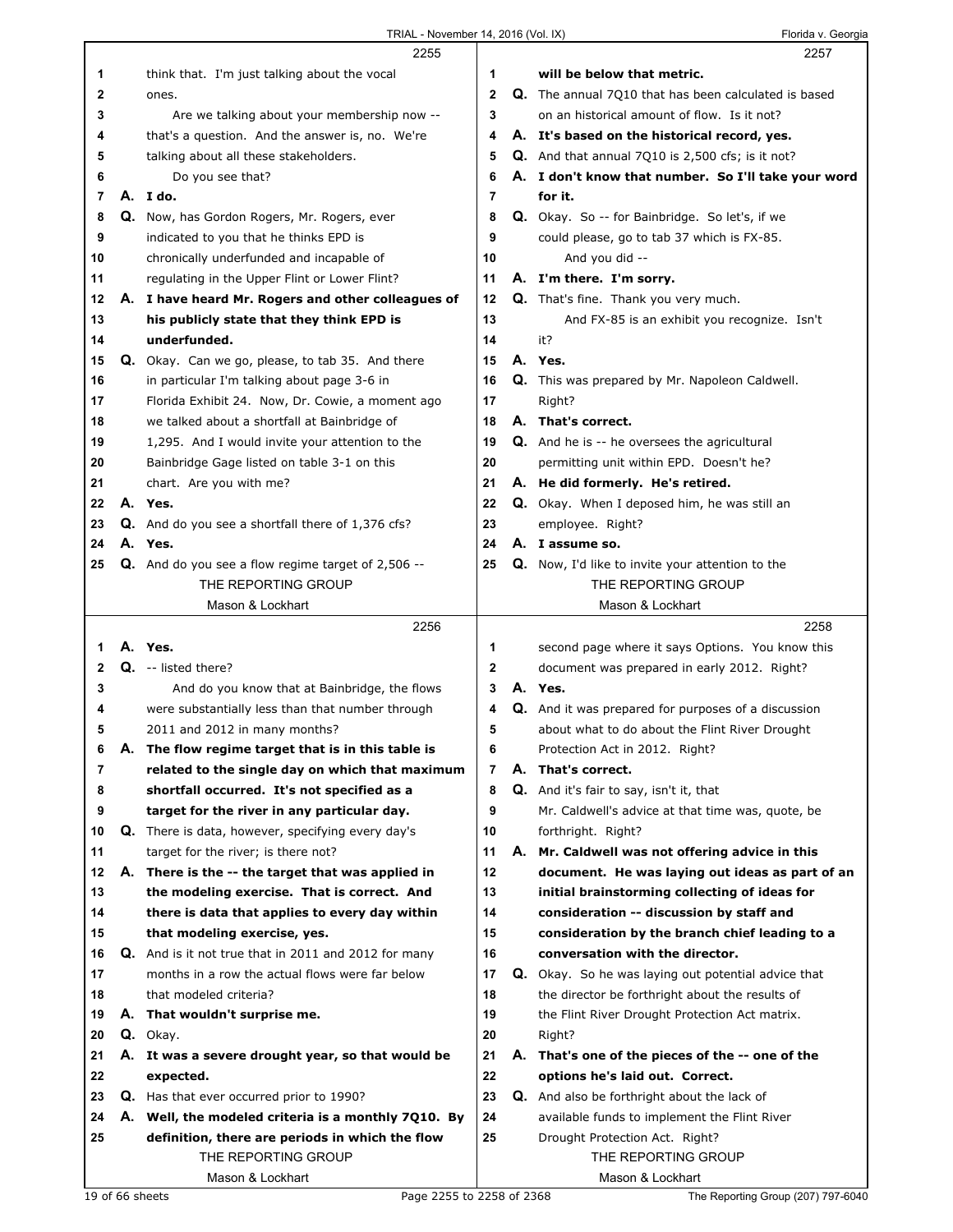|    |    | 2255                                                             |                | 2257                                                       |
|----|----|------------------------------------------------------------------|----------------|------------------------------------------------------------|
| 1  |    | think that. I'm just talking about the vocal                     | 1              | will be below that metric.                                 |
| 2  |    | ones.                                                            | $\mathbf{2}$   | Q. The annual 7010 that has been calculated is based       |
| 3  |    | Are we talking about your membership now --                      | 3              | on an historical amount of flow. Is it not?                |
| 4  |    | that's a question. And the answer is, no. We're                  | 4              | A. It's based on the historical record, yes.               |
| 5  |    | talking about all these stakeholders.                            | 5              | Q. And that annual 7Q10 is 2,500 cfs; is it not?           |
| 6  |    | Do you see that?                                                 | 6              | A. I don't know that number. So I'll take your word        |
| 7  |    | A. I do.                                                         | 7              | for it.                                                    |
| 8  |    | Q. Now, has Gordon Rogers, Mr. Rogers, ever                      | 8              | Q. Okay. So -- for Bainbridge. So let's, if we             |
| 9  |    | indicated to you that he thinks EPD is                           | 9              | could please, go to tab 37 which is FX-85.                 |
| 10 |    | chronically underfunded and incapable of                         | 10             | And you did --                                             |
| 11 |    | regulating in the Upper Flint or Lower Flint?                    | 11             | A. I'm there. I'm sorry.                                   |
| 12 |    |                                                                  | 12             | Q. That's fine. Thank you very much.                       |
|    |    | A. I have heard Mr. Rogers and other colleagues of               |                |                                                            |
| 13 |    | his publicly state that they think EPD is                        | 13             | And FX-85 is an exhibit you recognize. Isn't               |
| 14 |    | underfunded.                                                     | 14             | it?                                                        |
| 15 |    | Q. Okay. Can we go, please, to tab 35. And there                 | 15             | A. Yes.                                                    |
| 16 |    | in particular I'm talking about page 3-6 in                      | 16             | <b>Q.</b> This was prepared by Mr. Napoleon Caldwell.      |
| 17 |    | Florida Exhibit 24. Now, Dr. Cowie, a moment ago                 | 17             | Right?                                                     |
| 18 |    | we talked about a shortfall at Bainbridge of                     | 18             | A. That's correct.                                         |
| 19 |    | 1,295. And I would invite your attention to the                  | 19             | <b>Q.</b> And he is -- he oversees the agricultural        |
| 20 |    | Bainbridge Gage listed on table 3-1 on this                      | 20             | permitting unit within EPD. Doesn't he?                    |
| 21 |    | chart. Are you with me?                                          | 21             | A. He did formerly. He's retired.                          |
| 22 |    | A. Yes.                                                          | 22             | <b>Q.</b> Okay. When I deposed him, he was still an        |
| 23 |    | <b>Q.</b> And do you see a shortfall there of 1,376 cfs?         | 23             | employee. Right?                                           |
| 24 |    | A. Yes.                                                          | 24             | A. I assume so.                                            |
| 25 |    | Q. And do you see a flow regime target of 2,506 --               | 25             | <b>Q.</b> Now, I'd like to invite your attention to the    |
|    |    | THE REPORTING GROUP                                              |                | THE REPORTING GROUP                                        |
|    |    | Mason & Lockhart                                                 |                | Mason & Lockhart                                           |
|    |    |                                                                  |                |                                                            |
|    |    | 2256                                                             |                | 2258                                                       |
| 1  |    | A. Yes.                                                          | 1              | second page where it says Options. You know this           |
| 2  |    | Q. -- listed there?                                              | $\mathbf 2$    |                                                            |
| 3  |    |                                                                  | 3              | document was prepared in early 2012. Right?<br>A. Yes.     |
| 4  |    | And do you know that at Bainbridge, the flows                    | 4              |                                                            |
|    |    | were substantially less than that number through                 |                | <b>Q.</b> And it was prepared for purposes of a discussion |
| 5  |    | 2011 and 2012 in many months?                                    | 5              | about what to do about the Flint River Drought             |
| 6  | Α. | The flow regime target that is in this table is                  | 6              | Protection Act in 2012. Right?                             |
| 7  |    | related to the single day on which that maximum                  | $\overline{7}$ | A. That's correct.                                         |
| 8  |    | shortfall occurred. It's not specified as a                      | 8              | Q. And it's fair to say, isn't it, that                    |
| 9  |    | target for the river in any particular day.                      | 9              | Mr. Caldwell's advice at that time was, quote, be          |
| 10 |    | Q. There is data, however, specifying every day's                | 10             | forthright. Right?                                         |
| 11 |    | target for the river; is there not?                              | 11             | A. Mr. Caldwell was not offering advice in this            |
| 12 |    | A. There is the -- the target that was applied in                | 12             | document. He was laying out ideas as part of an            |
| 13 |    | the modeling exercise. That is correct. And                      | 13             | initial brainstorming collecting of ideas for              |
| 14 |    | there is data that applies to every day within                   | 14             | consideration -- discussion by staff and                   |
| 15 |    | that modeling exercise, yes.                                     | 15             | consideration by the branch chief leading to a             |
| 16 |    | Q. And is it not true that in 2011 and 2012 for many             | 16             | conversation with the director.                            |
| 17 |    | months in a row the actual flows were far below                  | 17             | Q. Okay. So he was laying out potential advice that        |
| 18 |    | that modeled criteria?                                           | 18             | the director be forthright about the results of            |
| 19 |    | A. That wouldn't surprise me.                                    | 19             | the Flint River Drought Protection Act matrix.             |
| 20 |    | Q. Okay.                                                         | 20             | Right?                                                     |
| 21 |    | A. It was a severe drought year, so that would be                | 21             | A. That's one of the pieces of the -- one of the           |
| 22 |    | expected.                                                        | 22             | options he's laid out. Correct.                            |
| 23 |    | Q. Has that ever occurred prior to 1990?                         | 23             | <b>Q.</b> And also be forthright about the lack of         |
| 24 |    | A. Well, the modeled criteria is a monthly 7Q10. By              | 24             | available funds to implement the Flint River               |
| 25 |    | definition, there are periods in which the flow                  | 25             | Drought Protection Act. Right?                             |
|    |    | THE REPORTING GROUP                                              |                | THE REPORTING GROUP                                        |
|    |    | Mason & Lockhart<br>Page 2255 to 2258 of 2368<br>19 of 66 sheets |                | Mason & Lockhart<br>The Reporting Group (207) 797-6040     |

Г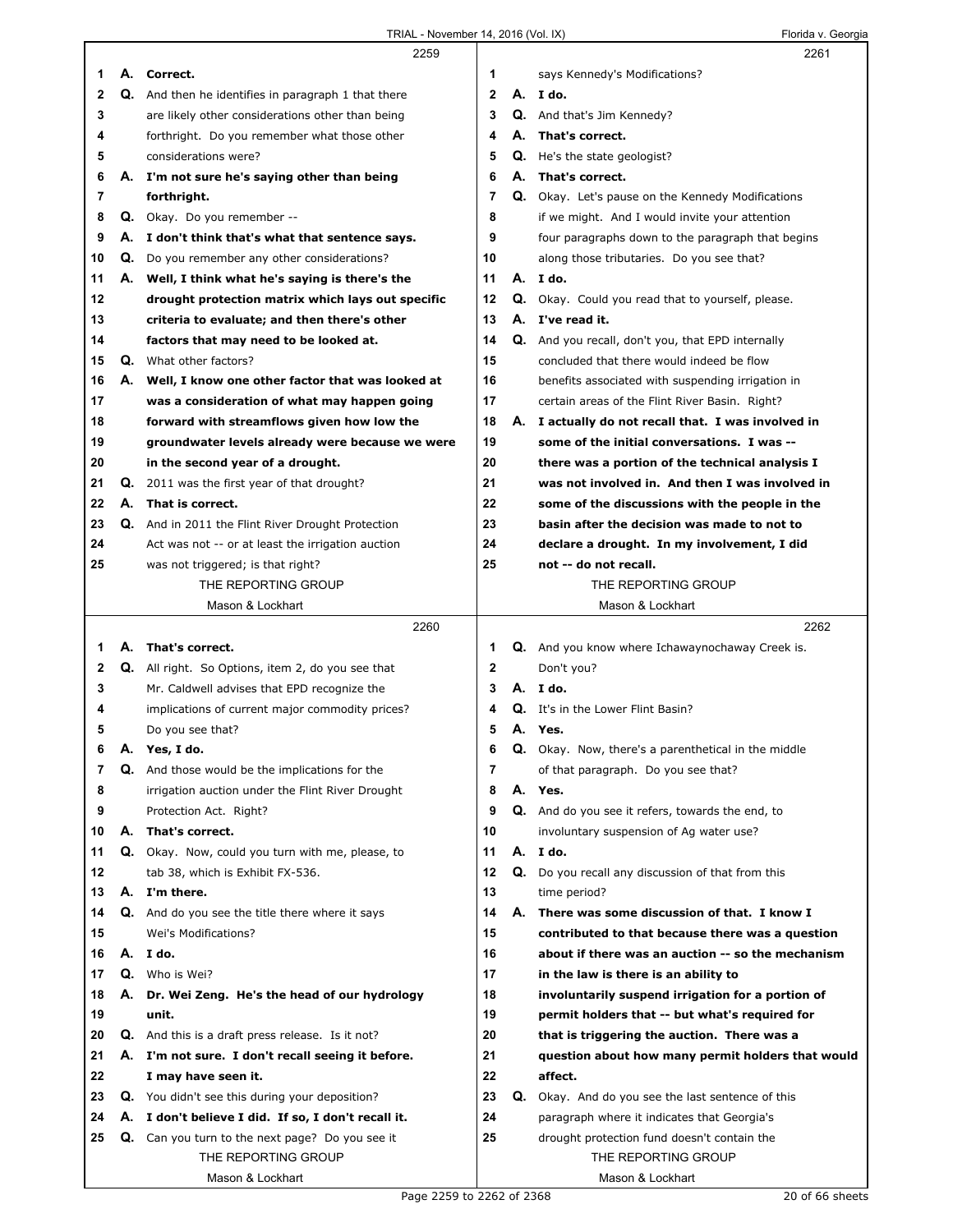|              |    | 2259                                                    |              |    | 2261                                                     |
|--------------|----|---------------------------------------------------------|--------------|----|----------------------------------------------------------|
| 1            |    | A. Correct.                                             | 1            |    | says Kennedy's Modifications?                            |
| $\mathbf{2}$ |    | Q. And then he identifies in paragraph 1 that there     | $\mathbf{2}$ |    | A. I do.                                                 |
| 3            |    | are likely other considerations other than being        | 3            |    | <b>Q.</b> And that's Jim Kennedy?                        |
| 4            |    | forthright. Do you remember what those other            | 4            |    | A. That's correct.                                       |
| 5            |    | considerations were?                                    | 5            |    | <b>Q.</b> He's the state geologist?                      |
| 6            |    | A. I'm not sure he's saying other than being            | 6            |    | A. That's correct.                                       |
| 7            |    | forthright.                                             | 7            |    | <b>Q.</b> Okay. Let's pause on the Kennedy Modifications |
| 8            |    | Q. Okay. Do you remember --                             | 8            |    | if we might. And I would invite your attention           |
| 9            | А. | I don't think that's what that sentence says.           | 9            |    | four paragraphs down to the paragraph that begins        |
| 10           | Q. | Do you remember any other considerations?               | 10           |    | along those tributaries. Do you see that?                |
| 11           |    | A. Well, I think what he's saying is there's the        | 11           |    | A. I do.                                                 |
| 12           |    | drought protection matrix which lays out specific       | 12           |    | <b>Q.</b> Okay. Could you read that to yourself, please. |
| 13           |    | criteria to evaluate; and then there's other            | 13           |    | A. I've read it.                                         |
| 14           |    | factors that may need to be looked at.                  | 14           |    | Q. And you recall, don't you, that EPD internally        |
| 15           | Q. | What other factors?                                     | 15           |    | concluded that there would indeed be flow                |
| 16           |    | A. Well, I know one other factor that was looked at     | 16           |    | benefits associated with suspending irrigation in        |
| 17           |    | was a consideration of what may happen going            | 17           |    | certain areas of the Flint River Basin. Right?           |
| 18           |    | forward with streamflows given how low the              | 18           |    | A. I actually do not recall that. I was involved in      |
| 19           |    | groundwater levels already were because we were         | 19           |    | some of the initial conversations. I was --              |
| 20           |    | in the second year of a drought.                        | 20           |    | there was a portion of the technical analysis I          |
| 21           | Q. | 2011 was the first year of that drought?                | 21           |    | was not involved in. And then I was involved in          |
| 22           | А. | That is correct.                                        | 22           |    | some of the discussions with the people in the           |
| 23           |    | Q. And in 2011 the Flint River Drought Protection       | 23           |    | basin after the decision was made to not to              |
| 24           |    | Act was not -- or at least the irrigation auction       | 24           |    | declare a drought. In my involvement, I did              |
| 25           |    | was not triggered; is that right?                       | 25           |    | not -- do not recall.                                    |
|              |    | THE REPORTING GROUP                                     |              |    | THE REPORTING GROUP                                      |
|              |    | Mason & Lockhart                                        |              |    | Mason & Lockhart                                         |
|              |    |                                                         |              |    |                                                          |
|              |    | 2260                                                    |              |    | 2262                                                     |
| 1            | А. | That's correct.                                         | 1            |    | <b>Q.</b> And you know where Ichawaynochaway Creek is.   |
| 2            | Q. | All right. So Options, item 2, do you see that          | 2            |    | Don't you?                                               |
| 3            |    | Mr. Caldwell advises that EPD recognize the             | 3            |    | A. Ido.                                                  |
| 4            |    | implications of current major commodity prices?         | 4            | Q. | It's in the Lower Flint Basin?                           |
| 5            |    | Do you see that?                                        | 5            |    | A. Yes.                                                  |
| 6            | А. | Yes, I do.                                              | 6            |    | Q. Okay. Now, there's a parenthetical in the middle      |
| 7            | Q. | And those would be the implications for the             | 7            |    | of that paragraph. Do you see that?                      |
| 8            |    | irrigation auction under the Flint River Drought        | 8            |    | A. Yes.                                                  |
| 9            |    | Protection Act. Right?                                  | 9            |    | Q. And do you see it refers, towards the end, to         |
| 10           | А. | That's correct.                                         | 10           |    | involuntary suspension of Ag water use?                  |
| 11           |    | Q. Okay. Now, could you turn with me, please, to        | 11           |    | A. I do.                                                 |
| 12           |    | tab 38, which is Exhibit FX-536.                        | 12           | Q. | Do you recall any discussion of that from this           |
| 13           |    | A. I'm there.                                           | 13           |    | time period?                                             |
| 14           |    | Q. And do you see the title there where it says         | 14           |    | A. There was some discussion of that. I know I           |
| 15           |    | Wei's Modifications?                                    | 15           |    | contributed to that because there was a question         |
| 16           |    | A. I do.                                                | 16           |    | about if there was an auction -- so the mechanism        |
| 17           |    | Q. Who is Wei?                                          | 17           |    | in the law is there is an ability to                     |
| 18           | А. | Dr. Wei Zeng. He's the head of our hydrology            | 18           |    | involuntarily suspend irrigation for a portion of        |
| 19           |    | unit.                                                   | 19           |    | permit holders that -- but what's required for           |
| 20           |    | <b>Q.</b> And this is a draft press release. Is it not? | 20           |    | that is triggering the auction. There was a              |
| 21           |    | A. I'm not sure. I don't recall seeing it before.       | 21           |    | question about how many permit holders that would        |
| 22           |    | I may have seen it.                                     | 22           |    | affect.                                                  |
| 23           |    | Q. You didn't see this during your deposition?          | 23           | Q. | Okay. And do you see the last sentence of this           |
| 24           |    | A. I don't believe I did. If so, I don't recall it.     | 24           |    | paragraph where it indicates that Georgia's              |
| 25           |    | Q. Can you turn to the next page? Do you see it         | 25           |    | drought protection fund doesn't contain the              |
|              |    | THE REPORTING GROUP<br>Mason & Lockhart                 |              |    | THE REPORTING GROUP<br>Mason & Lockhart                  |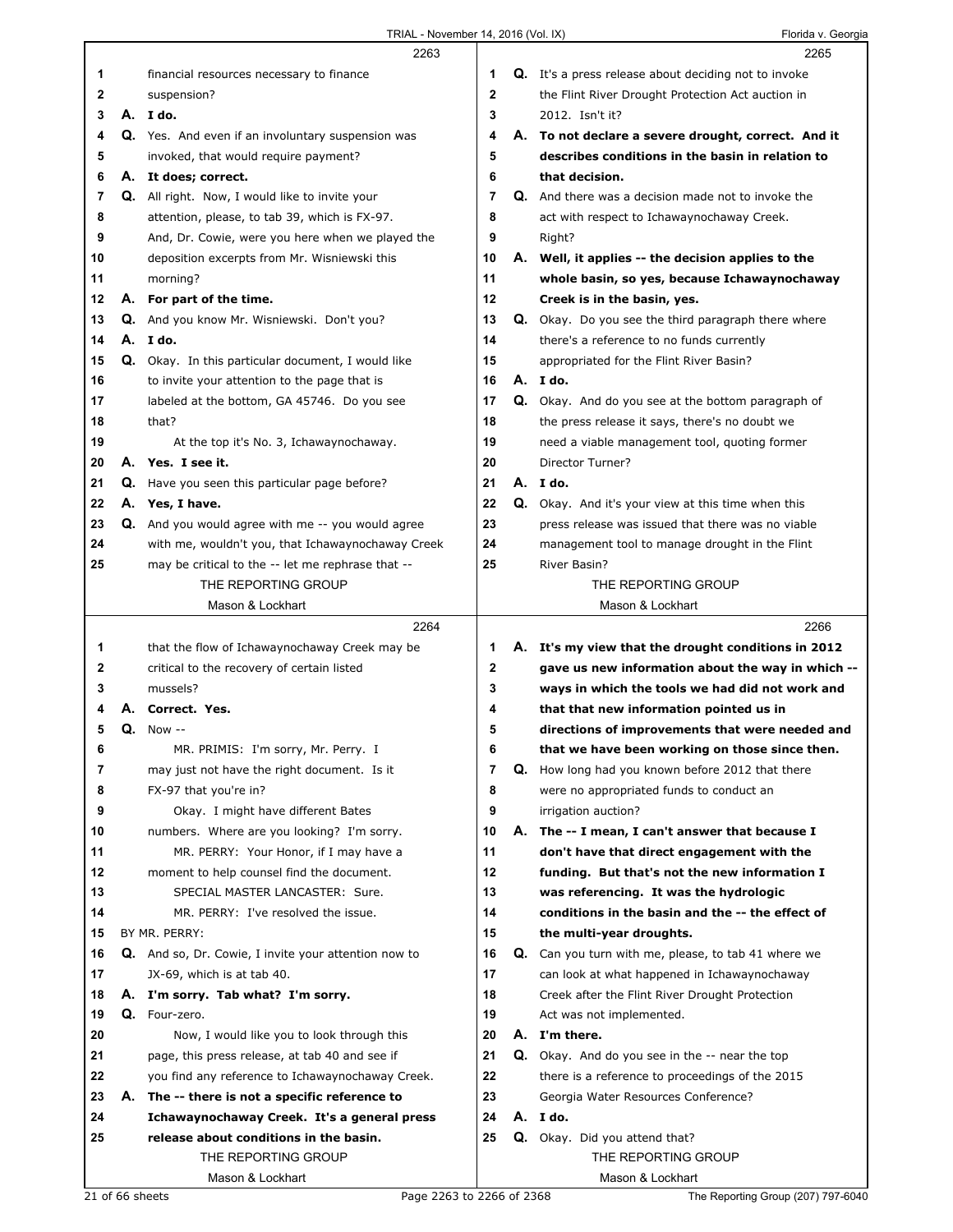|    | 2263                                                     |             | 2265                                                        |
|----|----------------------------------------------------------|-------------|-------------------------------------------------------------|
| 1  | financial resources necessary to finance                 | 1           | <b>Q.</b> It's a press release about deciding not to invoke |
| 2  | suspension?                                              | $\mathbf 2$ | the Flint River Drought Protection Act auction in           |
| 3  | A. I do.                                                 | 3           | 2012. Isn't it?                                             |
| 4  | Q. Yes. And even if an involuntary suspension was        | 4           | A. To not declare a severe drought, correct. And it         |
| 5  | invoked, that would require payment?                     | 5           | describes conditions in the basin in relation to            |
| 6  | A. It does; correct.                                     | 6           | that decision.                                              |
| 7  | Q. All right. Now, I would like to invite your           | 7           | Q. And there was a decision made not to invoke the          |
| 8  | attention, please, to tab 39, which is FX-97.            | 8           | act with respect to Ichawaynochaway Creek.                  |
| 9  | And, Dr. Cowie, were you here when we played the         | 9           | Right?                                                      |
| 10 | deposition excerpts from Mr. Wisniewski this             | 10          | A. Well, it applies -- the decision applies to the          |
| 11 | morning?                                                 | 11          | whole basin, so yes, because Ichawaynochaway                |
| 12 | A. For part of the time.                                 | 12          | Creek is in the basin, yes.                                 |
| 13 | Q. And you know Mr. Wisniewski. Don't you?               | 13          | <b>Q.</b> Okay. Do you see the third paragraph there where  |
| 14 | A. Ido.                                                  | 14          | there's a reference to no funds currently                   |
| 15 | Q. Okay. In this particular document, I would like       | 15          | appropriated for the Flint River Basin?                     |
| 16 | to invite your attention to the page that is             | 16          | A. I do.                                                    |
| 17 | labeled at the bottom, GA 45746. Do you see              | 17          | Q. Okay. And do you see at the bottom paragraph of          |
| 18 | that?                                                    | 18          | the press release it says, there's no doubt we              |
| 19 | At the top it's No. 3, Ichawaynochaway.                  | 19          | need a viable management tool, quoting former               |
| 20 | A. Yes. I see it.                                        | 20          | <b>Director Turner?</b>                                     |
| 21 | Q. Have you seen this particular page before?            | 21          | A. I do.                                                    |
| 22 | A. Yes, I have.                                          | 22          | Q. Okay. And it's your view at this time when this          |
| 23 | <b>Q.</b> And you would agree with me -- you would agree | 23          | press release was issued that there was no viable           |
| 24 | with me, wouldn't you, that Ichawaynochaway Creek        | 24          | management tool to manage drought in the Flint              |
| 25 | may be critical to the -- let me rephrase that --        | 25          | River Basin?                                                |
|    | THE REPORTING GROUP                                      |             | THE REPORTING GROUP                                         |
|    | Mason & Lockhart                                         |             | Mason & Lockhart                                            |
|    |                                                          |             |                                                             |
|    | 2264                                                     |             | 2266                                                        |
| 1  | that the flow of Ichawaynochaway Creek may be            | 1           | A. It's my view that the drought conditions in 2012         |
| 2  | critical to the recovery of certain listed               | 2           | gave us new information about the way in which --           |
| 3  | mussels?                                                 | 3           | ways in which the tools we had did not work and             |
| 4  | Correct. Yes.                                            | 4           | that that new information pointed us in                     |
| 5  | $Q.$ Now $-$                                             | 5           | directions of improvements that were needed and             |
| 6  | MR. PRIMIS: I'm sorry, Mr. Perry. I                      | 6           | that we have been working on those since then.              |
| 7  | may just not have the right document. Is it              | 7           | Q. How long had you known before 2012 that there            |
| 8  | FX-97 that you're in?                                    | 8           | were no appropriated funds to conduct an                    |
| 9  | Okay. I might have different Bates                       | 9           | irrigation auction?                                         |
| 10 | numbers. Where are you looking? I'm sorry.               | 10          | A. The -- I mean, I can't answer that because I             |
| 11 | MR. PERRY: Your Honor, if I may have a                   | 11          | don't have that direct engagement with the                  |
| 12 | moment to help counsel find the document.                | 12          | funding. But that's not the new information I               |
| 13 | SPECIAL MASTER LANCASTER: Sure.                          | 13          | was referencing. It was the hydrologic                      |
| 14 | MR. PERRY: I've resolved the issue.                      | 14          | conditions in the basin and the -- the effect of            |
| 15 | BY MR. PERRY:                                            | 15          | the multi-year droughts.                                    |
| 16 | Q. And so, Dr. Cowie, I invite your attention now to     | 16          | <b>Q.</b> Can you turn with me, please, to tab 41 where we  |
| 17 | JX-69, which is at tab 40.                               | 17          | can look at what happened in Ichawaynochaway                |
| 18 | A. I'm sorry. Tab what? I'm sorry.                       | 18          | Creek after the Flint River Drought Protection              |
| 19 | Q. Four-zero.                                            | 19          | Act was not implemented.                                    |
| 20 | Now, I would like you to look through this               | 20          | A. I'm there.                                               |
| 21 | page, this press release, at tab 40 and see if           | 21          | Q. Okay. And do you see in the -- near the top              |
| 22 | you find any reference to Ichawaynochaway Creek.         | 22          | there is a reference to proceedings of the 2015             |
| 23 | A. The -- there is not a specific reference to           | 23          | Georgia Water Resources Conference?                         |
| 24 | Ichawaynochaway Creek. It's a general press              | 24          | A. Ido.                                                     |
| 25 | release about conditions in the basin.                   | 25          | Q. Okay. Did you attend that?                               |
|    | THE REPORTING GROUP<br>Mason & Lockhart                  |             | THE REPORTING GROUP<br>Mason & Lockhart                     |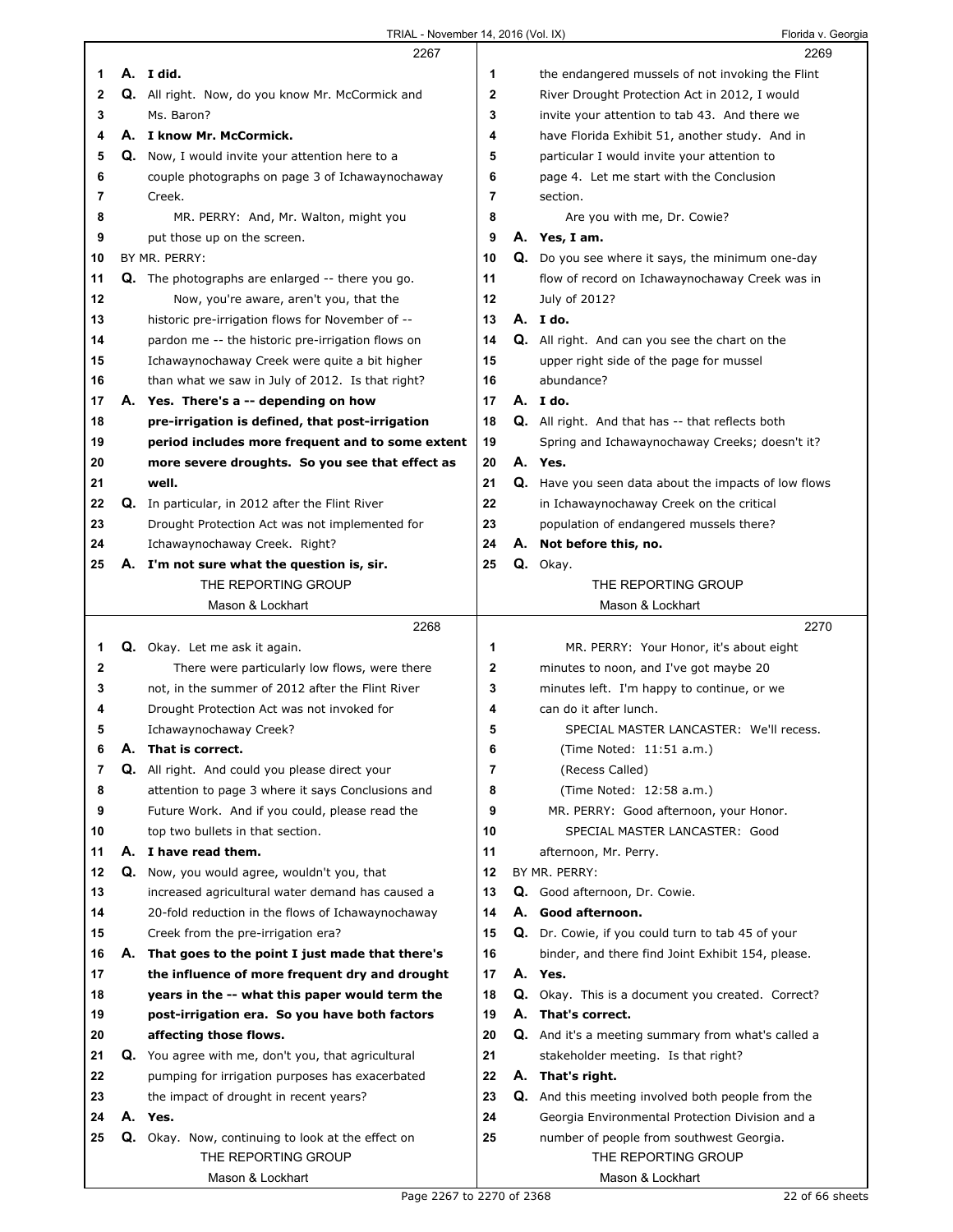|    |    | 2267                                                   |              | 2269                                                      |  |
|----|----|--------------------------------------------------------|--------------|-----------------------------------------------------------|--|
| 1  |    | A. I did.                                              | 1            | the endangered mussels of not invoking the Flint          |  |
| 2  |    | Q. All right. Now, do you know Mr. McCormick and       | 2            | River Drought Protection Act in 2012, I would             |  |
| 3  |    | Ms. Baron?                                             | 3            | invite your attention to tab 43. And there we             |  |
| 4  |    | A. I know Mr. McCormick.                               | 4            | have Florida Exhibit 51, another study. And in            |  |
| 5  |    | <b>Q.</b> Now, I would invite your attention here to a | 5            | particular I would invite your attention to               |  |
| 6  |    | couple photographs on page 3 of Ichawaynochaway        | 6            | page 4. Let me start with the Conclusion                  |  |
| 7  |    | Creek.                                                 | 7            | section.                                                  |  |
| 8  |    | MR. PERRY: And, Mr. Walton, might you                  | 8            | Are you with me, Dr. Cowie?                               |  |
| 9  |    | put those up on the screen.                            | 9            | A. Yes, I am.                                             |  |
| 10 |    | BY MR. PERRY:                                          | 10           | Q. Do you see where it says, the minimum one-day          |  |
| 11 |    | Q. The photographs are enlarged -- there you go.       | 11           | flow of record on Ichawaynochaway Creek was in            |  |
| 12 |    | Now, you're aware, aren't you, that the                | 12           | July of 2012?                                             |  |
| 13 |    | historic pre-irrigation flows for November of --       | 13           | A. I do.                                                  |  |
| 14 |    | pardon me -- the historic pre-irrigation flows on      | 14           | <b>Q.</b> All right. And can you see the chart on the     |  |
| 15 |    | Ichawaynochaway Creek were quite a bit higher          | 15           | upper right side of the page for mussel                   |  |
| 16 |    | than what we saw in July of 2012. Is that right?       | 16           | abundance?                                                |  |
| 17 |    | A. Yes. There's a -- depending on how                  | 17           | A. Ido.                                                   |  |
| 18 |    | pre-irrigation is defined, that post-irrigation        | 18           | <b>Q.</b> All right. And that has -- that reflects both   |  |
| 19 |    | period includes more frequent and to some extent       | 19           | Spring and Ichawaynochaway Creeks; doesn't it?            |  |
| 20 |    | more severe droughts. So you see that effect as        | 20           | A. Yes.                                                   |  |
| 21 |    | well.                                                  | 21           | Q. Have you seen data about the impacts of low flows      |  |
| 22 |    | Q. In particular, in 2012 after the Flint River        | 22           | in Ichawaynochaway Creek on the critical                  |  |
| 23 |    | Drought Protection Act was not implemented for         | 23           | population of endangered mussels there?                   |  |
| 24 |    | Ichawaynochaway Creek. Right?                          | 24           | A. Not before this, no.                                   |  |
| 25 | А. | I'm not sure what the question is, sir.                | 25           | Q. Okay.                                                  |  |
|    |    | THE REPORTING GROUP                                    |              | THE REPORTING GROUP                                       |  |
|    |    | Mason & Lockhart                                       |              | Mason & Lockhart                                          |  |
|    |    |                                                        |              |                                                           |  |
|    |    | 2268                                                   |              | 2270                                                      |  |
| 1  |    | Q. Okay. Let me ask it again.                          | 1            | MR. PERRY: Your Honor, it's about eight                   |  |
| 2  |    | There were particularly low flows, were there          | $\mathbf{2}$ | minutes to noon, and I've got maybe 20                    |  |
| 3  |    | not, in the summer of 2012 after the Flint River       | 3            | minutes left. I'm happy to continue, or we                |  |
| 4  |    | Drought Protection Act was not invoked for             | 4            | can do it after lunch.                                    |  |
| 5  |    | Ichawaynochaway Creek?                                 | 5            | SPECIAL MASTER LANCASTER: We'll recess.                   |  |
| 6  | Α. | That is correct.                                       | 6            | (Time Noted: 11:51 a.m.)                                  |  |
| 7  | Q. | All right. And could you please direct your            | 7            | (Recess Called)                                           |  |
| 8  |    | attention to page 3 where it says Conclusions and      | 8            | (Time Noted: 12:58 a.m.)                                  |  |
| 9  |    | Future Work. And if you could, please read the         | 9            | MR. PERRY: Good afternoon, your Honor.                    |  |
| 10 |    | top two bullets in that section.                       | 10           | SPECIAL MASTER LANCASTER: Good                            |  |
| 11 |    | A. I have read them.                                   | 11           | afternoon, Mr. Perry.                                     |  |
| 12 | Q. | Now, you would agree, wouldn't you, that               | 12           | BY MR. PERRY:                                             |  |
| 13 |    | increased agricultural water demand has caused a       | 13           | Q. Good afternoon, Dr. Cowie.                             |  |
| 14 |    | 20-fold reduction in the flows of Ichawaynochaway      | 14           | A. Good afternoon.                                        |  |
| 15 |    | Creek from the pre-irrigation era?                     | 15           | Q. Dr. Cowie, if you could turn to tab 45 of your         |  |
| 16 | А. | That goes to the point I just made that there's        | 16           | binder, and there find Joint Exhibit 154, please.         |  |
| 17 |    | the influence of more frequent dry and drought         | 17           | A. Yes.                                                   |  |
| 18 |    | years in the -- what this paper would term the         | 18           | Q. Okay. This is a document you created. Correct?         |  |
| 19 |    | post-irrigation era. So you have both factors          | 19           | A. That's correct.                                        |  |
| 20 |    | affecting those flows.                                 | 20           | <b>Q.</b> And it's a meeting summary from what's called a |  |
| 21 |    | Q. You agree with me, don't you, that agricultural     | 21           | stakeholder meeting. Is that right?                       |  |
| 22 |    | pumping for irrigation purposes has exacerbated        | 22           | A. That's right.                                          |  |
| 23 |    | the impact of drought in recent years?                 | 23           | <b>Q.</b> And this meeting involved both people from the  |  |
| 24 |    | A. Yes.                                                | 24           | Georgia Environmental Protection Division and a           |  |
| 25 |    | Q. Okay. Now, continuing to look at the effect on      | 25           | number of people from southwest Georgia.                  |  |
|    |    | THE REPORTING GROUP<br>Mason & Lockhart                |              | THE REPORTING GROUP<br>Mason & Lockhart                   |  |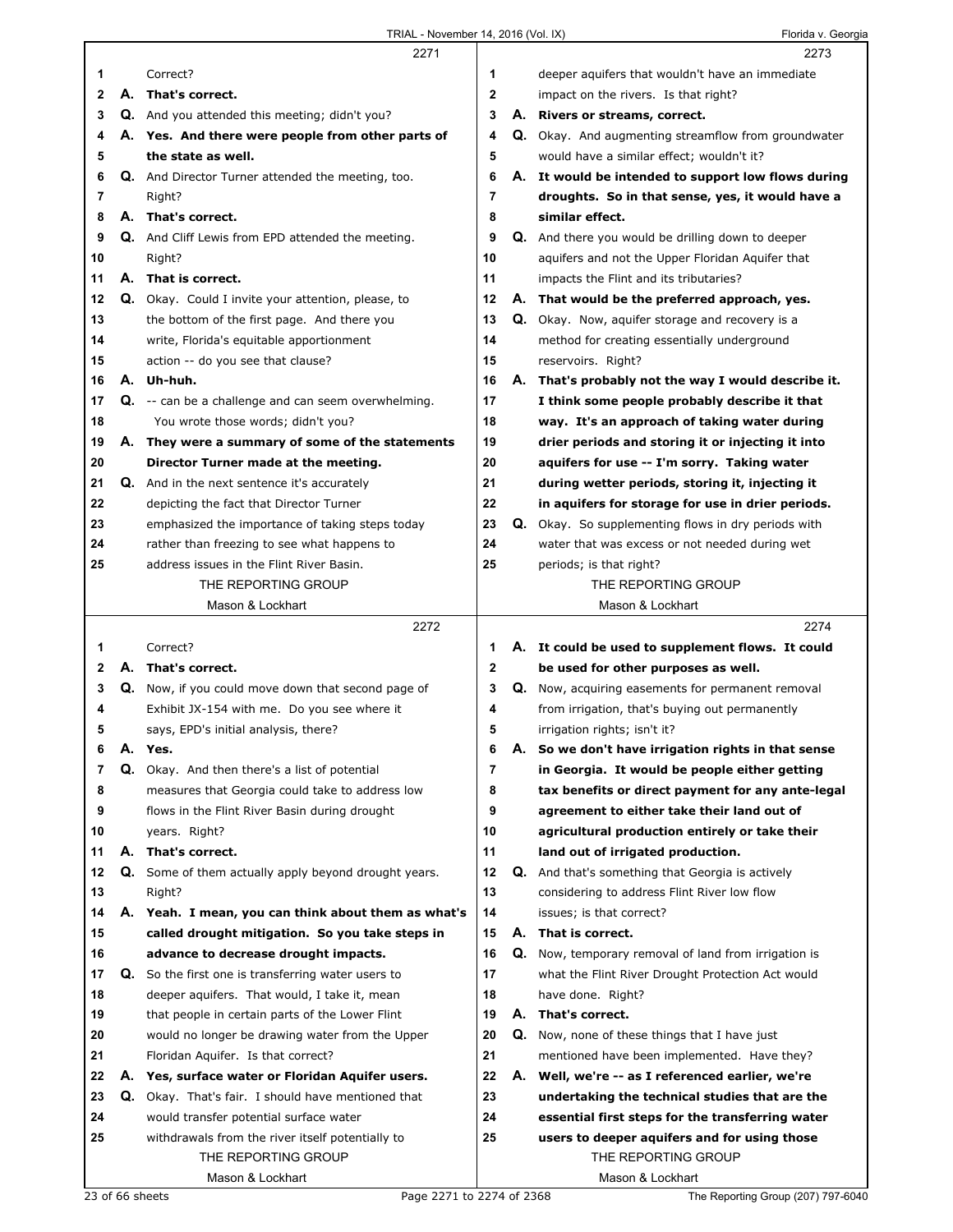|              |    | 2271                                                     |                |    | 2273                                                       |
|--------------|----|----------------------------------------------------------|----------------|----|------------------------------------------------------------|
| 1            |    | Correct?                                                 | 1              |    | deeper aquifers that wouldn't have an immediate            |
| 2            | А. | That's correct.                                          | $\overline{2}$ |    | impact on the rivers. Is that right?                       |
| 3            |    | <b>Q.</b> And you attended this meeting; didn't you?     | 3              |    | A. Rivers or streams, correct.                             |
| 4            |    | A. Yes. And there were people from other parts of        | 4              |    | <b>Q.</b> Okay. And augmenting streamflow from groundwater |
| 5            |    | the state as well.                                       | 5              |    | would have a similar effect; wouldn't it?                  |
| 6            |    | <b>Q.</b> And Director Turner attended the meeting, too. | 6              |    | A. It would be intended to support low flows during        |
| 7            |    | Right?                                                   | 7              |    | droughts. So in that sense, yes, it would have a           |
| 8            |    | A. That's correct.                                       | 8              |    | similar effect.                                            |
| 9            |    | <b>Q.</b> And Cliff Lewis from EPD attended the meeting. | 9              |    | <b>Q.</b> And there you would be drilling down to deeper   |
| 10           |    | Right?                                                   | 10             |    | aquifers and not the Upper Floridan Aquifer that           |
| 11           |    | A. That is correct.                                      | 11             |    | impacts the Flint and its tributaries?                     |
| 12           |    | Q. Okay. Could I invite your attention, please, to       | 12             |    | A. That would be the preferred approach, yes.              |
| 13           |    | the bottom of the first page. And there you              | 13             |    | Q. Okay. Now, aquifer storage and recovery is a            |
| 14           |    | write, Florida's equitable apportionment                 | 14             |    | method for creating essentially underground                |
| 15           |    | action -- do you see that clause?                        | 15             |    | reservoirs. Right?                                         |
| 16           |    | A. Uh-huh.                                               | 16             |    | A. That's probably not the way I would describe it.        |
| 17           |    | Q. -- can be a challenge and can seem overwhelming.      | 17             |    | I think some people probably describe it that              |
| 18           |    | You wrote those words; didn't you?                       | 18             |    | way. It's an approach of taking water during               |
| 19           |    | A. They were a summary of some of the statements         | 19             |    | drier periods and storing it or injecting it into          |
| 20           |    | Director Turner made at the meeting.                     | 20             |    | aquifers for use -- I'm sorry. Taking water                |
| 21           |    | Q. And in the next sentence it's accurately              | 21             |    | during wetter periods, storing it, injecting it            |
| 22           |    | depicting the fact that Director Turner                  | 22             |    | in aquifers for storage for use in drier periods.          |
| 23           |    | emphasized the importance of taking steps today          | 23             |    | <b>Q.</b> Okay. So supplementing flows in dry periods with |
| 24           |    | rather than freezing to see what happens to              | 24             |    | water that was excess or not needed during wet             |
| 25           |    | address issues in the Flint River Basin.                 | 25             |    | periods; is that right?                                    |
|              |    | THE REPORTING GROUP                                      |                |    | THE REPORTING GROUP                                        |
|              |    | Mason & Lockhart                                         |                |    | Mason & Lockhart                                           |
|              |    |                                                          |                |    |                                                            |
|              |    | 2272                                                     |                |    | 2274                                                       |
| 1            |    | Correct?                                                 | 1              |    | A. It could be used to supplement flows. It could          |
| $\mathbf{2}$ |    | A. That's correct.                                       | $\mathbf{2}$   |    | be used for other purposes as well.                        |
| 3            |    | Q. Now, if you could move down that second page of       | 3              |    | Q. Now, acquiring easements for permanent removal          |
| 4            |    | Exhibit JX-154 with me. Do you see where it              | 4              |    | from irrigation, that's buying out permanently             |
| 5            |    | says, EPD's initial analysis, there?                     | 5              |    | irrigation rights; isn't it?                               |
| 6            | А. | Yes.                                                     | 6              |    | A. So we don't have irrigation rights in that sense        |
| 7            |    | Q. Okay. And then there's a list of potential            | 7              |    | in Georgia. It would be people either getting              |
| 8            |    | measures that Georgia could take to address low          | 8              |    | tax benefits or direct payment for any ante-legal          |
| 9            |    | flows in the Flint River Basin during drought            | 9              |    | agreement to either take their land out of                 |
| 10           |    | years. Right?                                            | 10             |    | agricultural production entirely or take their             |
| 11           | А. | That's correct.                                          | 11             |    | land out of irrigated production.                          |
| 12           | Q. | Some of them actually apply beyond drought years.        | 12             |    | <b>Q.</b> And that's something that Georgia is actively    |
| 13           |    | Right?                                                   | 13             |    | considering to address Flint River low flow                |
| 14           |    | A. Yeah. I mean, you can think about them as what's      | 14             |    | issues; is that correct?                                   |
| 15           |    | called drought mitigation. So you take steps in          | 15             |    | A. That is correct.                                        |
| 16           |    | advance to decrease drought impacts.                     | 16             | Q. | Now, temporary removal of land from irrigation is          |
| 17           | Q. | So the first one is transferring water users to          | 17             |    | what the Flint River Drought Protection Act would          |
| 18           |    | deeper aquifers. That would, I take it, mean             | 18             |    | have done. Right?                                          |
| 19           |    | that people in certain parts of the Lower Flint          | 19             |    | A. That's correct.                                         |
| 20           |    | would no longer be drawing water from the Upper          | 20             | Q. | Now, none of these things that I have just                 |
| 21           |    | Floridan Aquifer. Is that correct?                       | 21             |    | mentioned have been implemented. Have they?                |
| 22           |    | A. Yes, surface water or Floridan Aquifer users.         | 22             | А. | Well, we're -- as I referenced earlier, we're              |
| 23           | Q. | Okay. That's fair. I should have mentioned that          | 23             |    | undertaking the technical studies that are the             |
| 24           |    | would transfer potential surface water                   | 24             |    | essential first steps for the transferring water           |
| 25           |    | withdrawals from the river itself potentially to         | 25             |    | users to deeper aquifers and for using those               |
|              |    | THE REPORTING GROUP                                      |                |    | THE REPORTING GROUP                                        |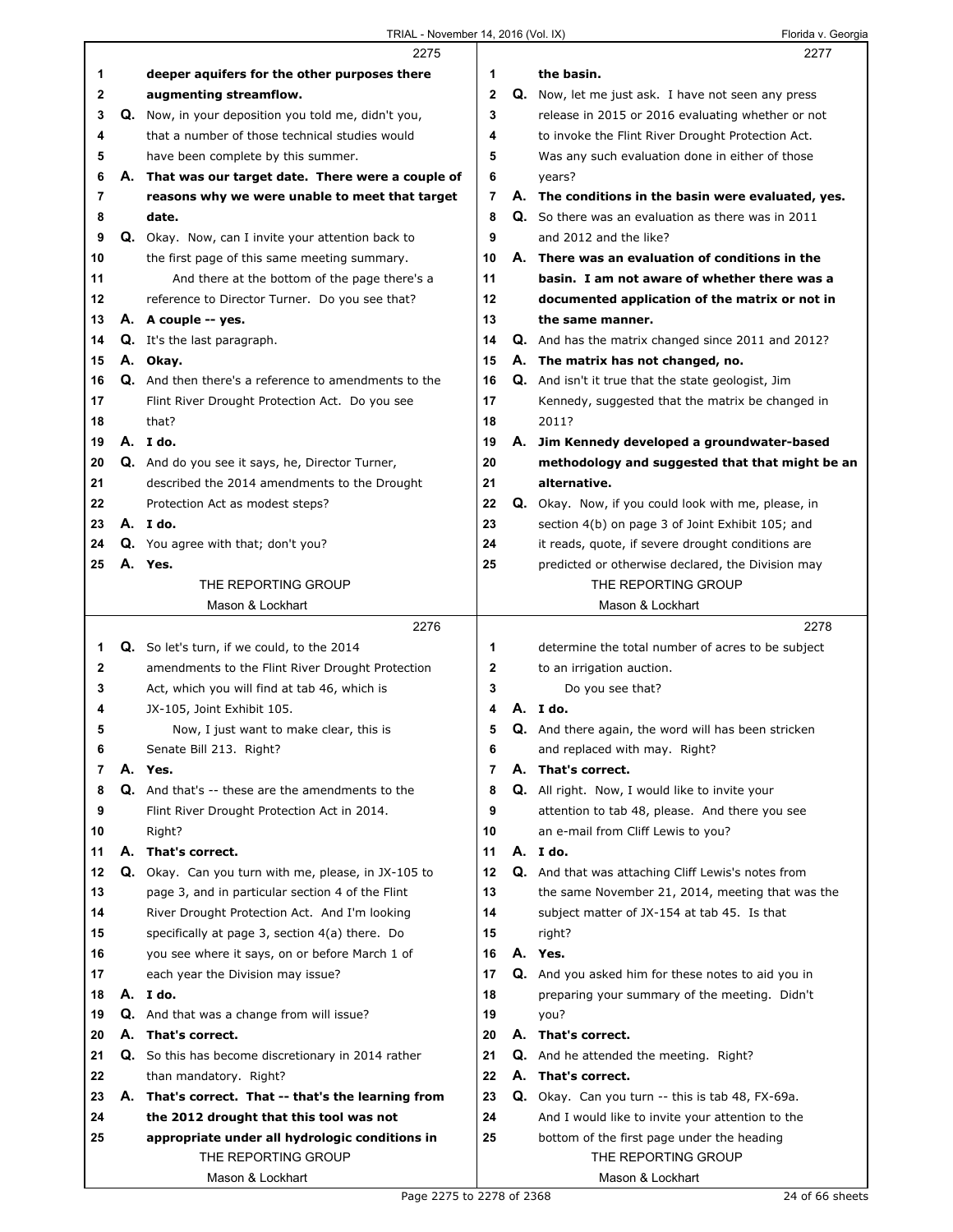$\Gamma$ 

|    |    | 2275                                                        |              | 2277                                                      |
|----|----|-------------------------------------------------------------|--------------|-----------------------------------------------------------|
| 1  |    | deeper aquifers for the other purposes there                | 1            | the basin.                                                |
| 2  |    | augmenting streamflow.                                      | $\mathbf 2$  | Q. Now, let me just ask. I have not seen any press        |
| 3  |    | Q. Now, in your deposition you told me, didn't you,         | 3            | release in 2015 or 2016 evaluating whether or not         |
| 4  |    | that a number of those technical studies would              | 4            | to invoke the Flint River Drought Protection Act.         |
| 5  |    | have been complete by this summer.                          | 5            | Was any such evaluation done in either of those           |
| 6  |    | A. That was our target date. There were a couple of         | 6            | years?                                                    |
| 7  |    | reasons why we were unable to meet that target              | 7            | A. The conditions in the basin were evaluated, yes.       |
| 8  |    | date.                                                       | 8            | Q. So there was an evaluation as there was in 2011        |
| 9  |    | Q. Okay. Now, can I invite your attention back to           | 9            | and 2012 and the like?                                    |
| 10 |    | the first page of this same meeting summary.                | 10           | A. There was an evaluation of conditions in the           |
| 11 |    | And there at the bottom of the page there's a               | 11           | basin. I am not aware of whether there was a              |
| 12 |    | reference to Director Turner. Do you see that?              | 12           | documented application of the matrix or not in            |
| 13 |    | A. A couple -- yes.                                         | 13           | the same manner.                                          |
| 14 |    | Q. It's the last paragraph.                                 | 14           | <b>Q.</b> And has the matrix changed since 2011 and 2012? |
| 15 |    | A. Okay.                                                    | 15           | A. The matrix has not changed, no.                        |
| 16 |    | <b>Q.</b> And then there's a reference to amendments to the | 16           | Q. And isn't it true that the state geologist, Jim        |
| 17 |    | Flint River Drought Protection Act. Do you see              | 17           | Kennedy, suggested that the matrix be changed in          |
| 18 |    | that?                                                       | 18           | 2011?                                                     |
| 19 |    | A. I do.                                                    | 19           | A. Jim Kennedy developed a groundwater-based              |
| 20 |    | Q. And do you see it says, he, Director Turner,             | 20           | methodology and suggested that that might be an           |
| 21 |    | described the 2014 amendments to the Drought                | 21           | alternative.                                              |
| 22 |    | Protection Act as modest steps?                             | 22           | Q. Okay. Now, if you could look with me, please, in       |
| 23 |    | A. Ido.                                                     | 23           | section 4(b) on page 3 of Joint Exhibit 105; and          |
| 24 |    | Q. You agree with that; don't you?                          | 24           | it reads, quote, if severe drought conditions are         |
| 25 |    | A. Yes.                                                     | 25           | predicted or otherwise declared, the Division may         |
|    |    | THE REPORTING GROUP                                         |              | THE REPORTING GROUP                                       |
|    |    | Mason & Lockhart                                            |              | Mason & Lockhart                                          |
|    |    | 2276                                                        |              | 2278                                                      |
| 1  |    | Q. So let's turn, if we could, to the 2014                  | 1            | determine the total number of acres to be subject         |
| 2  |    | amendments to the Flint River Drought Protection            | $\mathbf{2}$ | to an irrigation auction.                                 |
| 3  |    | Act, which you will find at tab 46, which is                | 3            | Do you see that?                                          |
| 4  |    | JX-105, Joint Exhibit 105.                                  | 4            | A.Ido.                                                    |
| 5  |    | Now, I just want to make clear, this is                     | 5            | Q. And there again, the word will has been stricken       |
| 6  |    | Senate Bill 213. Right?                                     | 6            | and replaced with may. Right?                             |
| 7  |    | A. Yes.                                                     | 7            | A. That's correct.                                        |
| 8  |    | <b>Q.</b> And that's -- these are the amendments to the     | 8            | Q. All right. Now, I would like to invite your            |
| 9  |    | Flint River Drought Protection Act in 2014.                 | 9            | attention to tab 48, please. And there you see            |
| 10 |    | Right?                                                      | 10           | an e-mail from Cliff Lewis to you?                        |
| 11 | А. | That's correct.                                             | 11           | A. I do.                                                  |
| 12 |    | Q. Okay. Can you turn with me, please, in JX-105 to         | 12           | Q. And that was attaching Cliff Lewis's notes from        |
| 13 |    | page 3, and in particular section 4 of the Flint            | 13           | the same November 21, 2014, meeting that was the          |
| 14 |    | River Drought Protection Act. And I'm looking               | 14           | subject matter of JX-154 at tab 45. Is that               |
| 15 |    | specifically at page 3, section 4(a) there. Do              | 15           | right?                                                    |
| 16 |    | you see where it says, on or before March 1 of              | 16           | A. Yes.                                                   |
| 17 |    | each year the Division may issue?                           | 17           | Q. And you asked him for these notes to aid you in        |
| 18 |    | A. I do.                                                    | 18           | preparing your summary of the meeting. Didn't             |
| 19 |    | <b>Q.</b> And that was a change from will issue?            | 19           | you?                                                      |
| 20 | А. | That's correct.                                             | 20           | A. That's correct.                                        |
| 21 | Q. | So this has become discretionary in 2014 rather             | 21           | <b>Q.</b> And he attended the meeting. Right?             |
| 22 |    | than mandatory. Right?                                      | 22           | A. That's correct.                                        |
| 23 |    | A. That's correct. That -- that's the learning from         | 23           | Q. Okay. Can you turn -- this is tab 48, FX-69a.          |
| 24 |    | the 2012 drought that this tool was not                     | 24           | And I would like to invite your attention to the          |
| 25 |    | appropriate under all hydrologic conditions in              | 25           | bottom of the first page under the heading                |
|    |    | THE REPORTING GROUP                                         |              | THE REPORTING GROUP                                       |
|    |    | Mason & Lockhart                                            |              | Mason & Lockhart                                          |
|    |    |                                                             |              |                                                           |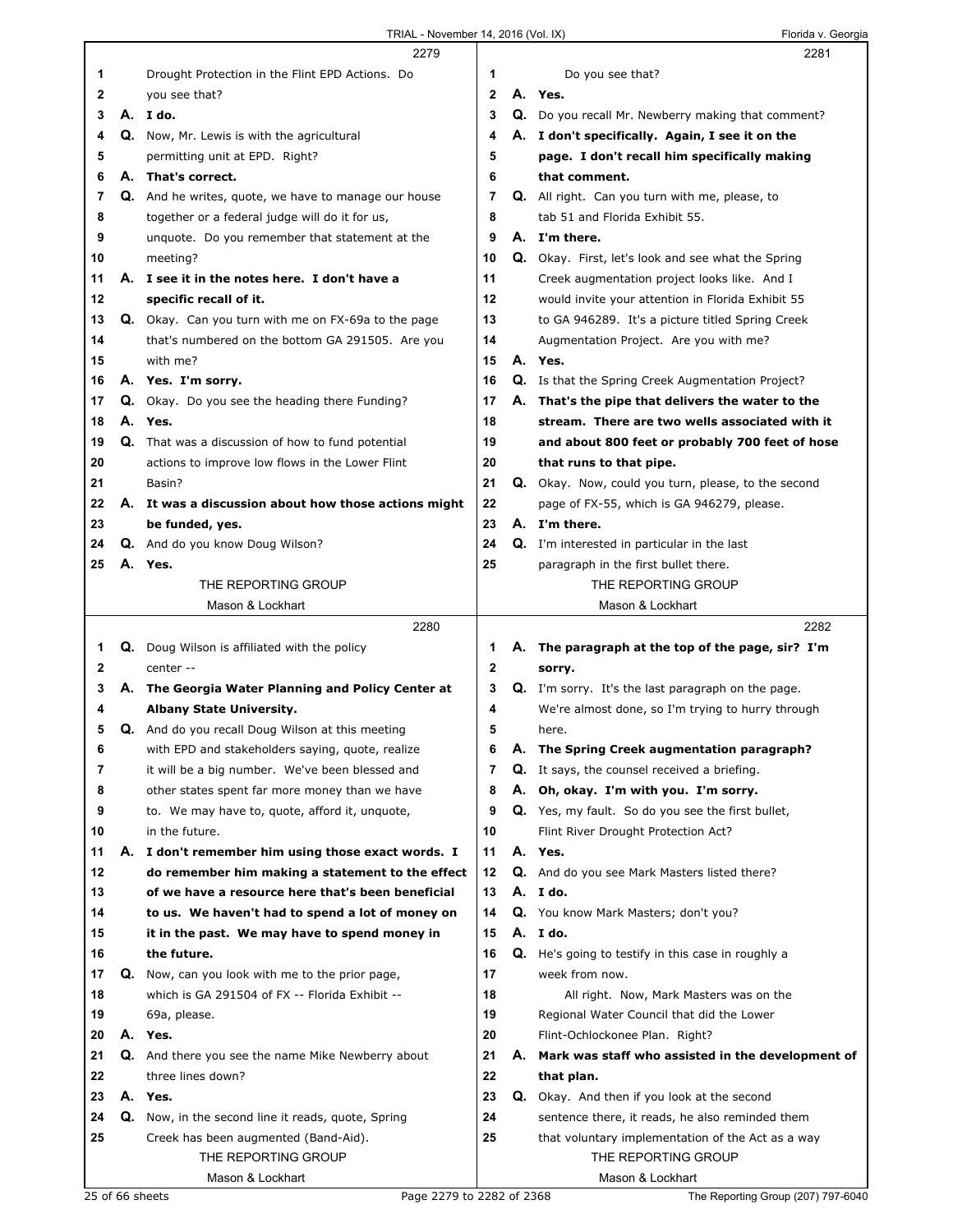|    |    | 2279                                                     |              | 2281                                                      |
|----|----|----------------------------------------------------------|--------------|-----------------------------------------------------------|
| 1  |    | Drought Protection in the Flint EPD Actions. Do          | 1            | Do you see that?                                          |
| 2  |    | you see that?                                            | $\mathbf{2}$ | A. Yes.                                                   |
| 3  |    | A. Ido.                                                  | 3            | Q. Do you recall Mr. Newberry making that comment?        |
| 4  |    | Q. Now, Mr. Lewis is with the agricultural               | 4            | A. I don't specifically. Again, I see it on the           |
| 5  |    | permitting unit at EPD. Right?                           | 5            | page. I don't recall him specifically making              |
| 6  |    | A. That's correct.                                       | 6            | that comment.                                             |
| 7  |    | Q. And he writes, quote, we have to manage our house     | 7            | Q. All right. Can you turn with me, please, to            |
| 8  |    | together or a federal judge will do it for us,           | 8            | tab 51 and Florida Exhibit 55.                            |
| 9  |    | unquote. Do you remember that statement at the           | 9            | A. I'm there.                                             |
| 10 |    | meeting?                                                 | 10           | Q. Okay. First, let's look and see what the Spring        |
| 11 |    | A. I see it in the notes here. I don't have a            | 11           | Creek augmentation project looks like. And I              |
| 12 |    | specific recall of it.                                   | 12           | would invite your attention in Florida Exhibit 55         |
| 13 |    | Q. Okay. Can you turn with me on FX-69a to the page      | 13           | to GA 946289. It's a picture titled Spring Creek          |
| 14 |    | that's numbered on the bottom GA 291505. Are you         | 14           | Augmentation Project. Are you with me?                    |
| 15 |    | with me?                                                 | 15           | A. Yes.                                                   |
| 16 |    | A. Yes. I'm sorry.                                       | 16           | <b>Q.</b> Is that the Spring Creek Augmentation Project?  |
| 17 |    | Q. Okay. Do you see the heading there Funding?           | 17           | A. That's the pipe that delivers the water to the         |
| 18 |    | A. Yes.                                                  | 18           | stream. There are two wells associated with it            |
| 19 |    | <b>Q.</b> That was a discussion of how to fund potential | 19           | and about 800 feet or probably 700 feet of hose           |
| 20 |    | actions to improve low flows in the Lower Flint          | 20           | that runs to that pipe.                                   |
| 21 |    | Basin?                                                   | 21           | Q. Okay. Now, could you turn, please, to the second       |
| 22 |    | A. It was a discussion about how those actions might     | 22           | page of FX-55, which is GA 946279, please.                |
| 23 |    | be funded, yes.                                          | 23           | A. I'm there.                                             |
| 24 |    | Q. And do you know Doug Wilson?                          | 24           | Q. I'm interested in particular in the last               |
| 25 |    | A. Yes.                                                  | 25           | paragraph in the first bullet there.                      |
|    |    | THE REPORTING GROUP                                      |              | THE REPORTING GROUP                                       |
|    |    | Mason & Lockhart                                         |              | Mason & Lockhart                                          |
|    |    |                                                          |              |                                                           |
|    |    | 2280                                                     |              | 2282                                                      |
| 1  |    | Q. Doug Wilson is affiliated with the policy             | 1            | A. The paragraph at the top of the page, sir? I'm         |
| 2  |    | center --                                                | $\mathbf 2$  | sorry.                                                    |
| 3  |    | A. The Georgia Water Planning and Policy Center at       | 3            | <b>Q.</b> I'm sorry. It's the last paragraph on the page. |
| 4  |    | <b>Albany State University.</b>                          | 4            | We're almost done, so I'm trying to hurry through         |
| 5  |    | <b>Q.</b> And do you recall Doug Wilson at this meeting  | 5            | here.                                                     |
| 6  |    | with EPD and stakeholders saying, quote, realize         | 6            | A. The Spring Creek augmentation paragraph?               |
| 7  |    | it will be a big number. We've been blessed and          | 7            | Q. It says, the counsel received a briefing.              |
| 8  |    | other states spent far more money than we have           | 8            | A. Oh, okay. I'm with you. I'm sorry.                     |
| 9  |    | to. We may have to, quote, afford it, unquote,           | 9            | Q. Yes, my fault. So do you see the first bullet,         |
| 10 |    | in the future.                                           | 10           | Flint River Drought Protection Act?                       |
| 11 |    | A. I don't remember him using those exact words. I       | 11           | A. Yes.                                                   |
| 12 |    | do remember him making a statement to the effect         | 12           | Q. And do you see Mark Masters listed there?              |
| 13 |    | of we have a resource here that's been beneficial        | 13           | A. I do.                                                  |
| 14 |    | to us. We haven't had to spend a lot of money on         | 14           | Q. You know Mark Masters; don't you?                      |
| 15 |    | it in the past. We may have to spend money in            | 15           | A. I do.                                                  |
| 16 |    | the future.                                              | 16           | Q. He's going to testify in this case in roughly a        |
| 17 |    | Q. Now, can you look with me to the prior page,          | 17           | week from now.                                            |
| 18 |    | which is GA 291504 of FX -- Florida Exhibit --           | 18           | All right. Now, Mark Masters was on the                   |
| 19 |    | 69a, please.                                             | 19           | Regional Water Council that did the Lower                 |
| 20 |    | A. Yes.                                                  | 20           | Flint-Ochlockonee Plan. Right?                            |
| 21 | Q. | And there you see the name Mike Newberry about           | 21           | A. Mark was staff who assisted in the development of      |
| 22 |    | three lines down?                                        | 22           | that plan.                                                |
| 23 |    | A. Yes.                                                  | 23           | Q. Okay. And then if you look at the second               |
| 24 | Q. | Now, in the second line it reads, quote, Spring          | 24           | sentence there, it reads, he also reminded them           |
| 25 |    | Creek has been augmented (Band-Aid).                     | 25           | that voluntary implementation of the Act as a way         |
|    |    | THE REPORTING GROUP                                      |              | THE REPORTING GROUP                                       |

25 of 66 sheets Page 2279 to 2282 of 2368 The Reporting Group (207) 797-6040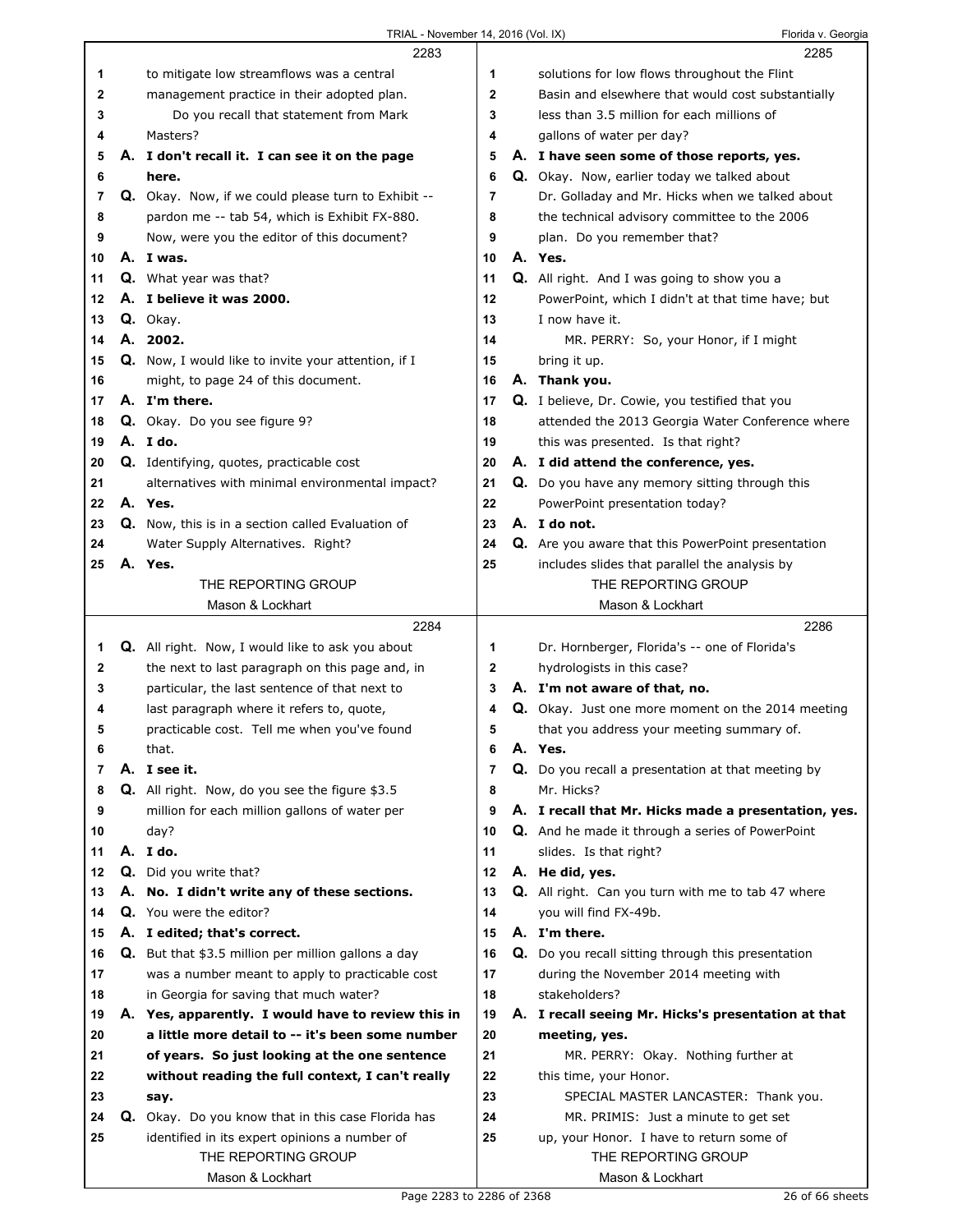|    | 2283                                                       |                | 2285                                                 |
|----|------------------------------------------------------------|----------------|------------------------------------------------------|
| 1  | to mitigate low streamflows was a central                  | 1              | solutions for low flows throughout the Flint         |
| 2  | management practice in their adopted plan.                 | $\mathbf{2}$   | Basin and elsewhere that would cost substantially    |
| 3  | Do you recall that statement from Mark                     | 3              | less than 3.5 million for each millions of           |
| 4  | Masters?                                                   | 4              | gallons of water per day?                            |
| 5  | A. I don't recall it. I can see it on the page             | 5              | A. I have seen some of those reports, yes.           |
| 6  | here.                                                      | 6              | Q. Okay. Now, earlier today we talked about          |
| 7  | Q. Okay. Now, if we could please turn to Exhibit --        | 7              | Dr. Golladay and Mr. Hicks when we talked about      |
|    |                                                            |                |                                                      |
| 8  | pardon me -- tab 54, which is Exhibit FX-880.              | 8              | the technical advisory committee to the 2006         |
| 9  | Now, were you the editor of this document?                 | 9              | plan. Do you remember that?                          |
| 10 | A. I was.                                                  | 10             | A. Yes.                                              |
| 11 | <b>Q.</b> What year was that?                              | 11             | <b>Q.</b> All right. And I was going to show you a   |
| 12 | A. I believe it was 2000.                                  | 12             | PowerPoint, which I didn't at that time have; but    |
| 13 | Q. Okay.                                                   | 13             | I now have it.                                       |
| 14 | A. 2002.                                                   | 14             | MR. PERRY: So, your Honor, if I might                |
| 15 | Q. Now, I would like to invite your attention, if I        | 15             | bring it up.                                         |
| 16 | might, to page 24 of this document.                        | 16             | A. Thank you.                                        |
| 17 | A. I'm there.                                              | 17             | Q. I believe, Dr. Cowie, you testified that you      |
| 18 | Q. Okay. Do you see figure 9?                              | 18             | attended the 2013 Georgia Water Conference where     |
| 19 | A. I do.                                                   | 19             | this was presented. Is that right?                   |
| 20 | Q. Identifying, quotes, practicable cost                   | 20             | A. I did attend the conference, yes.                 |
| 21 | alternatives with minimal environmental impact?            | 21             | Q. Do you have any memory sitting through this       |
| 22 | A. Yes.                                                    | 22             | PowerPoint presentation today?                       |
| 23 | Q. Now, this is in a section called Evaluation of          | 23             | A. I do not.                                         |
| 24 | Water Supply Alternatives. Right?                          | 24             | Q. Are you aware that this PowerPoint presentation   |
| 25 | A. Yes.                                                    | 25             | includes slides that parallel the analysis by        |
|    | THE REPORTING GROUP                                        |                | THE REPORTING GROUP                                  |
|    | Mason & Lockhart                                           |                | Mason & Lockhart                                     |
|    |                                                            |                |                                                      |
|    |                                                            |                |                                                      |
|    | 2284                                                       |                | 2286                                                 |
| 1  | <b>Q.</b> All right. Now, I would like to ask you about    | 1              | Dr. Hornberger, Florida's -- one of Florida's        |
| 2  | the next to last paragraph on this page and, in            | $\mathbf{2}$   | hydrologists in this case?                           |
| 3  | particular, the last sentence of that next to              | 3              | A. I'm not aware of that, no.                        |
| 4  | last paragraph where it refers to, quote,                  | 4              | Q. Okay. Just one more moment on the 2014 meeting    |
| 5  | practicable cost. Tell me when you've found                | 5              | that you address your meeting summary of.            |
| 6  | that.                                                      | 6              | A. Yes.                                              |
| 7  | A. I see it.                                               | $\overline{7}$ | Q. Do you recall a presentation at that meeting by   |
| 8  | Q. All right. Now, do you see the figure \$3.5             | 8              | Mr. Hicks?                                           |
| 9  | million for each million gallons of water per              | 9              | A. I recall that Mr. Hicks made a presentation, yes. |
| 10 | day?                                                       | 10             | Q. And he made it through a series of PowerPoint     |
| 11 | A. I do.                                                   | 11             | slides. Is that right?                               |
| 12 | Q. Did you write that?                                     | 12             | A. He did, yes.                                      |
| 13 | A. No. I didn't write any of these sections.               | 13             | Q. All right. Can you turn with me to tab 47 where   |
| 14 | Q. You were the editor?                                    | 14             | you will find FX-49b.                                |
| 15 | A. I edited; that's correct.                               | 15             | A. I'm there.                                        |
| 16 | <b>Q.</b> But that \$3.5 million per million gallons a day | 16             | Q. Do you recall sitting through this presentation   |
| 17 | was a number meant to apply to practicable cost            | 17             | during the November 2014 meeting with                |
| 18 | in Georgia for saving that much water?                     | 18             | stakeholders?                                        |
| 19 | A. Yes, apparently. I would have to review this in         | 19             | A. I recall seeing Mr. Hicks's presentation at that  |
| 20 | a little more detail to -- it's been some number           | 20             | meeting, yes.                                        |
| 21 | of years. So just looking at the one sentence              | 21             | MR. PERRY: Okay. Nothing further at                  |
| 22 | without reading the full context, I can't really           | 22             | this time, your Honor.                               |
| 23 | say.                                                       | 23             | SPECIAL MASTER LANCASTER: Thank you.                 |
| 24 | Q. Okay. Do you know that in this case Florida has         | 24             | MR. PRIMIS: Just a minute to get set                 |
| 25 | identified in its expert opinions a number of              | 25             | up, your Honor. I have to return some of             |
|    | THE REPORTING GROUP                                        |                | THE REPORTING GROUP                                  |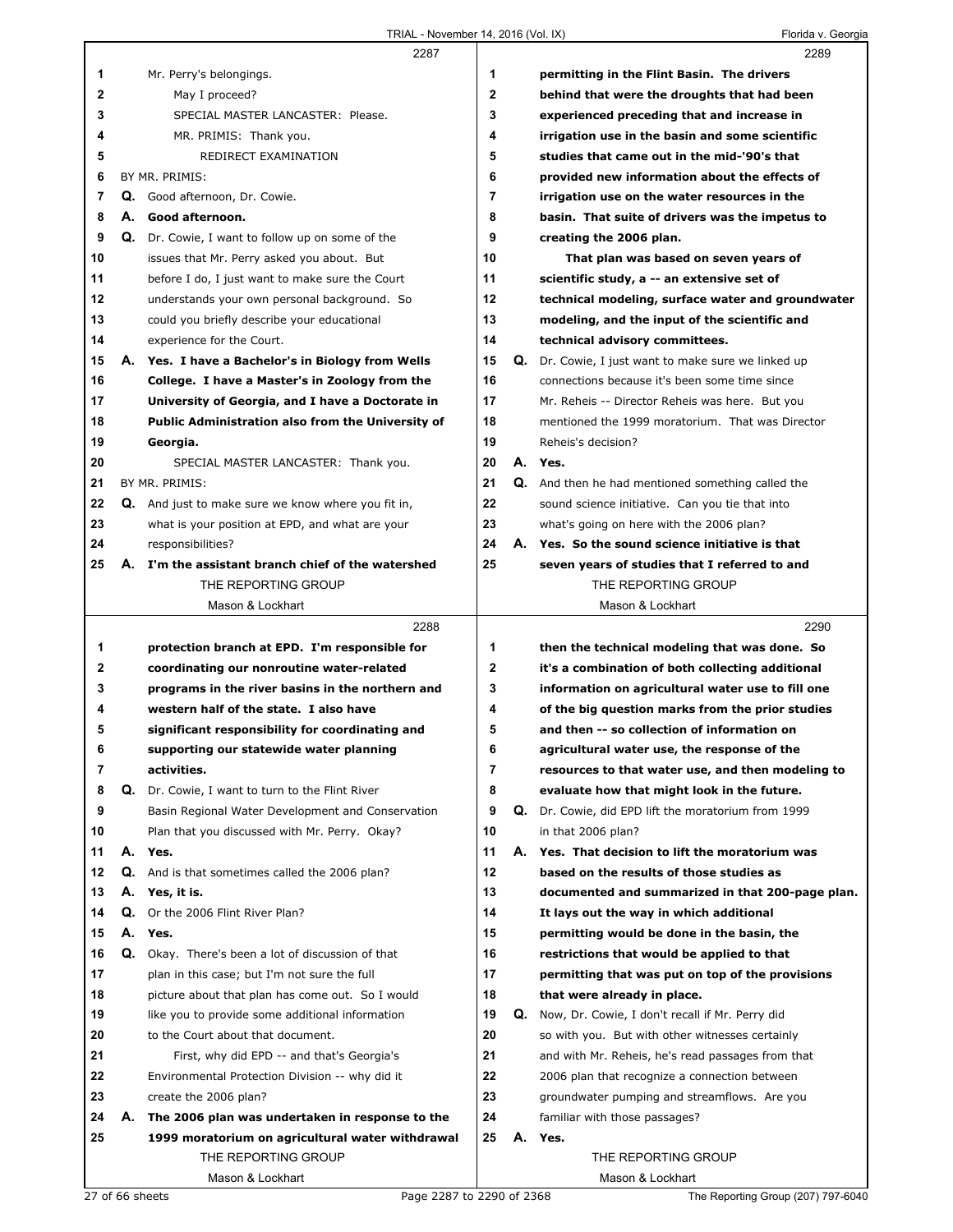|    |    | 2287                                               |              |    | 2289                                                       |
|----|----|----------------------------------------------------|--------------|----|------------------------------------------------------------|
| 1  |    | Mr. Perry's belongings.                            | 1            |    | permitting in the Flint Basin. The drivers                 |
| 2  |    | May I proceed?                                     | $\mathbf{2}$ |    | behind that were the droughts that had been                |
| 3  |    | SPECIAL MASTER LANCASTER: Please.                  | 3            |    | experienced preceding that and increase in                 |
| 4  |    | MR. PRIMIS: Thank you.                             | 4            |    | irrigation use in the basin and some scientific            |
| 5  |    | REDIRECT EXAMINATION                               | 5            |    | studies that came out in the mid-'90's that                |
| 6  |    | BY MR. PRIMIS:                                     | 6            |    | provided new information about the effects of              |
| 7  |    | Q. Good afternoon, Dr. Cowie.                      | 7            |    | irrigation use on the water resources in the               |
| 8  | А. | Good afternoon.                                    | 8            |    | basin. That suite of drivers was the impetus to            |
| 9  | Q. | Dr. Cowie, I want to follow up on some of the      | 9            |    | creating the 2006 plan.                                    |
| 10 |    | issues that Mr. Perry asked you about. But         | 10           |    | That plan was based on seven years of                      |
| 11 |    | before I do, I just want to make sure the Court    | 11           |    | scientific study, a -- an extensive set of                 |
| 12 |    | understands your own personal background. So       | 12           |    | technical modeling, surface water and groundwater          |
| 13 |    | could you briefly describe your educational        | 13           |    | modeling, and the input of the scientific and              |
| 14 |    | experience for the Court.                          | 14           |    | technical advisory committees.                             |
| 15 |    | A. Yes. I have a Bachelor's in Biology from Wells  | 15           |    | <b>Q.</b> Dr. Cowie, I just want to make sure we linked up |
| 16 |    | College. I have a Master's in Zoology from the     | 16           |    | connections because it's been some time since              |
| 17 |    | University of Georgia, and I have a Doctorate in   | 17           |    | Mr. Reheis -- Director Reheis was here. But you            |
| 18 |    | Public Administration also from the University of  | 18           |    | mentioned the 1999 moratorium. That was Director           |
| 19 |    | Georgia.                                           | 19           |    | Reheis's decision?                                         |
| 20 |    | SPECIAL MASTER LANCASTER: Thank you.               | 20           |    | A. Yes.                                                    |
| 21 |    | BY MR. PRIMIS:                                     | 21           |    | Q. And then he had mentioned something called the          |
| 22 |    | Q. And just to make sure we know where you fit in, | 22           |    | sound science initiative. Can you tie that into            |
| 23 |    | what is your position at EPD, and what are your    | 23           |    | what's going on here with the 2006 plan?                   |
| 24 |    | responsibilities?                                  | 24           |    | A. Yes. So the sound science initiative is that            |
| 25 |    | A. I'm the assistant branch chief of the watershed | 25           |    | seven years of studies that I referred to and              |
|    |    | THE REPORTING GROUP                                |              |    | THE REPORTING GROUP                                        |
|    |    | Mason & Lockhart                                   |              |    | Mason & Lockhart                                           |
|    |    |                                                    |              |    |                                                            |
|    |    | 2288                                               |              |    | 2290                                                       |
| 1  |    | protection branch at EPD. I'm responsible for      | 1            |    | then the technical modeling that was done. So              |
| 2  |    | coordinating our nonroutine water-related          | $\mathbf{2}$ |    | it's a combination of both collecting additional           |
| 3  |    | programs in the river basins in the northern and   | 3            |    | information on agricultural water use to fill one          |
| 4  |    | western half of the state. I also have             | 4            |    | of the big question marks from the prior studies           |
| 5  |    | significant responsibility for coordinating and    | 5            |    | and then -- so collection of information on                |
| 6  |    | supporting our statewide water planning            | 6            |    | agricultural water use, the response of the                |
| 7  |    | activities.                                        | 7            |    | resources to that water use, and then modeling to          |
| 8  | Q. | Dr. Cowie, I want to turn to the Flint River       | 8            |    | evaluate how that might look in the future.                |
| 9  |    | Basin Regional Water Development and Conservation  | 9            |    | Q. Dr. Cowie, did EPD lift the moratorium from 1999        |
| 10 |    | Plan that you discussed with Mr. Perry. Okay?      | 10           |    | in that 2006 plan?                                         |
| 11 | А. | Yes.                                               | 11           | А. | Yes. That decision to lift the moratorium was              |
| 12 | Q. | And is that sometimes called the 2006 plan?        | 12           |    | based on the results of those studies as                   |
| 13 | А. | Yes, it is.                                        | 13           |    | documented and summarized in that 200-page plan.           |
| 14 | Q. | Or the 2006 Flint River Plan?                      | 14           |    | It lays out the way in which additional                    |
| 15 | А. | Yes.                                               | 15           |    | permitting would be done in the basin, the                 |
| 16 | Q. | Okay. There's been a lot of discussion of that     | 16           |    | restrictions that would be applied to that                 |
| 17 |    | plan in this case; but I'm not sure the full       | 17           |    | permitting that was put on top of the provisions           |
| 18 |    | picture about that plan has come out. So I would   | 18           |    | that were already in place.                                |
| 19 |    | like you to provide some additional information    | 19           |    | Q. Now, Dr. Cowie, I don't recall if Mr. Perry did         |
| 20 |    | to the Court about that document.                  | 20           |    | so with you. But with other witnesses certainly            |
| 21 |    | First, why did EPD -- and that's Georgia's         | 21           |    | and with Mr. Reheis, he's read passages from that          |
| 22 |    | Environmental Protection Division -- why did it    | 22           |    | 2006 plan that recognize a connection between              |
| 23 |    | create the 2006 plan?                              | 23           |    | groundwater pumping and streamflows. Are you               |
| 24 | А. | The 2006 plan was undertaken in response to the    | 24           |    | familiar with those passages?                              |
| 25 |    | 1999 moratorium on agricultural water withdrawal   | 25           | А. | Yes.                                                       |
|    |    | THE REPORTING GROUP                                |              |    | THE REPORTING GROUP                                        |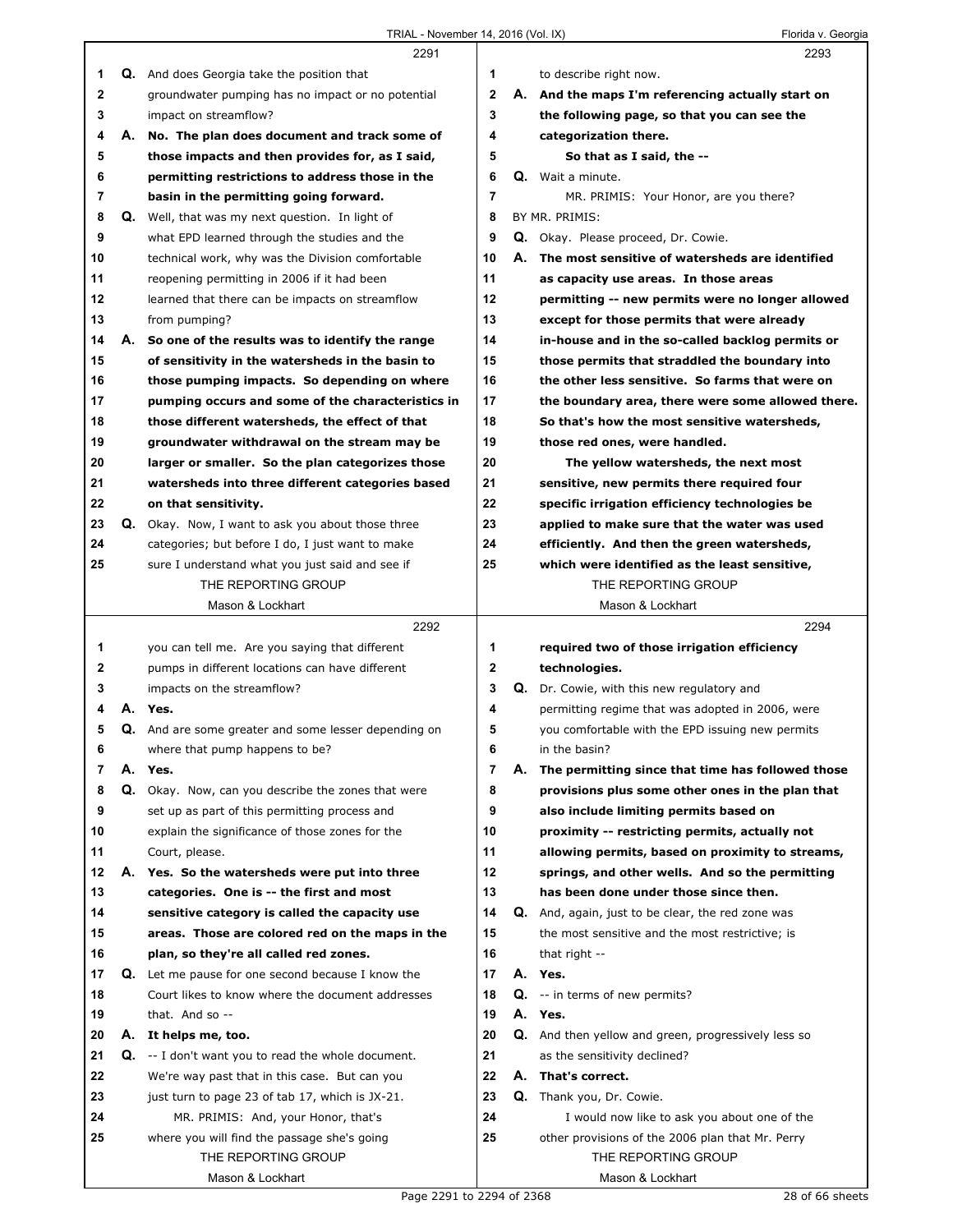|              |    | 2291                                                      |                |    | 2293                                              |
|--------------|----|-----------------------------------------------------------|----------------|----|---------------------------------------------------|
| 1            |    | <b>Q.</b> And does Georgia take the position that         | 1              |    | to describe right now.                            |
| $\mathbf 2$  |    | groundwater pumping has no impact or no potential         | $\mathbf{2}$   |    | A. And the maps I'm referencing actually start on |
| 3            |    | impact on streamflow?                                     | 3              |    | the following page, so that you can see the       |
| 4            |    | A. No. The plan does document and track some of           | 4              |    | categorization there.                             |
| 5            |    | those impacts and then provides for, as I said,           | 5              |    | So that as I said, the --                         |
| 6            |    | permitting restrictions to address those in the           | 6              |    | Q. Wait a minute.                                 |
| 7            |    | basin in the permitting going forward.                    | $\overline{7}$ |    | MR. PRIMIS: Your Honor, are you there?            |
| 8            |    | <b>Q.</b> Well, that was my next question. In light of    | 8              |    | BY MR. PRIMIS:                                    |
| 9            |    | what EPD learned through the studies and the              | 9              |    | <b>Q.</b> Okay. Please proceed, Dr. Cowie.        |
| 10           |    | technical work, why was the Division comfortable          | 10             | А. | The most sensitive of watersheds are identified   |
| 11           |    | reopening permitting in 2006 if it had been               | 11             |    | as capacity use areas. In those areas             |
| 12           |    | learned that there can be impacts on streamflow           | 12             |    | permitting -- new permits were no longer allowed  |
| 13           |    | from pumping?                                             | 13             |    | except for those permits that were already        |
| 14           | А. | So one of the results was to identify the range           | 14             |    | in-house and in the so-called backlog permits or  |
| 15           |    | of sensitivity in the watersheds in the basin to          | 15             |    | those permits that straddled the boundary into    |
| 16           |    | those pumping impacts. So depending on where              | 16             |    | the other less sensitive. So farms that were on   |
| 17           |    | pumping occurs and some of the characteristics in         | 17             |    | the boundary area, there were some allowed there. |
| 18           |    | those different watersheds, the effect of that            | 18             |    | So that's how the most sensitive watersheds,      |
| 19           |    | groundwater withdrawal on the stream may be               | 19             |    | those red ones, were handled.                     |
| 20           |    | larger or smaller. So the plan categorizes those          | 20             |    | The yellow watersheds, the next most              |
| 21           |    | watersheds into three different categories based          | 21             |    | sensitive, new permits there required four        |
| 22           |    | on that sensitivity.                                      | 22             |    | specific irrigation efficiency technologies be    |
| 23           |    | <b>Q.</b> Okay. Now, I want to ask you about those three  | 23             |    | applied to make sure that the water was used      |
| 24           |    |                                                           | 24             |    |                                                   |
|              |    | categories; but before I do, I just want to make          | 25             |    | efficiently. And then the green watersheds,       |
| 25           |    | sure I understand what you just said and see if           |                |    | which were identified as the least sensitive,     |
|              |    | THE REPORTING GROUP<br>Mason & Lockhart                   |                |    | THE REPORTING GROUP<br>Mason & Lockhart           |
|              |    |                                                           |                |    |                                                   |
|              |    |                                                           |                |    |                                                   |
|              |    | 2292                                                      |                |    | 2294                                              |
| 1            |    | you can tell me. Are you saying that different            | 1              |    | required two of those irrigation efficiency       |
| $\mathbf{2}$ |    | pumps in different locations can have different           | $\mathbf 2$    |    | technologies.                                     |
| 3            |    | impacts on the streamflow?                                | 3              |    | Q. Dr. Cowie, with this new regulatory and        |
| 4            | А. | Yes.                                                      | 4              |    | permitting regime that was adopted in 2006, were  |
| 5            |    | Q. And are some greater and some lesser depending on      | 5              |    | you comfortable with the EPD issuing new permits  |
| 6            |    | where that pump happens to be?                            | 6              |    | in the basin?                                     |
| 7            | А. | Yes.                                                      | 7              | А. | The permitting since that time has followed those |
| 8            |    | Q. Okay. Now, can you describe the zones that were        | 8              |    | provisions plus some other ones in the plan that  |
| 9            |    | set up as part of this permitting process and             | 9              |    | also include limiting permits based on            |
| 10           |    | explain the significance of those zones for the           | 10             |    | proximity -- restricting permits, actually not    |
| 11           |    | Court, please.                                            | 11             |    | allowing permits, based on proximity to streams,  |
| 12           |    | A. Yes. So the watersheds were put into three             | 12             |    | springs, and other wells. And so the permitting   |
| 13           |    | categories. One is -- the first and most                  | 13             |    | has been done under those since then.             |
| 14           |    | sensitive category is called the capacity use             | 14             |    | Q. And, again, just to be clear, the red zone was |
| 15           |    | areas. Those are colored red on the maps in the           | 15             |    | the most sensitive and the most restrictive; is   |
| 16           |    | plan, so they're all called red zones.                    | 16             |    | that right $-$                                    |
| 17           |    | <b>Q.</b> Let me pause for one second because I know the  | 17             |    | A. Yes.                                           |
| 18           |    | Court likes to know where the document addresses          | 18             |    | <b>Q.</b> -- in terms of new permits?             |
| 19           |    | that. And so $-$                                          | 19             |    | A. Yes.                                           |
| 20           | А. | It helps me, too.                                         | 20             | Q. | And then yellow and green, progressively less so  |
| 21           |    | <b>Q.</b> -- I don't want you to read the whole document. | 21             |    | as the sensitivity declined?                      |
| 22           |    | We're way past that in this case. But can you             | 22             |    | A. That's correct.                                |
| 23           |    | just turn to page 23 of tab 17, which is JX-21.           | 23             | Q. | Thank you, Dr. Cowie.                             |
| 24           |    | MR. PRIMIS: And, your Honor, that's                       | 24             |    | I would now like to ask you about one of the      |
| 25           |    | where you will find the passage she's going               | 25             |    | other provisions of the 2006 plan that Mr. Perry  |
|              |    | THE REPORTING GROUP<br>Mason & Lockhart                   |                |    | THE REPORTING GROUP<br>Mason & Lockhart           |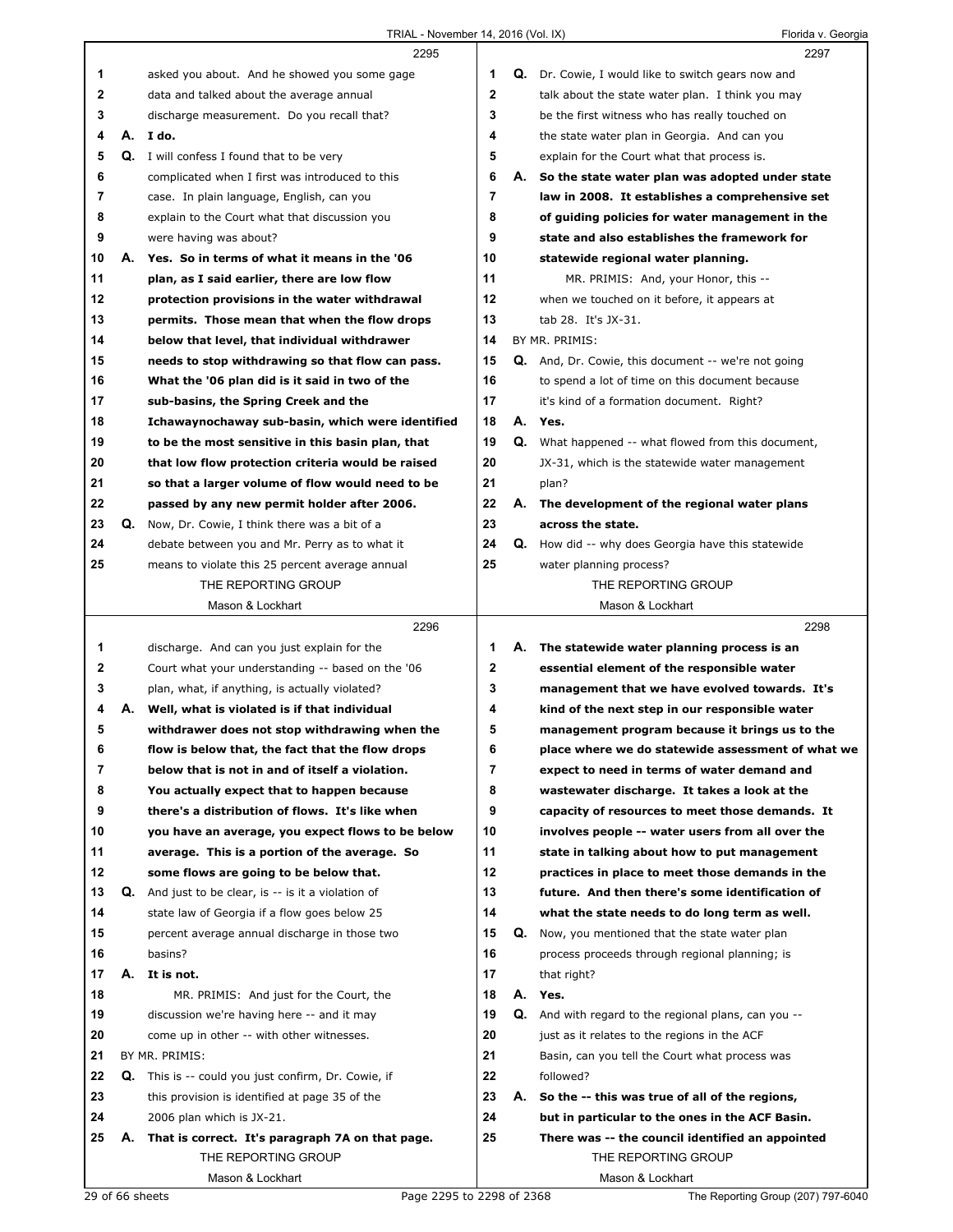|        |    | 2295                                                                                               |              | 2297                                                                                                    |
|--------|----|----------------------------------------------------------------------------------------------------|--------------|---------------------------------------------------------------------------------------------------------|
| 1      |    | asked you about. And he showed you some gage                                                       | 1            | <b>Q.</b> Dr. Cowie, I would like to switch gears now and                                               |
| 2      |    | data and talked about the average annual                                                           | $\mathbf{2}$ | talk about the state water plan. I think you may                                                        |
| 3      |    | discharge measurement. Do you recall that?                                                         | 3            | be the first witness who has really touched on                                                          |
| 4      |    | A. Ido.                                                                                            | 4            | the state water plan in Georgia. And can you                                                            |
| 5      |    | <b>Q.</b> I will confess I found that to be very                                                   | 5            | explain for the Court what that process is.                                                             |
| 6      |    | complicated when I first was introduced to this                                                    | 6            | A. So the state water plan was adopted under state                                                      |
| 7      |    | case. In plain language, English, can you                                                          | 7            | law in 2008. It establishes a comprehensive set                                                         |
| 8      |    | explain to the Court what that discussion you                                                      | 8            | of guiding policies for water management in the                                                         |
| 9      |    | were having was about?                                                                             | 9            | state and also establishes the framework for                                                            |
| 10     |    | A. Yes. So in terms of what it means in the '06                                                    | 10           | statewide regional water planning.                                                                      |
| 11     |    | plan, as I said earlier, there are low flow                                                        | 11           | MR. PRIMIS: And, your Honor, this --                                                                    |
| 12     |    | protection provisions in the water withdrawal                                                      | 12           | when we touched on it before, it appears at                                                             |
| 13     |    | permits. Those mean that when the flow drops                                                       | 13           | tab 28. It's JX-31.                                                                                     |
| 14     |    | below that level, that individual withdrawer                                                       | 14           | BY MR. PRIMIS:                                                                                          |
| 15     |    | needs to stop withdrawing so that flow can pass.                                                   | 15           | <b>Q.</b> And, Dr. Cowie, this document -- we're not going                                              |
| 16     |    | What the '06 plan did is it said in two of the                                                     | 16           | to spend a lot of time on this document because                                                         |
| 17     |    | sub-basins, the Spring Creek and the                                                               | 17           | it's kind of a formation document. Right?                                                               |
| 18     |    | Ichawaynochaway sub-basin, which were identified                                                   | 18           | A. Yes.                                                                                                 |
| 19     |    | to be the most sensitive in this basin plan, that                                                  | 19           | Q. What happened -- what flowed from this document,                                                     |
| 20     |    | that low flow protection criteria would be raised                                                  | 20           | JX-31, which is the statewide water management                                                          |
| 21     |    | so that a larger volume of flow would need to be                                                   | 21           | plan?                                                                                                   |
| 22     |    | passed by any new permit holder after 2006.                                                        | 22           | A. The development of the regional water plans                                                          |
| 23     | Q. | Now, Dr. Cowie, I think there was a bit of a                                                       | 23           | across the state.                                                                                       |
| 24     |    | debate between you and Mr. Perry as to what it                                                     | 24           | <b>Q.</b> How did -- why does Georgia have this statewide                                               |
| 25     |    | means to violate this 25 percent average annual                                                    | 25           | water planning process?                                                                                 |
|        |    | THE REPORTING GROUP                                                                                |              | THE REPORTING GROUP                                                                                     |
|        |    | Mason & Lockhart                                                                                   |              | Mason & Lockhart                                                                                        |
|        |    |                                                                                                    |              |                                                                                                         |
|        |    |                                                                                                    |              |                                                                                                         |
|        |    | 2296                                                                                               |              | 2298                                                                                                    |
| 1      |    | discharge. And can you just explain for the                                                        | 1            | A. The statewide water planning process is an                                                           |
| 2      |    | Court what your understanding -- based on the '06                                                  | 2            | essential element of the responsible water                                                              |
| 3<br>4 | А. | plan, what, if anything, is actually violated?                                                     | 3<br>4       | management that we have evolved towards. It's                                                           |
|        |    | Well, what is violated is if that individual                                                       |              | kind of the next step in our responsible water                                                          |
| 5<br>6 |    | withdrawer does not stop withdrawing when the                                                      | 5            | management program because it brings us to the<br>place where we do statewide assessment of what we     |
| 7      |    | flow is below that, the fact that the flow drops                                                   | 6<br>7       | expect to need in terms of water demand and                                                             |
|        |    | below that is not in and of itself a violation.                                                    | 8            |                                                                                                         |
| 8<br>9 |    | You actually expect that to happen because<br>there's a distribution of flows. It's like when      | 9            | wastewater discharge. It takes a look at the                                                            |
| 10     |    |                                                                                                    | 10           | capacity of resources to meet those demands. It<br>involves people -- water users from all over the     |
| 11     |    | you have an average, you expect flows to be below<br>average. This is a portion of the average. So | 11           |                                                                                                         |
| 12     |    | some flows are going to be below that.                                                             | 12           | state in talking about how to put management<br>practices in place to meet those demands in the         |
| 13     | Q. | And just to be clear, is -- is it a violation of                                                   | 13           | future. And then there's some identification of                                                         |
| 14     |    | state law of Georgia if a flow goes below 25                                                       | 14           |                                                                                                         |
| 15     |    | percent average annual discharge in those two                                                      | 15           | what the state needs to do long term as well.<br><b>Q.</b> Now, you mentioned that the state water plan |
| 16     |    | basins?                                                                                            | 16           | process proceeds through regional planning; is                                                          |
| 17     | А. | It is not.                                                                                         | 17           | that right?                                                                                             |
| 18     |    | MR. PRIMIS: And just for the Court, the                                                            | 18           | A. Yes.                                                                                                 |
| 19     |    | discussion we're having here -- and it may                                                         | 19           | Q. And with regard to the regional plans, can you --                                                    |
| 20     |    | come up in other -- with other witnesses.                                                          | 20           | just as it relates to the regions in the ACF                                                            |
| 21     |    | BY MR. PRIMIS:                                                                                     | 21           | Basin, can you tell the Court what process was                                                          |
| 22     |    | <b>Q.</b> This is -- could you just confirm, Dr. Cowie, if                                         | 22           | followed?                                                                                               |
| 23     |    | this provision is identified at page 35 of the                                                     | 23           | A. So the -- this was true of all of the regions,                                                       |
| 24     |    | 2006 plan which is JX-21.                                                                          | 24           | but in particular to the ones in the ACF Basin.                                                         |
| 25     |    | A. That is correct. It's paragraph 7A on that page.                                                | 25           | There was -- the council identified an appointed                                                        |
|        |    | THE REPORTING GROUP                                                                                |              | THE REPORTING GROUP                                                                                     |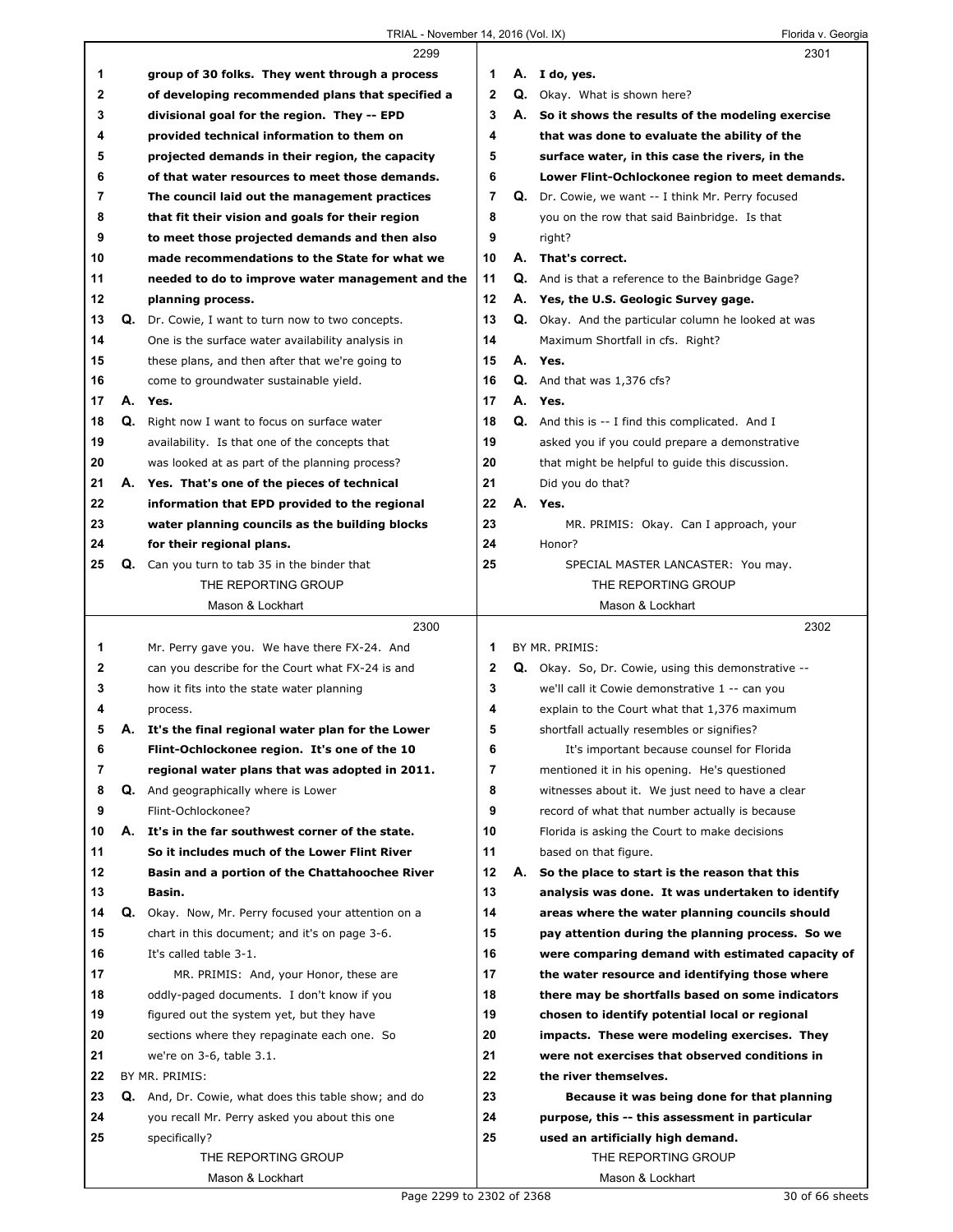Г

|    |    | 2299                                                     |              |    | 2301                                                       |
|----|----|----------------------------------------------------------|--------------|----|------------------------------------------------------------|
| 1  |    | group of 30 folks. They went through a process           | 1            |    | A. I do, yes.                                              |
| 2  |    | of developing recommended plans that specified a         | $\mathbf{2}$ |    | <b>Q.</b> Okay. What is shown here?                        |
| 3  |    | divisional goal for the region. They -- EPD              | 3            | А. | So it shows the results of the modeling exercise           |
| 4  |    | provided technical information to them on                | 4            |    | that was done to evaluate the ability of the               |
| 5  |    | projected demands in their region, the capacity          | 5            |    | surface water, in this case the rivers, in the             |
| 6  |    | of that water resources to meet those demands.           | 6            |    | Lower Flint-Ochlockonee region to meet demands.            |
| 7  |    | The council laid out the management practices            | 7            |    | <b>Q.</b> Dr. Cowie, we want -- I think Mr. Perry focused  |
| 8  |    | that fit their vision and goals for their region         | 8            |    | you on the row that said Bainbridge. Is that               |
| 9  |    | to meet those projected demands and then also            | 9            |    | right?                                                     |
| 10 |    | made recommendations to the State for what we            | 10           | А. | That's correct.                                            |
| 11 |    | needed to do to improve water management and the         | 11           |    | <b>Q.</b> And is that a reference to the Bainbridge Gage?  |
| 12 |    | planning process.                                        | 12           |    | A. Yes, the U.S. Geologic Survey gage.                     |
| 13 |    | <b>Q.</b> Dr. Cowie, I want to turn now to two concepts. | 13           |    | <b>Q.</b> Okay. And the particular column he looked at was |
| 14 |    | One is the surface water availability analysis in        | 14           |    | Maximum Shortfall in cfs. Right?                           |
| 15 |    | these plans, and then after that we're going to          | 15           |    | A. Yes.                                                    |
| 16 |    | come to groundwater sustainable yield.                   | 16           |    | $Q.$ And that was 1,376 cfs?                               |
| 17 | А. | Yes.                                                     | 17           |    | A. Yes.                                                    |
| 18 |    | Q. Right now I want to focus on surface water            | 18           |    | <b>Q.</b> And this is -- I find this complicated. And I    |
| 19 |    | availability. Is that one of the concepts that           | 19           |    | asked you if you could prepare a demonstrative             |
| 20 |    | was looked at as part of the planning process?           | 20           |    | that might be helpful to guide this discussion.            |
| 21 |    | A. Yes. That's one of the pieces of technical            | 21           |    | Did you do that?                                           |
| 22 |    | information that EPD provided to the regional            | 22           | А. | Yes.                                                       |
| 23 |    | water planning councils as the building blocks           | 23           |    | MR. PRIMIS: Okay. Can I approach, your                     |
| 24 |    | for their regional plans.                                | 24           |    | Honor?                                                     |
| 25 |    | Q. Can you turn to tab 35 in the binder that             | 25           |    | SPECIAL MASTER LANCASTER: You may.                         |
|    |    | THE REPORTING GROUP                                      |              |    | THE REPORTING GROUP                                        |
|    |    | Mason & Lockhart                                         |              |    | Mason & Lockhart                                           |
|    |    |                                                          |              |    |                                                            |
|    |    |                                                          |              |    |                                                            |
|    |    | 2300                                                     |              |    | 2302                                                       |
| 1  |    | Mr. Perry gave you. We have there FX-24. And             | 1            |    | BY MR. PRIMIS:                                             |
| 2  |    | can you describe for the Court what FX-24 is and         | 2            |    | <b>Q.</b> Okay. So, Dr. Cowie, using this demonstrative -- |
| 3  |    | how it fits into the state water planning                | 3            |    | we'll call it Cowie demonstrative 1 -- can you             |
| 4  |    | process.                                                 | 4            |    | explain to the Court what that 1,376 maximum               |
| 5  | А. | It's the final regional water plan for the Lower         | 5            |    | shortfall actually resembles or signifies?                 |
| ь  |    | Flint-Ochlockonee region. It's one of the 10             | 6            |    | It's important because counsel for Florida                 |
| 7  |    | regional water plans that was adopted in 2011.           | 7            |    | mentioned it in his opening. He's questioned               |
| 8  |    | <b>Q.</b> And geographically where is Lower              | 8            |    | witnesses about it. We just need to have a clear           |
| 9  |    | Flint-Ochlockonee?                                       | 9            |    | record of what that number actually is because             |
| 10 | А. | It's in the far southwest corner of the state.           | 10           |    | Florida is asking the Court to make decisions              |
| 11 |    | So it includes much of the Lower Flint River             | 11           |    | based on that figure.                                      |
| 12 |    | Basin and a portion of the Chattahoochee River           | 12           | А. | So the place to start is the reason that this              |
| 13 |    | Basin.                                                   | 13           |    | analysis was done. It was undertaken to identify           |
| 14 | Q. | Okay. Now, Mr. Perry focused your attention on a         | 14           |    | areas where the water planning councils should             |
| 15 |    | chart in this document; and it's on page 3-6.            | 15           |    | pay attention during the planning process. So we           |
| 16 |    | It's called table 3-1.                                   | 16           |    | were comparing demand with estimated capacity of           |
| 17 |    | MR. PRIMIS: And, your Honor, these are                   | 17           |    | the water resource and identifying those where             |
| 18 |    | oddly-paged documents. I don't know if you               | 18           |    | there may be shortfalls based on some indicators           |
| 19 |    | figured out the system yet, but they have                | 19           |    | chosen to identify potential local or regional             |
| 20 |    | sections where they repaginate each one. So              | 20           |    | impacts. These were modeling exercises. They               |
| 21 |    | we're on 3-6, table 3.1.                                 | 21           |    | were not exercises that observed conditions in             |
| 22 |    | BY MR. PRIMIS:                                           | 22           |    | the river themselves.                                      |
| 23 |    | Q. And, Dr. Cowie, what does this table show; and do     | 23           |    | Because it was being done for that planning                |
| 24 |    | you recall Mr. Perry asked you about this one            | 24           |    | purpose, this -- this assessment in particular             |
| 25 |    | specifically?                                            | 25           |    | used an artificially high demand.                          |
|    |    | THE REPORTING GROUP<br>Mason & Lockhart                  |              |    | THE REPORTING GROUP<br>Mason & Lockhart                    |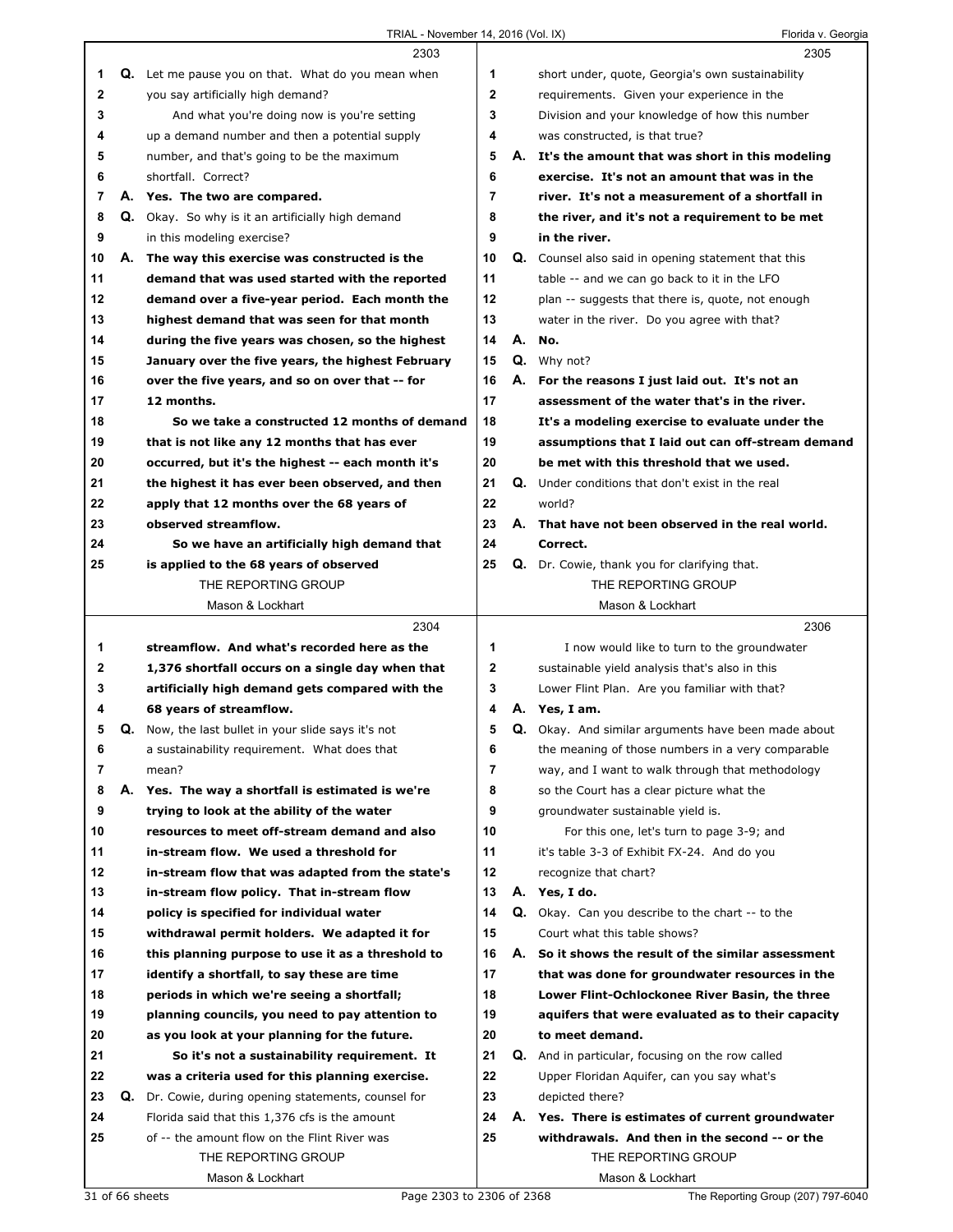|             |    | 2303                                                                                            |          |    | 2305                                                                           |
|-------------|----|-------------------------------------------------------------------------------------------------|----------|----|--------------------------------------------------------------------------------|
| 1           | Q. | Let me pause you on that. What do you mean when                                                 | 1        |    | short under, quote, Georgia's own sustainability                               |
| $\mathbf 2$ |    | you say artificially high demand?                                                               | 2        |    | requirements. Given your experience in the                                     |
| 3           |    | And what you're doing now is you're setting                                                     | 3        |    | Division and your knowledge of how this number                                 |
| 4           |    | up a demand number and then a potential supply                                                  | 4        |    | was constructed, is that true?                                                 |
| 5           |    | number, and that's going to be the maximum                                                      | 5        |    | A. It's the amount that was short in this modeling                             |
| 6           |    | shortfall. Correct?                                                                             | 6        |    | exercise. It's not an amount that was in the                                   |
| 7           |    | A. Yes. The two are compared.                                                                   | 7        |    | river. It's not a measurement of a shortfall in                                |
| 8           |    | Q. Okay. So why is it an artificially high demand                                               | 8        |    | the river, and it's not a requirement to be met                                |
| 9           |    | in this modeling exercise?                                                                      | 9        |    | in the river.                                                                  |
| 10          |    | A. The way this exercise was constructed is the                                                 | 10       |    | Q. Counsel also said in opening statement that this                            |
| 11          |    | demand that was used started with the reported                                                  | 11       |    | table -- and we can go back to it in the LFO                                   |
| 12          |    | demand over a five-year period. Each month the                                                  | 12       |    | plan -- suggests that there is, quote, not enough                              |
| 13          |    | highest demand that was seen for that month                                                     | 13       |    | water in the river. Do you agree with that?                                    |
| 14          |    | during the five years was chosen, so the highest                                                | 14       | А. | No.                                                                            |
| 15          |    | January over the five years, the highest February                                               | 15       |    | Q. Why not?                                                                    |
| 16          |    | over the five years, and so on over that -- for                                                 | 16       | А. | For the reasons I just laid out. It's not an                                   |
| 17          |    | 12 months.                                                                                      | 17       |    | assessment of the water that's in the river.                                   |
| 18          |    | So we take a constructed 12 months of demand                                                    | 18       |    | It's a modeling exercise to evaluate under the                                 |
| 19          |    | that is not like any 12 months that has ever                                                    | 19       |    | assumptions that I laid out can off-stream demand                              |
| 20          |    | occurred, but it's the highest -- each month it's                                               | 20       |    | be met with this threshold that we used.                                       |
| 21          |    | the highest it has ever been observed, and then                                                 | 21       | Q. | Under conditions that don't exist in the real                                  |
| 22          |    | apply that 12 months over the 68 years of                                                       | 22       |    | world?                                                                         |
| 23          |    | observed streamflow.                                                                            | 23       |    | A. That have not been observed in the real world.                              |
| 24          |    | So we have an artificially high demand that                                                     | 24       |    | Correct.                                                                       |
| 25          |    | is applied to the 68 years of observed                                                          | 25       |    | Q. Dr. Cowie, thank you for clarifying that.                                   |
|             |    | THE REPORTING GROUP                                                                             |          |    | THE REPORTING GROUP                                                            |
|             |    | Mason & Lockhart                                                                                |          |    | Mason & Lockhart                                                               |
|             |    | 2304                                                                                            |          |    | 2306                                                                           |
| 1           |    | streamflow. And what's recorded here as the                                                     | 1        |    | I now would like to turn to the groundwater                                    |
| 2           |    | 1,376 shortfall occurs on a single day when that                                                | 2        |    | sustainable yield analysis that's also in this                                 |
| 3           |    | artificially high demand gets compared with the                                                 | 3        |    | Lower Flint Plan. Are you familiar with that?                                  |
| 4           |    |                                                                                                 |          |    |                                                                                |
|             |    |                                                                                                 | 4        |    |                                                                                |
|             |    | 68 years of streamflow.                                                                         |          |    | A. Yes, I am.                                                                  |
| 5           | Q. | Now, the last bullet in your slide says it's not                                                | 5        |    | Q. Okay. And similar arguments have been made about                            |
| 6           |    | a sustainability requirement. What does that                                                    | 6        |    | the meaning of those numbers in a very comparable                              |
| 7           |    | mean?                                                                                           | 7        |    | way, and I want to walk through that methodology                               |
| 8<br>9      |    | A. Yes. The way a shortfall is estimated is we're<br>trying to look at the ability of the water | 8<br>9   |    | so the Court has a clear picture what the<br>groundwater sustainable yield is. |
| 10          |    | resources to meet off-stream demand and also                                                    | 10       |    |                                                                                |
|             |    | in-stream flow. We used a threshold for                                                         |          |    | For this one, let's turn to page 3-9; and                                      |
| 11<br>12    |    |                                                                                                 | 11<br>12 |    | it's table 3-3 of Exhibit FX-24. And do you<br>recognize that chart?           |
| 13          |    | in-stream flow that was adapted from the state's                                                | 13       |    |                                                                                |
| 14          |    | in-stream flow policy. That in-stream flow                                                      | 14       | Q. | A. Yes, I do.<br>Okay. Can you describe to the chart -- to the                 |
|             |    | policy is specified for individual water                                                        |          |    |                                                                                |
| 15          |    | withdrawal permit holders. We adapted it for                                                    | 15       |    | Court what this table shows?                                                   |
| 16<br>17    |    | this planning purpose to use it as a threshold to                                               | 16<br>17 |    | A. So it shows the result of the similar assessment                            |
|             |    | identify a shortfall, to say these are time                                                     |          |    | that was done for groundwater resources in the                                 |
| 18          |    | periods in which we're seeing a shortfall;                                                      | 18<br>19 |    | Lower Flint-Ochlockonee River Basin, the three                                 |
| 19          |    | planning councils, you need to pay attention to                                                 |          |    | aquifers that were evaluated as to their capacity                              |
| 20          |    | as you look at your planning for the future.                                                    | 20       |    | to meet demand.                                                                |
| 21          |    | So it's not a sustainability requirement. It                                                    | 21       |    | <b>Q.</b> And in particular, focusing on the row called                        |
| 22          |    | was a criteria used for this planning exercise.                                                 | 22       |    | Upper Floridan Aquifer, can you say what's                                     |
| 23          | Q. | Dr. Cowie, during opening statements, counsel for                                               | 23       |    | depicted there?                                                                |
| 24          |    | Florida said that this 1,376 cfs is the amount                                                  | 24       |    | A. Yes. There is estimates of current groundwater                              |
| 25          |    | of -- the amount flow on the Flint River was                                                    | 25       |    | withdrawals. And then in the second -- or the                                  |
|             |    | THE REPORTING GROUP<br>Mason & Lockhart                                                         |          |    | THE REPORTING GROUP<br>Mason & Lockhart                                        |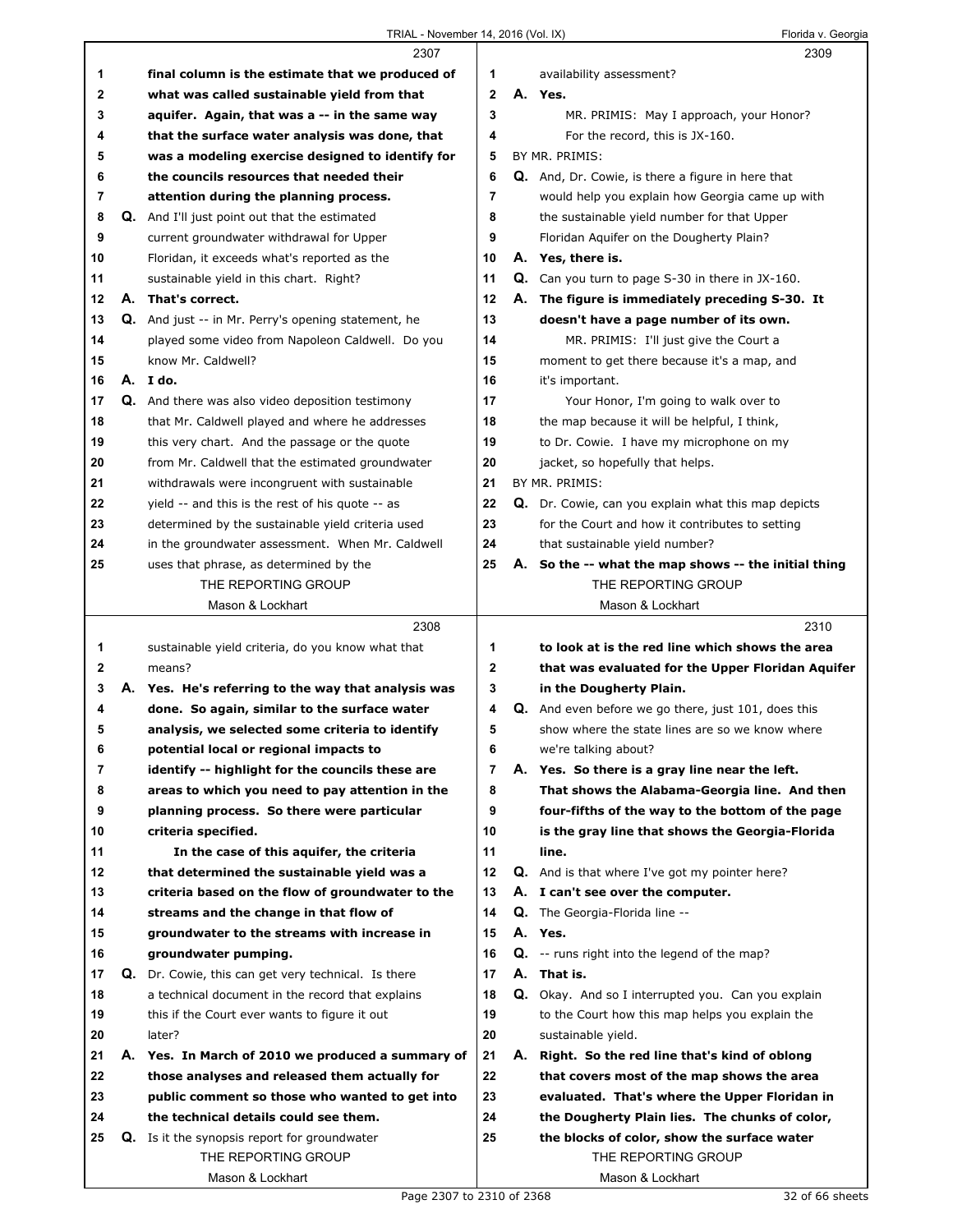|    | 2307                                                       |    | 2309                                                     |
|----|------------------------------------------------------------|----|----------------------------------------------------------|
| 1  | final column is the estimate that we produced of           | 1  | availability assessment?                                 |
| 2  | what was called sustainable yield from that                | 2  | A. Yes.                                                  |
| 3  | aquifer. Again, that was a -- in the same way              | 3  | MR. PRIMIS: May I approach, your Honor?                  |
| 4  | that the surface water analysis was done, that             | 4  | For the record, this is JX-160.                          |
| 5  | was a modeling exercise designed to identify for           | 5  | BY MR. PRIMIS:                                           |
| 6  | the councils resources that needed their                   | 6  | <b>Q.</b> And, Dr. Cowie, is there a figure in here that |
| 7  | attention during the planning process.                     | 7  | would help you explain how Georgia came up with          |
| 8  | <b>Q.</b> And I'll just point out that the estimated       | 8  | the sustainable yield number for that Upper              |
| 9  | current groundwater withdrawal for Upper                   | 9  | Floridan Aquifer on the Dougherty Plain?                 |
| 10 | Floridan, it exceeds what's reported as the                | 10 | A. Yes, there is.                                        |
| 11 | sustainable yield in this chart. Right?                    | 11 | $Q.$ Can you turn to page S-30 in there in JX-160.       |
| 12 | A. That's correct.                                         | 12 | A. The figure is immediately preceding S-30. It          |
| 13 | Q. And just -- in Mr. Perry's opening statement, he        | 13 | doesn't have a page number of its own.                   |
| 14 | played some video from Napoleon Caldwell. Do you           | 14 | MR. PRIMIS: I'll just give the Court a                   |
| 15 | know Mr. Caldwell?                                         | 15 | moment to get there because it's a map, and              |
| 16 | A. Ido.                                                    | 16 | it's important.                                          |
| 17 | Q. And there was also video deposition testimony           | 17 | Your Honor, I'm going to walk over to                    |
| 18 | that Mr. Caldwell played and where he addresses            | 18 | the map because it will be helpful, I think,             |
| 19 | this very chart. And the passage or the quote              | 19 | to Dr. Cowie. I have my microphone on my                 |
| 20 | from Mr. Caldwell that the estimated groundwater           | 20 | jacket, so hopefully that helps.                         |
| 21 | withdrawals were incongruent with sustainable              | 21 | BY MR. PRIMIS:                                           |
| 22 | yield -- and this is the rest of his quote -- as           | 22 | Q. Dr. Cowie, can you explain what this map depicts      |
| 23 | determined by the sustainable yield criteria used          | 23 | for the Court and how it contributes to setting          |
| 24 | in the groundwater assessment. When Mr. Caldwell           | 24 | that sustainable yield number?                           |
| 25 | uses that phrase, as determined by the                     | 25 | A. So the -- what the map shows -- the initial thing     |
|    | THE REPORTING GROUP                                        |    | THE REPORTING GROUP                                      |
|    | Mason & Lockhart                                           |    | Mason & Lockhart                                         |
|    |                                                            |    |                                                          |
|    |                                                            |    |                                                          |
|    | 2308                                                       |    | 2310                                                     |
| 1  | sustainable yield criteria, do you know what that          | 1  | to look at is the red line which shows the area          |
| 2  | means?                                                     | 2  | that was evaluated for the Upper Floridan Aquifer        |
| 3  | A. Yes. He's referring to the way that analysis was        | 3  | in the Dougherty Plain.                                  |
| 4  | done. So again, similar to the surface water               | 4  | Q. And even before we go there, just 101, does this      |
| 5  | analysis, we selected some criteria to identify            | 5  | show where the state lines are so we know where          |
| 6  | potential local or regional impacts to                     | 6  | we're talking about?                                     |
| 7  | identify -- highlight for the councils these are           | 7  | A. Yes. So there is a gray line near the left.           |
| 8  | areas to which you need to pay attention in the            | 8  | That shows the Alabama-Georgia line. And then            |
| 9  | planning process. So there were particular                 | 9  | four-fifths of the way to the bottom of the page         |
| 10 | criteria specified.                                        | 10 | is the gray line that shows the Georgia-Florida          |
| 11 | In the case of this aguifer, the criteria                  | 11 | line.                                                    |
| 12 | that determined the sustainable yield was a                | 12 | <b>Q.</b> And is that where I've got my pointer here?    |
| 13 | criteria based on the flow of groundwater to the           | 13 | A. I can't see over the computer.                        |
| 14 | streams and the change in that flow of                     | 14 | Q. The Georgia-Florida line --                           |
| 15 | groundwater to the streams with increase in                | 15 | A. Yes.                                                  |
| 16 | groundwater pumping.                                       | 16 | <b>Q.</b> -- runs right into the legend of the map?      |
| 17 | <b>Q.</b> Dr. Cowie, this can get very technical. Is there | 17 | A. That is.                                              |
| 18 | a technical document in the record that explains           | 18 | Q. Okay. And so I interrupted you. Can you explain       |
| 19 | this if the Court ever wants to figure it out              | 19 | to the Court how this map helps you explain the          |
| 20 | later?                                                     | 20 | sustainable yield.                                       |
| 21 | A. Yes. In March of 2010 we produced a summary of          | 21 | A. Right. So the red line that's kind of oblong          |
| 22 | those analyses and released them actually for              | 22 | that covers most of the map shows the area               |
| 23 | public comment so those who wanted to get into             | 23 | evaluated. That's where the Upper Floridan in            |
| 24 | the technical details could see them.                      | 24 | the Dougherty Plain lies. The chunks of color,           |
| 25 | <b>Q.</b> Is it the synopsis report for groundwater        | 25 | the blocks of color, show the surface water              |
|    | THE REPORTING GROUP                                        |    | THE REPORTING GROUP                                      |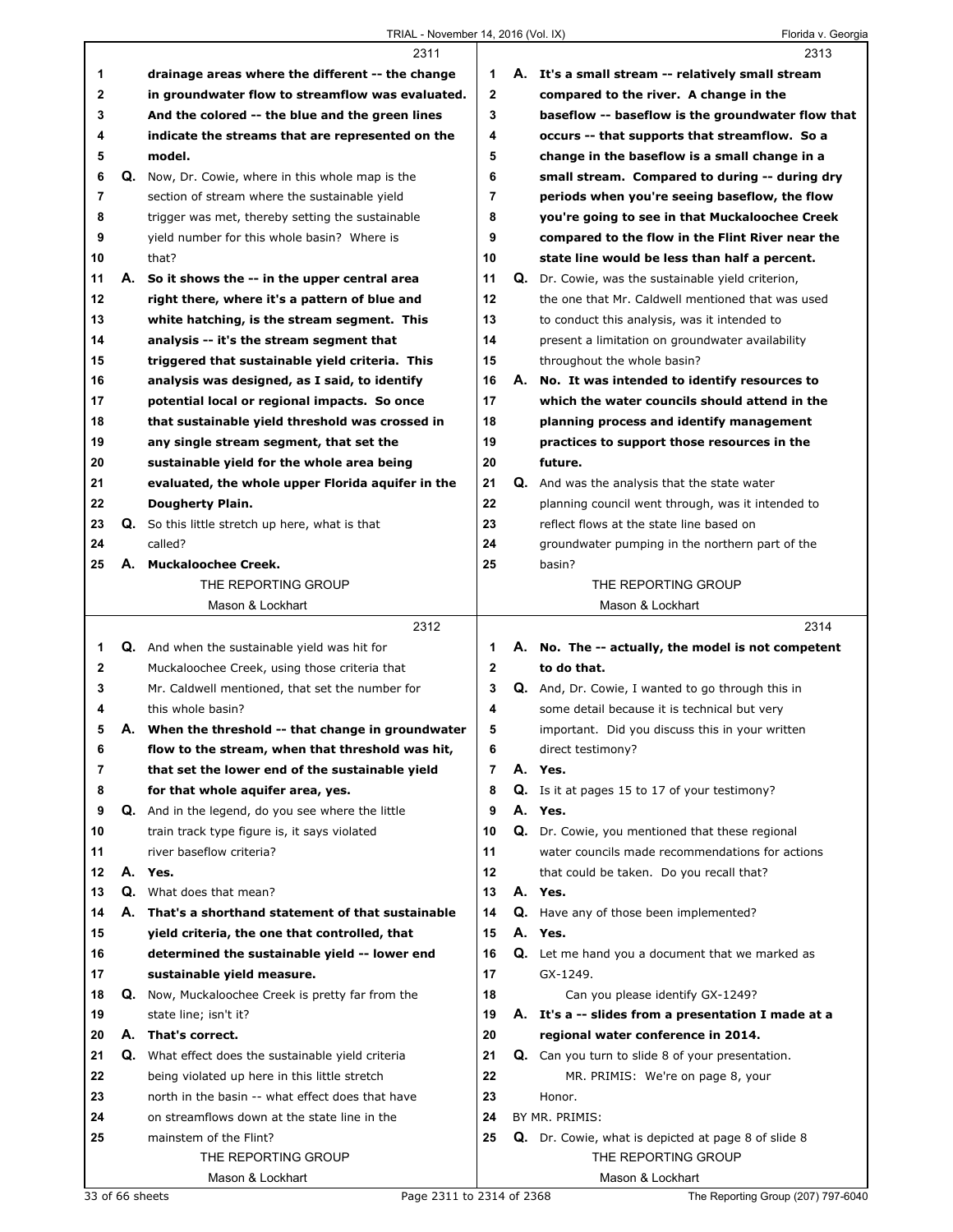|              |    | 2311                                                     |                |    | 2313                                                     |
|--------------|----|----------------------------------------------------------|----------------|----|----------------------------------------------------------|
| 1            |    | drainage areas where the different -- the change         | 1              |    | A. It's a small stream -- relatively small stream        |
| $\mathbf{2}$ |    | in groundwater flow to streamflow was evaluated.         | $\mathbf{2}$   |    | compared to the river. A change in the                   |
| 3            |    | And the colored -- the blue and the green lines          | 3              |    | baseflow -- baseflow is the groundwater flow that        |
| 4            |    | indicate the streams that are represented on the         | 4              |    | occurs -- that supports that streamflow. So a            |
| 5            |    | model.                                                   | 5              |    | change in the baseflow is a small change in a            |
| 6            |    | <b>Q.</b> Now, Dr. Cowie, where in this whole map is the | 6              |    | small stream. Compared to during -- during dry           |
| 7            |    | section of stream where the sustainable yield            | $\overline{7}$ |    | periods when you're seeing baseflow, the flow            |
| 8            |    | trigger was met, thereby setting the sustainable         | 8              |    | you're going to see in that Muckaloochee Creek           |
| 9            |    | yield number for this whole basin? Where is              | 9              |    | compared to the flow in the Flint River near the         |
| 10           |    | that?                                                    | 10             |    | state line would be less than half a percent.            |
| 11           | А. | So it shows the -- in the upper central area             | 11             | Q. | Dr. Cowie, was the sustainable yield criterion,          |
| 12           |    | right there, where it's a pattern of blue and            | 12             |    | the one that Mr. Caldwell mentioned that was used        |
| 13           |    | white hatching, is the stream segment. This              | 13             |    | to conduct this analysis, was it intended to             |
| 14           |    | analysis -- it's the stream segment that                 | 14             |    | present a limitation on groundwater availability         |
| 15           |    | triggered that sustainable yield criteria. This          | 15             |    | throughout the whole basin?                              |
| 16           |    | analysis was designed, as I said, to identify            | 16             | А. | No. It was intended to identify resources to             |
| 17           |    | potential local or regional impacts. So once             | 17             |    | which the water councils should attend in the            |
| 18           |    | that sustainable yield threshold was crossed in          | 18             |    | planning process and identify management                 |
| 19           |    | any single stream segment, that set the                  | 19             |    | practices to support those resources in the              |
| 20           |    | sustainable yield for the whole area being               | 20             |    | future.                                                  |
| 21           |    | evaluated, the whole upper Florida aquifer in the        | 21             |    | Q. And was the analysis that the state water             |
| 22           |    | Dougherty Plain.                                         | 22             |    | planning council went through, was it intended to        |
| 23           |    | Q. So this little stretch up here, what is that          | 23             |    | reflect flows at the state line based on                 |
| 24           |    | called?                                                  | 24             |    | groundwater pumping in the northern part of the          |
| 25           |    | A. Muckaloochee Creek.                                   | 25             |    | basin?                                                   |
|              |    | THE REPORTING GROUP                                      |                |    | THE REPORTING GROUP                                      |
|              |    | Mason & Lockhart                                         |                |    | Mason & Lockhart                                         |
|              |    |                                                          |                |    |                                                          |
|              |    |                                                          |                |    |                                                          |
|              |    | 2312                                                     |                |    | 2314                                                     |
| 1            |    | <b>Q.</b> And when the sustainable yield was hit for     | 1              |    | A. No. The -- actually, the model is not competent       |
| 2            |    | Muckaloochee Creek, using those criteria that            | $\mathbf{2}$   |    | to do that.                                              |
| 3<br>4       |    | Mr. Caldwell mentioned, that set the number for          | 3<br>4         |    | <b>Q.</b> And, Dr. Cowie, I wanted to go through this in |
|              |    | this whole basin?                                        |                |    | some detail because it is technical but very             |
| 5            |    | A. When the threshold -- that change in groundwater      | 5              |    | important. Did you discuss this in your written          |
| 6            |    | flow to the stream, when that threshold was hit,         | 6              |    | direct testimony?                                        |
| 7            |    | that set the lower end of the sustainable yield          | 7              |    | A. Yes.                                                  |
| 8            |    | for that whole aquifer area, yes.                        | 8              |    | Q. Is it at pages 15 to 17 of your testimony?            |
| 9            |    | Q. And in the legend, do you see where the little        | 9              |    | A. Yes.                                                  |
| 10           |    | train track type figure is, it says violated             | 10             | Q. | Dr. Cowie, you mentioned that these regional             |
| 11           |    | river baseflow criteria?                                 | 11             |    | water councils made recommendations for actions          |
| 12           | А. | Yes.                                                     | 12             |    | that could be taken. Do you recall that?                 |
| 13           | Q. | What does that mean?                                     | 13             |    | A. Yes.                                                  |
| 14           | А. | That's a shorthand statement of that sustainable         | 14             |    | <b>Q.</b> Have any of those been implemented?            |
| 15           |    | yield criteria, the one that controlled, that            | 15             |    | A. Yes.                                                  |
| 16           |    | determined the sustainable yield -- lower end            | 16             |    | <b>Q.</b> Let me hand you a document that we marked as   |
| 17           |    | sustainable yield measure.                               | 17             |    | GX-1249.                                                 |
| 18           |    | Q. Now, Muckaloochee Creek is pretty far from the        | 18             |    | Can you please identify GX-1249?                         |
| 19           |    | state line; isn't it?                                    | 19             |    | A. It's a -- slides from a presentation I made at a      |
| 20           |    | A. That's correct.                                       | 20             |    | regional water conference in 2014.                       |
| 21           | Q. | What effect does the sustainable yield criteria          | 21             |    | Q. Can you turn to slide 8 of your presentation.         |
| 22           |    | being violated up here in this little stretch            | 22             |    | MR. PRIMIS: We're on page 8, your                        |
| 23           |    | north in the basin -- what effect does that have         | 23             |    | Honor.                                                   |
| 24           |    | on streamflows down at the state line in the             | 24             |    | BY MR. PRIMIS:                                           |
| 25           |    | mainstem of the Flint?                                   | 25             |    | Q. Dr. Cowie, what is depicted at page 8 of slide 8      |
|              |    | THE REPORTING GROUP<br>Mason & Lockhart                  |                |    | THE REPORTING GROUP<br>Mason & Lockhart                  |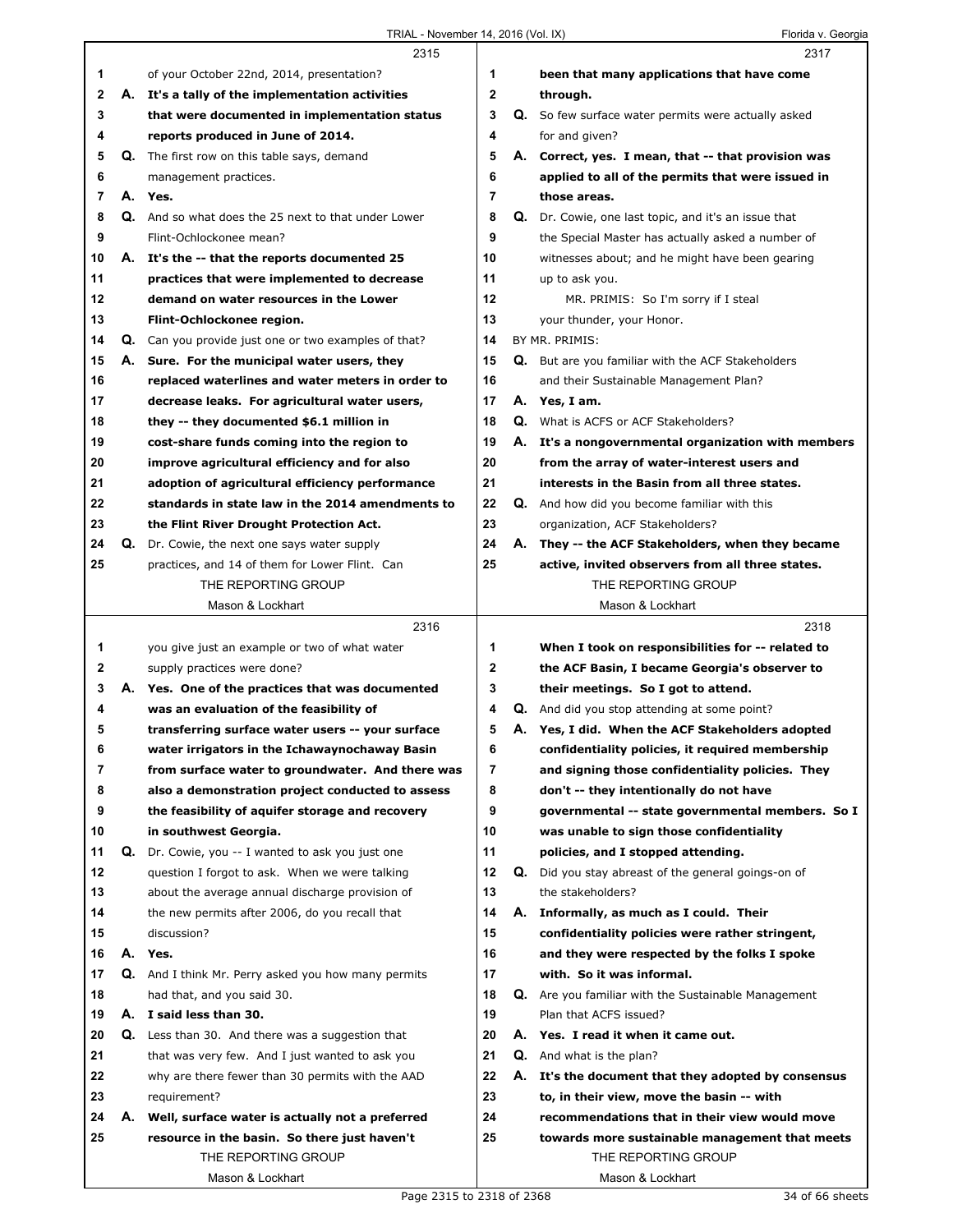|    |    | 2315                                                    |              |    | 2317                                                 |
|----|----|---------------------------------------------------------|--------------|----|------------------------------------------------------|
| 1  |    | of your October 22nd, 2014, presentation?               | 1            |    | been that many applications that have come           |
| 2  |    | A. It's a tally of the implementation activities        | $\mathbf{2}$ |    | through.                                             |
| 3  |    | that were documented in implementation status           | 3            |    | Q. So few surface water permits were actually asked  |
| 4  |    | reports produced in June of 2014.                       | 4            |    | for and given?                                       |
| 5  | Q. | The first row on this table says, demand                | 5            |    | A. Correct, yes. I mean, that -- that provision was  |
| 6  |    | management practices.                                   | 6            |    | applied to all of the permits that were issued in    |
| 7  |    | A. Yes.                                                 | 7            |    | those areas.                                         |
| 8  |    | Q. And so what does the 25 next to that under Lower     | 8            |    | Q. Dr. Cowie, one last topic, and it's an issue that |
| 9  |    | Flint-Ochlockonee mean?                                 | 9            |    | the Special Master has actually asked a number of    |
| 10 |    | A. It's the -- that the reports documented 25           | 10           |    | witnesses about; and he might have been gearing      |
| 11 |    | practices that were implemented to decrease             | 11           |    | up to ask you.                                       |
| 12 |    | demand on water resources in the Lower                  | 12           |    | MR. PRIMIS: So I'm sorry if I steal                  |
| 13 |    | Flint-Ochlockonee region.                               | 13           |    | your thunder, your Honor.                            |
| 14 |    | Q. Can you provide just one or two examples of that?    | 14           |    | BY MR. PRIMIS:                                       |
| 15 |    | A. Sure. For the municipal water users, they            | 15           |    | Q. But are you familiar with the ACF Stakeholders    |
| 16 |    | replaced waterlines and water meters in order to        | 16           |    | and their Sustainable Management Plan?               |
| 17 |    | decrease leaks. For agricultural water users,           | 17           |    | A. Yes, I am.                                        |
| 18 |    | they -- they documented \$6.1 million in                | 18           |    | <b>Q.</b> What is ACFS or ACF Stakeholders?          |
| 19 |    | cost-share funds coming into the region to              | 19           |    | A. It's a nongovernmental organization with members  |
| 20 |    | improve agricultural efficiency and for also            | 20           |    | from the array of water-interest users and           |
| 21 |    | adoption of agricultural efficiency performance         | 21           |    | interests in the Basin from all three states.        |
| 22 |    | standards in state law in the 2014 amendments to        | 22           |    | <b>Q.</b> And how did you become familiar with this  |
| 23 |    | the Flint River Drought Protection Act.                 | 23           |    | organization, ACF Stakeholders?                      |
| 24 | Q. | Dr. Cowie, the next one says water supply               | 24           | А. | They -- the ACF Stakeholders, when they became       |
| 25 |    | practices, and 14 of them for Lower Flint. Can          | 25           |    | active, invited observers from all three states.     |
|    |    | THE REPORTING GROUP                                     |              |    | THE REPORTING GROUP                                  |
|    |    | Mason & Lockhart                                        |              |    | Mason & Lockhart                                     |
|    |    |                                                         |              |    |                                                      |
|    |    | 2316                                                    |              |    | 2318                                                 |
| 1  |    | you give just an example or two of what water           | 1            |    | When I took on responsibilities for -- related to    |
| 2  |    | supply practices were done?                             | 2            |    | the ACF Basin, I became Georgia's observer to        |
| 3  |    | A. Yes. One of the practices that was documented        | 3            |    | their meetings. So I got to attend.                  |
| 4  |    | was an evaluation of the feasibility of                 | 4            |    | <b>Q.</b> And did you stop attending at some point?  |
| 5  |    | transferring surface water users -- your surface        | 5            |    | A. Yes, I did. When the ACF Stakeholders adopted     |
| 6  |    | water irrigators in the Ichawaynochaway Basin           | 6            |    | confidentiality policies, it required membership     |
| 7  |    | from surface water to groundwater. And there was        | 7            |    | and signing those confidentiality policies. They     |
| 8  |    | also a demonstration project conducted to assess        | 8            |    | don't -- they intentionally do not have              |
| 9  |    | the feasibility of aquifer storage and recovery         | 9            |    | governmental -- state governmental members. So I     |
| 10 |    | in southwest Georgia.                                   | 10           |    | was unable to sign those confidentiality             |
| 11 | Q. | Dr. Cowie, you -- I wanted to ask you just one          | 11           |    | policies, and I stopped attending.                   |
| 12 |    | question I forgot to ask. When we were talking          | 12           | Q. | Did you stay abreast of the general goings-on of     |
| 13 |    | about the average annual discharge provision of         | 13           |    | the stakeholders?                                    |
| 14 |    | the new permits after 2006, do you recall that          | 14           |    | A. Informally, as much as I could. Their             |
| 15 |    | discussion?                                             | 15           |    | confidentiality policies were rather stringent,      |
| 16 |    | A. Yes.                                                 | 16           |    | and they were respected by the folks I spoke         |
| 17 |    | Q. And I think Mr. Perry asked you how many permits     | 17           |    | with. So it was informal.                            |
| 18 |    | had that, and you said 30.                              | 18           | Q. | Are you familiar with the Sustainable Management     |
| 19 |    | A. I said less than 30.                                 | 19           |    | Plan that ACFS issued?                               |
| 20 |    | <b>Q.</b> Less than 30. And there was a suggestion that | 20           |    | A. Yes. I read it when it came out.                  |
| 21 |    | that was very few. And I just wanted to ask you         | 21           |    | <b>Q.</b> And what is the plan?                      |
| 22 |    | why are there fewer than 30 permits with the AAD        | 22           | А. | It's the document that they adopted by consensus     |
| 23 |    | requirement?                                            | 23           |    | to, in their view, move the basin -- with            |
| 24 |    | A. Well, surface water is actually not a preferred      | 24           |    | recommendations that in their view would move        |
| 25 |    | resource in the basin. So there just haven't            | 25           |    | towards more sustainable management that meets       |
|    |    | THE REPORTING GROUP                                     |              |    | THE REPORTING GROUP                                  |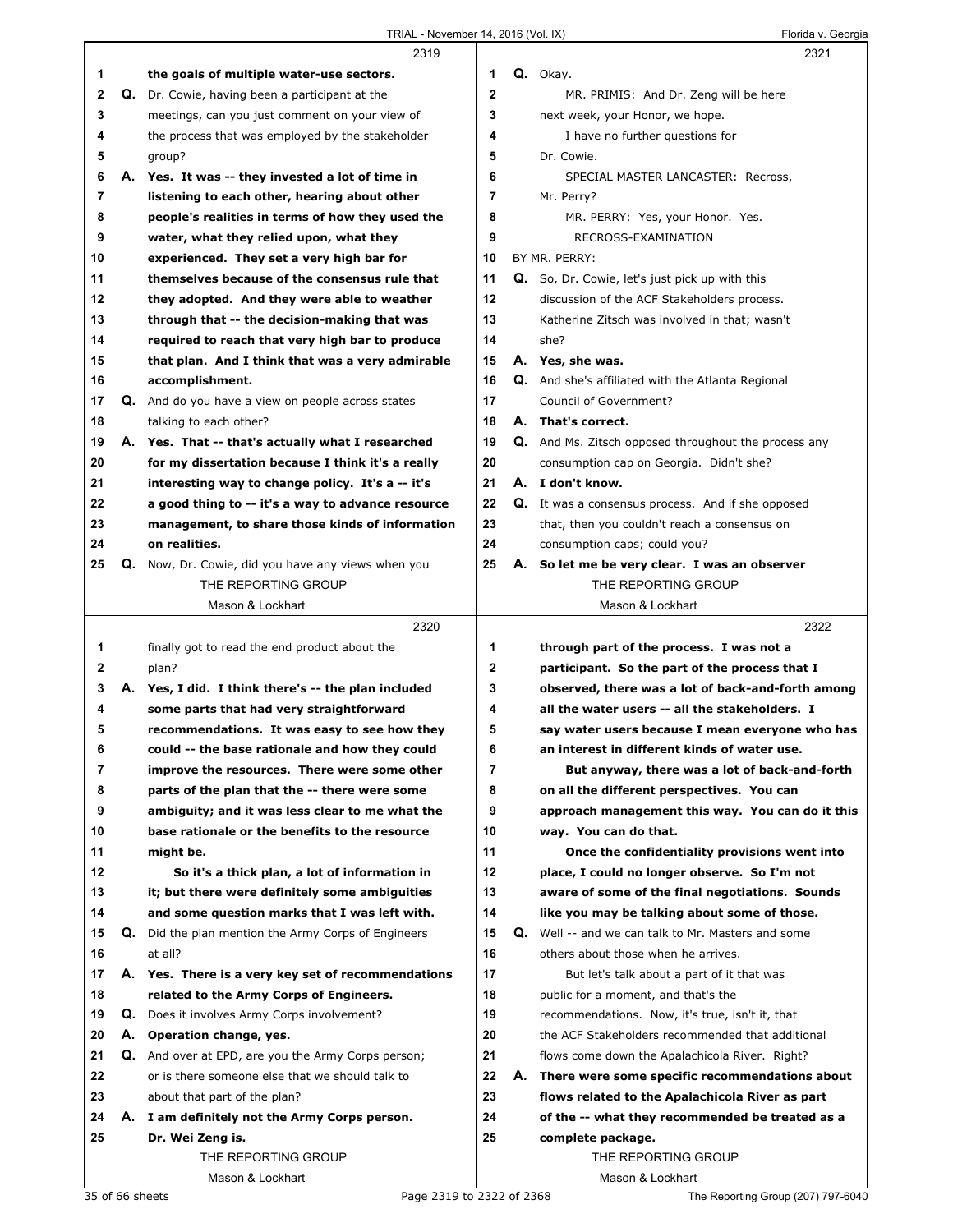|          |    | 2319                                                                                                  |                   |    | 2321                                                                                                      |
|----------|----|-------------------------------------------------------------------------------------------------------|-------------------|----|-----------------------------------------------------------------------------------------------------------|
| 1        |    | the goals of multiple water-use sectors.                                                              | 1                 |    | Q. Okay.                                                                                                  |
| 2        |    | Q. Dr. Cowie, having been a participant at the                                                        | $\mathbf{2}$      |    | MR. PRIMIS: And Dr. Zeng will be here                                                                     |
| 3        |    | meetings, can you just comment on your view of                                                        | 3                 |    | next week, your Honor, we hope.                                                                           |
| 4        |    | the process that was employed by the stakeholder                                                      | 4                 |    | I have no further questions for                                                                           |
| 5        |    | group?                                                                                                | 5                 |    | Dr. Cowie.                                                                                                |
| 6        |    | A. Yes. It was -- they invested a lot of time in                                                      | 6                 |    | SPECIAL MASTER LANCASTER: Recross,                                                                        |
| 7        |    | listening to each other, hearing about other                                                          | 7                 |    | Mr. Perry?                                                                                                |
| 8        |    | people's realities in terms of how they used the                                                      | 8                 |    | MR. PERRY: Yes, your Honor. Yes.                                                                          |
| 9        |    | water, what they relied upon, what they                                                               | 9                 |    | RECROSS-EXAMINATION                                                                                       |
| 10       |    | experienced. They set a very high bar for                                                             | 10                |    | BY MR. PERRY:                                                                                             |
| 11       |    | themselves because of the consensus rule that                                                         | 11                |    | Q. So, Dr. Cowie, let's just pick up with this                                                            |
| 12       |    | they adopted. And they were able to weather                                                           | 12                |    | discussion of the ACF Stakeholders process.                                                               |
| 13       |    | through that -- the decision-making that was                                                          | 13                |    | Katherine Zitsch was involved in that; wasn't                                                             |
| 14       |    | required to reach that very high bar to produce                                                       | 14                |    | she?                                                                                                      |
| 15       |    | that plan. And I think that was a very admirable                                                      | 15                |    | A. Yes, she was.                                                                                          |
| 16       |    | accomplishment.                                                                                       | 16                |    | Q. And she's affiliated with the Atlanta Regional                                                         |
| 17       |    | Q. And do you have a view on people across states                                                     | 17                |    | Council of Government?                                                                                    |
| 18       |    | talking to each other?                                                                                | 18                |    | A. That's correct.                                                                                        |
| 19       |    | A. Yes. That -- that's actually what I researched                                                     | 19                |    | <b>Q.</b> And Ms. Zitsch opposed throughout the process any                                               |
| 20       |    | for my dissertation because I think it's a really                                                     | 20                |    | consumption cap on Georgia. Didn't she?                                                                   |
| 21       |    | interesting way to change policy. It's a -- it's                                                      | 21                |    | A. I don't know.                                                                                          |
| 22       |    | a good thing to -- it's a way to advance resource                                                     | 22                |    | Q. It was a consensus process. And if she opposed                                                         |
| 23       |    | management, to share those kinds of information                                                       | 23                |    | that, then you couldn't reach a consensus on                                                              |
| 24       |    | on realities.                                                                                         | 24                |    | consumption caps; could you?                                                                              |
| 25       | Q. | Now, Dr. Cowie, did you have any views when you                                                       | 25                |    | A. So let me be very clear. I was an observer                                                             |
|          |    | THE REPORTING GROUP                                                                                   |                   |    | THE REPORTING GROUP                                                                                       |
|          |    | Mason & Lockhart                                                                                      |                   |    | Mason & Lockhart                                                                                          |
|          |    |                                                                                                       |                   |    |                                                                                                           |
|          |    | 2320                                                                                                  |                   |    | 2322                                                                                                      |
| 1        |    |                                                                                                       | 1                 |    | through part of the process. I was not a                                                                  |
|          |    | finally got to read the end product about the                                                         |                   |    |                                                                                                           |
| 2<br>3   |    | plan?                                                                                                 | $\mathbf{2}$<br>3 |    | participant. So the part of the process that I                                                            |
| 4        |    | A. Yes, I did. I think there's -- the plan included                                                   | 4                 |    | observed, there was a lot of back-and-forth among<br>all the water users -- all the stakeholders. I       |
| 5        |    | some parts that had very straightforward                                                              | 5                 |    |                                                                                                           |
| 6        |    | recommendations. It was easy to see how they                                                          | 6                 |    | say water users because I mean everyone who has<br>an interest in different kinds of water use.           |
| 7        |    | could -- the base rationale and how they could<br>improve the resources. There were some other        | 7                 |    |                                                                                                           |
|          |    | parts of the plan that the -- there were some                                                         |                   |    | But anyway, there was a lot of back-and-forth                                                             |
| 8<br>9   |    | ambiguity; and it was less clear to me what the                                                       | 8<br>9            |    | on all the different perspectives. You can<br>approach management this way. You can do it this            |
| 10       |    | base rationale or the benefits to the resource                                                        | 10                |    | way. You can do that.                                                                                     |
| 11       |    | might be.                                                                                             | 11                |    |                                                                                                           |
| 12       |    | So it's a thick plan, a lot of information in                                                         | 12                |    | Once the confidentiality provisions went into<br>place, I could no longer observe. So I'm not             |
| 13       |    | it; but there were definitely some ambiguities                                                        | 13                |    | aware of some of the final negotiations. Sounds                                                           |
| 14       |    | and some question marks that I was left with.                                                         | 14                |    |                                                                                                           |
| 15       |    |                                                                                                       | 15                |    | like you may be talking about some of those.<br><b>Q.</b> Well -- and we can talk to Mr. Masters and some |
| 16       |    | Q. Did the plan mention the Army Corps of Engineers<br>at all?                                        | 16                |    | others about those when he arrives.                                                                       |
|          |    |                                                                                                       | 17                |    |                                                                                                           |
| 17       |    | A. Yes. There is a very key set of recommendations                                                    | 18                |    | But let's talk about a part of it that was                                                                |
| 18<br>19 |    | related to the Army Corps of Engineers.<br><b>Q.</b> Does it involves Army Corps involvement?         | 19                |    | public for a moment, and that's the<br>recommendations. Now, it's true, isn't it, that                    |
| 20       |    | A. Operation change, yes.                                                                             | 20                |    | the ACF Stakeholders recommended that additional                                                          |
| 21       |    |                                                                                                       | 21                |    | flows come down the Apalachicola River. Right?                                                            |
| 22       |    | Q. And over at EPD, are you the Army Corps person;<br>or is there someone else that we should talk to | 22                | А. | There were some specific recommendations about                                                            |
| 23       |    |                                                                                                       | 23                |    |                                                                                                           |
|          |    | about that part of the plan?                                                                          |                   |    | flows related to the Apalachicola River as part                                                           |
| 24<br>25 |    | A. I am definitely not the Army Corps person.                                                         | 24<br>25          |    | of the -- what they recommended be treated as a                                                           |
|          |    | Dr. Wei Zeng is.<br>THE REPORTING GROUP                                                               |                   |    | complete package.<br>THE REPORTING GROUP                                                                  |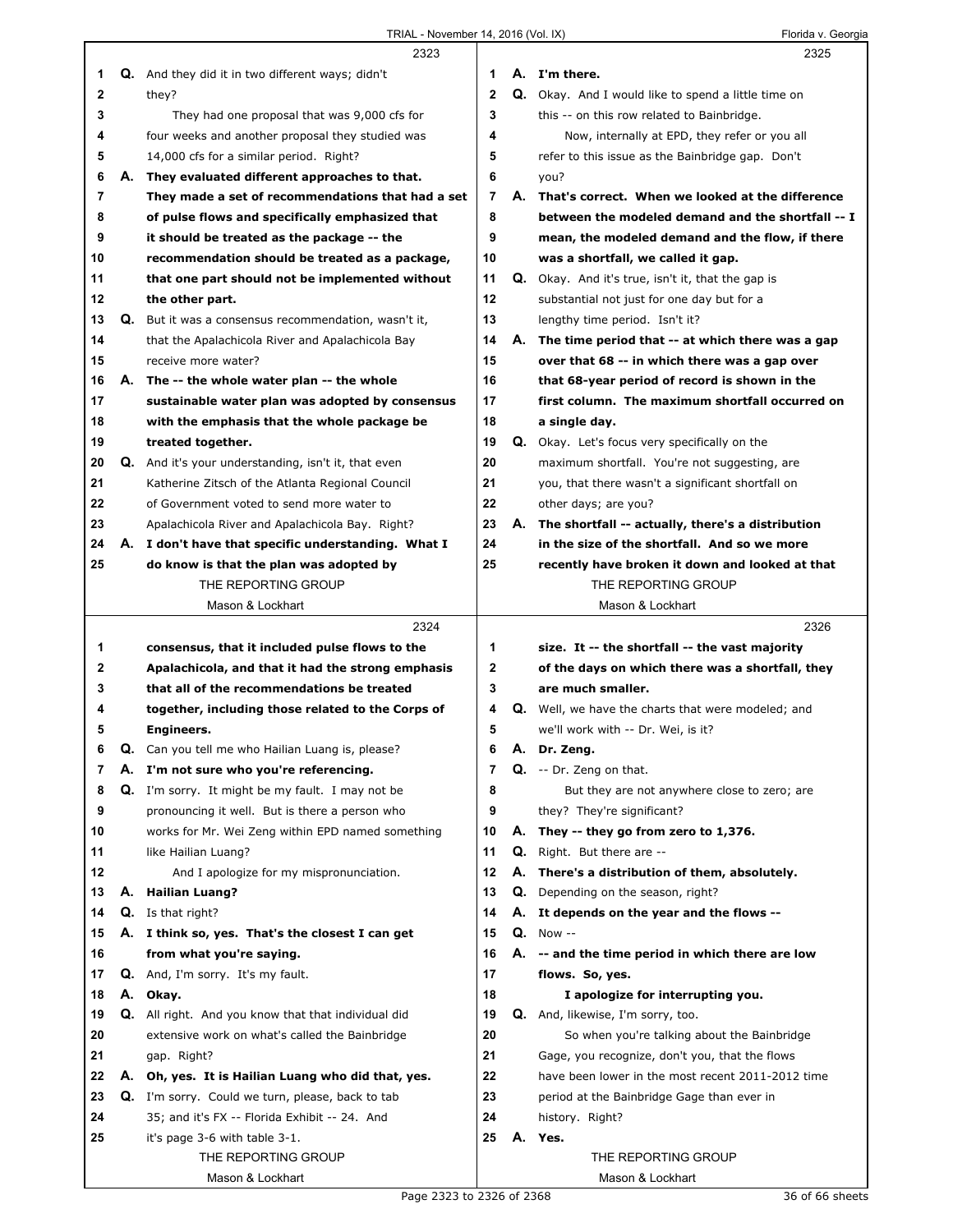|              |          | 2323                                                                                            |              |          | 2325                                                                                               |
|--------------|----------|-------------------------------------------------------------------------------------------------|--------------|----------|----------------------------------------------------------------------------------------------------|
| 1            |          | Q. And they did it in two different ways; didn't                                                | 1            |          | A. I'm there.                                                                                      |
| $\mathbf{2}$ |          | they?                                                                                           | $\mathbf{2}$ |          | Q. Okay. And I would like to spend a little time on                                                |
| 3            |          | They had one proposal that was 9,000 cfs for                                                    | 3            |          | this -- on this row related to Bainbridge.                                                         |
| 4            |          | four weeks and another proposal they studied was                                                | 4            |          | Now, internally at EPD, they refer or you all                                                      |
| 5            |          | 14,000 cfs for a similar period. Right?                                                         | 5            |          | refer to this issue as the Bainbridge gap. Don't                                                   |
| 6            |          | A. They evaluated different approaches to that.                                                 | 6            |          | you?                                                                                               |
| 7            |          | They made a set of recommendations that had a set                                               | 7            | А.       | That's correct. When we looked at the difference                                                   |
| 8            |          | of pulse flows and specifically emphasized that                                                 | 8            |          | between the modeled demand and the shortfall -- I                                                  |
| 9            |          | it should be treated as the package -- the                                                      | 9            |          | mean, the modeled demand and the flow, if there                                                    |
| 10           |          | recommendation should be treated as a package,                                                  | 10           |          | was a shortfall, we called it gap.                                                                 |
| 11           |          | that one part should not be implemented without                                                 | 11           |          | <b>Q.</b> Okay. And it's true, isn't it, that the gap is                                           |
| 12           |          | the other part.                                                                                 | 12           |          | substantial not just for one day but for a                                                         |
| 13           |          | Q. But it was a consensus recommendation, wasn't it,                                            | 13           |          | lengthy time period. Isn't it?                                                                     |
| 14           |          | that the Apalachicola River and Apalachicola Bay                                                | 14           |          | A. The time period that -- at which there was a gap                                                |
| 15           |          | receive more water?                                                                             | 15           |          | over that 68 -- in which there was a gap over                                                      |
| 16           |          | A. The -- the whole water plan -- the whole                                                     | 16           |          | that 68-year period of record is shown in the                                                      |
| 17           |          | sustainable water plan was adopted by consensus                                                 | 17           |          | first column. The maximum shortfall occurred on                                                    |
| 18           |          | with the emphasis that the whole package be                                                     | 18           |          | a single day.                                                                                      |
| 19           |          | treated together.                                                                               | 19           |          | <b>Q.</b> Okay. Let's focus very specifically on the                                               |
| 20           |          | <b>Q.</b> And it's your understanding, isn't it, that even                                      | 20           |          | maximum shortfall. You're not suggesting, are                                                      |
| 21           |          | Katherine Zitsch of the Atlanta Regional Council                                                | 21           |          | you, that there wasn't a significant shortfall on                                                  |
| 22           |          | of Government voted to send more water to                                                       | 22           |          | other days; are you?                                                                               |
| 23           |          | Apalachicola River and Apalachicola Bay. Right?                                                 | 23           | А.       | The shortfall -- actually, there's a distribution                                                  |
| 24           |          | A. I don't have that specific understanding. What I                                             | 24           |          | in the size of the shortfall. And so we more                                                       |
| 25           |          | do know is that the plan was adopted by                                                         | 25           |          | recently have broken it down and looked at that                                                    |
|              |          | THE REPORTING GROUP                                                                             |              |          | THE REPORTING GROUP                                                                                |
|              |          | Mason & Lockhart                                                                                |              |          | Mason & Lockhart                                                                                   |
|              |          |                                                                                                 |              |          |                                                                                                    |
|              |          | 2324                                                                                            |              |          | 2326                                                                                               |
| 1            |          |                                                                                                 | 1            |          |                                                                                                    |
| 2            |          | consensus, that it included pulse flows to the                                                  | $\mathbf{2}$ |          | size. It -- the shortfall -- the vast majority<br>of the days on which there was a shortfall, they |
| 3            |          | Apalachicola, and that it had the strong emphasis<br>that all of the recommendations be treated | 3            |          | are much smaller.                                                                                  |
| 4            |          |                                                                                                 | 4            |          |                                                                                                    |
| 5            |          | together, including those related to the Corps of<br>Engineers.                                 | 5            |          | Q. Well, we have the charts that were modeled; and<br>we'll work with -- Dr. Wei, is it?           |
| 6            |          |                                                                                                 | 6            |          |                                                                                                    |
| 7            | Q.<br>Α. | Can you tell me who Hailian Luang is, please?                                                   | 7            | Α.<br>Q. | Dr. Zeng.                                                                                          |
| 8            | Q.       | I'm not sure who you're referencing.                                                            | 8            |          | -- Dr. Zeng on that.                                                                               |
| 9            |          | I'm sorry. It might be my fault. I may not be                                                   | 9            |          | But they are not anywhere close to zero; are                                                       |
| 10           |          | pronouncing it well. But is there a person who                                                  | 10           | А.       | they? They're significant?                                                                         |
|              |          | works for Mr. Wei Zeng within EPD named something                                               | 11           | Q.       | They -- they go from zero to 1,376.                                                                |
| 11<br>12     |          | like Hailian Luang?                                                                             | 12           | А.       | Right. But there are --                                                                            |
| 13           | Α.       | And I apologize for my mispronunciation.                                                        | 13           | Q.       | There's a distribution of them, absolutely.                                                        |
| 14           | Q.       | <b>Hailian Luang?</b>                                                                           | 14           |          | Depending on the season, right?                                                                    |
|              |          | Is that right?                                                                                  |              |          | A. It depends on the year and the flows --                                                         |
| 15           |          | A. I think so, yes. That's the closest I can get                                                | 15           | А.       | $Q.$ Now $-$                                                                                       |
| 16           |          | from what you're saying.                                                                        | 16           |          | -- and the time period in which there are low                                                      |
| 17           |          | Q. And, I'm sorry. It's my fault.                                                               | 17           |          | flows. So, yes.                                                                                    |
| 18           | А.       | Okay.                                                                                           | 18           |          | I apologize for interrupting you.                                                                  |
| 19           |          | Q. All right. And you know that that individual did                                             | 19           |          | Q. And, likewise, I'm sorry, too.                                                                  |
| 20           |          | extensive work on what's called the Bainbridge                                                  | 20           |          | So when you're talking about the Bainbridge                                                        |
| 21           |          | gap. Right?                                                                                     | 21           |          | Gage, you recognize, don't you, that the flows                                                     |
| 22           | А.       | Oh, yes. It is Hailian Luang who did that, yes.                                                 | 22           |          | have been lower in the most recent 2011-2012 time                                                  |
| 23           | Q.       | I'm sorry. Could we turn, please, back to tab                                                   | 23           |          | period at the Bainbridge Gage than ever in                                                         |
| 24           |          | 35; and it's FX -- Florida Exhibit -- 24. And                                                   | 24           |          | history. Right?                                                                                    |
| 25           |          | it's page 3-6 with table 3-1.                                                                   | 25           | Α.       | Yes.                                                                                               |
|              |          | THE REPORTING GROUP<br>Mason & Lockhart                                                         |              |          | THE REPORTING GROUP<br>Mason & Lockhart                                                            |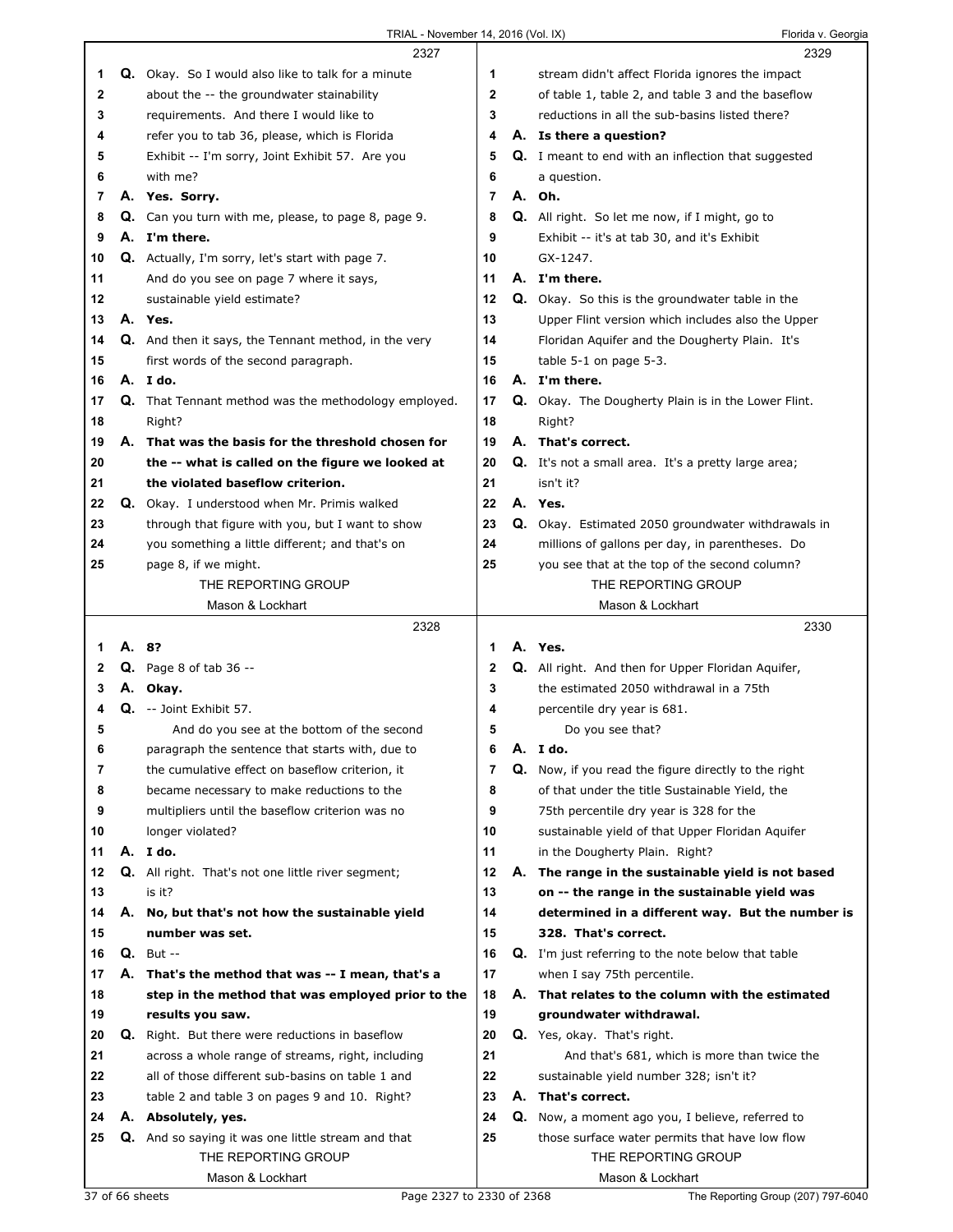|    |    | 2327                                                                      |                |    | 2329                                                                  |
|----|----|---------------------------------------------------------------------------|----------------|----|-----------------------------------------------------------------------|
| 1  |    | Q. Okay. So I would also like to talk for a minute                        | 1              |    | stream didn't affect Florida ignores the impact                       |
| 2  |    | about the -- the groundwater stainability                                 | $\mathbf{2}$   |    | of table 1, table 2, and table 3 and the baseflow                     |
| 3  |    | requirements. And there I would like to                                   | 3              |    | reductions in all the sub-basins listed there?                        |
| 4  |    | refer you to tab 36, please, which is Florida                             | 4              |    | A. Is there a question?                                               |
| 5  |    | Exhibit -- I'm sorry, Joint Exhibit 57. Are you                           | 5              |    | <b>Q.</b> I meant to end with an inflection that suggested            |
| 6  |    | with me?                                                                  | 6              |    | a question.                                                           |
| 7  |    | A. Yes. Sorry.                                                            | $\overline{7}$ |    | A. Oh.                                                                |
| 8  |    | Q. Can you turn with me, please, to page 8, page 9.                       | 8              |    | <b>Q.</b> All right. So let me now, if I might, go to                 |
| 9  |    | A. I'm there.                                                             | 9              |    | Exhibit -- it's at tab 30, and it's Exhibit                           |
| 10 |    | <b>Q.</b> Actually, I'm sorry, let's start with page 7.                   | 10             |    | GX-1247.                                                              |
| 11 |    | And do you see on page 7 where it says,                                   | 11             |    | A. I'm there.                                                         |
| 12 |    | sustainable yield estimate?                                               | 12             |    | Q. Okay. So this is the groundwater table in the                      |
| 13 |    | A. Yes.                                                                   | 13             |    | Upper Flint version which includes also the Upper                     |
| 14 |    | Q. And then it says, the Tennant method, in the very                      | 14             |    | Floridan Aquifer and the Dougherty Plain. It's                        |
| 15 |    | first words of the second paragraph.                                      | 15             |    | table 5-1 on page 5-3.                                                |
| 16 |    | A. Ido.                                                                   | 16             |    | A. I'm there.                                                         |
| 17 |    | Q. That Tennant method was the methodology employed.                      | 17             |    | Q. Okay. The Dougherty Plain is in the Lower Flint.                   |
| 18 |    | Right?                                                                    | 18             |    | Right?                                                                |
| 19 |    | A. That was the basis for the threshold chosen for                        | 19             |    | A. That's correct.                                                    |
| 20 |    | the -- what is called on the figure we looked at                          | 20             |    | <b>Q.</b> It's not a small area. It's a pretty large area;            |
| 21 |    | the violated baseflow criterion.                                          | 21             |    | isn't it?                                                             |
| 22 |    | Q. Okay. I understood when Mr. Primis walked                              | 22             |    | A. Yes.                                                               |
| 23 |    | through that figure with you, but I want to show                          | 23             |    | Q. Okay. Estimated 2050 groundwater withdrawals in                    |
| 24 |    | you something a little different; and that's on                           | 24             |    | millions of gallons per day, in parentheses. Do                       |
| 25 |    | page 8, if we might.                                                      | 25             |    | you see that at the top of the second column?                         |
|    |    | THE REPORTING GROUP                                                       |                |    | THE REPORTING GROUP                                                   |
|    |    | Mason & Lockhart                                                          |                |    | Mason & Lockhart                                                      |
|    |    |                                                                           |                |    |                                                                       |
|    |    |                                                                           |                |    |                                                                       |
|    |    | 2328                                                                      |                |    | 2330                                                                  |
| 1  |    | A. 8?                                                                     | 1              |    | A. Yes.                                                               |
| 2  |    | <b>Q.</b> Page 8 of tab $36 -$                                            | 2              |    | Q. All right. And then for Upper Floridan Aquifer,                    |
| 3  |    | A. Okay.                                                                  | 3              |    | the estimated 2050 withdrawal in a 75th                               |
| 4  |    | Q. -- Joint Exhibit 57.                                                   | 4              |    | percentile dry year is 681.                                           |
| 5  |    | And do you see at the bottom of the second                                | 5              |    | Do you see that?                                                      |
| 6  |    | paragraph the sentence that starts with, due to                           | 6              | Α. | I do.                                                                 |
| 7  |    | the cumulative effect on baseflow criterion, it                           | 7              | Q. | Now, if you read the figure directly to the right                     |
| 8  |    | became necessary to make reductions to the                                | 8              |    | of that under the title Sustainable Yield, the                        |
| 9  |    | multipliers until the baseflow criterion was no                           | 9              |    | 75th percentile dry year is 328 for the                               |
| 10 |    | longer violated?                                                          | 10             |    | sustainable yield of that Upper Floridan Aquifer                      |
| 11 |    | A. Ido.                                                                   | 11             |    | in the Dougherty Plain. Right?                                        |
| 12 |    | Q. All right. That's not one little river segment;                        | 12             |    | A. The range in the sustainable yield is not based                    |
| 13 |    | is it?                                                                    | 13             |    | on -- the range in the sustainable yield was                          |
| 14 | А. | No, but that's not how the sustainable yield                              | 14             |    | determined in a different way. But the number is                      |
| 15 |    | number was set.                                                           | 15             |    | 328. That's correct.                                                  |
| 16 |    | $Q.$ But $-$                                                              | 16             |    | <b>Q.</b> I'm just referring to the note below that table             |
| 17 |    | A. That's the method that was -- I mean, that's a                         | 17             |    | when I say 75th percentile.                                           |
| 18 |    | step in the method that was employed prior to the                         | 18             |    | A. That relates to the column with the estimated                      |
| 19 |    | results you saw.                                                          | 19             |    | groundwater withdrawal.                                               |
| 20 |    | <b>Q.</b> Right. But there were reductions in baseflow                    | 20             |    | Q. Yes, okay. That's right.                                           |
| 21 |    | across a whole range of streams, right, including                         | 21             |    | And that's 681, which is more than twice the                          |
| 22 |    | all of those different sub-basins on table 1 and                          | 22             |    | sustainable yield number 328; isn't it?                               |
| 23 |    | table 2 and table 3 on pages 9 and 10. Right?                             | 23             |    | A. That's correct.                                                    |
| 24 |    | A. Absolutely, yes.                                                       | 24             |    | Q. Now, a moment ago you, I believe, referred to                      |
| 25 |    | Q. And so saying it was one little stream and that<br>THE REPORTING GROUP | 25             |    | those surface water permits that have low flow<br>THE REPORTING GROUP |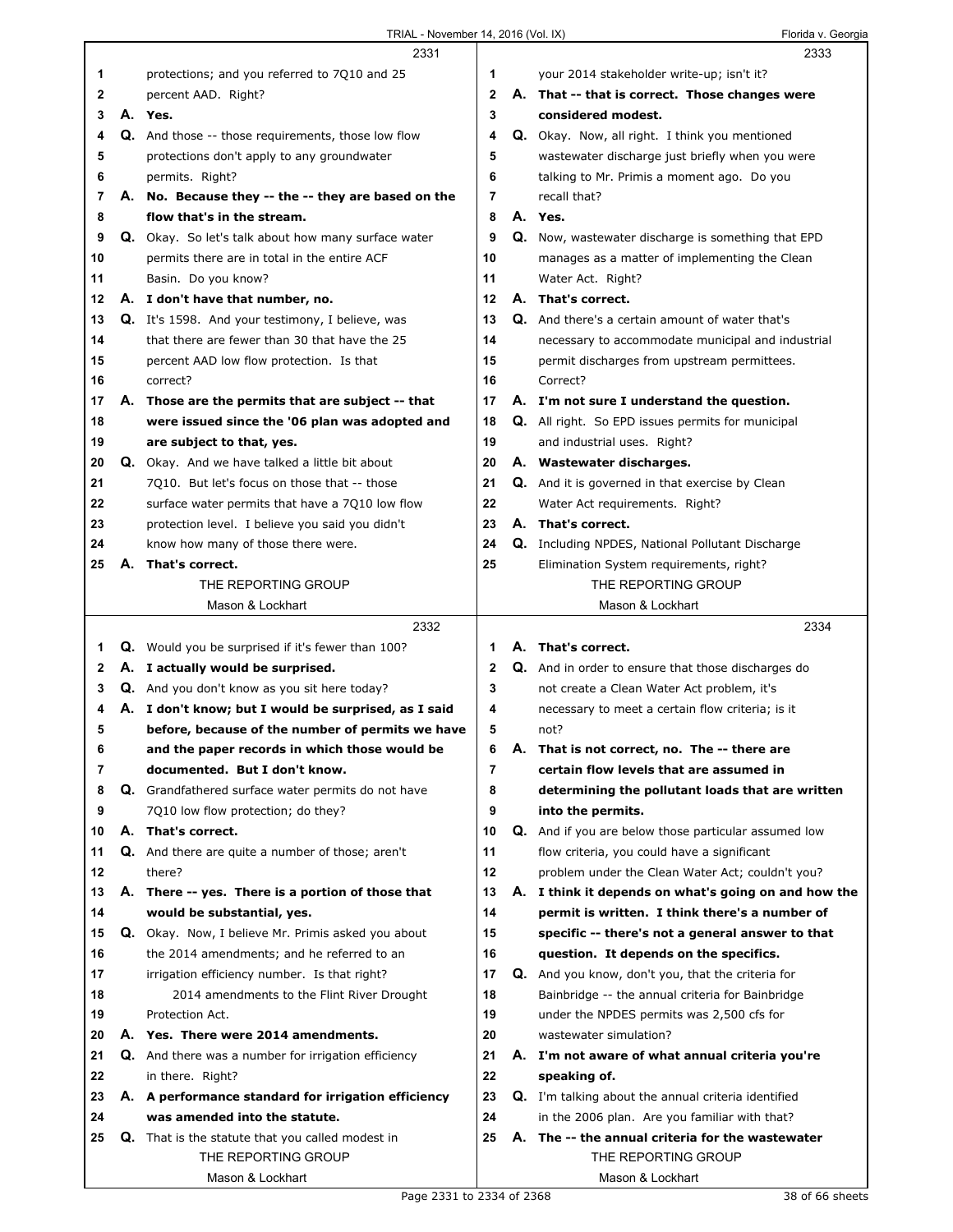|    |    | 2331                                                     |    | 2333                                                        |
|----|----|----------------------------------------------------------|----|-------------------------------------------------------------|
| 1  |    | protections; and you referred to 7Q10 and 25             | 1  | your 2014 stakeholder write-up; isn't it?                   |
| 2  |    | percent AAD. Right?                                      | 2  | A. That -- that is correct. Those changes were              |
| 3  |    | A. Yes.                                                  | 3  | considered modest.                                          |
| 4  |    | Q. And those -- those requirements, those low flow       | 4  | Q. Okay. Now, all right. I think you mentioned              |
| 5  |    | protections don't apply to any groundwater               | 5  | wastewater discharge just briefly when you were             |
| 6  |    | permits. Right?                                          | 6  | talking to Mr. Primis a moment ago. Do you                  |
| 7  |    | A. No. Because they -- the -- they are based on the      | 7  | recall that?                                                |
| 8  |    | flow that's in the stream.                               | 8  | A. Yes.                                                     |
| 9  |    | Q. Okay. So let's talk about how many surface water      | 9  | Q. Now, wastewater discharge is something that EPD          |
| 10 |    | permits there are in total in the entire ACF             | 10 | manages as a matter of implementing the Clean               |
| 11 |    | Basin. Do you know?                                      | 11 | Water Act. Right?                                           |
| 12 |    | A. I don't have that number, no.                         | 12 | A. That's correct.                                          |
| 13 |    | <b>Q.</b> It's 1598. And your testimony, I believe, was  | 13 | Q. And there's a certain amount of water that's             |
| 14 |    | that there are fewer than 30 that have the 25            | 14 | necessary to accommodate municipal and industrial           |
| 15 |    | percent AAD low flow protection. Is that                 | 15 | permit discharges from upstream permittees.                 |
| 16 |    | correct?                                                 | 16 | Correct?                                                    |
| 17 |    | A. Those are the permits that are subject -- that        | 17 | A. I'm not sure I understand the question.                  |
| 18 |    | were issued since the '06 plan was adopted and           | 18 | <b>Q.</b> All right. So EPD issues permits for municipal    |
| 19 |    | are subject to that, yes.                                | 19 | and industrial uses. Right?                                 |
| 20 |    | Q. Okay. And we have talked a little bit about           | 20 | A. Wastewater discharges.                                   |
| 21 |    | 7010. But let's focus on those that -- those             | 21 | Q. And it is governed in that exercise by Clean             |
| 22 |    | surface water permits that have a 7Q10 low flow          | 22 | Water Act requirements. Right?                              |
| 23 |    | protection level. I believe you said you didn't          | 23 | A. That's correct.                                          |
| 24 |    | know how many of those there were.                       | 24 | <b>Q.</b> Including NPDES, National Pollutant Discharge     |
| 25 | А. | That's correct.                                          | 25 | Elimination System requirements, right?                     |
|    |    | THE REPORTING GROUP                                      |    | THE REPORTING GROUP                                         |
|    |    | Mason & Lockhart                                         |    | Mason & Lockhart                                            |
|    |    |                                                          |    |                                                             |
|    |    |                                                          |    |                                                             |
|    |    | 2332                                                     |    | 2334                                                        |
| 1. |    | <b>Q.</b> Would you be surprised if it's fewer than 100? | 1  | A. That's correct.                                          |
| 2  |    | A. I actually would be surprised.                        | 2  | Q. And in order to ensure that those discharges do          |
| 3  |    | Q. And you don't know as you sit here today?             | 3  | not create a Clean Water Act problem, it's                  |
| 4  |    | A. I don't know; but I would be surprised, as I said     | 4  | necessary to meet a certain flow criteria; is it            |
| 5  |    | before, because of the number of permits we have         | 5  | not?                                                        |
| 6  |    | and the paper records in which those would be            | 6  | A. That is not correct, no. The -- there are                |
| 7  |    | documented. But I don't know.                            | 7  | certain flow levels that are assumed in                     |
| 8  |    | Q. Grandfathered surface water permits do not have       | 8  | determining the pollutant loads that are written            |
| 9  |    | 7Q10 low flow protection; do they?                       | 9  | into the permits.                                           |
| 10 |    | A. That's correct.                                       | 10 | <b>Q.</b> And if you are below those particular assumed low |
| 11 |    | Q. And there are quite a number of those; aren't         | 11 | flow criteria, you could have a significant                 |
| 12 |    | there?                                                   | 12 | problem under the Clean Water Act; couldn't you?            |
| 13 |    | A. There -- yes. There is a portion of those that        | 13 | A. I think it depends on what's going on and how the        |
| 14 |    | would be substantial, yes.                               | 14 | permit is written. I think there's a number of              |
| 15 |    | Q. Okay. Now, I believe Mr. Primis asked you about       | 15 | specific -- there's not a general answer to that            |
| 16 |    | the 2014 amendments; and he referred to an               | 16 | question. It depends on the specifics.                      |
| 17 |    | irrigation efficiency number. Is that right?             | 17 | Q. And you know, don't you, that the criteria for           |
| 18 |    | 2014 amendments to the Flint River Drought               | 18 | Bainbridge -- the annual criteria for Bainbridge            |
| 19 |    | Protection Act.                                          | 19 | under the NPDES permits was 2,500 cfs for                   |
| 20 |    | A. Yes. There were 2014 amendments.                      | 20 | wastewater simulation?                                      |
| 21 | Q. | And there was a number for irrigation efficiency         | 21 | A. I'm not aware of what annual criteria you're             |
| 22 |    | in there. Right?                                         | 22 | speaking of.                                                |
| 23 |    | A. A performance standard for irrigation efficiency      | 23 | <b>Q.</b> I'm talking about the annual criteria identified  |
| 24 |    | was amended into the statute.                            | 24 | in the 2006 plan. Are you familiar with that?               |
| 25 |    | Q. That is the statute that you called modest in         | 25 | A. The -- the annual criteria for the wastewater            |
|    |    | THE REPORTING GROUP<br>Mason & Lockhart                  |    | THE REPORTING GROUP<br>Mason & Lockhart                     |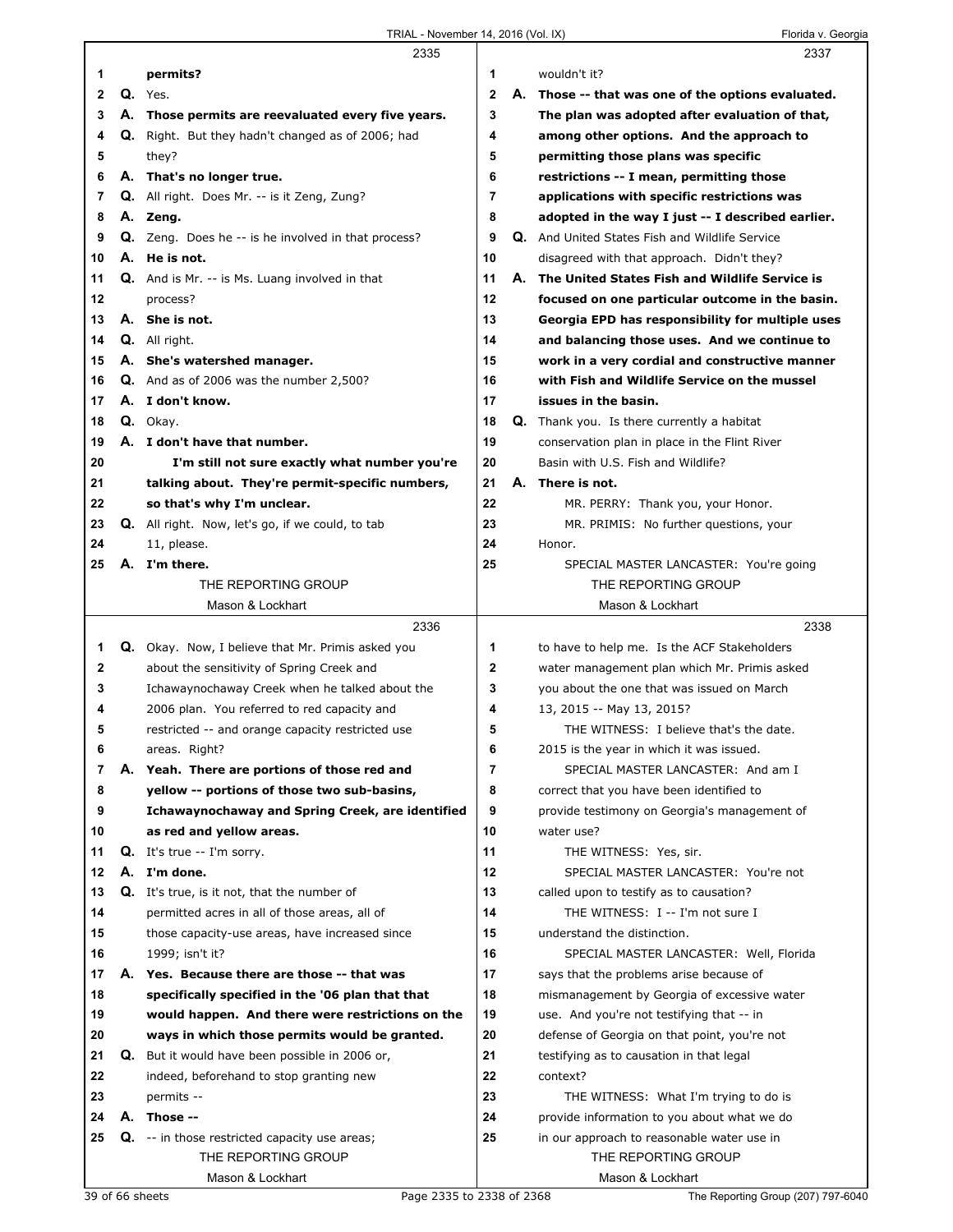|              |    | 2335                                                       |              |    | 2337                                              |  |
|--------------|----|------------------------------------------------------------|--------------|----|---------------------------------------------------|--|
| 1            |    | permits?                                                   | 1            |    | wouldn't it?                                      |  |
| $\mathbf{2}$ |    | $Q.$ Yes.                                                  | $\mathbf{2}$ | А. | Those -- that was one of the options evaluated.   |  |
| 3            |    | A. Those permits are reevaluated every five years.         | 3            |    | The plan was adopted after evaluation of that,    |  |
| 4            |    | Q. Right. But they hadn't changed as of 2006; had          | 4            |    | among other options. And the approach to          |  |
| 5            |    | they?                                                      | 5            |    | permitting those plans was specific               |  |
| 6            |    | A. That's no longer true.                                  | 6            |    | restrictions -- I mean, permitting those          |  |
| 7            |    | Q. All right. Does Mr. -- is it Zeng, Zung?                | 7            |    | applications with specific restrictions was       |  |
| 8            |    | A. Zeng.                                                   | 8            |    | adopted in the way I just -- I described earlier. |  |
| 9            |    | <b>Q.</b> Zeng. Does he -- is he involved in that process? | 9            |    | Q. And United States Fish and Wildlife Service    |  |
| 10           |    | A. He is not.                                              | 10           |    | disagreed with that approach. Didn't they?        |  |
| 11           |    | <b>Q.</b> And is Mr. -- is Ms. Luang involved in that      | 11           |    | A. The United States Fish and Wildlife Service is |  |
| 12           |    | process?                                                   | 12           |    | focused on one particular outcome in the basin.   |  |
| 13           |    | A. She is not.                                             | 13           |    | Georgia EPD has responsibility for multiple uses  |  |
| 14           |    | Q. All right.                                              | 14           |    | and balancing those uses. And we continue to      |  |
| 15           |    | A. She's watershed manager.                                | 15           |    | work in a very cordial and constructive manner    |  |
| 16           |    | $Q.$ And as of 2006 was the number 2,500?                  | 16           |    | with Fish and Wildlife Service on the mussel      |  |
| 17           |    | A. I don't know.                                           | 17           |    | issues in the basin.                              |  |
| 18           |    | Q. Okay.                                                   | 18           |    | Q. Thank you. Is there currently a habitat        |  |
| 19           |    | A. I don't have that number.                               | 19           |    | conservation plan in place in the Flint River     |  |
| 20           |    | I'm still not sure exactly what number you're              | 20           |    | Basin with U.S. Fish and Wildlife?                |  |
| 21           |    | talking about. They're permit-specific numbers,            | 21           |    | A. There is not.                                  |  |
| 22           |    | so that's why I'm unclear.                                 | 22           |    | MR. PERRY: Thank you, your Honor.                 |  |
| 23           |    | <b>Q.</b> All right. Now, let's go, if we could, to tab    | 23           |    | MR. PRIMIS: No further questions, your            |  |
| 24           |    | 11, please.                                                | 24           |    | Honor.                                            |  |
| 25           |    | A. I'm there.                                              | 25           |    | SPECIAL MASTER LANCASTER: You're going            |  |
|              |    | THE REPORTING GROUP                                        |              |    | THE REPORTING GROUP                               |  |
|              |    | Mason & Lockhart                                           |              |    | Mason & Lockhart                                  |  |
|              |    |                                                            |              |    |                                                   |  |
|              |    | 2336                                                       |              |    | 2338                                              |  |
| 1            |    | <b>Q.</b> Okay. Now, I believe that Mr. Primis asked you   | 1            |    | to have to help me. Is the ACF Stakeholders       |  |
| 2            |    | about the sensitivity of Spring Creek and                  | $\mathbf{2}$ |    | water management plan which Mr. Primis asked      |  |
| 3            |    | Ichawaynochaway Creek when he talked about the             | 3            |    | you about the one that was issued on March        |  |
| 4            |    | 2006 plan. You referred to red capacity and                | 4            |    | 13, 2015 -- May 13, 2015?                         |  |
| 5            |    | restricted -- and orange capacity restricted use           | 5            |    | THE WITNESS: I believe that's the date.           |  |
| 6            |    | areas. Right?                                              | 6            |    | 2015 is the year in which it was issued.          |  |
| 7            |    | A. Yeah. There are portions of those red and               | 7            |    | SPECIAL MASTER LANCASTER: And am I                |  |
| 8            |    | yellow -- portions of those two sub-basins,                | 8            |    | correct that you have been identified to          |  |
| 9            |    | Ichawaynochaway and Spring Creek, are identified           | 9            |    | provide testimony on Georgia's management of      |  |
| 10           |    | as red and yellow areas.                                   | 10           |    | water use?                                        |  |
| 11           |    | <b>Q.</b> It's true -- I'm sorry.                          | 11           |    | THE WITNESS: Yes, sir.                            |  |
| 12           | А. | I'm done.                                                  | 12           |    | SPECIAL MASTER LANCASTER: You're not              |  |
| 13           |    | <b>Q.</b> It's true, is it not, that the number of         | 13           |    | called upon to testify as to causation?           |  |
| 14           |    | permitted acres in all of those areas, all of              | 14           |    | THE WITNESS: I -- I'm not sure I                  |  |
| 15           |    | those capacity-use areas, have increased since             | 15           |    | understand the distinction.                       |  |
| 16           |    | 1999; isn't it?                                            | 16           |    | SPECIAL MASTER LANCASTER: Well, Florida           |  |
| 17           |    | A. Yes. Because there are those -- that was                | 17           |    | says that the problems arise because of           |  |
| 18           |    | specifically specified in the '06 plan that that           | 18           |    | mismanagement by Georgia of excessive water       |  |
| 19           |    | would happen. And there were restrictions on the           | 19           |    | use. And you're not testifying that -- in         |  |
| 20           |    | ways in which those permits would be granted.              | 20           |    | defense of Georgia on that point, you're not      |  |
| 21           |    | Q. But it would have been possible in 2006 or,             | 21           |    | testifying as to causation in that legal          |  |
| 22           |    | indeed, beforehand to stop granting new                    | 22           |    | context?                                          |  |
| 23           |    | permits --                                                 | 23           |    | THE WITNESS: What I'm trying to do is             |  |
| 24           |    | A. Those --                                                | 24           |    | provide information to you about what we do       |  |
| 25           |    | <b>Q.</b> -- in those restricted capacity use areas;       | 25           |    | in our approach to reasonable water use in        |  |
|              |    | THE REPORTING GROUP                                        |              |    | THE REPORTING GROUP                               |  |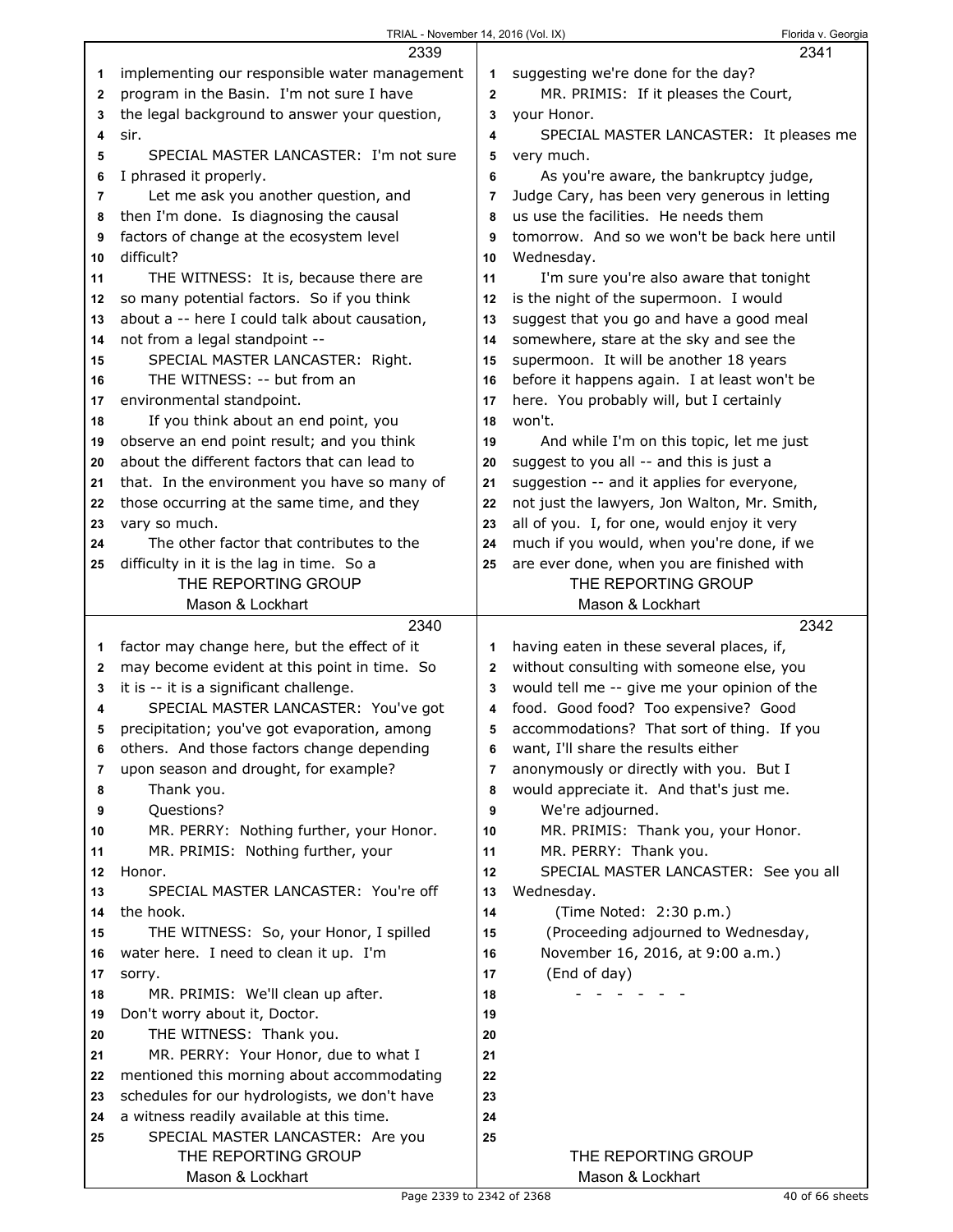| TRIAL - November 14, 2016 (Vol. IX) |  |  |
|-------------------------------------|--|--|

|                | 2339                                          |                | 2341                                          |
|----------------|-----------------------------------------------|----------------|-----------------------------------------------|
| 1              | implementing our responsible water management | 1              | suggesting we're done for the day?            |
| $\mathbf{2}$   | program in the Basin. I'm not sure I have     | $\mathbf{2}$   | MR. PRIMIS: If it pleases the Court,          |
| 3              | the legal background to answer your question, | 3              | your Honor.                                   |
| 4              | sir.                                          | 4              | SPECIAL MASTER LANCASTER: It pleases me       |
| 5              | SPECIAL MASTER LANCASTER: I'm not sure        | 5              | very much.                                    |
| 6              | I phrased it properly.                        | 6              | As you're aware, the bankruptcy judge,        |
| $\overline{7}$ | Let me ask you another question, and          | $\overline{7}$ | Judge Cary, has been very generous in letting |
| 8              | then I'm done. Is diagnosing the causal       | 8              | us use the facilities. He needs them          |
| 9              | factors of change at the ecosystem level      | 9              | tomorrow. And so we won't be back here until  |
| 10             | difficult?                                    | 10             | Wednesday.                                    |
| 11             | THE WITNESS: It is, because there are         | 11             | I'm sure you're also aware that tonight       |
| 12             | so many potential factors. So if you think    | 12             | is the night of the supermoon. I would        |
| 13             | about a -- here I could talk about causation, | 13             | suggest that you go and have a good meal      |
| 14             | not from a legal standpoint --                | 14             | somewhere, stare at the sky and see the       |
| 15             | SPECIAL MASTER LANCASTER: Right.              | 15             | supermoon. It will be another 18 years        |
| 16             | THE WITNESS: -- but from an                   | 16             | before it happens again. I at least won't be  |
| 17             | environmental standpoint.                     | 17             | here. You probably will, but I certainly      |
| 18             | If you think about an end point, you          | 18             | won't.                                        |
| 19             | observe an end point result; and you think    | 19             | And while I'm on this topic, let me just      |
| 20             | about the different factors that can lead to  | 20             | suggest to you all -- and this is just a      |
| 21             | that. In the environment you have so many of  | 21             | suggestion -- and it applies for everyone,    |
| 22             | those occurring at the same time, and they    | 22             | not just the lawyers, Jon Walton, Mr. Smith,  |
| 23             | vary so much.                                 | 23             | all of you. I, for one, would enjoy it very   |
| 24             | The other factor that contributes to the      | 24             | much if you would, when you're done, if we    |
| 25             | difficulty in it is the lag in time. So a     | 25             | are ever done, when you are finished with     |
|                | THE REPORTING GROUP                           |                | THE REPORTING GROUP                           |
|                | Mason & Lockhart                              |                | Mason & Lockhart                              |
|                |                                               |                |                                               |
|                | 2340                                          |                | 2342                                          |
| 1              | factor may change here, but the effect of it  | 1              | having eaten in these several places, if,     |
| 2              | may become evident at this point in time. So  | $\mathbf{2}$   | without consulting with someone else, you     |
| 3              | it is -- it is a significant challenge.       | 3              | would tell me -- give me your opinion of the  |
| 4              | SPECIAL MASTER LANCASTER: You've got          | 4              | food. Good food? Too expensive? Good          |
| 5              | precipitation; you've got evaporation, among  | 5              | accommodations? That sort of thing. If you    |
| 6              | others. And those factors change depending    | 6              | want, I'll share the results either           |
| 7              | upon season and drought, for example?         | 7              | anonymously or directly with you. But I       |
| 8              | Thank you.                                    | 8              | would appreciate it. And that's just me.      |
| 9              | Questions?                                    | 9              | We're adjourned.                              |
| 10             | MR. PERRY: Nothing further, your Honor.       | 10             | MR. PRIMIS: Thank you, your Honor.            |
| 11             | MR. PRIMIS: Nothing further, your             | 11             | MR. PERRY: Thank you.                         |
| 12             | Honor.                                        | 12             | SPECIAL MASTER LANCASTER: See you all         |
| 13             | SPECIAL MASTER LANCASTER: You're off          | 13             | Wednesday.                                    |
| 14             | the hook.                                     | 14             | (Time Noted: 2:30 p.m.)                       |
| 15             | THE WITNESS: So, your Honor, I spilled        | 15             | (Proceeding adjourned to Wednesday,           |
| 16             | water here. I need to clean it up. I'm        | 16             | November 16, 2016, at 9:00 a.m.)              |
| 17             | sorry.                                        | 17             | (End of day)                                  |
| 18             | MR. PRIMIS: We'll clean up after.             | 18             |                                               |
| 19             | Don't worry about it, Doctor.                 | 19             |                                               |
| 20             | THE WITNESS: Thank you.                       | 20             |                                               |
| 21             | MR. PERRY: Your Honor, due to what I          | 21             |                                               |
| 22             | mentioned this morning about accommodating    | 22             |                                               |
| 23             | schedules for our hydrologists, we don't have | 23             |                                               |
| 24             | a witness readily available at this time.     | 24             |                                               |
| 25             | SPECIAL MASTER LANCASTER: Are you             | 25             |                                               |
|                | THE REPORTING GROUP<br>Mason & Lockhart       |                | THE REPORTING GROUP<br>Mason & Lockhart       |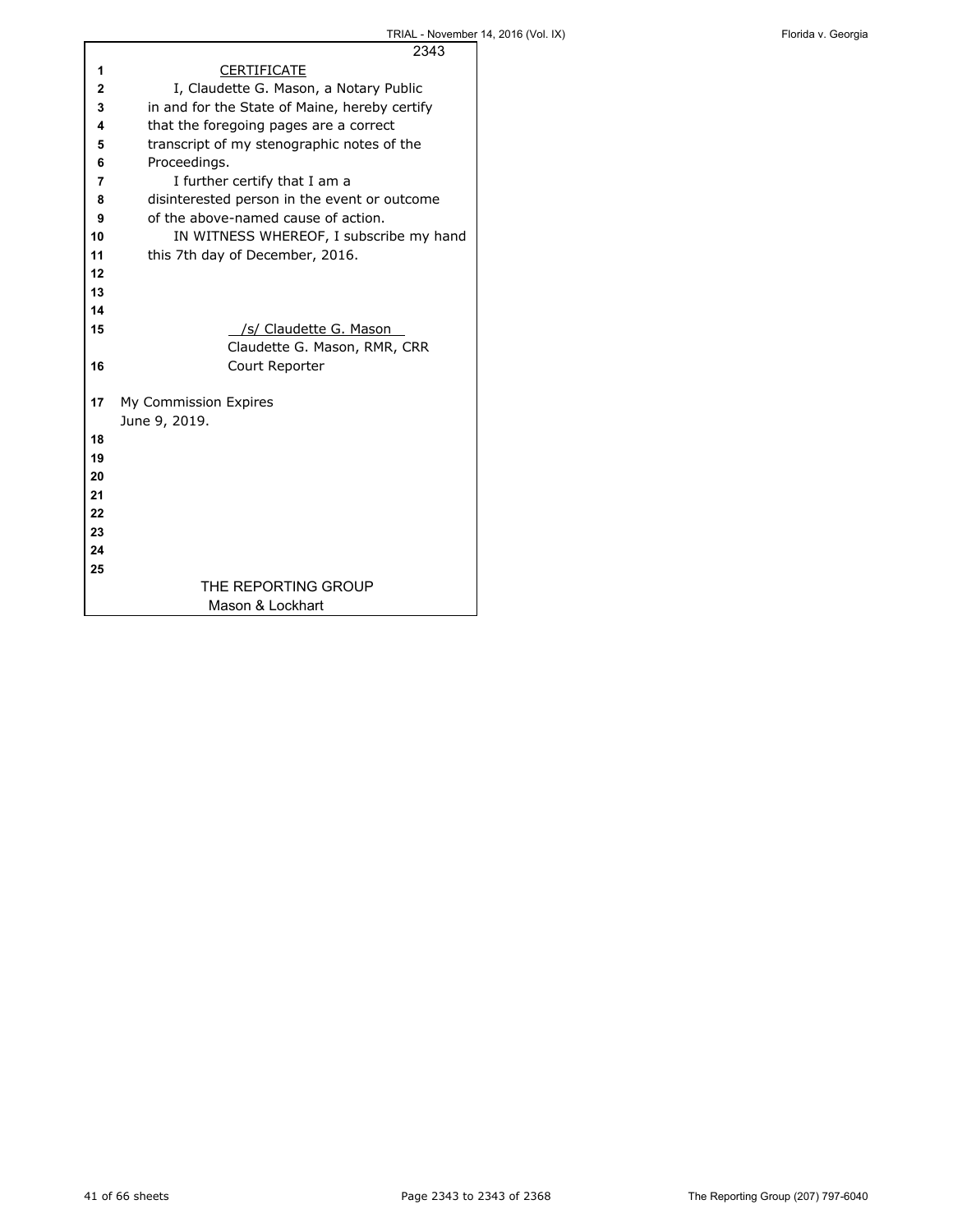|    | 2343                                          |
|----|-----------------------------------------------|
| 1  | <b>CERTIFICATE</b>                            |
| 2  | I, Claudette G. Mason, a Notary Public        |
| 3  | in and for the State of Maine, hereby certify |
| 4  | that the foregoing pages are a correct        |
| 5  | transcript of my stenographic notes of the    |
| 6  | Proceedings.                                  |
| 7  | I further certify that I am a                 |
| 8  | disinterested person in the event or outcome  |
| 9  | of the above-named cause of action.           |
| 10 | IN WITNESS WHEREOF, I subscribe my hand       |
| 11 | this 7th day of December, 2016.               |
| 12 |                                               |
| 13 |                                               |
| 14 |                                               |
| 15 | /s/ Claudette G. Mason                        |
|    | Claudette G. Mason, RMR, CRR                  |
| 16 | Court Reporter                                |
|    |                                               |
| 17 | My Commission Expires                         |
|    | June 9, 2019.                                 |
| 18 |                                               |
| 19 |                                               |
| 20 |                                               |
| 21 |                                               |
| 22 |                                               |
| 23 |                                               |
| 24 |                                               |
| 25 |                                               |
|    | THE REPORTING GROUP                           |
|    | Mason & Lockhart                              |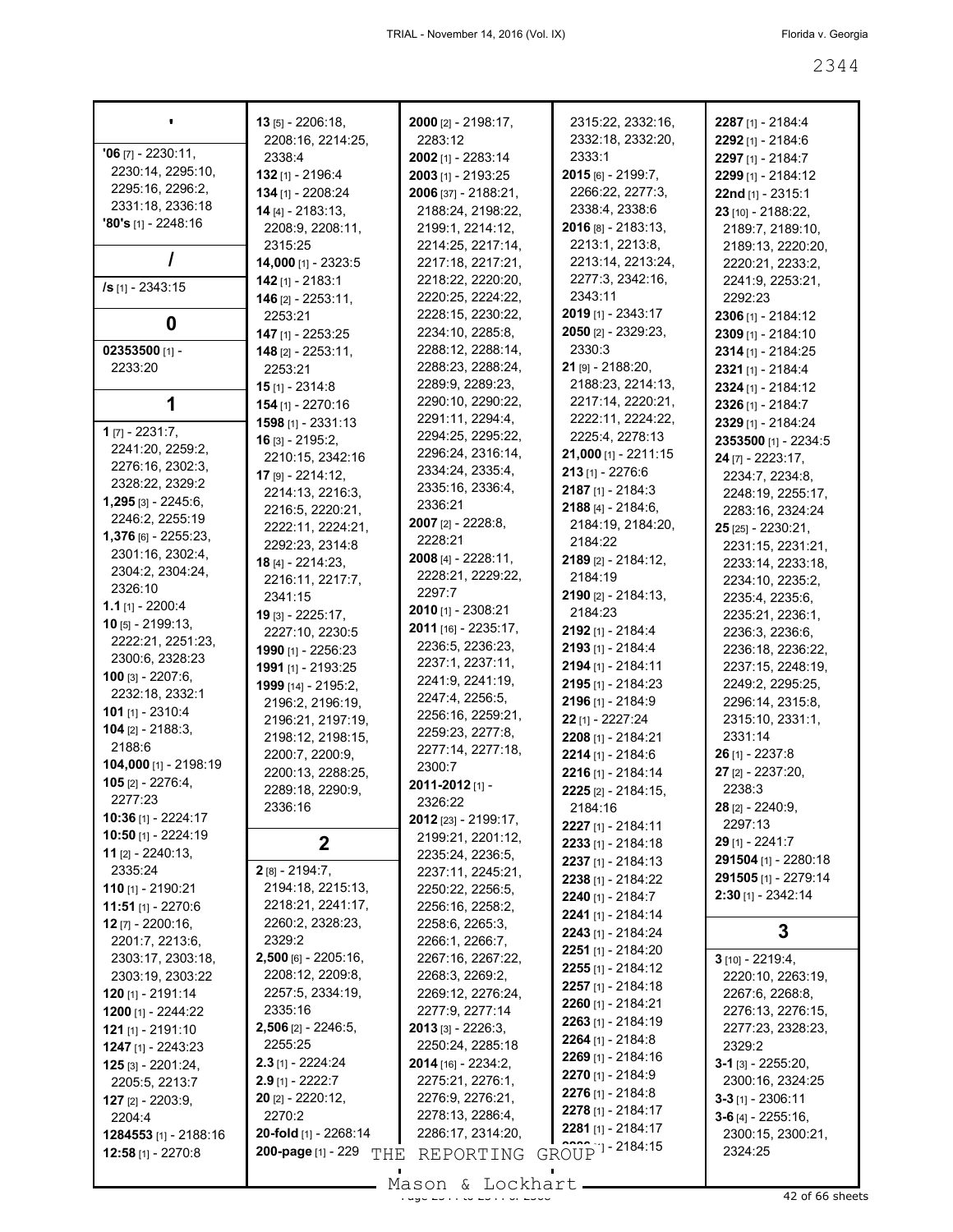|                            | $13$ [5] - 2206:18,          | 2000 [2] - 2198:17,                  | 2315:22, 2332:16,           | 2287 [1] - 2184:4    |
|----------------------------|------------------------------|--------------------------------------|-----------------------------|----------------------|
|                            | 2208:16, 2214:25,            | 2283:12                              | 2332:18, 2332:20,           | 2292 [1] - 2184:6    |
| $'06$ [7] - 2230:11,       | 2338:4                       | 2002 [1] - 2283:14                   | 2333:1                      | 2297 [1] - 2184:7    |
| 2230:14, 2295:10,          | 132 [1] - 2196:4             | 2003 [1] - 2193:25                   | 2015 [6] - 2199:7,          | 2299 [1] - 2184:12   |
| 2295:16, 2296:2,           | 134 [1] - 2208:24            | 2006 [37] - 2188:21,                 | 2266:22, 2277:3,            | 22nd [1] - 2315:1    |
| 2331:18, 2336:18           | 14 [4] - 2183:13,            | 2188:24, 2198:22,                    | 2338:4, 2338:6              | 23 [10] - 2188:22,   |
| <b>'80's</b> [1] - 2248:16 | 2208:9, 2208:11,             | 2199:1, 2214:12,                     | $2016$ [8] - 2183:13,       | 2189:7, 2189:10,     |
|                            | 2315:25                      | 2214:25, 2217:14,                    | 2213:1, 2213:8,             | 2189:13, 2220:20,    |
|                            | 14,000 [1] - 2323:5          | 2217:18, 2217:21,                    | 2213:14, 2213:24,           | 2220:21, 2233:2,     |
|                            | $142$ [1] - 2183:1           | 2218:22, 2220:20,                    | 2277:3, 2342:16,            | 2241:9, 2253:21,     |
| /s [1] - 2343:15           | <b>146</b> $[2] - 2253:11$ , | 2220:25, 2224:22,                    | 2343:11                     | 2292:23              |
|                            | 2253:21                      | 2228:15, 2230:22,                    | <b>2019</b> [1] - 2343:17   | 2306 [1] - 2184:12   |
| 0                          | 147 [1] - 2253:25            | 2234:10, 2285:8,                     | 2050 [2] - 2329:23,         | 2309 [1] - 2184:10   |
| 02353500 $[1]$ -           | 148 [2] - 2253:11,           | 2288:12, 2288:14,                    | 2330:3                      | 2314 [1] - 2184:25   |
| 2233:20                    | 2253:21                      | 2288:23, 2288:24,                    | 21 [9] - 2188:20,           | 2321 [1] - 2184:4    |
|                            | <b>15</b> $[1] - 2314.8$     | 2289:9, 2289:23,                     | 2188:23, 2214:13,           | 2324 [1] - 2184:12   |
|                            |                              | 2290:10, 2290:22,                    | 2217:14, 2220:21,           |                      |
| 1                          | 154 [1] - 2270:16            | 2291:11, 2294:4,                     | 2222:11, 2224:22,           | 2326 [1] - 2184:7    |
| <b>1</b> $[7] - 2231:7$ ,  | $1598$ [1] - 2331:13         | 2294:25, 2295:22,                    | 2225:4, 2278:13             | 2329 [1] - 2184:24   |
| 2241:20, 2259:2,           | 16 [3] - 2195:2.             | 2296:24, 2316:14,                    |                             | 2353500 [1] - 2234:5 |
| 2276:16, 2302:3,           | 2210:15, 2342:16             |                                      | 21,000 [1] - 2211:15        | $24$ [7] - 2223:17,  |
| 2328:22, 2329:2            | $17$ [9] - 2214:12,          | 2334:24, 2335:4,<br>2335:16, 2336:4, | $213$ [1] - 2276:6          | 2234:7, 2234:8,      |
| 1,295 [3] - 2245:6,        | 2214:13, 2216:3,             |                                      | 2187 [1] - 2184:3           | 2248:19, 2255:17,    |
| 2246:2, 2255:19            | 2216:5, 2220:21,             | 2336:21                              | 2188 [4] - 2184:6,          | 2283:16, 2324:24     |
| 1,376 [6] - 2255:23,       | 2222:11, 2224:21,            | 2007 [2] - 2228:8,                   | 2184:19, 2184:20,           | $25$ [25] - 2230:21, |
|                            | 2292:23, 2314:8              | 2228:21                              | 2184:22                     | 2231:15, 2231:21,    |
| 2301:16, 2302:4,           | 18 [4] - 2214:23,            | 2008 [4] - 2228:11,                  | 2189 [2] - 2184:12,         | 2233:14, 2233:18,    |
| 2304:2, 2304:24,           | 2216:11, 2217:7,             | 2228:21, 2229:22,                    | 2184:19                     | 2234:10, 2235:2,     |
| 2326:10                    | 2341:15                      | 2297:7                               | 2190 [2] - 2184:13,         | 2235:4, 2235:6,      |
| $1.1$ [1] - 2200:4         | 19 [3] - 2225:17,            | 2010 [1] - 2308:21                   | 2184:23                     | 2235:21, 2236:1,     |
| $10$ [5] - 2199:13,        | 2227:10, 2230:5              | 2011 [16] - 2235:17,                 | 2192 [1] - 2184:4           | 2236:3, 2236:6,      |
| 2222:21, 2251:23,          | 1990 [1] - 2256:23           | 2236:5, 2236:23,                     | 2193 [1] - 2184:4           | 2236:18, 2236:22,    |
| 2300:6, 2328:23            | 1991 [1] - 2193:25           | 2237:1, 2237:11,                     | 2194 [1] - 2184:11          | 2237:15, 2248:19,    |
| <b>100</b> [3] - 2207:6,   | 1999 [14] - 2195:2,          | 2241:9, 2241:19,                     | 2195 [1] - 2184:23          | 2249:2, 2295:25,     |
| 2232:18, 2332:1            | 2196:2, 2196:19,             | 2247:4, 2256:5,                      | 2196 [1] - 2184:9           | 2296:14, 2315:8,     |
| 101 $[1] - 2310:4$         | 2196:21, 2197:19,            | 2256:16, 2259:21,                    | 22 [1] - 2227:24            | 2315:10, 2331:1,     |
| $104$ [2] - 2188:3,        | 2198:12, 2198:15,            | 2259:23, 2277:8,                     | 2208 [1] - 2184:21          | 2331:14              |
| 2188:6                     | 2200:7, 2200:9,              | 2277:14, 2277:18,                    | 2214 [1] - 2184:6           | $26$ [1] - 2237:8    |
| 104,000 [1] - 2198:19      | 2200:13, 2288:25,            | 2300:7                               | 2216 [1] - 2184:14          | 27 [2] - 2237:20,    |
| <b>105</b> [2] - 2276:4,   | 2289:18, 2290:9,             | 2011-2012 [1] -                      | 2225 [2] - 2184:15,         | 2238:3               |
| 2277:23                    | 2336:16                      | 2326:22                              | 2184:16                     | $28$ [2] - 2240:9,   |
| 10:36 [1] - 2224:17        |                              | 2012 [23] - 2199:17,                 |                             | 2297:13              |
| 10:50 [1] - 2224:19        | $\mathbf{2}$                 | 2199:21, 2201:12,                    | 2227 [1] - 2184:11          |                      |
| 11 [2] - 2240:13,          |                              | 2235:24, 2236:5,                     | 2233 [1] - 2184:18          | 29 [1] - 2241:7      |
| 2335:24                    | 2 [8] - 2194:7,              | 2237:11, 2245:21,                    | $2237$ [1] - 2184:13        | 291504 [1] - 2280:18 |
| 110 [1] - 2190:21          | 2194:18, 2215:13,            | 2250:22, 2256:5,                     | 2238 [1] - 2184:22          | 291505 [1] - 2279:14 |
| 11:51 [1] - 2270:6         | 2218:21, 2241:17,            | 2256:16, 2258:2,                     | 2240 [1] - 2184:7           | $2:30$ [1] - 2342:14 |
| <b>12</b> [7] - 2200:16,   | 2260:2, 2328:23,             | 2258:6, 2265:3,                      | 2241 [1] - 2184:14          |                      |
| 2201:7, 2213:6,            | 2329:2                       | 2266:1, 2266:7,                      | 2243 [1] - 2184:24          | 3                    |
| 2303:17, 2303:18,          | 2,500 [6] - 2205:16,         | 2267:16, 2267:22,                    | 2251 [1] - 2184:20          | $3$ [10] - 2219:4,   |
| 2303:19, 2303:22           | 2208:12, 2209:8,             | 2268:3, 2269:2,                      | $2255$ [1] - 2184:12        | 2220:10, 2263:19,    |
| 120 [1] - 2191:14          | 2257:5, 2334:19,             | 2269:12, 2276:24,                    | 2257 [1] - 2184:18          | 2267:6, 2268:8,      |
| 1200 [1] - 2244:22         | 2335:16                      | 2277:9, 2277:14                      | 2260 [1] - 2184:21          | 2276:13, 2276:15,    |
|                            | $2,506$ [2] - 2246:5,        | $2013$ [3] - 2226:3,                 | 2263 [1] - 2184:19          | 2277:23, 2328:23,    |
| $121$ [1] - 2191:10        | 2255:25                      | 2250:24, 2285:18                     | $2264$ [1] - 2184:8         | 2329:2               |
| 1247 [1] - 2243:23         |                              |                                      | 2269 [1] - 2184:16          |                      |
| $125$ [3] - 2201:24,       | $2.3$ [1] - 2224:24          | <b>2014</b> [16] - 2234:2,           | 2270 [1] - 2184:9           | $3-1$ [3] - 2255:20, |
| 2205:5, 2213:7             | $2.9$ [1] - 2222:7           | 2275:21, 2276:1,                     | 2276 [1] - 2184:8           | 2300:16, 2324:25     |
| <b>127</b> [2] - 2203:9,   | 20 [2] - 2220:12,            | 2276:9, 2276:21,                     | 2278 [1] - 2184:17          | $3-3$ [1] - 2306:11  |
| 2204:4                     | 2270:2                       | 2278:13, 2286:4,                     | $2281$ [1] - 2184:17        | $3-6$ [4] - 2255:16, |
| 1284553 [1] - 2188:16      | 20-fold [1] - 2268:14        | 2286:17, 2314:20,                    |                             | 2300:15, 2300:21,    |
| 12:58 [1] - 2270:8         | 200-page [1] - 229<br>THE    | REPORTING                            | GROUP <sup>1</sup> -2184:15 | 2324:25              |
|                            |                              | $Mason$ for $k$ and $N+1$            |                             |                      |

Mason & Lockhart <u>external and the 2342 of 66 sheets</u>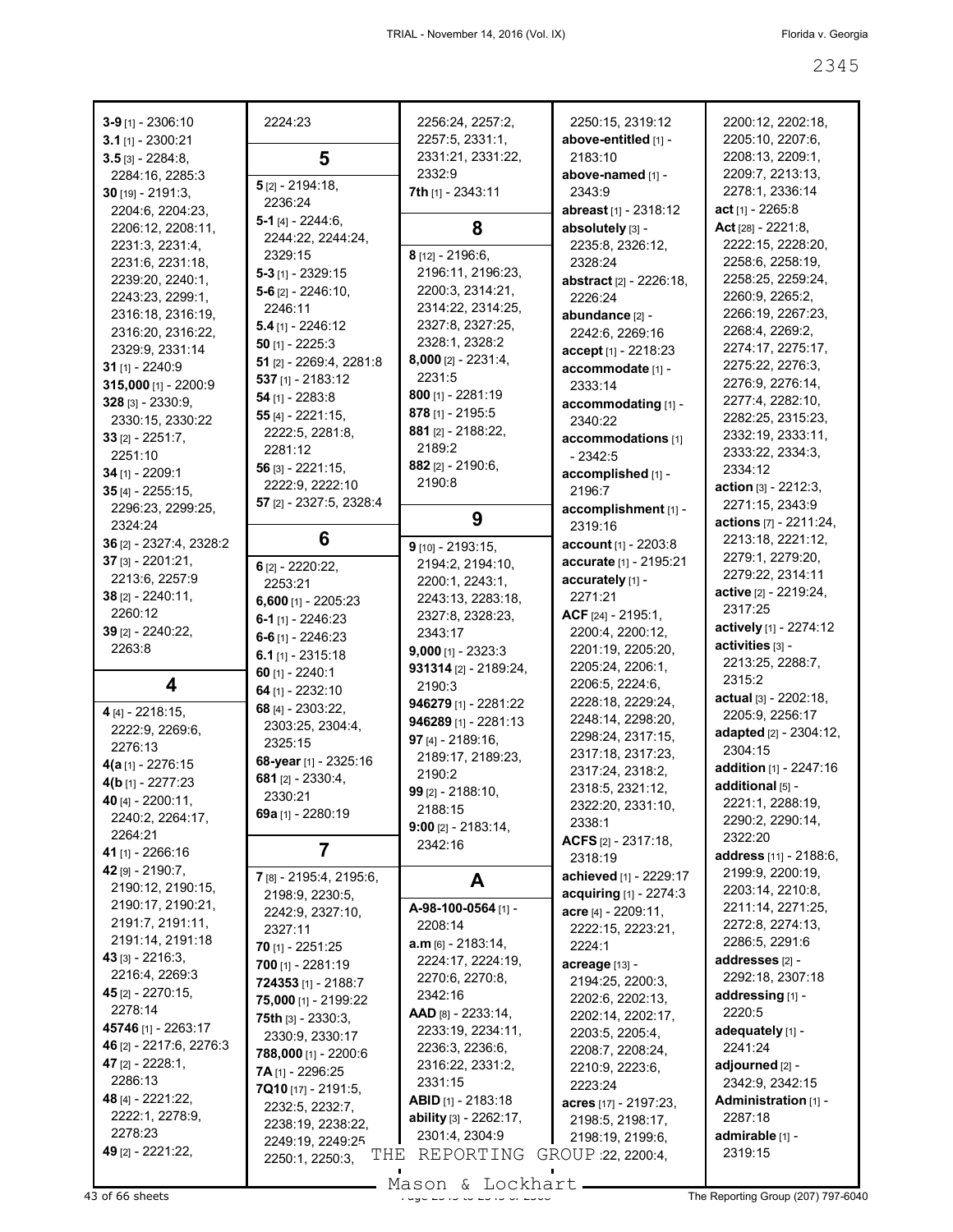| $3-9$ [1] - 2306:10                        | 2224:23                                    | 2256:24, 2257:2,<br>2257:5, 2331:1, | 2250:15, 2319:12                      | 2200:12, 2202:18,<br>2205:10, 2207:6, |
|--------------------------------------------|--------------------------------------------|-------------------------------------|---------------------------------------|---------------------------------------|
| $3.1$ [1] - 2300:21<br>$3.5$ [3] - 2284:8, | 5                                          | 2331:21, 2331:22,                   | above-entitled [1] -<br>2183:10       | 2208:13, 2209:1,                      |
|                                            |                                            | 2332:9                              | above-named [1] -                     | 2209:7, 2213:13,                      |
| 2284:16, 2285:3<br>$30$ [19] - 2191:3,     | $5$ [2] - 2194:18,                         | 7th [1] - 2343:11                   | 2343:9                                | 2278:1, 2336:14                       |
| 2204:6, 2204:23,                           | 2236:24                                    |                                     | abreast [1] - 2318:12                 | act [1] - 2265:8                      |
| 2206:12, 2208:11,                          | 5-1 $[4] - 2244:6$                         | 8                                   | absolutely [3] -                      | Act $[28] - 2221:8$                   |
| 2231:3, 2231:4,                            | 2244:22, 2244:24,                          |                                     | 2235:8, 2326:12,                      | 2222:15, 2228:20,                     |
| 2231:6, 2231:18,                           | 2329:15                                    | $8$ [12] - 2196:6,                  | 2328:24                               | 2258:6, 2258:19,                      |
| 2239:20, 2240:1,                           | $5-3$ [1] - 2329:15                        | 2196:11, 2196:23,                   | <b>abstract</b> [2] - 2226:18,        | 2258:25, 2259:24,                     |
| 2243:23, 2299:1,                           | $5-6$ [2] $-2246:10$ ,                     | 2200:3, 2314:21,                    | 2226:24                               | 2260:9, 2265:2,                       |
| 2316:18, 2316:19,                          | 2246:11                                    | 2314:22, 2314:25,                   | abundance [2] -                       | 2266:19, 2267:23,                     |
| 2316:20, 2316:22,                          | $5.4$ [1] - 2246:12                        | 2327:8, 2327:25,                    | 2242:6, 2269:16                       | 2268:4, 2269:2,                       |
| 2329:9, 2331:14                            | $50$ [1] - 2225:3                          | 2328:1, 2328:2                      | accept [1] - 2218:23                  | 2274:17, 2275:17,                     |
| $31$ [1] - 2240:9                          | 51 [2] - 2269:4, 2281:8                    | $8,000$ [2] - 2231:4,               | accommodate [1] -                     | 2275:22, 2276:3,                      |
| 315,000 [1] - 2200:9                       | $537$ [1] - 2183:12                        | 2231:5                              | 2333:14                               | 2276:9, 2276:14,                      |
| $328$ [3] - 2330:9,                        | $54$ [1] - 2283:8                          | $800$ [1] - 2281:19                 | accommodating [1] -                   | 2277:4, 2282:10,                      |
| 2330:15, 2330:22                           | 55 $[4] - 2221:15,$                        | $878$ [1] - 2195:5                  | 2340:22                               | 2282:25, 2315:23,                     |
| $33$ [2] - 2251:7,                         | 2222:5, 2281:8,                            | $881$ [2] - 2188:22,                | accommodations [1]                    | 2332:19, 2333:11,                     |
| 2251:10                                    | 2281:12                                    | 2189:2                              | $-2342:5$                             | 2333:22, 2334:3,                      |
| 34 [1] - 2209:1                            | $56$ [3] - 2221:15,                        | 882 $[2] - 2190:6$                  | accomplished [1] -                    | 2334:12                               |
| $35$ [4] - 2255:15,                        | 2222:9, 2222:10                            | 2190:8                              | 2196:7                                | <b>action</b> $[3] - 2212:3$          |
| 2296:23, 2299:25,                          | 57 [2] - 2327:5, 2328:4                    |                                     | accomplishment [1] -                  | 2271:15, 2343:9                       |
| 2324:24                                    |                                            | 9                                   | 2319:16                               | actions [7] - 2211:24,                |
| 36 [2] - 2327:4, 2328:2                    | 6                                          | $9$ [10] - 2193:15,                 | account [1] - 2203:8                  | 2213:18, 2221:12,                     |
| $37$ [3] - 2201:21,                        | $6$ [2] - 2220:22,                         | 2194:2, 2194:10,                    | accurate [1] - 2195:21                | 2279:1, 2279:20,                      |
| 2213:6, 2257:9                             | 2253:21                                    | 2200:1, 2243:1,                     | accurately [1] -                      | 2279:22, 2314:11                      |
| 38 [2] - 2240:11,                          | $6,600$ [1] - 2205:23                      | 2243:13, 2283:18,                   | 2271:21                               | active [2] - 2219:24,                 |
| 2260:12                                    | 6-1 $[1] - 2246:23$                        | 2327:8, 2328:23,                    | ACF [24] - 2195:1,                    | 2317:25                               |
| 39 [2] - 2240:22,                          | $6-6$ [1] - 2246:23                        | 2343:17                             | 2200:4, 2200:12,                      | actively [1] - 2274:12                |
| 2263:8                                     | 6.1 $[1] - 2315:18$                        | $9,000$ [1] - 2323:3                | 2201:19, 2205:20,                     | activities [3] -                      |
|                                            | 60 $[1] - 2240:1$                          | 931314 [2] - 2189:24,               | 2205:24, 2206:1,                      | 2213:25, 2288:7,<br>2315:2            |
| 4                                          | 64 [1] - 2232:10                           | 2190:3                              | 2206:5, 2224:6,                       | actual [3] - 2202:18,                 |
| 4 [4] - 2218:15,                           | 68 [4] - 2303:22,                          | 946279 [1] - 2281:22                | 2228:18, 2229:24,                     | 2205:9, 2256:17                       |
| 2222:9, 2269:6,                            | 2303:25, 2304:4,                           | 946289 [1] - 2281:13                | 2248:14, 2298:20,                     | adapted [2] - 2304:12,                |
| 2276:13                                    | 2325:15                                    | 97 $[4] - 2189.16$                  | 2298:24, 2317:15,                     | 2304:15                               |
| $4(a_{[1]} - 2276:15$                      | 68-year [1] - 2325:16                      | 2189:17, 2189:23,                   | 2317:18, 2317:23,                     | addition [1] - 2247:16                |
| 4(b [1] - 2277:23                          | 681 [2] - 2330:4,                          | 2190:2                              | 2317:24, 2318:2,<br>2318:5, 2321:12,  | additional [5] -                      |
| 40 [4] - 2200:11,                          | 2330:21                                    | 99 [2] - 2188:10,                   | 2322:20, 2331:10,                     | 2221:1, 2288:19,                      |
| 2240:2, 2264:17,                           | 69a [1] - 2280:19                          | 2188:15                             | 2338:1                                | 2290:2, 2290:14,                      |
| 2264:21                                    |                                            | $9:00$ [2] - 2183:14,               | ACFS $[2] - 2317:18$                  | 2322:20                               |
| 41 [1] - 2266:16                           | 7                                          | 2342:16                             | 2318:19                               | address [11] - 2188:6,                |
| 42 [9] - 2190:7,                           | 7 [8] - 2195:4, 2195:6,                    | A                                   | achieved [1] - 2229:17                | 2199:9, 2200:19,                      |
| 2190:12, 2190:15,                          | 2198:9, 2230:5,                            |                                     | acquiring [1] - 2274:3                | 2203:14, 2210:8,                      |
| 2190:17, 2190:21,                          | 2242:9, 2327:10,                           | A-98-100-0564 [1] -                 | $accre$ [4] - 2209:11,                | 2211:14, 2271:25,                     |
| 2191:7, 2191:11,                           | 2327:11                                    | 2208:14                             | 2222:15, 2223:21,                     | 2272:8, 2274:13,                      |
| 2191:14, 2191:18                           | <b>70</b> [1] - 2251:25                    | $a.m_{[6]} - 2183.14,$              | 2224:1                                | 2286:5, 2291:6                        |
| $43$ [3] - 2216:3,                         | 700 [1] - 2281:19                          | 2224:17, 2224:19,                   | acreage [13] -                        | addresses [2] -                       |
| 2216:4, 2269:3                             | 724353 [1] - 2188:7                        | 2270:6, 2270:8,                     | 2194:25, 2200:3,                      | 2292:18, 2307:18                      |
| 45 [2] - 2270:15,                          | 75,000 [1] - 2199:22                       | 2342:16                             | 2202:6, 2202:13,                      | addressing [1] -                      |
| 2278:14<br>45746 [1] - 2263:17             | <b>75th</b> [3] - 2330:3,                  | $AB$ [8] - 2233:14,                 | 2202:14, 2202:17,                     | 2220:5                                |
| 46 [2] - 2217:6, 2276:3                    | 2330:9, 2330:17                            | 2233:19, 2234:11,                   | 2203:5, 2205:4,                       | adequately [1] -                      |
| <b>47</b> [2] - 2228:1,                    | 788,000 [1] - 2200:6                       | 2236:3, 2236:6,                     | 2208:7, 2208:24,                      | 2241:24<br>adjourned [2] -            |
| 2286:13                                    | 7A [1] - 2296:25                           | 2316:22, 2331:2,<br>2331:15         | 2210:9, 2223:6,                       | 2342:9, 2342:15                       |
| 48 [4] - 2221:22,                          | <b>7Q10</b> [17] - 2191:5,                 | ABID [1] - 2183:18                  | 2223:24                               | Administration [1] -                  |
| 2222:1, 2278:9,                            |                                            |                                     | acres [17] - 2197:23,                 |                                       |
|                                            | 2232:5, 2232:7,                            |                                     |                                       |                                       |
| 2278:23                                    | 2238:19, 2238:22,                          | <b>ability</b> $[3] - 2262:17$ ,    | 2198:5, 2198:17,                      | 2287:18                               |
| 49 [2] - 2221:22,                          | 2249:19, 2249:25<br>THE<br>2250:1, 2250:3, | 2301:4, 2304:9<br>REPORTING         | 2198:19, 2199:6,<br>GROUP 22, 2200:4, | admirable [1] -<br>2319:15            |

Mason & Lockhart

43 of 66 sheets **Page 2345 of 236 to 236 of 2368 The Reporting Group (207) 797-6040**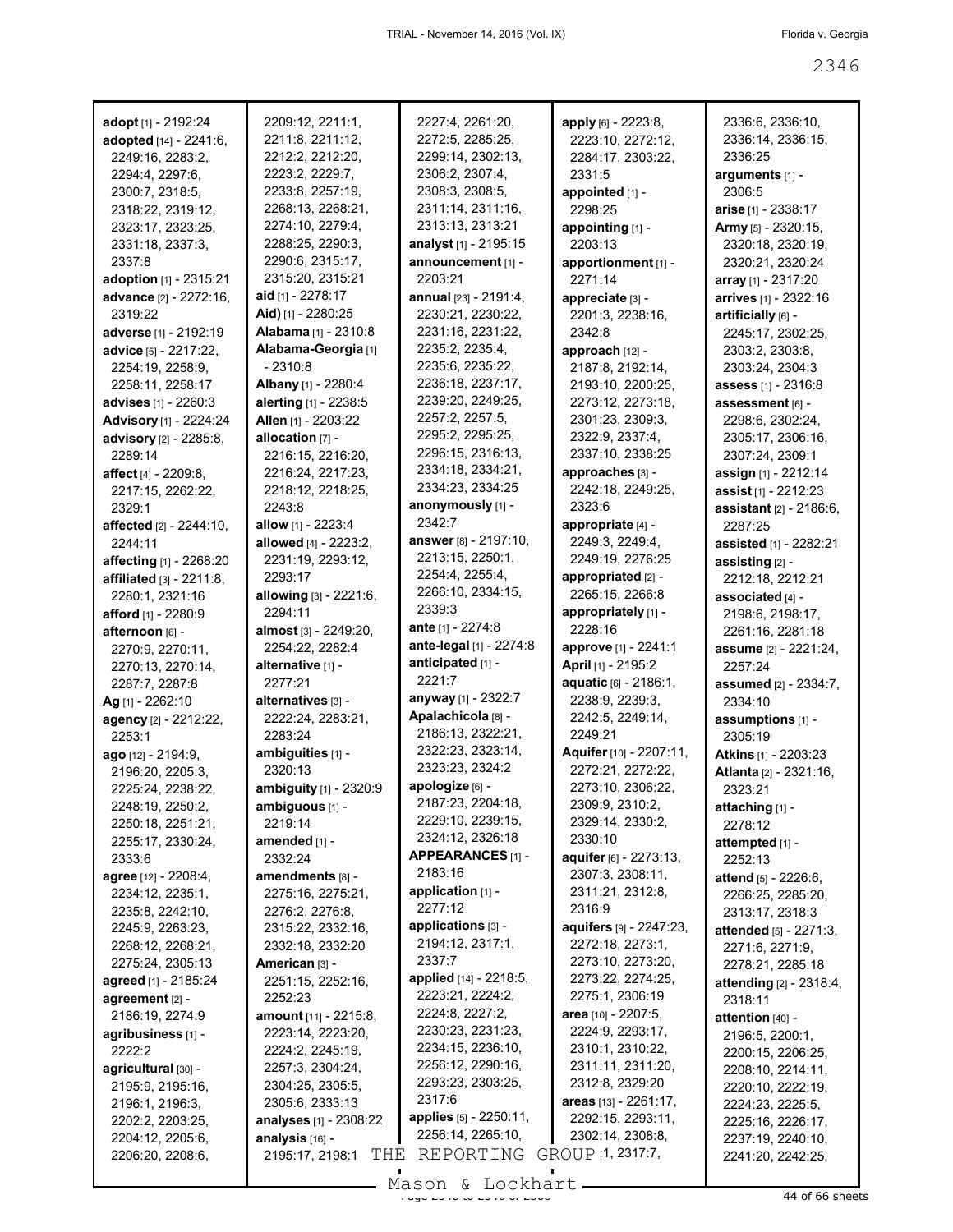| adopt [1] - 2192:24             | 2209:12, 2211:1,              | 2227:4, 2261:20,                | apply [6] - 2223:8,            | 2336:6, 2336:10,              |
|---------------------------------|-------------------------------|---------------------------------|--------------------------------|-------------------------------|
| adopted [14] - 2241:6,          | 2211:8, 2211:12,              | 2272:5, 2285:25,                | 2223:10, 2272:12,              | 2336:14, 2336:15,             |
| 2249:16, 2283:2,                | 2212:2, 2212:20,              | 2299:14, 2302:13,               | 2284:17, 2303:22,              | 2336:25                       |
| 2294:4, 2297:6,                 | 2223:2, 2229:7,               | 2306:2, 2307:4,                 | 2331:5                         | arguments [1] -               |
| 2300:7, 2318:5,                 | 2233:8, 2257:19,              | 2308:3, 2308:5,                 | appointed [1] -                | 2306:5                        |
| 2318:22, 2319:12,               | 2268:13, 2268:21,             | 2311:14, 2311:16,               | 2298:25                        | arise $[1] - 2338:17$         |
| 2323:17, 2323:25,               | 2274:10, 2279:4,              | 2313:13, 2313:21                | appointing [1] -               | Army [5] - 2320:15,           |
| 2331:18, 2337:3,                | 2288:25, 2290:3,              | analyst [1] - 2195:15           | 2203:13                        | 2320:18, 2320:19,             |
| 2337:8                          | 2290:6, 2315:17,              | announcement [1] -              | apportionment [1] -            | 2320:21, 2320:24              |
| adoption [1] - 2315:21          | 2315:20, 2315:21              | 2203:21                         | 2271:14                        | array [1] - 2317:20           |
| advance [2] - 2272:16,          | aid [1] - 2278:17             | annual [23] - 2191:4,           | appreciate [3] -               | arrives [1] - 2322:16         |
| 2319:22                         | Aid) [1] - 2280:25            | 2230:21, 2230:22,               | 2201:3, 2238:16,               | artificially [6] -            |
| adverse [1] - 2192:19           | Alabama [1] - 2310:8          | 2231:16, 2231:22,               | 2342:8                         | 2245:17, 2302:25,             |
| advice [5] - 2217:22,           | Alabama-Georgia [1]           | 2235:2, 2235:4,                 | approach [12] -                | 2303:2, 2303:8,               |
| 2254:19, 2258:9,                | - 2310:8                      | 2235:6, 2235:22,                | 2187:8, 2192:14,               | 2303:24, 2304:3               |
| 2258:11, 2258:17                | Albany [1] - 2280:4           | 2236:18, 2237:17,               | 2193:10, 2200:25,              | <b>assess</b> [1] - 2316:8    |
| <b>advises</b> [1] - 2260:3     | alerting [1] - 2238:5         | 2239:20, 2249:25,               | 2273:12, 2273:18,              | assessment [6] -              |
| Advisory [1] - 2224:24          | Allen [1] - 2203:22           | 2257:2, 2257:5,                 | 2301:23, 2309:3,               | 2298:6, 2302:24,              |
| advisory [2] - 2285:8,          | allocation [7] -              | 2295:2, 2295:25,                | 2322:9, 2337:4,                | 2305:17, 2306:16,             |
| 2289:14                         | 2216:15, 2216:20,             | 2296:15, 2316:13,               | 2337:10, 2338:25               | 2307:24, 2309:1               |
| affect $[4] - 2209.8$           | 2216:24, 2217:23,             | 2334:18, 2334:21,               | approaches [3] -               | assign [1] - 2212:14          |
| 2217:15, 2262:22,               | 2218:12, 2218:25,             | 2334:23, 2334:25                | 2242:18, 2249:25,              | assist [1] - 2212:23          |
| 2329:1                          | 2243:8                        | anonymously [1] -               | 2323:6                         | assistant [2] - 2186:6,       |
| <b>affected</b> [2] - 2244:10,  | allow [1] - 2223:4            | 2342:7                          | appropriate [4] -              | 2287:25                       |
| 2244:11                         | allowed [4] - 2223:2,         | answer [8] - 2197:10,           | 2249:3, 2249:4,                | assisted [1] - 2282:21        |
| affecting [1] - 2268:20         | 2231:19, 2293:12,             | 2213:15, 2250:1,                | 2249:19, 2276:25               | assisting [2] -               |
| <b>affiliated</b> [3] - 2211:8, | 2293:17                       | 2254:4, 2255:4,                 | appropriated [2] -             | 2212:18, 2212:21              |
| 2280:1, 2321:16                 | allowing [3] - 2221:6,        | 2266:10, 2334:15,               | 2265:15, 2266:8                | associated [4] -              |
| afford [1] - 2280:9             | 2294:11                       | 2339:3                          | appropriately [1] -            | 2198:6, 2198:17,              |
| afternoon [6] -                 | almost [3] - 2249:20,         | <b>ante</b> [1] - 2274:8        | 2228:16                        | 2261:16, 2281:18              |
| 2270:9, 2270:11,                | 2254:22, 2282:4               | ante-legal [1] - 2274:8         | approve [1] - 2241:1           | assume [2] - 2221:24,         |
| 2270:13, 2270:14,               | alternative [1] -             | anticipated [1] -               | April [1] - 2195:2             | 2257:24                       |
| 2287:7, 2287:8                  | 2277:21                       | 2221:7                          | aquatic [6] - 2186:1,          | assumed [2] - 2334:7,         |
| Ag [1] - 2262:10                | alternatives [3] -            | anyway [1] - 2322:7             | 2238:9, 2239:3,                | 2334:10                       |
| agency [2] - 2212:22,           | 2222:24, 2283:21,             | Apalachicola [8] -              | 2242:5, 2249:14,               | assumptions [1] -             |
| 2253:1                          | 2283:24                       | 2186:13, 2322:21,               | 2249:21                        | 2305:19                       |
| ago [12] - 2194:9,              | ambiguities [1] -             | 2322:23, 2323:14,               | Aquifer [10] - 2207:11,        | <b>Atkins</b> [1] - 2203:23   |
| 2196:20, 2205:3,                | 2320:13                       | 2323:23, 2324:2                 | 2272:21, 2272:22,              | Atlanta [2] - 2321:16,        |
| 2225:24, 2238:22,               | ambiguity [1] - 2320:9        | apologize [6] -                 | 2273:10, 2306:22,              | 2323:21                       |
| 2248:19, 2250:2,                | ambiguous [1] -               | 2187:23, 2204:18,               | 2309:9, 2310:2,                | attaching [1] -               |
| 2250:18, 2251:21,               | 2219:14                       | 2229:10, 2239:15,               | 2329:14, 2330:2,               | 2278:12                       |
| 2255:17, 2330:24,               | amended [1] -                 | 2324:12, 2326:18                | 2330:10                        | attempted [1] -               |
| 2333:6                          | 2332:24                       | APPEARANCES [1] -               | aquifer [6] - 2273:13,         | 2252:13                       |
| <b>agree</b> [12] - 2208:4,     | amendments [8] -              | 2183:16                         | 2307:3, 2308:11,               | <b>attend</b> [5] - 2226:6,   |
| 2234:12, 2235:1,                | 2275:16, 2275:21,             | application [1] -               | 2311:21, 2312:8,               | 2266:25, 2285:20,             |
| 2235:8, 2242:10,                | 2276:2, 2276:8,               | 2277:12                         | 2316:9                         | 2313:17, 2318:3               |
| 2245:9, 2263:23,                | 2315:22, 2332:16,             | applications [3] -              | <b>aquifers</b> [9] - 2247:23, | <b>attended</b> [5] - 2271:3, |
| 2268:12, 2268:21,               | 2332:18, 2332:20              | 2194:12, 2317:1,                | 2272:18, 2273:1,               | 2271:6, 2271:9,               |
| 2275:24, 2305:13                | American [3] -                | 2337:7                          | 2273:10, 2273:20,              | 2278:21, 2285:18              |
| <b>agreed</b> [1] - 2185:24     | 2251:15, 2252:16,             | applied [14] - 2218:5,          | 2273:22, 2274:25,              | attending [2] - 2318:4,       |
| agreement $[2]$ -               | 2252:23                       | 2223:21, 2224:2,                | 2275:1, 2306:19                | 2318:11                       |
| 2186:19, 2274:9                 | amount [11] - 2215:8,         | 2224:8, 2227:2,                 | area [10] - 2207:5,            | attention [40] -              |
| agribusiness [1] -              | 2223:14, 2223:20,             | 2230:23, 2231:23,               | 2224:9, 2293:17,               | 2196:5, 2200:1,               |
| 2222:2                          | 2224:2, 2245:19,              | 2234:15, 2236:10,               | 2310:1, 2310:22,               | 2200:15, 2206:25,             |
| agricultural [30] -             | 2257:3, 2304:24,              | 2256:12, 2290:16,               | 2311:11, 2311:20,              | 2208:10, 2214:11,             |
| 2195:9, 2195:16,                | 2304:25, 2305:5,              | 2293:23, 2303:25,               | 2312:8, 2329:20                | 2220:10, 2222:19,             |
| 2196:1, 2196:3,                 | 2305:6, 2333:13               | 2317:6                          | areas [13] - 2261:17,          | 2224:23, 2225:5,              |
| 2202:2, 2203:25,                | <b>analyses</b> [1] - 2308:22 | <b>applies</b> $[5] - 2250:11,$ | 2292:15, 2293:11,              | 2225:16, 2226:17,             |
| 2204:12, 2205:6,                | analysis [16] -               | 2256:14, 2265:10,               | 2302:14, 2308:8,               | 2237:19, 2240:10,             |
| 2206:20, 2208:6,                | THE<br>2195:17, 2198:1        | REPORTING                       | GROUP 1, 2317:7,               | 2241:20, 2242:25,             |
|                                 |                               |                                 |                                |                               |

 $\frac{235611}{446666}$  of  $\frac{236861}{44666}$  sheets Mason & Lockhart.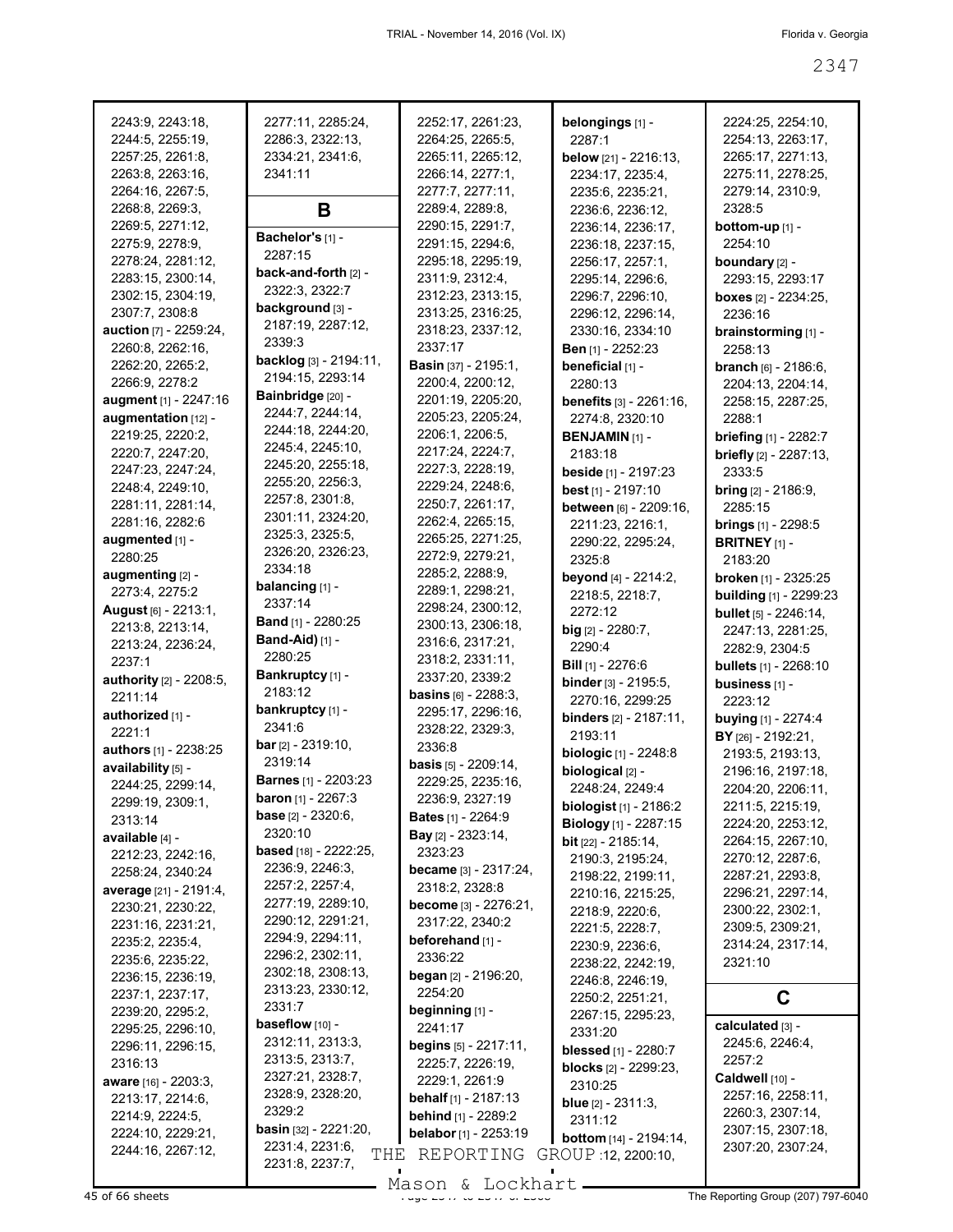| 2243:9, 2243:18,                      | 2277:11, 2285:24,                     | 2252:17, 2261:23,                      | belongings [1] -                        | 2224:25, 2254:10,                   |
|---------------------------------------|---------------------------------------|----------------------------------------|-----------------------------------------|-------------------------------------|
| 2244:5, 2255:19,                      | 2286:3, 2322:13,                      | 2264:25, 2265:5,                       | 2287:1                                  | 2254:13, 2263:17,                   |
| 2257:25, 2261:8,                      | 2334:21, 2341:6,                      | 2265:11, 2265:12,                      | below [21] - 2216:13,                   | 2265:17, 2271:13,                   |
| 2263:8, 2263:16,                      | 2341:11                               | 2266:14, 2277:1,                       | 2234:17, 2235:4,                        | 2275:11, 2278:25,                   |
| 2264:16, 2267:5,                      |                                       | 2277:7, 2277:11,                       | 2235:6, 2235:21,                        | 2279:14, 2310:9,                    |
| 2268:8, 2269:3,                       | B                                     | 2289:4, 2289:8,                        | 2236:6, 2236:12,                        | 2328:5                              |
| 2269:5, 2271:12,                      |                                       | 2290:15, 2291:7,                       | 2236:14, 2236:17,                       | <b>bottom-up</b> $[1]$ -            |
| 2275:9, 2278:9,                       | Bachelor's [1] -                      | 2291:15, 2294:6,                       | 2236:18, 2237:15,                       | 2254:10                             |
| 2278:24, 2281:12,                     | 2287:15                               | 2295:18, 2295:19,                      | 2256:17, 2257:1,                        | boundary [2] -                      |
| 2283:15, 2300:14,                     | back-and-forth [2] -                  | 2311:9, 2312:4,                        | 2295:14, 2296:6,                        | 2293:15, 2293:17                    |
| 2302:15, 2304:19,                     | 2322:3, 2322:7                        | 2312:23, 2313:15,                      | 2296:7, 2296:10,                        | <b>boxes</b> $[2] - 2234:25$ ,      |
| 2307:7, 2308:8                        | background [3] -                      | 2313:25, 2316:25,                      | 2296:12, 2296:14,                       | 2236:16                             |
| <b>auction</b> [7] - 2259:24,         | 2187:19, 2287:12,                     | 2318:23, 2337:12,                      | 2330:16, 2334:10                        | brainstorming [1] -                 |
| 2260:8, 2262:16,                      | 2339:3                                | 2337:17                                | Ben [1] - 2252:23                       | 2258:13                             |
| 2262:20, 2265:2,                      | backlog [3] - 2194:11,                | <b>Basin</b> [37] - 2195:1,            | beneficial [1] -                        | <b>branch</b> $[6] - 2186:6$ ,      |
| 2266:9, 2278:2                        | 2194:15, 2293:14                      | 2200:4, 2200:12,                       | 2280:13                                 | 2204:13, 2204:14,                   |
| augment [1] - 2247:16                 | Bainbridge [20] -<br>2244:7, 2244:14, | 2201:19, 2205:20,                      | <b>benefits</b> [3] - 2261:16,          | 2258:15, 2287:25,                   |
| augmentation [12] -                   | 2244:18, 2244:20,                     | 2205:23, 2205:24,                      | 2274:8, 2320:10                         | 2288:1                              |
| 2219:25, 2220:2,                      | 2245:4, 2245:10,                      | 2206:1, 2206:5,                        | <b>BENJAMIN [1] -</b>                   | <b>briefing</b> [1] - 2282:7        |
| 2220:7, 2247:20,                      | 2245:20, 2255:18,                     | 2217:24, 2224:7,                       | 2183:18                                 | briefly [2] - 2287:13,              |
| 2247:23, 2247:24,                     | 2255:20, 2256:3,                      | 2227:3, 2228:19,                       | <b>beside</b> [1] - 2197:23             | 2333:5                              |
| 2248:4, 2249:10,                      | 2257:8, 2301:8,                       | 2229:24, 2248:6,                       | best [1] - 2197:10                      | <b>bring</b> $[2] - 2186:9$ ,       |
| 2281:11, 2281:14,                     | 2301:11, 2324:20,                     | 2250:7, 2261:17,<br>2262:4, 2265:15,   | between [6] - 2209:16,                  | 2285:15                             |
| 2281:16, 2282:6                       | 2325:3, 2325:5,                       | 2265:25, 2271:25,                      | 2211:23, 2216:1,                        | <b>brings</b> $[1] - 2298:5$        |
| augmented [1] -<br>2280:25            | 2326:20, 2326:23,                     | 2272:9, 2279:21,                       | 2290:22, 2295:24,                       | <b>BRITNEY</b> $[1]$ -              |
|                                       | 2334:18                               | 2285:2, 2288:9,                        | 2325:8                                  | 2183:20                             |
| augmenting [2] -<br>2273:4, 2275:2    | balancing [1] -                       | 2289:1, 2298:21,                       | beyond [4] - 2214:2,                    | broken [1] - 2325:25                |
| <b>August</b> [6] - 2213:1,           | 2337:14                               | 2298:24, 2300:12,                      | 2218:5, 2218:7,<br>2272:12              | <b>building</b> [1] - 2299:23       |
| 2213:8, 2213:14,                      | <b>Band</b> [1] - 2280:25             | 2300:13, 2306:18,                      | $big$ [2] - 2280:7,                     | bullet [5] - 2246:14,               |
| 2213:24, 2236:24,                     | <b>Band-Aid)</b> [1] -                | 2316:6, 2317:21,                       | 2290:4                                  | 2247:13, 2281:25,<br>2282:9, 2304:5 |
| 2237:1                                | 2280:25                               | 2318:2, 2331:11,                       | <b>Bill</b> [1] - 2276:6                | <b>bullets</b> $[1] - 2268:10$      |
| <b>authority</b> [2] - 2208:5,        | Bankruptcy [1] -                      | 2337:20, 2339:2                        | binder [3] - 2195:5,                    | business [1] -                      |
| 2211:14                               | 2183:12                               | <b>basins</b> $[6] - 2288:3$ ,         | 2270:16, 2299:25                        | 2223:12                             |
| authorized [1] -                      | bankruptcy [1] -                      | 2295:17, 2296:16,                      | binders [2] - 2187:11,                  | <b>buying</b> $[1]$ - 2274:4        |
| 2221:1                                | 2341:6                                | 2328:22, 2329:3,                       | 2193:11                                 | BY [26] - 2192:21,                  |
| <b>authors</b> [1] - 2238:25          | <b>bar</b> $[2] - 2319:10$ ,          | 2336:8                                 | <b>biologic</b> [1] - 2248:8            | 2193:5, 2193:13,                    |
| availability [5] -                    | 2319:14                               | <b>basis</b> $[5] - 2209:14$ ,         | biological [2] -                        | 2196:16, 2197:18,                   |
| 2244:25, 2299:14,                     | <b>Barnes</b> [1] - 2203:23           | 2229:25, 2235:16,                      | 2248:24, 2249:4                         | 2204:20, 2206:11,                   |
| 2299:19, 2309:1,                      | <b>baron</b> [1] - 2267:3             | 2236:9, 2327:19                        | biologist [1] - 2186:2                  | 2211:5, 2215:19,                    |
| 2313:14                               | <b>base</b> $[2] - 2320:6$ ,          | <b>Bates</b> [1] - 2264:9              | Biology [1] - 2287:15                   | 2224:20, 2253:12,                   |
| available [4] -                       | 2320:10                               | <b>Bay</b> $[2] - 2323:14$ ,           | <b>bit</b> $[22] - 2185:14$ ,           | 2264:15, 2267:10,                   |
| 2212:23, 2242:16,                     | <b>based</b> [18] - 2222:25,          | 2323:23                                | 2190:3, 2195:24,                        | 2270:12, 2287:6,                    |
| 2258:24, 2340:24                      | 2236:9, 2246:3,<br>2257:2, 2257:4,    | became [3] - 2317:24,                  | 2198:22, 2199:11,                       | 2287:21, 2293:8,                    |
| <b>average</b> [21] - 2191:4,         | 2277:19, 2289:10,                     | 2318:2, 2328:8                         | 2210:16, 2215:25,                       | 2296:21, 2297:14,                   |
| 2230:21, 2230:22,                     | 2290:12, 2291:21,                     | <b>become</b> [3] - 2276:21,           | 2218:9, 2220:6,                         | 2300:22, 2302:1,                    |
| 2231:16, 2231:21,                     | 2294:9, 2294:11,                      | 2317:22, 2340:2                        | 2221:5, 2228:7,                         | 2309:5, 2309:21,                    |
| 2235:2, 2235:4,                       | 2296:2, 2302:11,                      | beforehand [1] -<br>2336:22            | 2230:9, 2236:6,                         | 2314:24, 2317:14,                   |
| 2235:6, 2235:22,                      | 2302:18, 2308:13,                     |                                        | 2238:22, 2242:19,                       | 2321:10                             |
| 2236:15, 2236:19,<br>2237:1, 2237:17, | 2313:23, 2330:12,                     | <b>began</b> [2] - 2196:20,<br>2254:20 | 2246:8, 2246:19,                        |                                     |
| 2239:20, 2295:2,                      | 2331:7                                | beginning [1] -                        | 2250:2, 2251:21,                        | C                                   |
| 2295:25, 2296:10,                     | <b>baseflow</b> $[10]$ -              | 2241:17                                | 2267:15, 2295:23,                       | calculated [3] -                    |
| 2296:11, 2296:15,                     | 2312:11, 2313:3,                      | begins [5] - 2217:11,                  | 2331:20                                 | 2245:6, 2246:4,                     |
| 2316:13                               | 2313:5, 2313:7,                       | 2225:7, 2226:19,                       | <b>blessed</b> [1] - 2280:7             | 2257:2                              |
| <b>aware</b> [16] - 2203:3,           | 2327:21, 2328:7,                      | 2229:1, 2261:9                         | <b>blocks</b> [2] - 2299:23,<br>2310:25 | Caldwell [10] -                     |
| 2213:17, 2214:6,                      | 2328:9, 2328:20,                      | <b>behalf</b> $[1]$ - 2187:13          |                                         | 2257:16, 2258:11,                   |
| 2214:9, 2224:5,                       | 2329:2                                | <b>behind</b> [1] - 2289:2             | <b>blue</b> $[2] - 2311:3$ ,<br>2311:12 | 2260:3, 2307:14,                    |
| 2224:10, 2229:21,                     | <b>basin</b> [32] - $2221:20$ ,       | belabor [1] - 2253:19                  | <b>bottom</b> [14] - 2194:14,           | 2307:15, 2307:18,                   |
| 2244:16, 2267:12,                     | 2231:4, 2231:6,<br>THE                | REPORTING                              | GROUP 12, 2200:10,                      | 2307:20, 2307:24,                   |
|                                       | 2231:8, 2237:7,                       |                                        |                                         |                                     |

Mason & Lockhart **Page 2347 of 66 sheets** Page 237 to 2347 to 2368 Mason & Lockhart **Page 237 to 2368 The Reporting Group** (207) 797-6040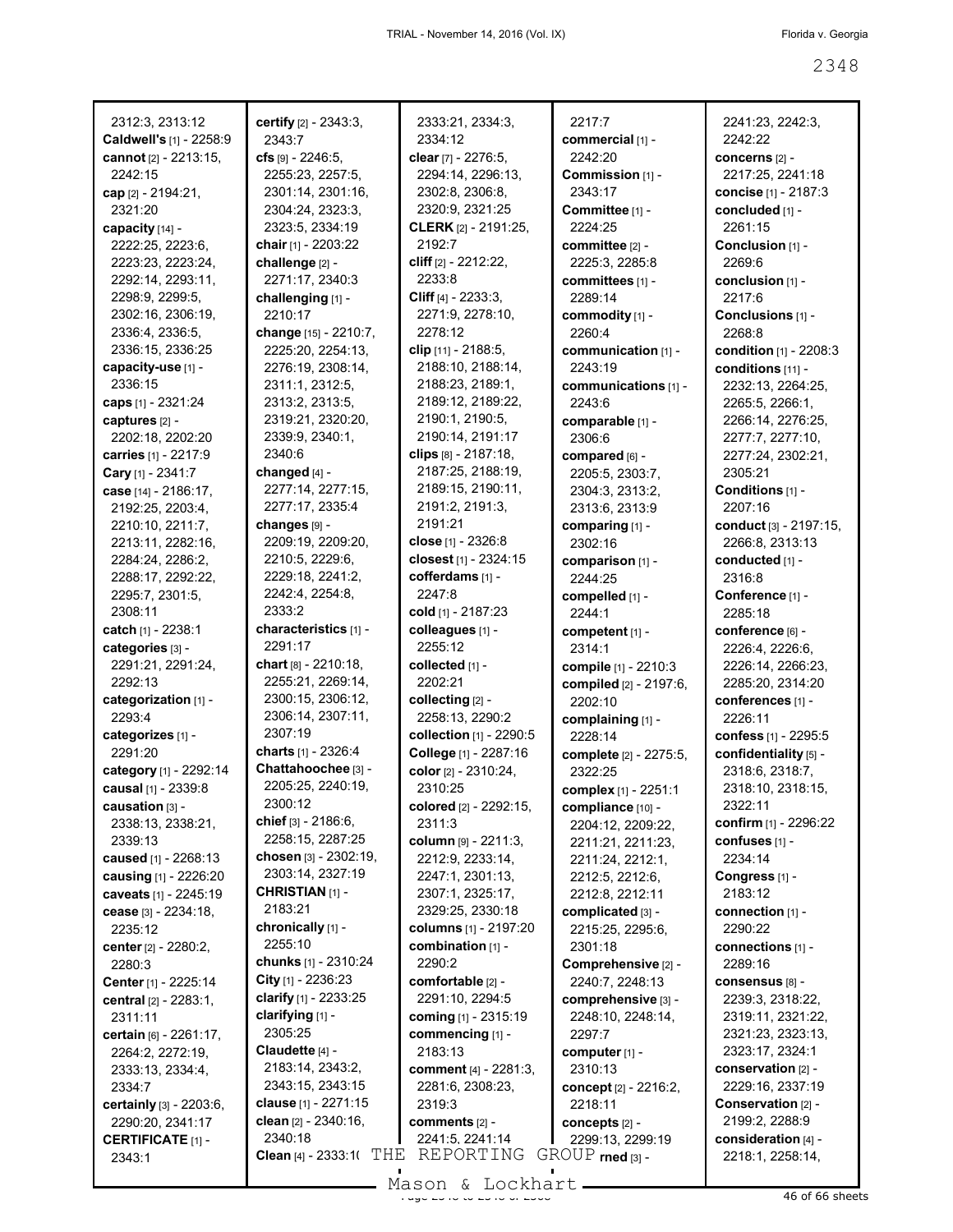| 2312:3, 2313:12                             | certify [2] - 2343:3,                        | 2333:21, 2334:3,                          | 2217.7                             | 2241:23, 2242:3,                       |
|---------------------------------------------|----------------------------------------------|-------------------------------------------|------------------------------------|----------------------------------------|
| Caldwell's [1] - 2258:9                     | 2343:7                                       | 2334:12                                   | commercial [1] -                   | 2242:22                                |
| cannot [2] - 2213:15,                       | $crs$ [9] - 2246:5,                          | clear [7] - 2276:5,                       | 2242:20                            | concerns [2] -                         |
| 2242:15                                     | 2255:23, 2257:5,                             | 2294:14, 2296:13,                         | Commission [1] -                   | 2217:25, 2241:18                       |
| cap [2] - 2194:21,                          | 2301:14, 2301:16,                            | 2302:8, 2306:8,                           | 2343:17                            | concise [1] - 2187:3                   |
| 2321:20                                     | 2304:24, 2323:3,                             | 2320:9, 2321:25                           | Committee [1] -                    | concluded [1] -                        |
| capacity [14] -                             | 2323:5, 2334:19                              | <b>CLERK</b> [2] - 2191:25,               | 2224:25                            | 2261:15                                |
| 2222:25, 2223:6,                            | chair [1] - 2203:22                          | 2192:7                                    | committee [2] -                    | Conclusion [1] -                       |
| 2223:23, 2223:24,                           | challenge [2] -                              | cliff [2] - 2212:22,<br>2233:8            | 2225:3, 2285:8                     | 2269:6                                 |
| 2292:14, 2293:11,                           | 2271:17, 2340:3                              |                                           | committees [1] -                   | conclusion [1] -                       |
| 2298:9, 2299:5,                             | challenging [1] -<br>2210:17                 | Cliff $[4] - 2233:3,$<br>2271:9, 2278:10, | 2289:14                            | 2217:6                                 |
| 2302:16, 2306:19,<br>2336:4, 2336:5,        |                                              | 2278:12                                   | commodity [1] -<br>2260:4          | Conclusions [1] -<br>2268:8            |
| 2336:15, 2336:25                            | change [15] - 2210:7,<br>2225:20, 2254:13,   | clip [11] - 2188:5,                       |                                    |                                        |
| capacity-use [1] -                          | 2276:19, 2308:14,                            | 2188:10, 2188:14,                         | communication [1] -<br>2243:19     | condition [1] - 2208:3                 |
| 2336:15                                     | 2311:1, 2312:5,                              | 2188:23, 2189:1,                          | communications [1] -               | conditions [11] -<br>2232:13, 2264:25, |
| <b>caps</b> [1] - 2321:24                   | 2313:2, 2313:5,                              | 2189:12, 2189:22,                         | 2243:6                             | 2265:5, 2266:1,                        |
| captures [2] -                              | 2319:21, 2320:20,                            | 2190:1, 2190:5,                           | comparable [1] -                   | 2266:14, 2276:25,                      |
| 2202:18, 2202:20                            | 2339:9, 2340:1,                              | 2190:14, 2191:17                          | 2306:6                             | 2277:7, 2277:10,                       |
| carries [1] - 2217:9                        | 2340:6                                       | clips $[8] - 2187:18$                     | compared [6] -                     | 2277:24, 2302:21,                      |
| Cary [1] - 2341:7                           | changed [4] -                                | 2187:25, 2188:19,                         | 2205:5, 2303:7,                    | 2305:21                                |
| case [14] - 2186:17,                        | 2277:14, 2277:15,                            | 2189:15, 2190:11,                         | 2304:3, 2313:2,                    | Conditions [1] -                       |
| 2192:25, 2203:4,                            | 2277:17, 2335:4                              | 2191:2, 2191:3,                           | 2313:6, 2313:9                     | 2207:16                                |
| 2210:10, 2211:7,                            | changes [9] -                                | 2191:21                                   | comparing [1] -                    | conduct [3] - 2197:15,                 |
| 2213:11, 2282:16,                           | 2209:19, 2209:20,                            | close [1] - 2326:8                        | 2302:16                            | 2266:8, 2313:13                        |
| 2284:24, 2286:2,                            | 2210:5, 2229:6,                              | closest [1] - 2324:15                     | comparison [1] -                   | conducted [1] -                        |
| 2288:17, 2292:22,                           | 2229:18, 2241:2,                             | cofferdams [1] -                          | 2244:25                            | 2316:8                                 |
| 2295:7, 2301:5,                             | 2242:4, 2254:8,                              | 2247:8                                    | compelled [1] -                    | Conference [1] -                       |
| 2308:11                                     | 2333:2                                       | cold [1] - 2187:23                        | 2244:1                             | 2285:18                                |
| catch [1] - 2238:1                          | characteristics [1] -                        | colleagues [1] -                          | competent [1] -                    | conference [6] -                       |
| categories [3] -                            | 2291:17                                      | 2255:12                                   | 2314:1                             | 2226:4, 2226:6,                        |
| 2291:21, 2291:24,                           | chart $[8] - 2210:18$ ,                      | collected [1] -                           | compile [1] - 2210:3               | 2226:14, 2266:23,                      |
| 2292:13                                     | 2255:21, 2269:14,                            | 2202:21                                   | compiled [2] - 2197:6,             | 2285:20, 2314:20                       |
| categorization [1] -                        | 2300:15, 2306:12,                            | collecting [2] -                          | 2202:10                            | conferences [1] -                      |
| 2293:4                                      | 2306:14, 2307:11,                            | 2258:13, 2290:2                           | complaining [1] -                  | 2226:11                                |
| categorizes [1] -                           | 2307:19                                      | collection [1] - 2290:5                   | 2228:14                            | confess [1] - 2295:5                   |
| 2291:20                                     | charts [1] - 2326:4                          | College [1] - 2287:16                     | complete [2] - 2275:5,             | confidentiality [5] -                  |
| category [1] - 2292:14                      | Chattahoochee [3] -                          | color [2] - 2310:24,                      | 2322:25                            | 2318:6, 2318:7,                        |
| causal [1] - 2339:8                         | 2205:25, 2240:19,                            | 2310:25                                   | complex [1] - 2251:1               | 2318:10, 2318:15,                      |
| causation [3] -                             | 2300:12                                      | colored [2] - 2292:15,                    | compliance [10] -                  | 2322:11                                |
| 2338:13, 2338:21,                           | chief [3] - 2186:6,                          | 2311:3                                    | 2204:12, 2209:22,                  | <b>confirm</b> [1] - 2296:22           |
| 2339:13                                     | 2258:15, 2287:25                             | column [9] - 2211:3,                      | 2211:21, 2211:23,                  | confuses [1] -                         |
| caused [1] - 2268:13                        | chosen [3] - 2302:19,                        | 2212:9, 2233:14,                          | 2211:24, 2212:1,                   | 2234:14                                |
| causing [1] - 2226:20                       | 2303:14, 2327:19                             | 2247:1, 2301:13,                          | 2212:5, 2212:6,                    | Congress [1] -                         |
| caveats [1] - 2245:19                       | <b>CHRISTIAN [1] -</b>                       | 2307:1, 2325:17,                          | 2212:8, 2212:11                    | 2183:12                                |
| cease [3] - 2234:18,                        | 2183:21                                      | 2329:25, 2330:18                          | complicated [3] -                  | connection $[1]$ -                     |
| 2235:12                                     | chronically [1] -                            | columns [1] - 2197:20                     | 2215:25, 2295:6,                   | 2290:22                                |
| center [2] - 2280:2,                        | 2255:10                                      | combination [1] -                         | 2301:18                            | connections [1] -                      |
| 2280:3                                      | chunks [1] - 2310:24<br>City $[1]$ - 2236:23 | 2290:2                                    | Comprehensive [2] -                | 2289:16                                |
| Center [1] - 2225:14                        |                                              | comfortable [2] -                         | 2240:7, 2248:13                    | consensus [8] -                        |
| central $[2] - 2283:1$ ,                    | clarify [1] - 2233:25                        | 2291:10, 2294:5                           | comprehensive [3] -                | 2239:3, 2318:22,                       |
| 2311:11                                     | clarifying [1] -<br>2305:25                  | coming [1] - 2315:19                      | 2248:10, 2248:14,                  | 2319:11, 2321:22,                      |
| certain [6] - 2261:17,                      | Claudette [4] -                              | commencing [1] -                          | 2297.7                             | 2321:23, 2323:13,                      |
| 2264:2, 2272:19,                            |                                              | 2183:13                                   | computer [1] -                     | 2323:17, 2324:1                        |
| 2333:13, 2334:4,                            | 2183:14, 2343:2,<br>2343:15, 2343:15         | <b>comment</b> [4] - 2281:3,              | 2310:13                            | conservation $[2]$ -                   |
| 2334:7                                      | <b>clause</b> [1] - 2271:15                  | 2281:6, 2308:23,<br>2319:3                | concept [2] - 2216:2,<br>2218:11   | 2229:16, 2337:19<br>Conservation [2] - |
| certainly [3] - 2203:6,<br>2290:20, 2341:17 | clean $[2] - 2340:16$ ,                      | comments [2] -                            |                                    | 2199:2, 2288:9                         |
| <b>CERTIFICATE [1] -</b>                    | 2340:18                                      | 2241:5, 2241:14                           | concepts [2] -<br>2299:13, 2299:19 | consideration [4] -                    |
| 2343:1                                      | <b>Clean</b> [4] - 2333:1( $THE REPORTING$   |                                           | $GROUP$ rned $[3]$ -               | 2218:1, 2258:14,                       |
|                                             |                                              |                                           |                                    |                                        |

Mason & Lockhart <u>external and the 2348 of 66 sheets</u>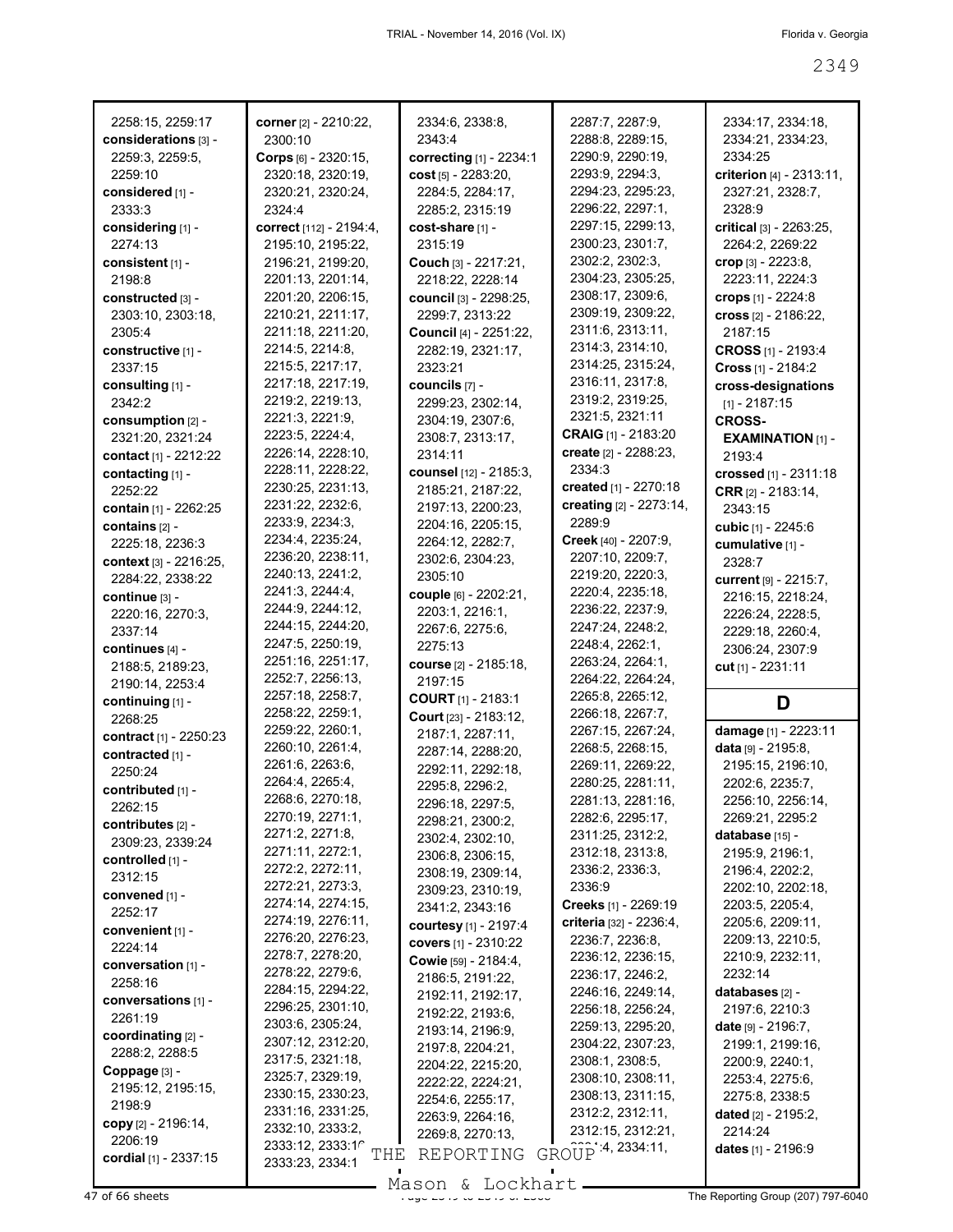| 2258:15, 2259:17       | corner [2] - 2210:22,                         | 2334:6, 2338:8,           | 2287:7, 2287:9,         | 2334:17, 2334:18,        |
|------------------------|-----------------------------------------------|---------------------------|-------------------------|--------------------------|
| considerations [3] -   | 2300:10                                       | 2343:4                    | 2288:8, 2289:15,        | 2334:21, 2334:23,        |
| 2259:3, 2259:5,        | Corps [6] - 2320:15,                          | correcting [1] - 2234:1   | 2290:9, 2290:19,        | 2334:25                  |
| 2259:10                | 2320:18, 2320:19,                             | cost $[5] - 2283:20,$     | 2293:9, 2294:3,         | criterion [4] - 2313:11, |
| considered [1] -       | 2320:21, 2320:24,                             | 2284:5, 2284:17,          | 2294:23, 2295:23,       | 2327:21, 2328:7,         |
| 2333:3                 | 2324:4                                        | 2285:2, 2315:19           | 2296:22, 2297:1,        | 2328:9                   |
|                        |                                               |                           | 2297:15, 2299:13,       |                          |
| considering [1] -      | correct [112] - 2194:4,                       | cost-share [1] -          |                         | critical [3] - 2263:25,  |
| 2274:13                | 2195:10, 2195:22,                             | 2315:19                   | 2300:23, 2301:7,        | 2264:2, 2269:22          |
| consistent [1] -       | 2196:21, 2199:20,                             | Couch [3] - 2217:21,      | 2302:2, 2302:3,         | crop [3] - 2223:8,       |
| 2198:8                 | 2201:13, 2201:14,                             | 2218:22, 2228:14          | 2304:23, 2305:25,       | 2223:11, 2224:3          |
| constructed [3] -      | 2201:20, 2206:15,                             | council [3] - 2298:25,    | 2308:17, 2309:6,        | crops [1] - 2224:8       |
| 2303:10, 2303:18,      | 2210:21, 2211:17,                             | 2299:7, 2313:22           | 2309:19, 2309:22,       | cross [2] - 2186:22,     |
| 2305:4                 | 2211:18, 2211:20,                             | Council [4] - 2251:22,    | 2311:6, 2313:11,        | 2187:15                  |
| constructive [1] -     | 2214:5, 2214:8,                               | 2282:19, 2321:17,         | 2314:3, 2314:10,        | CROSS [1] - 2193:4       |
| 2337:15                | 2215:5, 2217:17,                              | 2323:21                   | 2314:25, 2315:24,       | Cross $[1] - 2184:2$     |
| consulting [1] -       | 2217:18, 2217:19,                             | councils [7] -            | 2316:11, 2317:8,        | cross-designations       |
| 2342:2                 | 2219:2, 2219:13,                              | 2299:23, 2302:14,         | 2319:2, 2319:25,        | $[1] - 2187:15$          |
| consumption [2] -      | 2221:3, 2221:9,                               | 2304:19, 2307:6,          | 2321:5, 2321:11         | <b>CROSS-</b>            |
|                        | 2223:5, 2224:4,                               | 2308:7, 2313:17,          | CRAIG [1] - 2183:20     |                          |
| 2321:20, 2321:24       | 2226:14, 2228:10,                             | 2314:11                   | create [2] - 2288:23,   | <b>EXAMINATION [1] -</b> |
| contact [1] - 2212:22  | 2228:11, 2228:22,                             |                           | 2334:3                  | 2193:4                   |
| contacting [1] -       |                                               | counsel [12] - 2185:3,    |                         | crossed [1] - 2311:18    |
| 2252:22                | 2230:25, 2231:13,                             | 2185:21, 2187:22,         | created [1] - 2270:18   | CRR [2] - 2183:14,       |
| contain [1] - 2262:25  | 2231:22, 2232:6,                              | 2197:13, 2200:23,         | creating [2] - 2273:14, | 2343:15                  |
| contains [2] -         | 2233:9, 2234:3,                               | 2204:16, 2205:15,         | 2289.9                  | cubic [1] - 2245:6       |
| 2225:18, 2236:3        | 2234:4, 2235:24,                              | 2264:12, 2282:7,          | Creek [40] - 2207:9,    | cumulative [1] -         |
| context [3] - 2216:25, | 2236:20, 2238:11,                             | 2302:6, 2304:23,          | 2207:10, 2209:7,        | 2328:7                   |
| 2284:22, 2338:22       | 2240:13, 2241:2,                              | 2305:10                   | 2219:20, 2220:3,        | current [9] - 2215:7,    |
| continue [3] -         | 2241:3, 2244:4,                               | couple [6] - 2202:21,     | 2220:4, 2235:18,        | 2216:15, 2218:24,        |
| 2220:16, 2270:3,       | 2244:9, 2244:12,                              | 2203:1, 2216:1,           | 2236:22, 2237:9,        | 2226:24, 2228:5,         |
| 2337:14                | 2244:15, 2244:20,                             | 2267:6, 2275:6,           | 2247:24, 2248:2,        | 2229:18, 2260:4,         |
|                        |                                               |                           |                         |                          |
|                        |                                               |                           |                         |                          |
| continues [4] -        | 2247:5, 2250:19,                              | 2275:13                   | 2248:4, 2262:1,         | 2306:24, 2307:9          |
| 2188:5, 2189:23,       | 2251:16, 2251:17,                             | course [2] - 2185:18,     | 2263:24, 2264:1,        | cut [1] - 2231:11        |
| 2190:14, 2253:4        | 2252:7, 2256:13,                              | 2197:15                   | 2264:22, 2264:24,       |                          |
| continuing [1] -       | 2257:18, 2258:7,                              | <b>COURT</b> [1] - 2183:1 | 2265:8, 2265:12,        | D                        |
| 2268:25                | 2258:22, 2259:1,                              | Court [23] - 2183:12,     | 2266:18, 2267:7,        |                          |
| contract [1] - 2250:23 | 2259:22, 2260:1,                              | 2187:1, 2287:11,          | 2267:15, 2267:24,       | damage [1] - 2223:11     |
| contracted [1] -       | 2260:10, 2261:4,                              | 2287:14, 2288:20,         | 2268:5, 2268:15,        | data [9] - 2195:8,       |
| 2250:24                | 2261:6, 2263:6,                               | 2292:11, 2292:18,         | 2269:11, 2269:22,       | 2195:15, 2196:10,        |
|                        | 2264:4, 2265:4,                               | 2295:8, 2296:2,           | 2280:25, 2281:11,       | 2202:6, 2235:7,          |
| contributed [1] -      | 2268:6, 2270:18,                              | 2296:18, 2297:5,          | 2281:13, 2281:16,       | 2256:10, 2256:14,        |
| 2262:15                | 2270:19, 2271:1,                              | 2298:21, 2300:2,          | 2282:6, 2295:17,        | 2269:21, 2295:2          |
| contributes [2] -      | 2271:2, 2271:8,                               |                           | 2311:25, 2312:2,        | database [15] -          |
| 2309:23, 2339:24       | 2271:11, 2272:1,                              | 2302:4, 2302:10,          | 2312:18, 2313:8,        | 2195:9, 2196:1,          |
| controlled $[1]$ -     | 2272:2, 2272:11,                              | 2306:8, 2306:15,          | 2336:2, 2336:3,         | 2196:4, 2202:2,          |
| 2312:15                | 2272:21, 2273:3,                              | 2308:19, 2309:14,         | 2336:9                  | 2202:10, 2202:18,        |
| convened [1] -         | 2274:14, 2274:15,                             | 2309:23, 2310:19,         |                         |                          |
| 2252:17                |                                               | 2341:2, 2343:16           | Creeks [1] - 2269:19    | 2203:5, 2205:4,          |
| convenient [1] -       | 2274:19, 2276:11,                             | courtesy [1] - 2197:4     | criteria [32] - 2236:4, | 2205:6, 2209:11,         |
| 2224:14                | 2276:20, 2276:23,                             | covers [1] - 2310:22      | 2236:7, 2236:8,         | 2209:13, 2210:5,         |
| conversation [1] -     | 2278:7, 2278:20,                              | Cowie [59] - 2184:4,      | 2236:12, 2236:15,       | 2210:9, 2232:11,         |
| 2258:16                | 2278:22, 2279:6,                              | 2186:5, 2191:22,          | 2236:17, 2246:2,        | 2232:14                  |
| conversations [1] -    | 2284:15, 2294:22,                             | 2192:11, 2192:17,         | 2246:16, 2249:14,       | databases [2] -          |
| 2261:19                | 2296:25, 2301:10,                             | 2192:22, 2193:6,          | 2256:18, 2256:24,       | 2197:6, 2210:3           |
|                        | 2303:6, 2305:24,                              | 2193:14, 2196:9,          | 2259:13, 2295:20,       | date $[9] - 2196:7$ ,    |
| coordinating [2] -     | 2307:12, 2312:20,                             | 2197:8, 2204:21,          | 2304:22, 2307:23,       | 2199:1, 2199:16,         |
| 2288:2, 2288:5         | 2317:5, 2321:18,                              | 2204:22, 2215:20,         | 2308:1, 2308:5,         | 2200:9, 2240:1,          |
| Coppage [3] -          | 2325:7, 2329:19,                              | 2222:22, 2224:21,         | 2308:10, 2308:11,       | 2253:4, 2275:6,          |
| 2195:12, 2195:15,      | 2330:15, 2330:23,                             | 2254:6, 2255:17,          | 2308:13, 2311:15,       | 2275:8, 2338:5           |
| 2198:9                 | 2331:16, 2331:25,                             |                           | 2312:2, 2312:11,        | dated [2] - 2195:2,      |
| copy [2] - 2196:14,    | 2332:10, 2333:2,                              | 2263:9, 2264:16,          | 2312:15, 2312:21,       | 2214:24                  |
| 2206:19                | 2333:12, 2333:1 <sup>e</sup>                  | 2269:8, 2270:13,          |                         | dates $[1] - 2196.9$     |
| cordial [1] - 2337:15  | $\operatorname{{\bf THE}}$<br>2333:23, 2334:1 | REPORTING                 | GROUP 4, 2334:11,       |                          |

Mason & Lockhart **Page 2349 of 66 sheets** Page 23797-6040 to 2349 to 2368 Mason & Lockhart **Page 2368 The Reporting Group (207) 797-6040**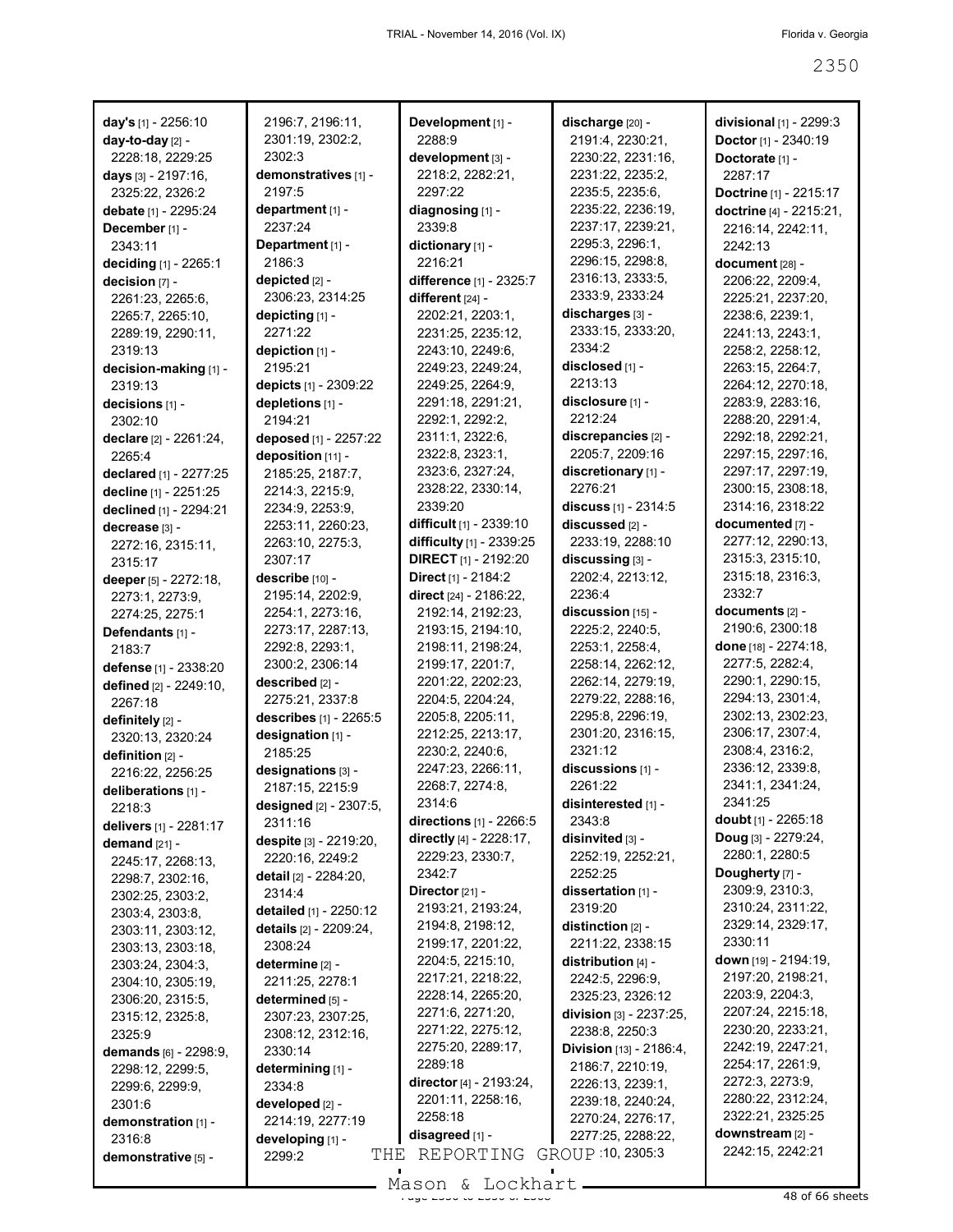|        |                                                                                                                                                                                                                                                                                                                                                                                                                                                                                                                                                                                                                                                                                                                                                                                                                                                                                                                                                                                                                                                                                                                                        | discharge [20] -                                                                                                                                                                                                                                                                                                                                                                                                                                                                                                                                                                                                                                                                                                                                                                                                                                                                                                                                                                                                                                                                                                                                                                                                                    |
|--------|----------------------------------------------------------------------------------------------------------------------------------------------------------------------------------------------------------------------------------------------------------------------------------------------------------------------------------------------------------------------------------------------------------------------------------------------------------------------------------------------------------------------------------------------------------------------------------------------------------------------------------------------------------------------------------------------------------------------------------------------------------------------------------------------------------------------------------------------------------------------------------------------------------------------------------------------------------------------------------------------------------------------------------------------------------------------------------------------------------------------------------------|-------------------------------------------------------------------------------------------------------------------------------------------------------------------------------------------------------------------------------------------------------------------------------------------------------------------------------------------------------------------------------------------------------------------------------------------------------------------------------------------------------------------------------------------------------------------------------------------------------------------------------------------------------------------------------------------------------------------------------------------------------------------------------------------------------------------------------------------------------------------------------------------------------------------------------------------------------------------------------------------------------------------------------------------------------------------------------------------------------------------------------------------------------------------------------------------------------------------------------------|
|        | 2288:9                                                                                                                                                                                                                                                                                                                                                                                                                                                                                                                                                                                                                                                                                                                                                                                                                                                                                                                                                                                                                                                                                                                                 | 2191:4, 2230:21,                                                                                                                                                                                                                                                                                                                                                                                                                                                                                                                                                                                                                                                                                                                                                                                                                                                                                                                                                                                                                                                                                                                                                                                                                    |
| 2302:3 |                                                                                                                                                                                                                                                                                                                                                                                                                                                                                                                                                                                                                                                                                                                                                                                                                                                                                                                                                                                                                                                                                                                                        | 2230:22, 2231:16,                                                                                                                                                                                                                                                                                                                                                                                                                                                                                                                                                                                                                                                                                                                                                                                                                                                                                                                                                                                                                                                                                                                                                                                                                   |
|        |                                                                                                                                                                                                                                                                                                                                                                                                                                                                                                                                                                                                                                                                                                                                                                                                                                                                                                                                                                                                                                                                                                                                        | 2231:22, 2235:2,                                                                                                                                                                                                                                                                                                                                                                                                                                                                                                                                                                                                                                                                                                                                                                                                                                                                                                                                                                                                                                                                                                                                                                                                                    |
|        |                                                                                                                                                                                                                                                                                                                                                                                                                                                                                                                                                                                                                                                                                                                                                                                                                                                                                                                                                                                                                                                                                                                                        | 2235:5, 2235:6,                                                                                                                                                                                                                                                                                                                                                                                                                                                                                                                                                                                                                                                                                                                                                                                                                                                                                                                                                                                                                                                                                                                                                                                                                     |
|        |                                                                                                                                                                                                                                                                                                                                                                                                                                                                                                                                                                                                                                                                                                                                                                                                                                                                                                                                                                                                                                                                                                                                        | 2235:22, 2236:19,                                                                                                                                                                                                                                                                                                                                                                                                                                                                                                                                                                                                                                                                                                                                                                                                                                                                                                                                                                                                                                                                                                                                                                                                                   |
|        |                                                                                                                                                                                                                                                                                                                                                                                                                                                                                                                                                                                                                                                                                                                                                                                                                                                                                                                                                                                                                                                                                                                                        | 2237:17, 2239:21,                                                                                                                                                                                                                                                                                                                                                                                                                                                                                                                                                                                                                                                                                                                                                                                                                                                                                                                                                                                                                                                                                                                                                                                                                   |
|        |                                                                                                                                                                                                                                                                                                                                                                                                                                                                                                                                                                                                                                                                                                                                                                                                                                                                                                                                                                                                                                                                                                                                        | 2295:3, 2296:1,                                                                                                                                                                                                                                                                                                                                                                                                                                                                                                                                                                                                                                                                                                                                                                                                                                                                                                                                                                                                                                                                                                                                                                                                                     |
|        |                                                                                                                                                                                                                                                                                                                                                                                                                                                                                                                                                                                                                                                                                                                                                                                                                                                                                                                                                                                                                                                                                                                                        | 2296:15, 2298:8,                                                                                                                                                                                                                                                                                                                                                                                                                                                                                                                                                                                                                                                                                                                                                                                                                                                                                                                                                                                                                                                                                                                                                                                                                    |
|        |                                                                                                                                                                                                                                                                                                                                                                                                                                                                                                                                                                                                                                                                                                                                                                                                                                                                                                                                                                                                                                                                                                                                        | 2316:13, 2333:5,                                                                                                                                                                                                                                                                                                                                                                                                                                                                                                                                                                                                                                                                                                                                                                                                                                                                                                                                                                                                                                                                                                                                                                                                                    |
|        |                                                                                                                                                                                                                                                                                                                                                                                                                                                                                                                                                                                                                                                                                                                                                                                                                                                                                                                                                                                                                                                                                                                                        | 2333:9, 2333:24                                                                                                                                                                                                                                                                                                                                                                                                                                                                                                                                                                                                                                                                                                                                                                                                                                                                                                                                                                                                                                                                                                                                                                                                                     |
|        |                                                                                                                                                                                                                                                                                                                                                                                                                                                                                                                                                                                                                                                                                                                                                                                                                                                                                                                                                                                                                                                                                                                                        | discharges [3] -                                                                                                                                                                                                                                                                                                                                                                                                                                                                                                                                                                                                                                                                                                                                                                                                                                                                                                                                                                                                                                                                                                                                                                                                                    |
|        |                                                                                                                                                                                                                                                                                                                                                                                                                                                                                                                                                                                                                                                                                                                                                                                                                                                                                                                                                                                                                                                                                                                                        | 2333:15, 2333:20,                                                                                                                                                                                                                                                                                                                                                                                                                                                                                                                                                                                                                                                                                                                                                                                                                                                                                                                                                                                                                                                                                                                                                                                                                   |
|        |                                                                                                                                                                                                                                                                                                                                                                                                                                                                                                                                                                                                                                                                                                                                                                                                                                                                                                                                                                                                                                                                                                                                        | 2334:2                                                                                                                                                                                                                                                                                                                                                                                                                                                                                                                                                                                                                                                                                                                                                                                                                                                                                                                                                                                                                                                                                                                                                                                                                              |
|        |                                                                                                                                                                                                                                                                                                                                                                                                                                                                                                                                                                                                                                                                                                                                                                                                                                                                                                                                                                                                                                                                                                                                        | disclosed [1] -                                                                                                                                                                                                                                                                                                                                                                                                                                                                                                                                                                                                                                                                                                                                                                                                                                                                                                                                                                                                                                                                                                                                                                                                                     |
|        |                                                                                                                                                                                                                                                                                                                                                                                                                                                                                                                                                                                                                                                                                                                                                                                                                                                                                                                                                                                                                                                                                                                                        | 2213:13                                                                                                                                                                                                                                                                                                                                                                                                                                                                                                                                                                                                                                                                                                                                                                                                                                                                                                                                                                                                                                                                                                                                                                                                                             |
|        |                                                                                                                                                                                                                                                                                                                                                                                                                                                                                                                                                                                                                                                                                                                                                                                                                                                                                                                                                                                                                                                                                                                                        | disclosure [1] -                                                                                                                                                                                                                                                                                                                                                                                                                                                                                                                                                                                                                                                                                                                                                                                                                                                                                                                                                                                                                                                                                                                                                                                                                    |
|        |                                                                                                                                                                                                                                                                                                                                                                                                                                                                                                                                                                                                                                                                                                                                                                                                                                                                                                                                                                                                                                                                                                                                        | 2212:24                                                                                                                                                                                                                                                                                                                                                                                                                                                                                                                                                                                                                                                                                                                                                                                                                                                                                                                                                                                                                                                                                                                                                                                                                             |
|        |                                                                                                                                                                                                                                                                                                                                                                                                                                                                                                                                                                                                                                                                                                                                                                                                                                                                                                                                                                                                                                                                                                                                        | discrepancies [2] -                                                                                                                                                                                                                                                                                                                                                                                                                                                                                                                                                                                                                                                                                                                                                                                                                                                                                                                                                                                                                                                                                                                                                                                                                 |
|        |                                                                                                                                                                                                                                                                                                                                                                                                                                                                                                                                                                                                                                                                                                                                                                                                                                                                                                                                                                                                                                                                                                                                        | 2205:7, 2209:16                                                                                                                                                                                                                                                                                                                                                                                                                                                                                                                                                                                                                                                                                                                                                                                                                                                                                                                                                                                                                                                                                                                                                                                                                     |
|        |                                                                                                                                                                                                                                                                                                                                                                                                                                                                                                                                                                                                                                                                                                                                                                                                                                                                                                                                                                                                                                                                                                                                        | discretionary [1] -                                                                                                                                                                                                                                                                                                                                                                                                                                                                                                                                                                                                                                                                                                                                                                                                                                                                                                                                                                                                                                                                                                                                                                                                                 |
|        |                                                                                                                                                                                                                                                                                                                                                                                                                                                                                                                                                                                                                                                                                                                                                                                                                                                                                                                                                                                                                                                                                                                                        | 2276:21                                                                                                                                                                                                                                                                                                                                                                                                                                                                                                                                                                                                                                                                                                                                                                                                                                                                                                                                                                                                                                                                                                                                                                                                                             |
|        |                                                                                                                                                                                                                                                                                                                                                                                                                                                                                                                                                                                                                                                                                                                                                                                                                                                                                                                                                                                                                                                                                                                                        |                                                                                                                                                                                                                                                                                                                                                                                                                                                                                                                                                                                                                                                                                                                                                                                                                                                                                                                                                                                                                                                                                                                                                                                                                                     |
|        |                                                                                                                                                                                                                                                                                                                                                                                                                                                                                                                                                                                                                                                                                                                                                                                                                                                                                                                                                                                                                                                                                                                                        | discuss [1] - 2314:5<br>discussed [2] -                                                                                                                                                                                                                                                                                                                                                                                                                                                                                                                                                                                                                                                                                                                                                                                                                                                                                                                                                                                                                                                                                                                                                                                             |
|        |                                                                                                                                                                                                                                                                                                                                                                                                                                                                                                                                                                                                                                                                                                                                                                                                                                                                                                                                                                                                                                                                                                                                        | 2233:19, 2288:10                                                                                                                                                                                                                                                                                                                                                                                                                                                                                                                                                                                                                                                                                                                                                                                                                                                                                                                                                                                                                                                                                                                                                                                                                    |
|        |                                                                                                                                                                                                                                                                                                                                                                                                                                                                                                                                                                                                                                                                                                                                                                                                                                                                                                                                                                                                                                                                                                                                        | discussing [3] -                                                                                                                                                                                                                                                                                                                                                                                                                                                                                                                                                                                                                                                                                                                                                                                                                                                                                                                                                                                                                                                                                                                                                                                                                    |
|        |                                                                                                                                                                                                                                                                                                                                                                                                                                                                                                                                                                                                                                                                                                                                                                                                                                                                                                                                                                                                                                                                                                                                        |                                                                                                                                                                                                                                                                                                                                                                                                                                                                                                                                                                                                                                                                                                                                                                                                                                                                                                                                                                                                                                                                                                                                                                                                                                     |
|        |                                                                                                                                                                                                                                                                                                                                                                                                                                                                                                                                                                                                                                                                                                                                                                                                                                                                                                                                                                                                                                                                                                                                        | 2202:4, 2213:12,                                                                                                                                                                                                                                                                                                                                                                                                                                                                                                                                                                                                                                                                                                                                                                                                                                                                                                                                                                                                                                                                                                                                                                                                                    |
|        |                                                                                                                                                                                                                                                                                                                                                                                                                                                                                                                                                                                                                                                                                                                                                                                                                                                                                                                                                                                                                                                                                                                                        | 2236:4                                                                                                                                                                                                                                                                                                                                                                                                                                                                                                                                                                                                                                                                                                                                                                                                                                                                                                                                                                                                                                                                                                                                                                                                                              |
|        |                                                                                                                                                                                                                                                                                                                                                                                                                                                                                                                                                                                                                                                                                                                                                                                                                                                                                                                                                                                                                                                                                                                                        | discussion [15] -                                                                                                                                                                                                                                                                                                                                                                                                                                                                                                                                                                                                                                                                                                                                                                                                                                                                                                                                                                                                                                                                                                                                                                                                                   |
|        |                                                                                                                                                                                                                                                                                                                                                                                                                                                                                                                                                                                                                                                                                                                                                                                                                                                                                                                                                                                                                                                                                                                                        | 2225:2, 2240:5,                                                                                                                                                                                                                                                                                                                                                                                                                                                                                                                                                                                                                                                                                                                                                                                                                                                                                                                                                                                                                                                                                                                                                                                                                     |
|        |                                                                                                                                                                                                                                                                                                                                                                                                                                                                                                                                                                                                                                                                                                                                                                                                                                                                                                                                                                                                                                                                                                                                        | 2253:1, 2258:4,                                                                                                                                                                                                                                                                                                                                                                                                                                                                                                                                                                                                                                                                                                                                                                                                                                                                                                                                                                                                                                                                                                                                                                                                                     |
|        |                                                                                                                                                                                                                                                                                                                                                                                                                                                                                                                                                                                                                                                                                                                                                                                                                                                                                                                                                                                                                                                                                                                                        | 2258:14, 2262:12,                                                                                                                                                                                                                                                                                                                                                                                                                                                                                                                                                                                                                                                                                                                                                                                                                                                                                                                                                                                                                                                                                                                                                                                                                   |
|        |                                                                                                                                                                                                                                                                                                                                                                                                                                                                                                                                                                                                                                                                                                                                                                                                                                                                                                                                                                                                                                                                                                                                        | 2262:14, 2279:19,                                                                                                                                                                                                                                                                                                                                                                                                                                                                                                                                                                                                                                                                                                                                                                                                                                                                                                                                                                                                                                                                                                                                                                                                                   |
|        |                                                                                                                                                                                                                                                                                                                                                                                                                                                                                                                                                                                                                                                                                                                                                                                                                                                                                                                                                                                                                                                                                                                                        | 2279:22, 2288:16,                                                                                                                                                                                                                                                                                                                                                                                                                                                                                                                                                                                                                                                                                                                                                                                                                                                                                                                                                                                                                                                                                                                                                                                                                   |
|        |                                                                                                                                                                                                                                                                                                                                                                                                                                                                                                                                                                                                                                                                                                                                                                                                                                                                                                                                                                                                                                                                                                                                        | 2295:8, 2296:19,                                                                                                                                                                                                                                                                                                                                                                                                                                                                                                                                                                                                                                                                                                                                                                                                                                                                                                                                                                                                                                                                                                                                                                                                                    |
|        |                                                                                                                                                                                                                                                                                                                                                                                                                                                                                                                                                                                                                                                                                                                                                                                                                                                                                                                                                                                                                                                                                                                                        | 2301:20, 2316:15,                                                                                                                                                                                                                                                                                                                                                                                                                                                                                                                                                                                                                                                                                                                                                                                                                                                                                                                                                                                                                                                                                                                                                                                                                   |
|        |                                                                                                                                                                                                                                                                                                                                                                                                                                                                                                                                                                                                                                                                                                                                                                                                                                                                                                                                                                                                                                                                                                                                        | 2321:12                                                                                                                                                                                                                                                                                                                                                                                                                                                                                                                                                                                                                                                                                                                                                                                                                                                                                                                                                                                                                                                                                                                                                                                                                             |
|        |                                                                                                                                                                                                                                                                                                                                                                                                                                                                                                                                                                                                                                                                                                                                                                                                                                                                                                                                                                                                                                                                                                                                        | discussions [1] -<br>2261:22                                                                                                                                                                                                                                                                                                                                                                                                                                                                                                                                                                                                                                                                                                                                                                                                                                                                                                                                                                                                                                                                                                                                                                                                        |
|        |                                                                                                                                                                                                                                                                                                                                                                                                                                                                                                                                                                                                                                                                                                                                                                                                                                                                                                                                                                                                                                                                                                                                        |                                                                                                                                                                                                                                                                                                                                                                                                                                                                                                                                                                                                                                                                                                                                                                                                                                                                                                                                                                                                                                                                                                                                                                                                                                     |
|        |                                                                                                                                                                                                                                                                                                                                                                                                                                                                                                                                                                                                                                                                                                                                                                                                                                                                                                                                                                                                                                                                                                                                        | disinterested [1] -                                                                                                                                                                                                                                                                                                                                                                                                                                                                                                                                                                                                                                                                                                                                                                                                                                                                                                                                                                                                                                                                                                                                                                                                                 |
|        |                                                                                                                                                                                                                                                                                                                                                                                                                                                                                                                                                                                                                                                                                                                                                                                                                                                                                                                                                                                                                                                                                                                                        | 2343:8<br>disinvited [3] -                                                                                                                                                                                                                                                                                                                                                                                                                                                                                                                                                                                                                                                                                                                                                                                                                                                                                                                                                                                                                                                                                                                                                                                                          |
|        |                                                                                                                                                                                                                                                                                                                                                                                                                                                                                                                                                                                                                                                                                                                                                                                                                                                                                                                                                                                                                                                                                                                                        |                                                                                                                                                                                                                                                                                                                                                                                                                                                                                                                                                                                                                                                                                                                                                                                                                                                                                                                                                                                                                                                                                                                                                                                                                                     |
|        |                                                                                                                                                                                                                                                                                                                                                                                                                                                                                                                                                                                                                                                                                                                                                                                                                                                                                                                                                                                                                                                                                                                                        | 2252:19, 2252:21,                                                                                                                                                                                                                                                                                                                                                                                                                                                                                                                                                                                                                                                                                                                                                                                                                                                                                                                                                                                                                                                                                                                                                                                                                   |
|        |                                                                                                                                                                                                                                                                                                                                                                                                                                                                                                                                                                                                                                                                                                                                                                                                                                                                                                                                                                                                                                                                                                                                        | 2252:25                                                                                                                                                                                                                                                                                                                                                                                                                                                                                                                                                                                                                                                                                                                                                                                                                                                                                                                                                                                                                                                                                                                                                                                                                             |
|        |                                                                                                                                                                                                                                                                                                                                                                                                                                                                                                                                                                                                                                                                                                                                                                                                                                                                                                                                                                                                                                                                                                                                        | dissertation [1] -<br>2319:20                                                                                                                                                                                                                                                                                                                                                                                                                                                                                                                                                                                                                                                                                                                                                                                                                                                                                                                                                                                                                                                                                                                                                                                                       |
|        |                                                                                                                                                                                                                                                                                                                                                                                                                                                                                                                                                                                                                                                                                                                                                                                                                                                                                                                                                                                                                                                                                                                                        |                                                                                                                                                                                                                                                                                                                                                                                                                                                                                                                                                                                                                                                                                                                                                                                                                                                                                                                                                                                                                                                                                                                                                                                                                                     |
|        |                                                                                                                                                                                                                                                                                                                                                                                                                                                                                                                                                                                                                                                                                                                                                                                                                                                                                                                                                                                                                                                                                                                                        | distinction [2] -<br>2211:22, 2338:15                                                                                                                                                                                                                                                                                                                                                                                                                                                                                                                                                                                                                                                                                                                                                                                                                                                                                                                                                                                                                                                                                                                                                                                               |
|        |                                                                                                                                                                                                                                                                                                                                                                                                                                                                                                                                                                                                                                                                                                                                                                                                                                                                                                                                                                                                                                                                                                                                        | distribution [4] -                                                                                                                                                                                                                                                                                                                                                                                                                                                                                                                                                                                                                                                                                                                                                                                                                                                                                                                                                                                                                                                                                                                                                                                                                  |
|        |                                                                                                                                                                                                                                                                                                                                                                                                                                                                                                                                                                                                                                                                                                                                                                                                                                                                                                                                                                                                                                                                                                                                        | 2242:5, 2296:9,                                                                                                                                                                                                                                                                                                                                                                                                                                                                                                                                                                                                                                                                                                                                                                                                                                                                                                                                                                                                                                                                                                                                                                                                                     |
|        |                                                                                                                                                                                                                                                                                                                                                                                                                                                                                                                                                                                                                                                                                                                                                                                                                                                                                                                                                                                                                                                                                                                                        | 2325:23, 2326:12                                                                                                                                                                                                                                                                                                                                                                                                                                                                                                                                                                                                                                                                                                                                                                                                                                                                                                                                                                                                                                                                                                                                                                                                                    |
|        |                                                                                                                                                                                                                                                                                                                                                                                                                                                                                                                                                                                                                                                                                                                                                                                                                                                                                                                                                                                                                                                                                                                                        |                                                                                                                                                                                                                                                                                                                                                                                                                                                                                                                                                                                                                                                                                                                                                                                                                                                                                                                                                                                                                                                                                                                                                                                                                                     |
|        |                                                                                                                                                                                                                                                                                                                                                                                                                                                                                                                                                                                                                                                                                                                                                                                                                                                                                                                                                                                                                                                                                                                                        | division [3] - 2237:25,                                                                                                                                                                                                                                                                                                                                                                                                                                                                                                                                                                                                                                                                                                                                                                                                                                                                                                                                                                                                                                                                                                                                                                                                             |
|        |                                                                                                                                                                                                                                                                                                                                                                                                                                                                                                                                                                                                                                                                                                                                                                                                                                                                                                                                                                                                                                                                                                                                        | 2238:8, 2250:3                                                                                                                                                                                                                                                                                                                                                                                                                                                                                                                                                                                                                                                                                                                                                                                                                                                                                                                                                                                                                                                                                                                                                                                                                      |
|        |                                                                                                                                                                                                                                                                                                                                                                                                                                                                                                                                                                                                                                                                                                                                                                                                                                                                                                                                                                                                                                                                                                                                        | Division [13] - 2186:4,                                                                                                                                                                                                                                                                                                                                                                                                                                                                                                                                                                                                                                                                                                                                                                                                                                                                                                                                                                                                                                                                                                                                                                                                             |
|        |                                                                                                                                                                                                                                                                                                                                                                                                                                                                                                                                                                                                                                                                                                                                                                                                                                                                                                                                                                                                                                                                                                                                        | 2186:7, 2210:19,                                                                                                                                                                                                                                                                                                                                                                                                                                                                                                                                                                                                                                                                                                                                                                                                                                                                                                                                                                                                                                                                                                                                                                                                                    |
|        |                                                                                                                                                                                                                                                                                                                                                                                                                                                                                                                                                                                                                                                                                                                                                                                                                                                                                                                                                                                                                                                                                                                                        | 2226:13, 2239:1,                                                                                                                                                                                                                                                                                                                                                                                                                                                                                                                                                                                                                                                                                                                                                                                                                                                                                                                                                                                                                                                                                                                                                                                                                    |
|        |                                                                                                                                                                                                                                                                                                                                                                                                                                                                                                                                                                                                                                                                                                                                                                                                                                                                                                                                                                                                                                                                                                                                        | 2239:18, 2240:24,<br>2270:24, 2276:17,                                                                                                                                                                                                                                                                                                                                                                                                                                                                                                                                                                                                                                                                                                                                                                                                                                                                                                                                                                                                                                                                                                                                                                                              |
|        |                                                                                                                                                                                                                                                                                                                                                                                                                                                                                                                                                                                                                                                                                                                                                                                                                                                                                                                                                                                                                                                                                                                                        |                                                                                                                                                                                                                                                                                                                                                                                                                                                                                                                                                                                                                                                                                                                                                                                                                                                                                                                                                                                                                                                                                                                                                                                                                                     |
|        |                                                                                                                                                                                                                                                                                                                                                                                                                                                                                                                                                                                                                                                                                                                                                                                                                                                                                                                                                                                                                                                                                                                                        | 2277:25, 2288:22,<br>GROUP 10, 2305:3                                                                                                                                                                                                                                                                                                                                                                                                                                                                                                                                                                                                                                                                                                                                                                                                                                                                                                                                                                                                                                                                                                                                                                                               |
|        |                                                                                                                                                                                                                                                                                                                                                                                                                                                                                                                                                                                                                                                                                                                                                                                                                                                                                                                                                                                                                                                                                                                                        |                                                                                                                                                                                                                                                                                                                                                                                                                                                                                                                                                                                                                                                                                                                                                                                                                                                                                                                                                                                                                                                                                                                                                                                                                                     |
|        | 2196:7, 2196:11,<br>2301:19, 2302:2,<br>demonstratives [1] -<br>2197:5<br>department [1] -<br>2237:24<br>Department [1] -<br>2186:3<br>depicted [2] -<br>2306:23, 2314:25<br>depicting [1] -<br>2271:22<br>depiction [1] -<br>2195:21<br>depicts [1] - 2309:22<br>depletions [1] -<br>2194:21<br>deposed [1] - 2257:22<br>deposition [11] -<br>2185:25, 2187:7,<br>2214:3, 2215:9,<br>2234:9, 2253:9,<br>2253:11, 2260:23,<br>2263:10, 2275:3,<br>2307:17<br>describe [10] -<br>2195:14, 2202:9,<br>2254:1, 2273:16,<br>2273:17, 2287:13,<br>2292:8, 2293:1,<br>2300:2, 2306:14<br>described [2] -<br>2275:21, 2337:8<br>describes [1] - 2265:5<br>designation [1] -<br>2185:25<br>designations [3] -<br>2187:15, 2215:9<br>designed [2] - 2307:5,<br>2311:16<br>despite [3] - 2219:20,<br>2220:16, 2249:2<br><b>detail</b> [2] - 2284:20,<br>2314:4<br>detailed [1] - 2250:12<br>details [2] - 2209:24,<br>2308:24<br>determine [2] -<br>2211:25, 2278:1<br>determined [5] -<br>2307:23, 2307:25,<br>2308:12, 2312:16,<br>2330:14<br>determining [1] -<br>2334:8<br>developed [2] -<br>2214:19, 2277:19<br>developing [1] -<br>2299:2 | Development [1] -<br>development [3] -<br>2218:2, 2282:21,<br>2297:22<br>diagnosing [1] -<br>2339:8<br>dictionary [1] -<br>2216:21<br>difference [1] - 2325:7<br>different $[24]$ -<br>2202:21, 2203:1,<br>2231:25, 2235:12,<br>2243:10, 2249:6,<br>2249:23, 2249:24,<br>2249:25, 2264:9,<br>2291:18, 2291:21,<br>2292:1, 2292:2,<br>2311:1, 2322:6,<br>2322:8, 2323:1,<br>2323:6, 2327:24,<br>2328:22, 2330:14,<br>2339:20<br>difficult [1] - 2339:10<br>difficulty [1] - 2339:25<br><b>DIRECT</b> [1] - 2192:20<br>Direct [1] - 2184:2<br>direct [24] - 2186:22,<br>2192:14, 2192:23,<br>2193:15, 2194:10,<br>2198:11, 2198:24,<br>2199:17, 2201:7,<br>2201:22, 2202:23,<br>2204:5, 2204:24,<br>2205:8, 2205:11,<br>2212:25, 2213:17,<br>2230:2, 2240:6,<br>2247:23, 2266:11,<br>2268:7, 2274:8,<br>2314:6<br><b>directions</b> $[1]$ - 2266:5<br>directly [4] - 2228:17,<br>2229:23, 2330:7,<br>2342:7<br>Director [21] -<br>2193:21, 2193:24,<br>2194:8, 2198:12,<br>2199:17, 2201:22,<br>2204:5, 2215:10,<br>2217:21, 2218:22,<br>2228:14, 2265:20,<br>2271:6, 2271:20,<br>2271:22, 2275:12,<br>2275:20, 2289:17,<br>2289:18<br>director [4] - 2193:24,<br>2201:11, 2258:16,<br>2258:18<br>disagreed [1] -<br>REPORTING<br>THE |

| <b>divisional</b> [1] - 2299:3<br>Doctor [1] - 2340:19<br>Doctorate [1] -<br>2287:17 |
|--------------------------------------------------------------------------------------|
| Doctrine [1] - 2215:17                                                               |
| doctrine [4] - 2215:21,                                                              |
| 2216:14, 2242:11,<br>2242:13                                                         |
| document [28] -                                                                      |
| 2206:22, 2209:4,                                                                     |
| 2225:21, 2237:20,                                                                    |
| 2238:6, 2239:1,                                                                      |
| 2241:13, 2243:1,                                                                     |
| 2258:2, 2258:12,                                                                     |
| 2263:15, 2264:7,                                                                     |
| 2264:12, 2270:18,                                                                    |
| 2283:9, 2283:16,                                                                     |
| 2288:20, 2291:4,                                                                     |
| 2292:18, 2292:21,                                                                    |
| 2297:15, 2297:16,                                                                    |
| 2297:17, 2297:19,                                                                    |
| 2300:15, 2308:18,                                                                    |
| 2314:16, 2318:22                                                                     |
| documented [7] -<br>2277:12, 2290:13,                                                |
| 2315:3, 2315:10,                                                                     |
| 2315:18, 2316:3,                                                                     |
| 2332.7                                                                               |
| documents [2] -                                                                      |
| 2190:6, 2300:18                                                                      |
| done [18] - 2274:18,                                                                 |
| 2277:5, 2282:4,                                                                      |
| 2290:1, 2290:15,                                                                     |
| 2294:13, 2301:4,                                                                     |
| 2302:13, 2302:23,                                                                    |
| 2306:17, 2307:4,                                                                     |
| 2308:4, 2316:2,                                                                      |
| 2336:12, 2339:8,                                                                     |
| 2341:1, 2341:24,                                                                     |
| 2341:25                                                                              |
| <b>doubt</b> [1] - 2265:18                                                           |
| Doug [3] - 2279:24,                                                                  |
| 2280:1, 2280:5<br>Dougherty [7] -                                                    |
| 2309:9, 2310:3,                                                                      |
| 2310:24, 2311:22,                                                                    |
| 2329:14, 2329:17,                                                                    |
| 2330:11                                                                              |
| <b>down</b> [19] - 2194:19,                                                          |
| 2197:20, 2198:21,                                                                    |
| 2203:9, 2204:3,                                                                      |
| 2207:24, 2215:18,                                                                    |
| 2230:20, 2233:21,                                                                    |
| 2242:19, 2247:21,                                                                    |
| 2254:17, 2261:9,                                                                     |
| 2272:3, 2273:9,                                                                      |
| 2280:22, 2312:24,                                                                    |
| 2322:21, 2325:25                                                                     |
| downstream [2] -<br>2242:15, 2242:21                                                 |

 $\frac{235011}{480}$  of 66 sheets Mason & Lockhart.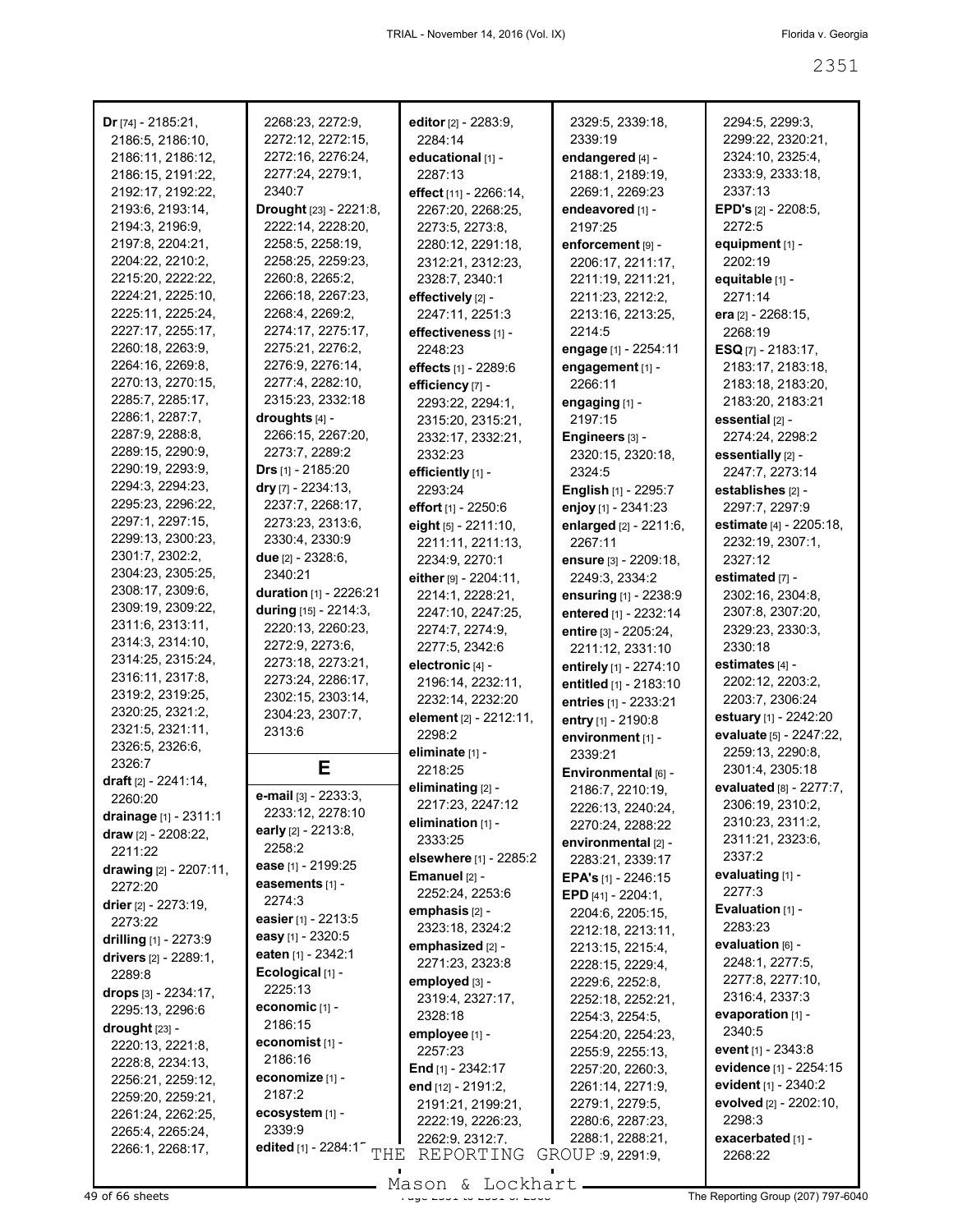| Dr $[74] - 2185:21$ ,          | 2268:23, 2272:9,                              | editor [2] - 2283:9,    | 2329:5, 2339:18,             | 2294:5, 2299:3,         |
|--------------------------------|-----------------------------------------------|-------------------------|------------------------------|-------------------------|
| 2186:5, 2186:10,               | 2272:12, 2272:15,                             | 2284:14                 | 2339:19                      | 2299:22, 2320:21,       |
| 2186:11, 2186:12,              | 2272:16, 2276:24,                             | educational [1] -       | endangered [4] -             | 2324:10, 2325:4,        |
| 2186:15, 2191:22,              | 2277:24, 2279:1,                              | 2287:13                 | 2188:1, 2189:19,             | 2333:9, 2333:18,        |
|                                |                                               |                         |                              |                         |
| 2192:17, 2192:22,              | 2340:7                                        | effect [11] - 2266:14,  | 2269:1, 2269:23              | 2337:13                 |
| 2193:6, 2193:14,               | Drought [23] - 2221:8,                        | 2267:20, 2268:25,       | endeavored [1] -             | EPD's [2] - 2208:5,     |
| 2194:3, 2196:9,                | 2222:14, 2228:20,                             | 2273:5, 2273:8,         | 2197:25                      | 2272:5                  |
| 2197:8, 2204:21,               | 2258:5, 2258:19,                              | 2280:12, 2291:18,       | enforcement [9] -            | equipment [1] -         |
| 2204:22, 2210:2,               | 2258:25, 2259:23,                             | 2312:21, 2312:23,       | 2206:17, 2211:17,            | 2202:19                 |
| 2215:20, 2222:22,              | 2260:8, 2265:2,                               | 2328:7, 2340:1          | 2211:19, 2211:21,            | equitable [1] -         |
| 2224:21, 2225:10,              | 2266:18, 2267:23,                             | effectively [2] -       | 2211:23, 2212:2,             | 2271:14                 |
| 2225:11, 2225:24,              | 2268:4, 2269:2,                               | 2247:11, 2251:3         | 2213:16, 2213:25,            | era [2] - 2268:15,      |
| 2227:17, 2255:17,              | 2274:17, 2275:17,                             | effectiveness [1] -     | 2214:5                       | 2268:19                 |
| 2260:18, 2263:9,               | 2275:21, 2276:2,                              | 2248:23                 | engage [1] - 2254:11         | $ESQ_{[7]} - 2183:17,$  |
| 2264:16, 2269:8,               | 2276:9, 2276:14,                              | effects [1] - 2289:6    | engagement [1] -             | 2183:17, 2183:18,       |
| 2270:13, 2270:15,              | 2277:4, 2282:10,                              | efficiency [7] -        | 2266:11                      | 2183:18, 2183:20,       |
| 2285:7, 2285:17,               | 2315:23, 2332:18                              | 2293:22, 2294:1,        | engaging [1] -               | 2183:20, 2183:21        |
| 2286:1, 2287:7,                | droughts [4] -                                | 2315:20, 2315:21,       | 2197:15                      | essential [2] -         |
| 2287:9, 2288:8,                | 2266:15, 2267:20,                             |                         |                              |                         |
| 2289:15, 2290:9,               | 2273:7, 2289:2                                | 2332:17, 2332:21,       | Engineers [3] -              | 2274:24, 2298:2         |
| 2290:19, 2293:9,               |                                               | 2332:23                 | 2320:15, 2320:18,            | essentially [2] -       |
|                                | <b>Drs</b> $[1]$ - 2185:20                    | efficiently [1] -       | 2324:5                       | 2247:7, 2273:14         |
| 2294:3, 2294:23,               | dry $[7] - 2234:13$ ,                         | 2293:24                 | <b>English</b> [1] - 2295:7  | establishes [2] -       |
| 2295:23, 2296:22,              | 2237:7, 2268:17,                              | effort [1] - 2250:6     | enjoy [1] - 2341:23          | 2297:7, 2297:9          |
| 2297:1, 2297:15,               | 2273:23, 2313:6,                              | eight $[5] - 2211:10$ , | enlarged [2] - 2211:6,       | estimate [4] - 2205:18, |
| 2299:13, 2300:23,              | 2330:4, 2330:9                                | 2211:11, 2211:13,       | 2267:11                      | 2232:19, 2307:1,        |
| 2301:7, 2302:2,                | due [2] - 2328:6,                             | 2234:9, 2270:1          | ensure [3] - 2209:18,        | 2327:12                 |
| 2304:23, 2305:25,              | 2340:21                                       | either [9] - 2204:11,   | 2249:3, 2334:2               | estimated [7] -         |
| 2308:17, 2309:6,               | duration [1] - 2226:21                        | 2214:1, 2228:21,        | ensuring [1] - 2238:9        | 2302:16, 2304:8,        |
| 2309:19, 2309:22,              | during [15] - 2214:3,                         | 2247:10, 2247:25,       | entered [1] - 2232:14        | 2307:8, 2307:20,        |
| 2311:6, 2313:11,               | 2220:13, 2260:23,                             | 2274:7, 2274:9,         | entire [3] - 2205:24,        | 2329:23, 2330:3,        |
| 2314:3, 2314:10,               | 2272:9, 2273:6,                               | 2277:5, 2342:6          | 2211:12, 2331:10             | 2330:18                 |
| 2314:25, 2315:24,              | 2273:18, 2273:21,                             | electronic [4] -        | entirely [1] - 2274:10       | estimates [4] -         |
| 2316:11, 2317:8,               | 2273:24, 2286:17,                             | 2196:14, 2232:11,       | entitled [1] - 2183:10       | 2202:12, 2203:2,        |
| 2319:2, 2319:25,               | 2302:15, 2303:14,                             | 2232:14, 2232:20        | entries [1] - 2233:21        | 2203:7, 2306:24         |
| 2320:25, 2321:2,               | 2304:23, 2307:7,                              | element [2] - 2212:11,  | entry [1] - 2190:8           | estuary [1] - 2242:20   |
| 2321:5, 2321:11,               | 2313:6                                        | 2298:2                  |                              | evaluate [5] - 2247:22, |
| 2326:5, 2326:6,                |                                               | eliminate [1] -         | environment [1] -            | 2259:13, 2290:8,        |
| 2326:7                         | Ε                                             | 2218:25                 | 2339:21                      | 2301:4, 2305:18         |
| <b>draft</b> $[2] - 2241:14$ , |                                               | eliminating [2] -       | Environmental [6] -          | evaluated [8] - 2277:7, |
| 2260:20                        | e-mail [3] - 2233:3,                          |                         | 2186:7, 2210:19,             |                         |
| drainage $[1] - 2311:1$        | 2233:12, 2278:10                              | 2217:23, 2247:12        | 2226:13, 2240:24,            | 2306:19, 2310:2,        |
| draw $[2] - 2208:22$ ,         | early $[2] - 2213.8$ ,                        | elimination [1] -       | 2270:24, 2288:22             | 2310:23, 2311:2,        |
| 2211:22                        | 2258:2                                        | 2333:25                 | environmental [2] -          | 2311:21, 2323:6,        |
| drawing [2] - 2207:11,         | ease [1] - 2199:25                            | elsewhere [1] - 2285:2  | 2283:21, 2339:17             | 2337:2                  |
| 2272:20                        | easements [1] -                               | Emanuel [2] -           | <b>EPA's</b> $[1]$ - 2246:15 | evaluating [1] -        |
|                                | 2274:3                                        | 2252:24, 2253:6         | EPD $[41] - 2204:1$ ,        | 2277:3                  |
| drier [2] - 2273:19,           | easier [1] - 2213:5                           | emphasis [2] -          | 2204:6, 2205:15,             | Evaluation [1] -        |
| 2273:22                        | easy [1] - 2320:5                             | 2323:18, 2324:2         | 2212:18, 2213:11,            | 2283:23                 |
| drilling [1] - 2273:9          | eaten [1] - 2342:1                            | emphasized [2] -        | 2213:15, 2215:4,             | evaluation [6] -        |
| drivers [2] - 2289:1,          |                                               | 2271:23, 2323:8         | 2228:15, 2229:4,             | 2248:1, 2277:5,         |
| 2289:8                         | Ecological [1] -                              | employed [3] -          | 2229:6, 2252:8,              | 2277:8, 2277:10,        |
| drops [3] - 2234:17,           | 2225:13                                       | 2319:4, 2327:17,        | 2252:18, 2252:21,            | 2316:4, 2337:3          |
| 2295:13, 2296:6                | economic [1] -                                | 2328:18                 | 2254:3, 2254:5,              | evaporation [1] -       |
| $\frac{drought}{23}$ -         | 2186:15                                       | employee [1] -          | 2254:20, 2254:23,            | 2340:5                  |
| 2220:13, 2221:8,               | economist [1] -                               | 2257:23                 | 2255:9, 2255:13,             | event [1] - 2343:8      |
| 2228:8, 2234:13,               | 2186:16                                       | End $[1]$ - 2342:17     | 2257:20, 2260:3,             | evidence [1] - 2254:15  |
| 2256:21, 2259:12,              | economize [1] -                               | end [12] - 2191:2,      | 2261:14, 2271:9,             | evident [1] - 2340:2    |
| 2259:20, 2259:21,              | 2187:2                                        | 2191:21, 2199:21,       | 2279:1, 2279:5,              | evolved [2] - 2202:10,  |
| 2261:24, 2262:25,              | ecosystem [1] -                               |                         | 2280:6, 2287:23,             | 2298:3                  |
| 2265:4, 2265:24,               | 2339:9                                        | 2222:19, 2226:23,       | 2288:1, 2288:21,             | exacerbated [1] -       |
| 2266:1, 2268:17,               | edited [1] - 2284:1 <sup>-</sup> $\text{THE}$ | 2262:9, 2312:7,         |                              |                         |
|                                |                                               | REPORTING               | GROUP 9, 2291:9,             | 2268:22                 |

Mason & Lockhart.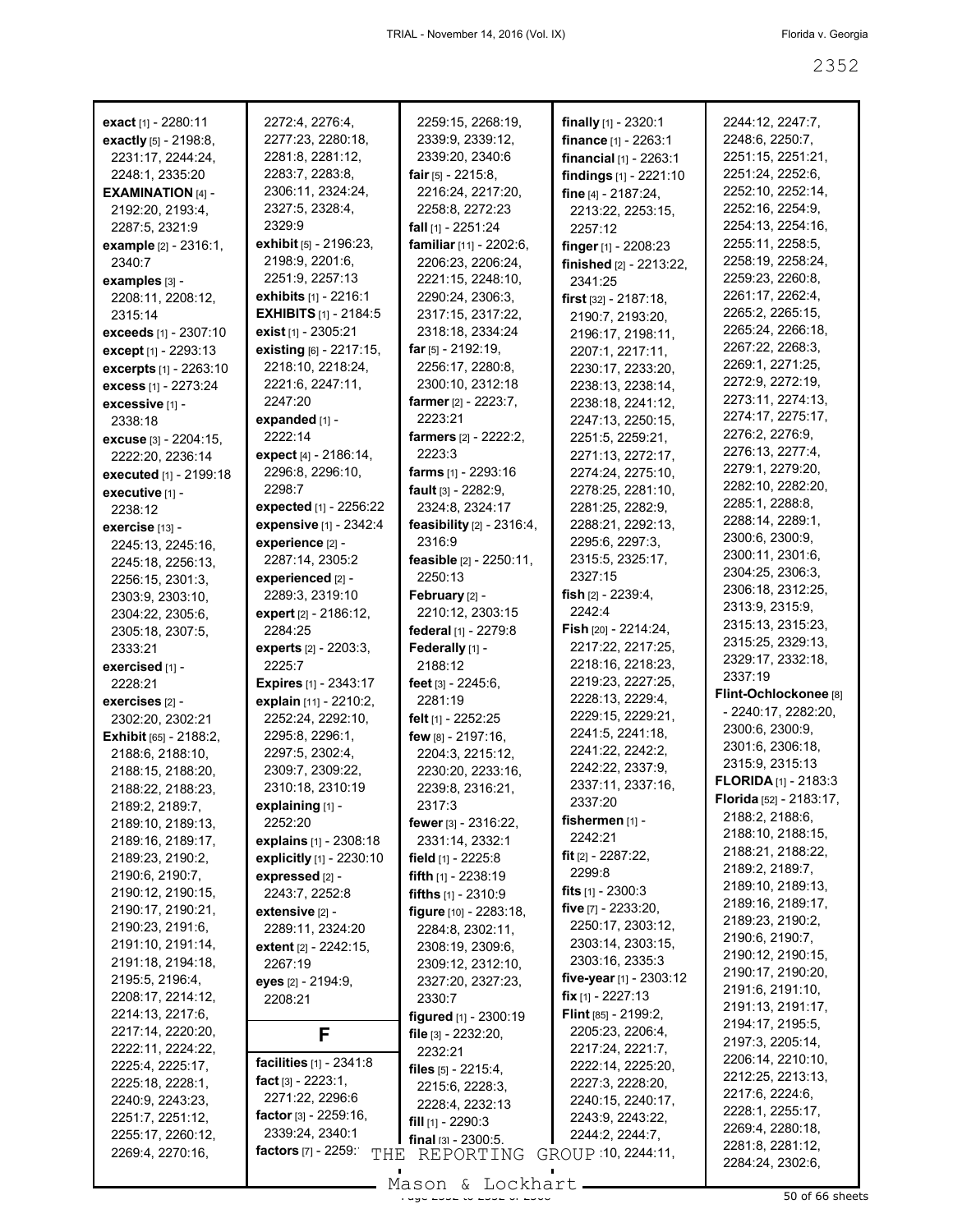| exact [1] - 2280:11           | 2272:4, 2276:4,                  | 2259:15, 2268:19,           | finally $[1]$ - 2320:1          | 2244:12, 2247:7,                 |
|-------------------------------|----------------------------------|-----------------------------|---------------------------------|----------------------------------|
| <b>exactly</b> $[5] - 2198.8$ | 2277:23, 2280:18,                | 2339:9, 2339:12,            | finance [1] - 2263:1            | 2248:6, 2250:7,                  |
| 2231:17, 2244:24,             | 2281:8, 2281:12,                 | 2339:20, 2340:6             | <b>financial</b> $[1]$ - 2263:1 | 2251:15, 2251:21,                |
| 2248:1, 2335:20               | 2283:7, 2283:8,                  | fair $[5] - 2215:8$ ,       | findings [1] - 2221:10          | 2251:24, 2252:6,                 |
| <b>EXAMINATION [4] -</b>      | 2306:11, 2324:24,                | 2216:24, 2217:20,           | fine [4] - 2187:24,             | 2252:10, 2252:14,                |
| 2192:20, 2193:4,              | 2327:5, 2328:4,                  | 2258:8, 2272:23             | 2213:22, 2253:15,               | 2252:16, 2254:9,                 |
| 2287:5, 2321:9                | 2329:9                           | fall $[1]$ - 2251:24        | 2257:12                         | 2254:13, 2254:16,                |
| example [2] - 2316:1,         | <b>exhibit</b> $[5] - 2196:23$ , | familiar [11] - 2202:6,     | finger [1] - 2208:23            | 2255:11, 2258:5,                 |
| 2340:7                        | 2198:9, 2201:6,                  | 2206:23, 2206:24,           | finished [2] - 2213:22,         | 2258:19, 2258:24,                |
| examples [3] -                | 2251:9, 2257:13                  | 2221:15, 2248:10,           | 2341:25                         | 2259:23, 2260:8,                 |
| 2208:11, 2208:12,             | exhibits [1] - 2216:1            | 2290:24, 2306:3,            | first $[32] - 2187:18$ ,        | 2261:17, 2262:4,                 |
| 2315:14                       | <b>EXHIBITS</b> [1] - 2184:5     | 2317:15, 2317:22,           | 2190:7, 2193:20,                | 2265:2, 2265:15,                 |
| exceeds [1] - 2307:10         | exist [1] - 2305:21              | 2318:18, 2334:24            | 2196:17, 2198:11,               | 2265:24, 2266:18,                |
| except [1] - 2293:13          | existing [6] - 2217:15,          | far $[5] - 2192:19$ ,       | 2207:1, 2217:11,                | 2267:22, 2268:3,                 |
| excerpts [1] - 2263:10        | 2218:10, 2218:24,                | 2256:17, 2280:8,            | 2230:17, 2233:20,               | 2269:1, 2271:25,                 |
| excess [1] - 2273:24          | 2221:6, 2247:11,                 | 2300:10, 2312:18            | 2238:13, 2238:14,               | 2272:9, 2272:19,                 |
| excessive [1] -               | 2247:20                          | farmer [2] - 2223:7,        | 2238:18, 2241:12,               | 2273:11, 2274:13,                |
| 2338:18                       | expanded [1] -                   | 2223:21                     | 2247:13, 2250:15,               | 2274:17, 2275:17,                |
| <b>excuse</b> $[3] - 2204:15$ | 2222:14                          | farmers [2] - 2222:2,       | 2251:5, 2259:21,                | 2276:2, 2276:9,                  |
| 2222:20, 2236:14              | expect [4] - 2186:14,            | 2223:3                      | 2271:13, 2272:17,               | 2276:13, 2277:4,                 |
| executed [1] - 2199:18        | 2296:8, 2296:10,                 | farms [1] - 2293:16         | 2274:24, 2275:10,               | 2279:1, 2279:20,                 |
| executive [1] -               | 2298:7                           | fault $[3] - 2282:9,$       | 2278:25, 2281:10,               | 2282:10, 2282:20,                |
| 2238:12                       | expected [1] - 2256:22           | 2324:8, 2324:17             | 2281:25, 2282:9,                | 2285:1, 2288:8,                  |
| exercise [13] -               | expensive [1] - 2342:4           | feasibility $[2]$ - 2316:4, | 2288:21, 2292:13,               | 2288:14, 2289:1,                 |
| 2245:13, 2245:16,             | experience [2] -                 | 2316:9                      | 2295:6, 2297:3,                 | 2300:6, 2300:9,                  |
| 2245:18, 2256:13,             | 2287:14, 2305:2                  | feasible [2] - 2250:11,     | 2315:5, 2325:17,                | 2300:11, 2301:6,                 |
| 2256:15, 2301:3,              | experienced [2] -                | 2250:13                     | 2327:15                         | 2304:25, 2306:3,                 |
| 2303:9, 2303:10,              | 2289:3, 2319:10                  | February [2] -              | fish $[2] - 2239:4,$            | 2306:18, 2312:25,                |
| 2304:22, 2305:6,              | expert [2] - 2186:12,            | 2210:12, 2303:15            | 2242:4                          | 2313:9, 2315:9,                  |
| 2305:18, 2307:5,              | 2284:25                          | federal [1] - 2279:8        | <b>Fish</b> $[20] - 2214:24$ ,  | 2315:13, 2315:23,                |
| 2333:21                       | experts [2] - 2203:3,            | Federally [1] -             | 2217:22, 2217:25,               | 2315:25, 2329:13,                |
| exercised [1] -               | 2225:7                           | 2188:12                     | 2218:16, 2218:23,               | 2329:17, 2332:18,                |
| 2228:21                       | <b>Expires</b> [1] - 2343:17     | feet $[3] - 2245:6$ ,       | 2219:23, 2227:25,               | 2337:19                          |
| exercises [2] -               | explain [11] - 2210:2,           | 2281:19                     | 2228:13, 2229:4,                | Flint-Ochlockonee <sup>[8]</sup> |
| 2302:20, 2302:21              | 2252:24, 2292:10,                | felt [1] - 2252:25          | 2229:15, 2229:21,               | - 2240:17, 2282:20,              |
| <b>Exhibit</b> [65] - 2188:2, | 2295:8, 2296:1,                  | few [8] - 2197:16,          | 2241:5, 2241:18,                | 2300:6, 2300:9,                  |
| 2188:6, 2188:10,              | 2297:5, 2302:4,                  | 2204:3, 2215:12,            | 2241:22, 2242:2,                | 2301:6, 2306:18,                 |
| 2188:15, 2188:20,             | 2309:7, 2309:22,                 | 2230:20, 2233:16,           | 2242:22, 2337:9,                | 2315:9, 2315:13                  |
| 2188:22, 2188:23,             | 2310:18, 2310:19                 | 2239:8, 2316:21,            | 2337:11, 2337:16,               | <b>FLORIDA</b> $[1]$ - 2183:3    |
| 2189:2, 2189:7,               | explaining [1] -                 | 2317:3                      | 2337:20                         | Florida [52] - 2183:17,          |
| 2189:10, 2189:13,             | 2252:20                          | fewer [3] - 2316:22,        | fishermen [1] -                 | 2188:2, 2188:6,                  |
| 2189:16, 2189:17,             | explains [1] - 2308:18           | 2331:14, 2332:1             | 2242:21                         | 2188:10, 2188:15,                |
| 2189:23, 2190:2,              | explicitly [1] - 2230:10         | field [1] - 2225:8          | fit $[2] - 2287:22$ ,           | 2188:21, 2188:22,                |
| 2190:6, 2190:7,               | expressed [2] -                  | fifth [1] - 2238:19         | 2299:8                          | 2189:2, 2189:7,                  |
| 2190:12, 2190:15,             | 2243:7, 2252:8                   | fifths $[1] - 2310.9$       | fits $[1] - 2300.3$             | 2189:10, 2189:13,                |
| 2190:17, 2190:21,             | $extensive$ $[2] -$              | figure [10] - 2283:18,      | five [7] - 2233:20,             | 2189:16, 2189:17,                |
| 2190:23, 2191:6,              | 2289:11, 2324:20                 | 2284:8, 2302:11,            | 2250:17, 2303:12,               | 2189:23, 2190:2,                 |
| 2191:10, 2191:14,             | extent [2] - 2242:15,            | 2308:19, 2309:6,            | 2303:14, 2303:15,               | 2190:6, 2190:7,                  |
| 2191:18, 2194:18,             | 2267:19                          | 2309:12, 2312:10,           | 2303:16, 2335:3                 | 2190:12, 2190:15,                |
| 2195:5, 2196:4,               | eyes [2] - 2194:9,               | 2327:20, 2327:23,           | five-year $[1]$ - 2303:12       | 2190:17, 2190:20,                |
| 2208:17, 2214:12,             | 2208:21                          | 2330:7                      | <b>fix</b> $[1] - 2227:13$      | 2191:6, 2191:10,                 |
| 2214:13, 2217:6,              |                                  | figured [1] - 2300:19       | <b>Flint</b> $[85] - 2199:2$    | 2191:13, 2191:17,                |
| 2217:14, 2220:20,             | F                                | file [3] - 2232:20,         | 2205:23, 2206:4,                | 2194:17, 2195:5,                 |
| 2222:11, 2224:22,             |                                  | 2232:21                     | 2217:24, 2221:7,                | 2197:3, 2205:14,                 |
| 2225:4, 2225:17,              | facilities [1] - 2341:8          | files $[5] - 2215:4,$       | 2222:14, 2225:20,               | 2206:14, 2210:10,                |
| 2225:18, 2228:1,              | fact $[3] - 2223:1$ ,            | 2215:6, 2228:3,             | 2227:3, 2228:20,                | 2212:25, 2213:13,                |
| 2240:9, 2243:23,              | 2271:22, 2296:6                  | 2228:4, 2232:13             | 2240:15, 2240:17,               | 2217:6, 2224:6,                  |
| 2251:7, 2251:12,              | factor $[3] - 2259:16$ ,         | fill $[1]$ - 2290:3         | 2243:9, 2243:22,                | 2228:1, 2255:17,                 |
| 2255:17, 2260:12,             | 2339:24, 2340:1                  | $final$ $131 - 2300.5$ .    | 2244:2, 2244:7,                 | 2269:4, 2280:18,                 |
| 2269:4, 2270:16,              | factors [7] - 2259:<br>THE       | REPORTING                   | GROUP 10, 2244:11,              | 2281:8, 2281:12,                 |
|                               |                                  |                             |                                 | 2284:24, 2302:6,                 |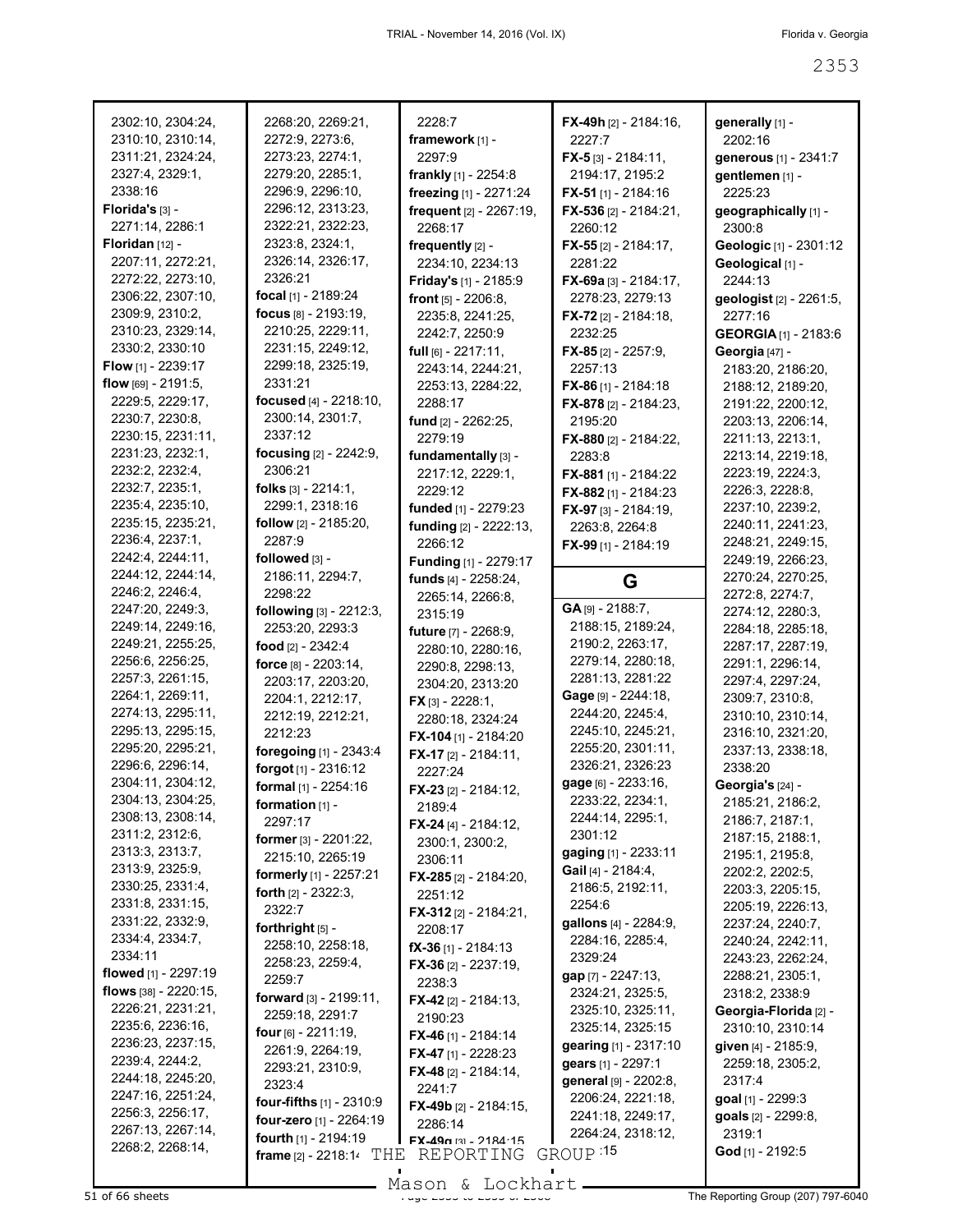| 2302:10, 2304:24,      | 2268:20, 2269:21,                 | 2228:7                        | $FX-49h$ [2] - 2184:16.      | generally [1] -             |
|------------------------|-----------------------------------|-------------------------------|------------------------------|-----------------------------|
| 2310:10, 2310:14,      | 2272:9, 2273:6,                   | framework [1] -               | 2227.7                       | 2202:16                     |
| 2311:21, 2324:24,      | 2273:23, 2274:1,                  | 2297:9                        | $FX - 5[3] - 2184:11,$       | generous [1] - 2341:7       |
| 2327:4, 2329:1,        | 2279:20, 2285:1,                  | frankly [1] - 2254:8          | 2194:17, 2195:2              | gentlemen [1] -             |
| 2338:16                | 2296:9, 2296:10,                  | freezing [1] - 2271:24        | FX-51 [1] - 2184:16          | 2225:23                     |
| Florida's $[3]$ -      | 2296:12, 2313:23,                 | frequent [2] - 2267:19,       | FX-536 $[2] - 2184:21$ ,     | geographically [1] -        |
| 2271:14, 2286:1        | 2322:21, 2322:23,                 |                               |                              |                             |
|                        |                                   | 2268:17                       | 2260:12                      | 2300:8                      |
| Floridan [12] -        | 2323:8, 2324:1,                   | frequently [2] -              | <b>FX-55</b> [2] - 2184:17,  | Geologic [1] - 2301:12      |
| 2207:11, 2272:21,      | 2326:14, 2326:17,                 | 2234:10, 2234:13              | 2281:22                      | Geological [1] -            |
| 2272:22, 2273:10,      | 2326:21                           | Friday's [1] - 2185:9         | $FX-69a$ [3] - 2184:17,      | 2244:13                     |
| 2306:22, 2307:10,      | focal [1] - 2189:24               | front $[5] - 2206.8$ ,        | 2278:23, 2279:13             | geologist [2] - 2261:5,     |
| 2309:9, 2310:2,        | focus [8] - 2193:19,              | 2235:8, 2241:25,              | <b>FX-72</b> [2] - 2184:18,  | 2277:16                     |
| 2310:23, 2329:14,      | 2210:25, 2229:11,                 | 2242:7, 2250:9                | 2232:25                      | <b>GEORGIA</b> [1] - 2183:6 |
| 2330:2, 2330:10        | 2231:15, 2249:12,                 | full $[6] - 2217:11$ ,        | <b>FX-85</b> [2] - 2257:9,   | Georgia [47] -              |
| Flow [1] - 2239:17     | 2299:18, 2325:19,                 | 2243:14, 2244:21,             | 2257:13                      | 2183:20, 2186:20,           |
| flow $[69] - 2191:5$ , | 2331:21                           | 2253:13, 2284:22,             | <b>FX-86</b> [1] - 2184:18   | 2188:12, 2189:20,           |
| 2229:5, 2229:17,       | focused [4] - 2218:10,            | 2288:17                       |                              | 2191:22, 2200:12,           |
| 2230:7, 2230:8,        | 2300:14, 2301:7,                  |                               | <b>FX-878</b> [2] - 2184:23, |                             |
| 2230:15, 2231:11,      | 2337:12                           | fund [2] - 2262:25,           | 2195:20                      | 2203:13, 2206:14,           |
|                        |                                   | 2279:19                       | <b>FX-880</b> [2] - 2184:22, | 2211:13, 2213:1,            |
| 2231:23, 2232:1,       | focusing [2] - 2242:9,            | fundamentally [3] -           | 2283:8                       | 2213:14, 2219:18,           |
| 2232:2, 2232:4,        | 2306:21                           | 2217:12, 2229:1,              | <b>FX-881</b> [1] - 2184:22  | 2223:19, 2224:3,            |
| 2232:7, 2235:1,        | folks $[3] - 2214:1,$             | 2229:12                       | FX-882 [1] - 2184:23         | 2226:3, 2228:8,             |
| 2235:4, 2235:10,       | 2299:1, 2318:16                   | funded [1] - 2279:23          | FX-97 [3] - 2184:19,         | 2237:10, 2239:2,            |
| 2235:15, 2235:21,      | follow [2] - 2185:20,             | funding [2] - 2222:13,        | 2263:8, 2264:8               | 2240:11, 2241:23,           |
| 2236:4, 2237:1,        | 2287:9                            | 2266:12                       | FX-99 [1] - 2184:19          | 2248:21, 2249:15,           |
| 2242:4, 2244:11,       | followed [3] -                    | Funding [1] - 2279:17         |                              | 2249:19, 2266:23,           |
| 2244:12, 2244:14,      | 2186:11, 2294:7,                  | funds [4] - 2258:24,          |                              | 2270:24, 2270:25,           |
| 2246:2, 2246:4,        | 2298:22                           | 2265:14, 2266:8,              | G                            | 2272:8, 2274:7,             |
| 2247:20, 2249:3,       | following [3] - 2212:3,           | 2315:19                       | GA [9] - 2188:7,             | 2274:12, 2280:3,            |
| 2249:14, 2249:16,      | 2253:20, 2293:3                   |                               | 2188:15, 2189:24,            | 2284:18, 2285:18,           |
|                        |                                   | future [7] - 2268:9,          |                              |                             |
|                        |                                   |                               |                              |                             |
| 2249:21, 2255:25,      | food [2] - 2342:4                 | 2280:10, 2280:16,             | 2190:2, 2263:17,             | 2287:17, 2287:19,           |
| 2256:6, 2256:25,       | force [8] - 2203:14,              | 2290:8, 2298:13,              | 2279:14, 2280:18,            | 2291:1, 2296:14,            |
| 2257:3, 2261:15,       | 2203:17, 2203:20,                 | 2304:20, 2313:20              | 2281:13, 2281:22             | 2297:4, 2297:24,            |
| 2264:1, 2269:11,       | 2204:1, 2212:17,                  | $FX$ [3] - 2228:1,            | Gage [9] - 2244:18,          | 2309:7, 2310:8,             |
| 2274:13, 2295:11,      | 2212:19, 2212:21,                 | 2280:18, 2324:24              | 2244:20, 2245:4,             | 2310:10, 2310:14,           |
| 2295:13, 2295:15,      | 2212:23                           | FX-104 [1] - 2184:20          | 2245:10, 2245:21,            | 2316:10, 2321:20,           |
| 2295:20, 2295:21,      | foregoing [1] - 2343:4            |                               | 2255:20, 2301:11,            | 2337:13, 2338:18,           |
| 2296:6, 2296:14,       | forgot [1] - 2316:12              | FX-17 $[2] - 2184:11$ ,       | 2326:21, 2326:23             | 2338:20                     |
| 2304:11, 2304:12,      |                                   | 2227:24                       | gage [6] - 2233:16,          | Georgia's [24] -            |
| 2304:13, 2304:25.      | formal [1] - 2254:16              | FX-23 [2] - 2184:12,          | 2233:22, 2234:1,             |                             |
| 2308:13, 2308:14,      | formation [1] -                   | 2189:4                        |                              | 2185:21, 2186:2,            |
|                        | 2297:17                           | <b>FX-24</b> [4] - 2184:12,   | 2244:14, 2295:1,             | 2186:7, 2187:1,             |
| 2311:2, 2312:6,        | former [3] - 2201:22,             | 2300:1, 2300:2,               | 2301:12                      | 2187:15, 2188:1,            |
| 2313:3, 2313:7,        | 2215:10, 2265:19                  | 2306:11                       | gaging [1] - 2233:11         | 2195:1, 2195:8,             |
| 2313:9, 2325:9,        | formerly [1] - 2257:21            | <b>FX-285</b> [2] - 2184:20,  | <b>Gail</b> [4] - 2184:4,    | 2202:2, 2202:5,             |
| 2330:25, 2331:4,       | forth $[2] - 2322:3$              | 2251:12                       | 2186:5, 2192:11,             | 2203:3, 2205:15,            |
| 2331:8, 2331:15,       | 2322:7                            | <b>FX-312</b> [2] - 2184:21,  | 2254:6                       | 2205:19, 2226:13,           |
| 2331:22, 2332:9,       | forthright [5] -                  | 2208:17                       | gallons [4] - 2284:9,        | 2237:24, 2240:7,            |
| 2334:4, 2334:7,        | 2258:10, 2258:18,                 | <b>fX-36</b> [1] - 2184:13    | 2284:16, 2285:4,             | 2240:24, 2242:11,           |
| 2334:11                | 2258:23, 2259:4,                  |                               | 2329:24                      | 2243:23, 2262:24,           |
| flowed $[1] - 2297:19$ | 2259:7                            | FX-36 [2] - 2237:19,          | gap [7] - 2247:13,           | 2288:21, 2305:1,            |
| flows [38] - 2220:15,  | forward [3] - 2199:11,            | 2238:3                        | 2324:21, 2325:5,             | 2318:2, 2338:9              |
| 2226:21, 2231:21,      |                                   | <b>FX-42</b> [2] - 2184:13,   | 2325:10, 2325:11,            | Georgia-Florida [2] -       |
| 2235:6, 2236:16,       | 2259:18, 2291:7                   | 2190:23                       | 2325:14, 2325:15             | 2310:10, 2310:14            |
| 2236:23, 2237:15,      | four [6] - 2211:19,               | FX-46 $[1]$ - 2184:14         | gearing [1] - 2317:10        | given [4] - 2185:9,         |
| 2239:4, 2244:2,        | 2261:9, 2264:19,                  | <b>FX-47</b> [1] - 2228:23    | gears [1] - 2297:1           | 2259:18, 2305:2,            |
| 2244:18, 2245:20,      | 2293:21, 2310:9,                  | <b>FX-48</b> [2] - 2184:14,   |                              |                             |
| 2247:16, 2251:24,      | 2323:4                            | 2241:7                        | general [9] - 2202:8,        | 2317:4                      |
| 2256:3, 2256:17,       | <b>four-fifths</b> $[1] - 2310.9$ | <b>FX-49b</b> $[2] - 2184:15$ | 2206:24, 2221:18,            | <b>goal</b> $[1]$ - 2299:3  |
|                        | four-zero [1] - 2264:19           | 2286:14                       | 2241:18, 2249:17,            | goals [2] - 2299:8,         |
| 2267:13, 2267:14,      | fourth $[1]$ - 2194:19            | FX-49n [3] - 2184:15          | 2264:24, 2318:12,            | 2319:1                      |
| 2268:2, 2268:14,       | <b>frame</b> $[2] - 2218.1$ THE   | REPORTING                     | GROUP 15                     | God [1] - 2192:5            |

- Mason & Lockhart -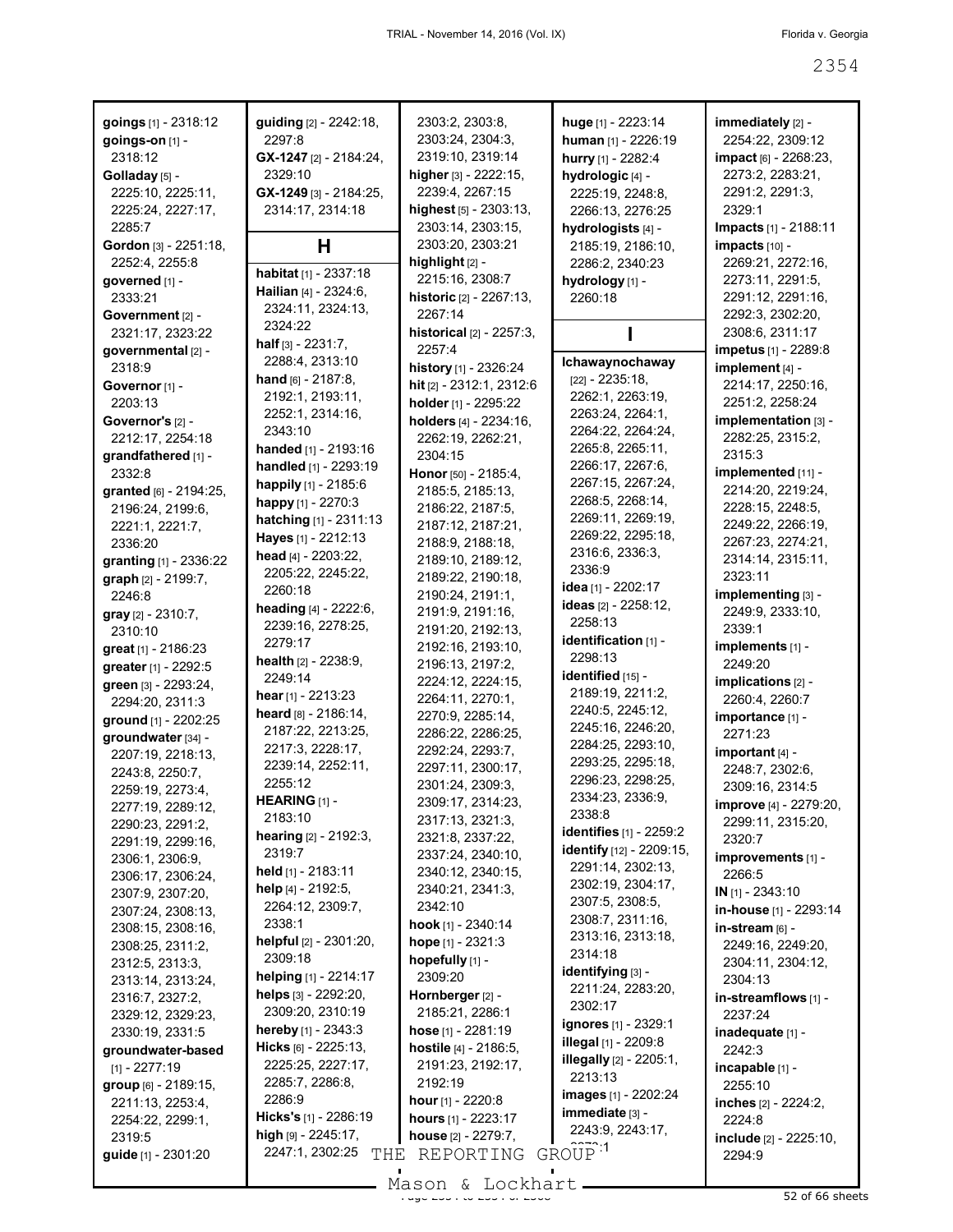| goings [1] - 2318:12                  | guiding [2] - 2242:18,         | 2303:2, 2303:8,                        | huge [1] - 2223:14             | immediately [2] -            |
|---------------------------------------|--------------------------------|----------------------------------------|--------------------------------|------------------------------|
| goings-on [1] -                       | 2297:8                         | 2303:24, 2304:3,                       | human [1] - 2226:19            | 2254:22, 2309:12             |
| 2318:12                               | GX-1247 [2] - 2184:24,         | 2319:10, 2319:14                       | hurry [1] - 2282:4             | impact [6] - 2268:23,        |
| Golladay [5] -                        | 2329:10                        | higher [3] - 2222:15,                  | hydrologic [4] -               | 2273:2, 2283:21,             |
| 2225:10, 2225:11,                     | GX-1249 [3] - 2184:25,         | 2239:4, 2267:15                        | 2225:19, 2248:8,               | 2291:2, 2291:3,              |
| 2225:24, 2227:17,                     | 2314:17, 2314:18               | highest [5] - 2303:13,                 | 2266:13, 2276:25               | 2329:1                       |
| 2285:7                                |                                | 2303:14, 2303:15,                      | hydrologists [4] -             | Impacts [1] - 2188:11        |
| Gordon [3] - 2251:18,                 | H                              | 2303:20, 2303:21                       | 2185:19, 2186:10,              | impacts [10] -               |
| 2252:4, 2255:8                        | <b>habitat</b> $[1]$ - 2337:18 | highlight [2] -                        | 2286:2, 2340:23                | 2269:21, 2272:16,            |
| qoverned [1] -                        | Hailian [4] - 2324:6,          | 2215:16, 2308:7                        | hydrology [1] -                | 2273:11, 2291:5,             |
| 2333:21                               | 2324:11, 2324:13,              | historic [2] - 2267:13,                | 2260:18                        | 2291:12, 2291:16,            |
| Government [2] -                      | 2324:22                        | 2267:14                                |                                | 2292:3, 2302:20,             |
| 2321:17, 2323:22                      | <b>half</b> $[3] - 2231:7$ ,   | historical [2] - 2257:3,               |                                | 2308:6, 2311:17              |
| governmental [2] -                    | 2288:4, 2313:10                | 2257:4                                 | Ichawaynochaway                | impetus [1] - 2289:8         |
| 2318:9                                | hand $[6] - 2187:8$ ,          | history [1] - 2326:24                  | $[22] - 2235:18,$              | implement [4] -              |
| Governor [1] -                        | 2192:1, 2193:11,               | hit [2] - 2312:1, 2312:6               | 2262:1, 2263:19,               | 2214:17, 2250:16,            |
| 2203:13                               | 2252:1, 2314:16,               | holder [1] - 2295:22                   | 2263:24, 2264:1,               | 2251:2, 2258:24              |
| Governor's [2] -                      | 2343:10                        | holders [4] - 2234:16,                 | 2264:22, 2264:24,              | implementation [3] -         |
| 2212:17, 2254:18                      | handed [1] - 2193:16           | 2262:19, 2262:21,                      | 2265:8, 2265:11,               | 2282:25, 2315:2,             |
| grandfathered [1] -                   | handled [1] - 2293:19          | 2304:15                                | 2266:17, 2267:6,               | 2315:3                       |
| 2332:8                                | happily [1] - 2185:6           | Honor [50] - 2185:4,                   | 2267:15, 2267:24,              | implemented [11] -           |
| granted [6] - 2194:25,                | happy [1] - 2270:3             | 2185:5, 2185:13,                       | 2268:5, 2268:14,               | 2214:20, 2219:24,            |
| 2196:24, 2199:6,                      | hatching [1] - 2311:13         | 2186:22, 2187:5,                       | 2269:11, 2269:19,              | 2228:15, 2248:5,             |
| 2221:1, 2221:7,                       | Hayes [1] - 2212:13            | 2187:12, 2187:21,                      | 2269:22, 2295:18,              | 2249:22, 2266:19,            |
| 2336:20                               | head [4] - 2203:22,            | 2188:9, 2188:18,                       | 2316:6, 2336:3,                | 2267:23, 2274:21,            |
| granting [1] - 2336:22                | 2205:22, 2245:22,              | 2189:10, 2189:12,                      | 2336:9                         | 2314:14, 2315:11,<br>2323:11 |
| graph [2] - 2199:7,                   | 2260:18                        | 2189:22, 2190:18,                      | idea [1] - 2202:17             |                              |
| 2246:8                                | heading [4] - 2222:6,          | 2190:24, 2191:1,<br>2191:9, 2191:16,   | <b>ideas</b> [2] - 2258:12,    | implementing [3] -           |
| <b>gray</b> $[2] - 2310:7$ ,          | 2239:16, 2278:25,              |                                        | 2258:13                        | 2249:9, 2333:10,<br>2339:1   |
| 2310:10                               | 2279:17                        | 2191:20, 2192:13,<br>2192:16, 2193:10, | identification [1] -           | implements [1] -             |
| great $[1]$ - 2186:23                 | <b>health</b> $[2] - 2238:9$ , | 2196:13, 2197:2,                       | 2298:13                        | 2249:20                      |
| greater [1] - 2292:5                  | 2249:14                        | 2224:12, 2224:15,                      | identified [15] -              | implications [2] -           |
| green [3] - 2293:24,                  | hear $[1]$ - 2213:23           | 2264:11, 2270:1,                       | 2189:19, 2211:2,               | 2260:4, 2260:7               |
| 2294:20, 2311:3                       | heard [8] - 2186:14,           | 2270:9, 2285:14,                       | 2240:5, 2245:12,               | importance [1] -             |
| ground [1] - 2202:25                  | 2187:22, 2213:25,              | 2286:22, 2286:25,                      | 2245:16, 2246:20,              | 2271:23                      |
| groundwater [34] -                    | 2217:3, 2228:17,               | 2292:24, 2293:7,                       | 2284:25, 2293:10,              | important [4] -              |
| 2207:19, 2218:13,                     | 2239:14, 2252:11,              | 2297:11, 2300:17,                      | 2293:25, 2295:18,              | 2248:7, 2302:6,              |
| 2243:8, 2250:7,                       | 2255:12                        | 2301:24, 2309:3,                       | 2296:23, 2298:25,              | 2309:16, 2314:5              |
| 2259:19, 2273:4,<br>2277:19, 2289:12, | HEARING [1] -                  | 2309:17, 2314:23,                      | 2334:23, 2336:9,               | improve [4] - 2279:20,       |
| 2290:23, 2291:2,                      | 2183:10                        | 2317:13, 2321:3,                       | 2338:8                         | 2299:11, 2315:20,            |
| 2291:19, 2299:16,                     | hearing [2] - 2192:3,          | 2321:8, 2337:22,                       | identifies [1] - 2259:2        | 2320:7                       |
| 2306:1, 2306:9,                       | 2319:7                         | 2337:24, 2340:10,                      | identify [12] - 2209:15,       | improvements [1] -           |
| 2306:17, 2306:24,                     | held [1] - 2183:11             | 2340:12, 2340:15,                      | 2291:14, 2302:13,              | 2266:5                       |
| 2307:9, 2307:20,                      | help [4] - 2192:5,             | 2340:21, 2341:3,                       | 2302:19, 2304:17,              | $IN$ [1] - 2343:10           |
| 2307:24, 2308:13,                     | 2264:12, 2309:7,               | 2342:10                                | 2307:5, 2308:5,                | in-house [1] - 2293:14       |
| 2308:15, 2308:16,                     | 2338:1                         | hook [1] - 2340:14                     | 2308:7, 2311:16,               | in-stream [6] -              |
| 2308:25, 2311:2,                      | helpful [2] - 2301:20,         | hope [1] - 2321:3                      | 2313:16, 2313:18,              | 2249:16, 2249:20,            |
| 2312:5, 2313:3,                       | 2309:18                        | hopefully [1] -                        | 2314:18                        | 2304:11, 2304:12,            |
| 2313:14, 2313:24,                     | helping [1] - 2214:17          | 2309:20                                | identifying [3] -              | 2304:13                      |
| 2316:7, 2327:2,                       | helps [3] - 2292:20,           | Hornberger [2] -                       | 2211:24, 2283:20,              | in-streamflows [1] -         |
| 2329:12, 2329:23,                     | 2309:20, 2310:19               | 2185:21, 2286:1                        | 2302:17                        | 2237:24                      |
| 2330:19, 2331:5                       | <b>hereby</b> $[1]$ - 2343:3   | hose $[1] - 2281:19$                   | <b>ignores</b> [1] - 2329:1    | inadequate [1] -             |
| groundwater-based                     | <b>Hicks</b> $[6] - 2225:13$   | hostile $[4] - 2186.5$ ,               | <b>illegal</b> [1] - 2209:8    | 2242:3                       |
| $[1] - 2277:19$                       | 2225:25, 2227:17,              | 2191:23, 2192:17,                      | <b>illegally</b> [2] - 2205:1, | incapable [1] -              |
| group [6] - 2189:15,                  | 2285:7, 2286:8,                | 2192:19                                | 2213:13                        | 2255:10                      |
| 2211:13, 2253:4,                      | 2286:9                         | <b>hour</b> $[1]$ - 2220:8             | <b>images</b> [1] - 2202:24    | inches [2] - 2224:2,         |
| 2254:22, 2299:1,                      | <b>Hicks's</b> [1] - 2286:19   | hours $[1]$ - 2223:17                  | immediate [3] -                | 2224:8                       |
| 2319:5                                | high $[9] - 2245:17$ ,         | house [2] - 2279:7,                    | 2243:9, 2243:17,               | include [2] - 2225:10,       |
| guide [1] - 2301:20                   | 2247:1, 2302:25<br>THE         | REPORTING                              | GROUP <sup>1</sup>             | 2294:9                       |
|                                       |                                | $Mason$ & Lockhart                     |                                |                              |

Mason & Lockhart 2000 and 2368 sheets 32 of 66 sheets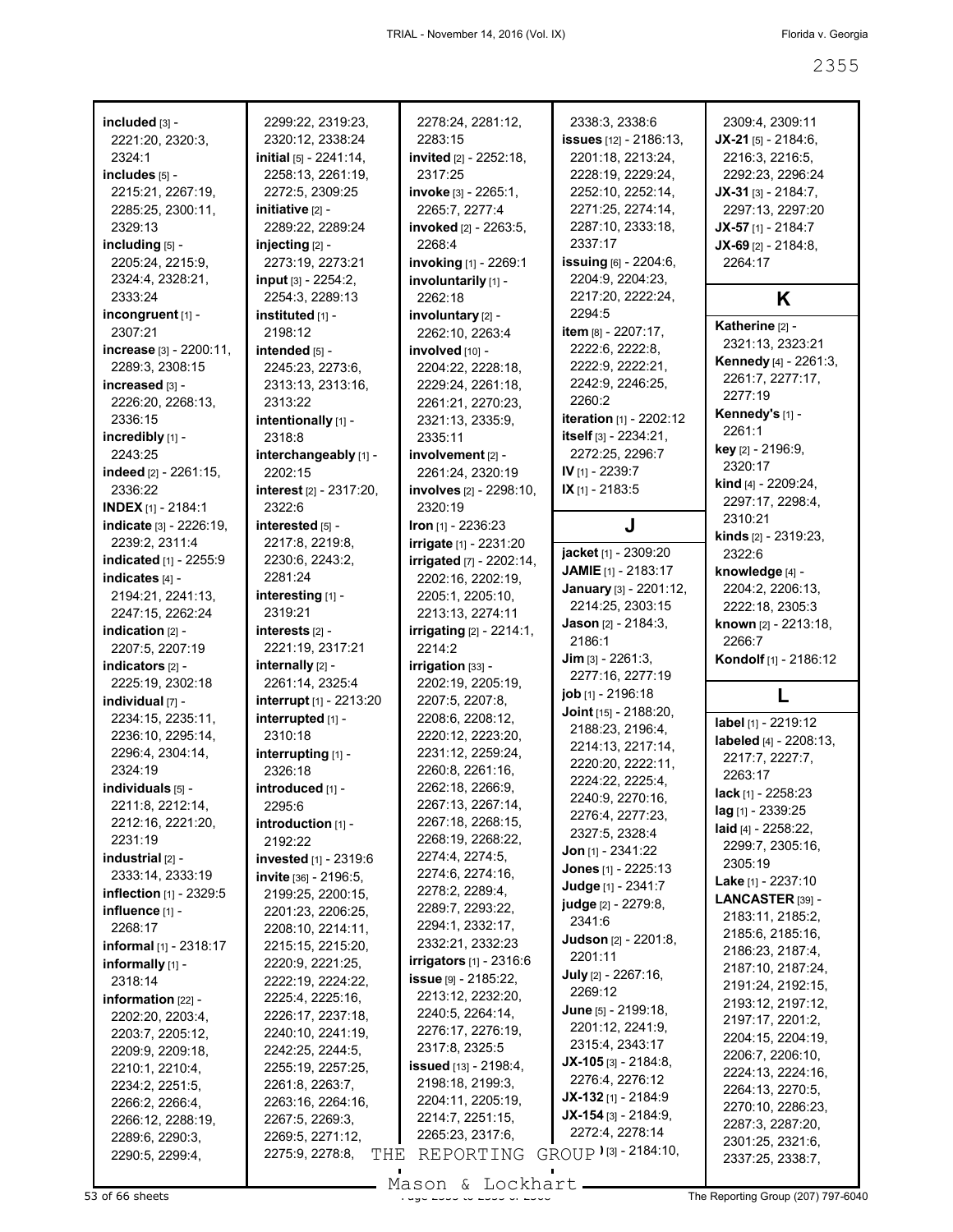| included [3] -                   | 2299:22, 2319:23,       | 2278:24, 2281:12,                         | 2338:3, 2338:6                          | 2309:4, 2309:11                |
|----------------------------------|-------------------------|-------------------------------------------|-----------------------------------------|--------------------------------|
| 2221:20, 2320:3,                 | 2320:12, 2338:24        | 2283:15                                   | <b>issues</b> [12] - 2186:13,           | $JX-21$ [5] - 2184:6,          |
| 2324:1                           | initial [5] - 2241:14,  | invited [2] - 2252:18,                    | 2201:18, 2213:24,                       | 2216:3, 2216:5,                |
| includes [5] -                   | 2258:13, 2261:19,       | 2317:25                                   | 2228:19, 2229:24,                       | 2292:23, 2296:24               |
| 2215:21, 2267:19,                | 2272:5, 2309:25         | invoke [3] - 2265:1,                      | 2252:10, 2252:14,                       | $JX-31$ [3] - 2184:7,          |
| 2285:25, 2300:11,                | initiative [2] -        | 2265:7, 2277:4                            | 2271:25, 2274:14,                       | 2297:13, 2297:20               |
| 2329:13                          | 2289:22, 2289:24        | <b>invoked</b> [2] - 2263:5,              | 2287:10, 2333:18,                       | $JX-57$ [1] - 2184:7           |
| including [5] -                  | injecting [2] -         | 2268:4                                    | 2337:17                                 | $JX-69$ [2] - 2184:8,          |
| 2205:24, 2215:9,                 | 2273:19, 2273:21        | invoking [1] - 2269:1                     | issuing [6] - 2204:6,                   | 2264:17                        |
| 2324:4, 2328:21,                 | input [3] - 2254:2,     | involuntarily [1] -                       | 2204:9, 2204:23,                        |                                |
| 2333:24                          | 2254:3, 2289:13         | 2262:18                                   | 2217:20, 2222:24,                       | K                              |
| incongruent $[1]$ -              | instituted [1] -        | involuntary [2] -                         | 2294:5                                  |                                |
| 2307:21                          | 2198:12                 | 2262:10, 2263:4                           | <b>item</b> $[8] - 2207:17$ ,           | Katherine [2] -                |
| increase $[3] - 2200:11$ ,       | intended [5] -          | involved [10] -                           | 2222:6, 2222:8,                         | 2321:13, 2323:21               |
| 2289:3, 2308:15                  | 2245:23, 2273:6,        | 2204:22, 2228:18,                         | 2222:9, 2222:21,                        | <b>Kennedy</b> [4] - 2261:3,   |
| increased [3] -                  | 2313:13, 2313:16,       | 2229:24, 2261:18,                         | 2242:9, 2246:25,                        | 2261:7, 2277:17,               |
| 2226:20, 2268:13,                | 2313:22                 | 2261:21, 2270:23,                         | 2260:2                                  | 2277:19                        |
| 2336:15                          | intentionally [1] -     | 2321:13, 2335:9,                          | iteration [1] - 2202:12                 | Kennedy's [1] -                |
| incredibly [1] -                 | 2318:8                  | 2335:11                                   | itself [3] - 2234:21,                   | 2261:1                         |
| 2243:25                          | interchangeably [1] -   | involvement [2] -                         | 2272:25, 2296:7                         | key [2] - 2196:9,              |
| indeed $[2] - 2261:15$ ,         | 2202:15                 | 2261:24, 2320:19                          | IV [1] - 2239:7                         | 2320:17                        |
| 2336:22                          | interest [2] - 2317:20, | involves [2] - 2298:10,                   | IX [1] - 2183:5                         | kind [4] - 2209:24,            |
| <b>INDEX [1] - 2184:1</b>        | 2322:6                  | 2320:19                                   |                                         | 2297:17, 2298:4,               |
| indicate [3] - 2226:19,          | interested [5] -        | Iron $[1]$ - 2236:23                      | J                                       | 2310:21                        |
| 2239:2, 2311:4                   | 2217:8, 2219:8,         | irrigate [1] - 2231:20                    |                                         | <b>kinds</b> $[2] - 2319:23$ , |
| indicated [1] - 2255:9           | 2230:6, 2243:2,         | <b>irrigated</b> [7] - 2202:14,           | jacket [1] - 2309:20                    | 2322:6                         |
| indicates [4] -                  | 2281:24                 | 2202:16, 2202:19,                         | <b>JAMIE</b> [1] - 2183:17              | knowledge [4] -                |
| 2194:21, 2241:13,                | interesting [1] -       | 2205:1, 2205:10,                          | January [3] - 2201:12,                  | 2204:2, 2206:13,               |
| 2247:15, 2262:24                 | 2319:21                 | 2213:13, 2274:11                          | 2214:25, 2303:15                        | 2222:18, 2305:3                |
| indication $[2]$ -               | interests [2] -         |                                           | <b>Jason</b> $[2] - 2184:3$ ,           | known [2] - 2213:18,           |
| 2207:5, 2207:19                  | 2221:19, 2317:21        | <b>irrigating</b> [2] - 2214:1,<br>2214:2 | 2186:1                                  | 2266:7                         |
|                                  |                         |                                           |                                         |                                |
|                                  |                         |                                           | $Jim$ [3] - 2261:3,                     | Kondolf [1] - 2186:12          |
| indicators [2] -                 | internally [2] -        | irrigation [33] -                         | 2277:16, 2277:19                        |                                |
| 2225:19, 2302:18                 | 2261:14, 2325:4         | 2202:19, 2205:19,                         |                                         | L                              |
| individual [7] -                 | interrupt [1] - 2213:20 | 2207:5, 2207:8,                           | job [1] - 2196:18                       |                                |
| 2234:15, 2235:11,                | interrupted [1] -       | 2208:6, 2208:12,                          | Joint [15] - 2188:20,                   | label [1] - 2219:12            |
| 2236:10, 2295:14,                | 2310:18                 | 2220:12, 2223:20,                         | 2188:23, 2196:4,<br>2214:13, 2217:14,   | labeled [4] - 2208:13,         |
| 2296:4, 2304:14,                 | interrupting [1] -      | 2231:12, 2259:24,                         |                                         | 2217:7, 2227:7,                |
| 2324:19                          | 2326:18                 | 2260:8, 2261:16,                          | 2220:20, 2222:11,<br>2224:22, 2225:4,   | 2263:17                        |
| individuals [5] -                | introduced [1] -        | 2262:18, 2266:9,                          |                                         | lack [1] - 2258:23             |
| 2211:8, 2212:14,                 | 2295:6                  | 2267:13, 2267:14,                         | 2240:9, 2270:16,<br>2276:4, 2277:23,    | lag [1] - 2339:25              |
| 2212:16, 2221:20,                | $introduction$ [1] -    | 2267:18, 2268:15,                         | 2327:5, 2328:4                          | laid $[4] - 2258:22$ ,         |
| 2231:19                          | 2192:22                 | 2268:19, 2268:22,                         | <b>Jon</b> [1] - $2341:22$              | 2299:7, 2305:16,               |
| industrial $[2]$ -               | invested [1] - 2319:6   | 2274:4, 2274:5,                           |                                         | 2305:19                        |
| 2333:14, 2333:19                 | invite [36] - 2196:5,   | 2274:6, 2274:16,                          | Jones [1] - 2225:13                     | <b>Lake</b> [1] - 2237:10      |
| <b>inflection</b> $[1]$ - 2329:5 | 2199:25, 2200:15,       | 2278:2, 2289:4,                           | Judge [1] - 2341:7                      | <b>LANCASTER [39] -</b>        |
| influence [1] -                  | 2201:23, 2206:25,       | 2289:7, 2293:22,                          | judge [2] - 2279:8,<br>2341:6           | 2183:11, 2185:2,               |
| 2268:17                          | 2208:10, 2214:11,       | 2294:1, 2332:17,                          |                                         | 2185:6, 2185:16,               |
| <b>informal</b> [1] - 2318:17    | 2215:15, 2215:20,       | 2332:21, 2332:23                          | <b>Judson</b> [2] - 2201:8,<br>2201:11  | 2186:23, 2187:4,               |
| informally $[1]$ -               | 2220:9, 2221:25,        | <b>irrigators</b> [1] - 2316:6            |                                         | 2187:10, 2187:24,              |
| 2318:14                          | 2222:19, 2224:22,       | $issue$ [9] - 2185:22,                    | <b>July</b> [2] - 2267:16,<br>2269:12   | 2191:24, 2192:15,              |
| information $[22]$ -             | 2225:4, 2225:16,        | 2213:12, 2232:20,                         |                                         | 2193:12, 2197:12,              |
| 2202:20, 2203:4,                 | 2226:17, 2237:18,       | 2240:5, 2264:14,                          | June [5] - 2199:18,<br>2201:12, 2241:9, | 2197:17, 2201:2,               |
| 2203:7, 2205:12,                 | 2240:10, 2241:19,       | 2276:17, 2276:19,                         |                                         | 2204:15, 2204:19,              |
| 2209:9, 2209:18,                 | 2242:25, 2244:5,        | 2317:8, 2325:5                            | 2315:4, 2343:17                         | 2206:7, 2206:10,               |
| 2210:1, 2210:4,                  | 2255:19, 2257:25,       | <b>issued</b> $[13] - 2198:4,$            | $JX-105$ [3] - 2184:8,                  | 2224:13, 2224:16,              |
| 2234:2, 2251:5,                  | 2261:8, 2263:7,         | 2198:18, 2199:3,                          | 2276:4, 2276:12                         | 2264:13, 2270:5,               |
| 2266:2, 2266:4,                  | 2263:16, 2264:16,       | 2204:11, 2205:19,                         | $JX-132$ [1] - 2184:9                   | 2270:10, 2286:23,              |
| 2266:12, 2288:19,                | 2267:5, 2269:3,         | 2214:7, 2251:15,                          | $JX-154$ [3] - 2184:9,                  | 2287:3, 2287:20,               |
| 2289:6, 2290:3,                  | 2269:5, 2271:12,        | 2265:23, 2317:6,                          | 2272:4, 2278:14                         | 2301:25, 2321:6,               |
| 2290:5, 2299:4,                  | 2275:9, 2278:8,<br>THE  | REPORTING                                 | GROUP $\sqrt{3}$ - 2184:10,             | 2337:25, 2338:7,               |

Mason & Lockhart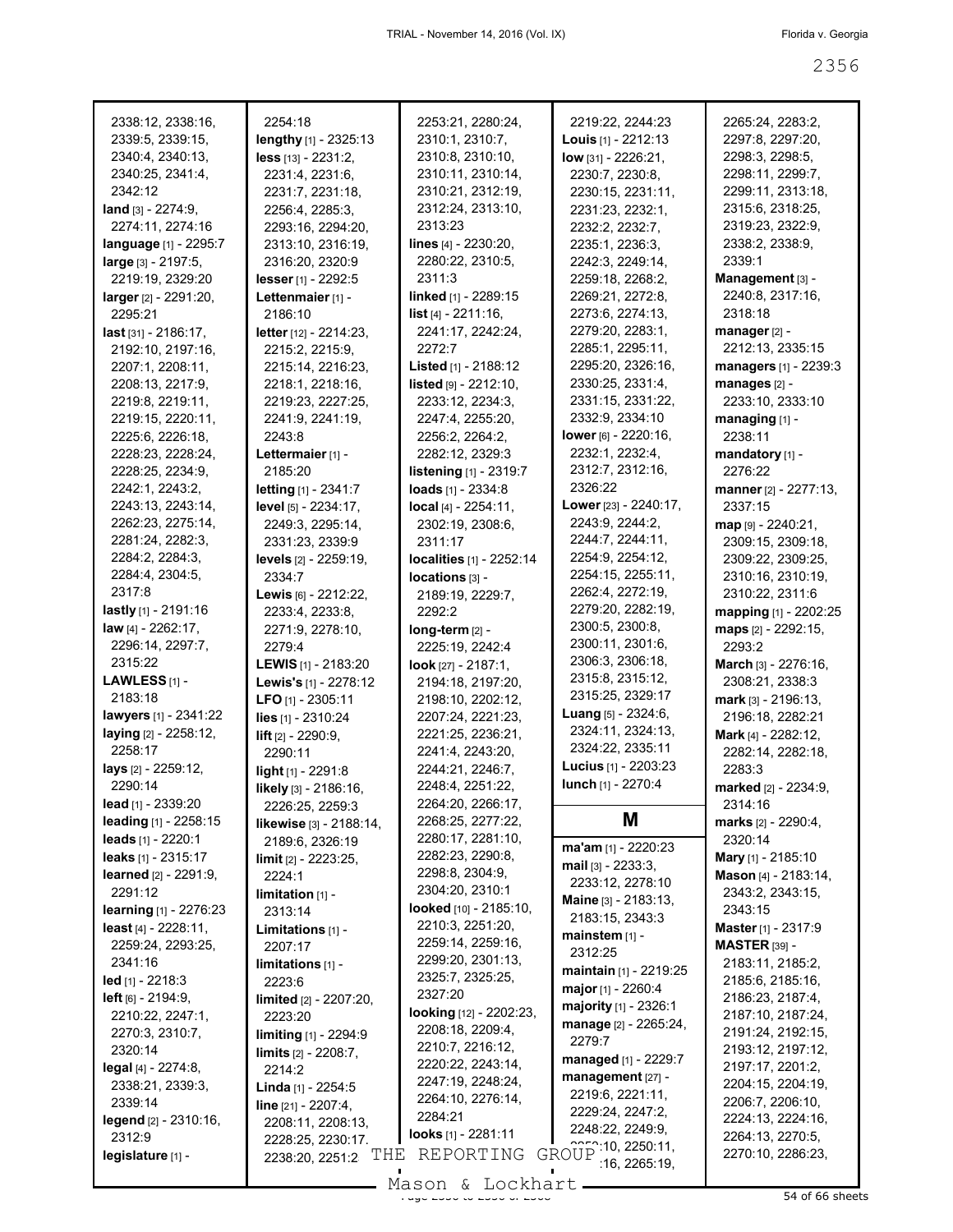| 2338:12, 2338:16,             | 2254:18                      | 2253:21, 2280:24,             | 2219:22, 2244:23                   | 2265:24, 2283:2,                      |
|-------------------------------|------------------------------|-------------------------------|------------------------------------|---------------------------------------|
| 2339:5, 2339:15,              | lengthy [1] - 2325:13        | 2310:1, 2310:7,               | <b>Louis</b> $[1]$ - 2212:13       | 2297:8, 2297:20,                      |
| 2340:4, 2340:13,              | less [13] - 2231:2,          | 2310:8, 2310:10,              |                                    | 2298:3, 2298:5,                       |
|                               |                              |                               | low [31] - 2226:21,                |                                       |
| 2340:25, 2341:4,              | 2231:4, 2231:6,              | 2310:11, 2310:14,             | 2230:7, 2230:8,                    | 2298:11, 2299:7,                      |
| 2342:12                       | 2231:7, 2231:18,             | 2310:21, 2312:19,             | 2230:15, 2231:11,                  | 2299:11, 2313:18,                     |
| land $[3] - 2274:9$ ,         | 2256:4, 2285:3,              | 2312:24, 2313:10,             | 2231:23, 2232:1,                   | 2315:6, 2318:25,                      |
| 2274:11, 2274:16              | 2293:16, 2294:20,            | 2313:23                       | 2232:2, 2232:7,                    | 2319:23, 2322:9,                      |
| language [1] - 2295:7         | 2313:10, 2316:19,            | lines $[4] - 2230:20$ ,       | 2235:1, 2236:3,                    | 2338:2, 2338:9,                       |
| large [3] - 2197:5,           | 2316:20, 2320:9              | 2280:22, 2310:5,              | 2242:3, 2249:14,                   | 2339:1                                |
| 2219:19, 2329:20              | lesser [1] - 2292:5          | 2311:3                        | 2259:18, 2268:2,                   | Management [3] -                      |
| larger [2] - 2291:20,         | Lettenmaier [1] -            | linked [1] - 2289:15          | 2269:21, 2272:8,                   | 2240:8, 2317:16,                      |
| 2295:21                       | 2186:10                      | list [4] - 2211:16,           | 2273:6, 2274:13,                   | 2318:18                               |
| $last$ [31] - 2186:17,        | letter [12] - 2214:23,       | 2241:17, 2242:24,             | 2279:20, 2283:1,                   | $manager [2] -$                       |
| 2192:10, 2197:16,             | 2215:2, 2215:9,              | 2272:7                        | 2285:1, 2295:11,                   | 2212:13, 2335:15                      |
| 2207:1, 2208:11,              | 2215:14, 2216:23,            | Listed [1] - 2188:12          | 2295:20, 2326:16,                  | managers [1] - 2239:3                 |
| 2208:13, 2217:9,              | 2218:1, 2218:16,             | listed [9] - 2212:10,         | 2330:25, 2331:4,                   | manages [2] -                         |
| 2219:8, 2219:11,              | 2219:23, 2227:25,            | 2233:12, 2234:3,              | 2331:15, 2331:22,                  | 2233:10, 2333:10                      |
| 2219:15, 2220:11,             | 2241:9, 2241:19,             | 2247:4, 2255:20,              | 2332:9, 2334:10                    | managing $[1]$ -                      |
| 2225:6, 2226:18,              | 2243:8                       | 2256:2, 2264:2,               | lower [6] - 2220:16,               | 2238:11                               |
| 2228:23, 2228:24,             | Lettermaier [1] -            | 2282:12, 2329:3               | 2232:1, 2232:4,                    |                                       |
|                               |                              |                               | 2312:7, 2312:16,                   | mandatory [1] -                       |
| 2228:25, 2234:9,              | 2185:20                      | listening [1] - 2319:7        |                                    | 2276:22                               |
| 2242:1, 2243:2,               | letting [1] - 2341:7         | loads [1] - 2334:8            | 2326:22                            | manner [2] - 2277:13,                 |
| 2243:13, 2243:14,             | level [5] - 2234:17,         | local [4] - 2254:11,          | Lower [23] - 2240:17,              | 2337:15                               |
| 2262:23, 2275:14,             | 2249:3, 2295:14,             | 2302:19, 2308:6,              | 2243:9, 2244:2,                    | map [9] - 2240:21,                    |
| 2281:24, 2282:3,              | 2331:23, 2339:9              | 2311:17                       | 2244:7, 2244:11,                   | 2309:15, 2309:18,                     |
| 2284:2, 2284:3,               | <b>levels</b> [2] - 2259:19, | localities [1] - 2252:14      | 2254:9, 2254:12,                   | 2309:22, 2309:25,                     |
| 2284:4, 2304:5,               | 2334:7                       | locations [3] -               | 2254:15, 2255:11,                  | 2310:16, 2310:19,                     |
| 2317:8                        | Lewis [6] - 2212:22,         | 2189:19, 2229:7,              | 2262:4, 2272:19,                   | 2310:22, 2311:6                       |
| lastly [1] - 2191:16          | 2233:4, 2233:8,              | 2292:2                        | 2279:20, 2282:19,                  | mapping [1] - 2202:25                 |
| law $[4] - 2262:17$ ,         | 2271:9, 2278:10,             | $long-term$ [2] -             | 2300:5, 2300:8,                    | maps [2] - 2292:15,                   |
| 2296:14, 2297:7,              | 2279:4                       | 2225:19, 2242:4               | 2300:11, 2301:6,                   | 2293:2                                |
| 2315:22                       | <b>LEWIS</b> [1] - 2183:20   | look $[27] - 2187:1,$         | 2306:3, 2306:18,                   | March [3] - 2276:16,                  |
| LAWLESS $[1]$ -               | Lewis's [1] - 2278:12        | 2194:18, 2197:20,             | 2315:8, 2315:12,                   | 2308:21, 2338:3                       |
| 2183:18                       | LFO [1] - 2305:11            | 2198:10, 2202:12,             | 2315:25, 2329:17                   | mark [3] - 2196:13,                   |
| <b>lawyers</b> [1] - 2341:22  |                              | 2207:24, 2221:23,             | <b>Luang</b> $[5] - 2324:6$ ,      | 2196:18, 2282:21                      |
| laying [2] - 2258:12,         | lies [1] - 2310:24           |                               | 2324:11, 2324:13,                  |                                       |
| 2258:17                       | lift $[2] - 2290.9$ ,        | 2221:25, 2236:21,             | 2324:22, 2335:11                   | Mark [4] - 2282:12,                   |
|                               | 2290:11                      | 2241:4, 2243:20,              | Lucius [1] - 2203:23               | 2282:14, 2282:18,                     |
| <b>lays</b> $[2] - 2259:12$ , | light [1] - 2291:8           | 2244:21, 2246:7,              | lunch [1] - 2270:4                 | 2283:3                                |
| 2290:14                       | likely [3] - 2186:16,        | 2248:4, 2251:22,              |                                    | marked [2] - 2234:9,                  |
| lead [1] - 2339:20            | 2226:25, 2259:3              | 2264:20, 2266:17,             |                                    | 2314:16                               |
| leading $[1]$ - 2258:15       | likewise [3] - 2188:14,      | 2268:25, 2277:22,             | M                                  | marks [2] - 2290:4,                   |
| leads $[1] - 2220:1$          | 2189:6, 2326:19              | 2280:17, 2281:10,             | $ma'am$ [1] - 2220:23              | 2320:14                               |
| <b>leaks</b> [1] - 2315:17    | limit [2] - 2223:25,         | 2282:23, 2290:8,              | mail [3] - 2233:3,                 | Mary [1] - 2185:10                    |
| <b>learned</b> [2] - 2291:9,  | 2224:1                       | 2298:8, 2304:9,               | 2233:12, 2278:10                   | Mason [4] - 2183:14,                  |
| 2291:12                       | $limitation$ [1] -           | 2304:20, 2310:1               | Maine [3] - 2183:13,               | 2343:2, 2343:15,                      |
| learning [1] - 2276:23        | 2313:14                      | <b>looked</b> [10] - 2185:10, | 2183:15, 2343:3                    | 2343:15                               |
| least $[4] - 2228:11$ ,       | Limitations [1] -            | 2210:3, 2251:20,              |                                    | Master [1] - 2317:9                   |
| 2259:24, 2293:25,             | 2207:17                      | 2259:14, 2259:16,             | mainstem [1] -                     | <b>MASTER [39] -</b>                  |
| 2341:16                       | $limitations 11 -$           | 2299:20, 2301:13,             | 2312:25                            | 2183:11, 2185:2,                      |
| $led$ [1] - 2218:3            | 2223:6                       | 2325:7, 2325:25,              | <b>maintain</b> [1] - 2219:25      | 2185:6, 2185:16,                      |
| $left [6] - 2194.9,$          | limited [2] - 2207:20,       | 2327:20                       | major [1] - 2260:4                 | 2186:23, 2187:4,                      |
| 2210:22, 2247:1,              | 2223:20                      | looking [12] - 2202:23,       | majority [1] - 2326:1              | 2187:10, 2187:24,                     |
| 2270:3, 2310:7,               | limiting [1] - 2294:9        | 2208:18, 2209:4,              | manage [2] - 2265:24,              | 2191:24, 2192:15,                     |
| 2320:14                       |                              | 2210:7, 2216:12,              | 2279:7                             | 2193:12, 2197:12,                     |
|                               | limits [2] - 2208:7,         | 2220:22, 2243:14,             | <b>managed</b> [1] - 2229:7        | 2197:17, 2201:2,                      |
| $\text{legal } [4] - 2274:8,$ | 2214:2                       | 2247:19, 2248:24,             | management $[27]$ -                | 2204:15, 2204:19,                     |
| 2338:21, 2339:3,              | <b>Linda</b> [1] - $2254:5$  | 2264:10, 2276:14,             | 2219:6, 2221:11,                   |                                       |
| 2339:14                       | line [21] - 2207:4,          | 2284:21                       | 2229:24, 2247:2,                   | 2206:7, 2206:10,<br>2224:13, 2224:16, |
| legend $[2] - 2310:16$ ,      |                              |                               |                                    |                                       |
|                               | 2208:11, 2208:13,            |                               | 2248:22, 2249:9,                   |                                       |
| 2312:9                        | 2228:25, 2230:17             | <b>looks</b> $[1] - 2281:11$  |                                    | 2264:13, 2270:5,                      |
| legislature [1] -             | THE<br>2238:20, 2251:2       | REPORTING                     | GROUP 10, 2250:11,<br>16, 2265.19, | 2270:10, 2286:23,                     |

 $\frac{235611}{x}$  and  $\frac{2356111}{x}$  of  $\frac{235611}{x}$  of  $\frac{2368}{x}$  54 of 66 sheets Mason & Lockhart.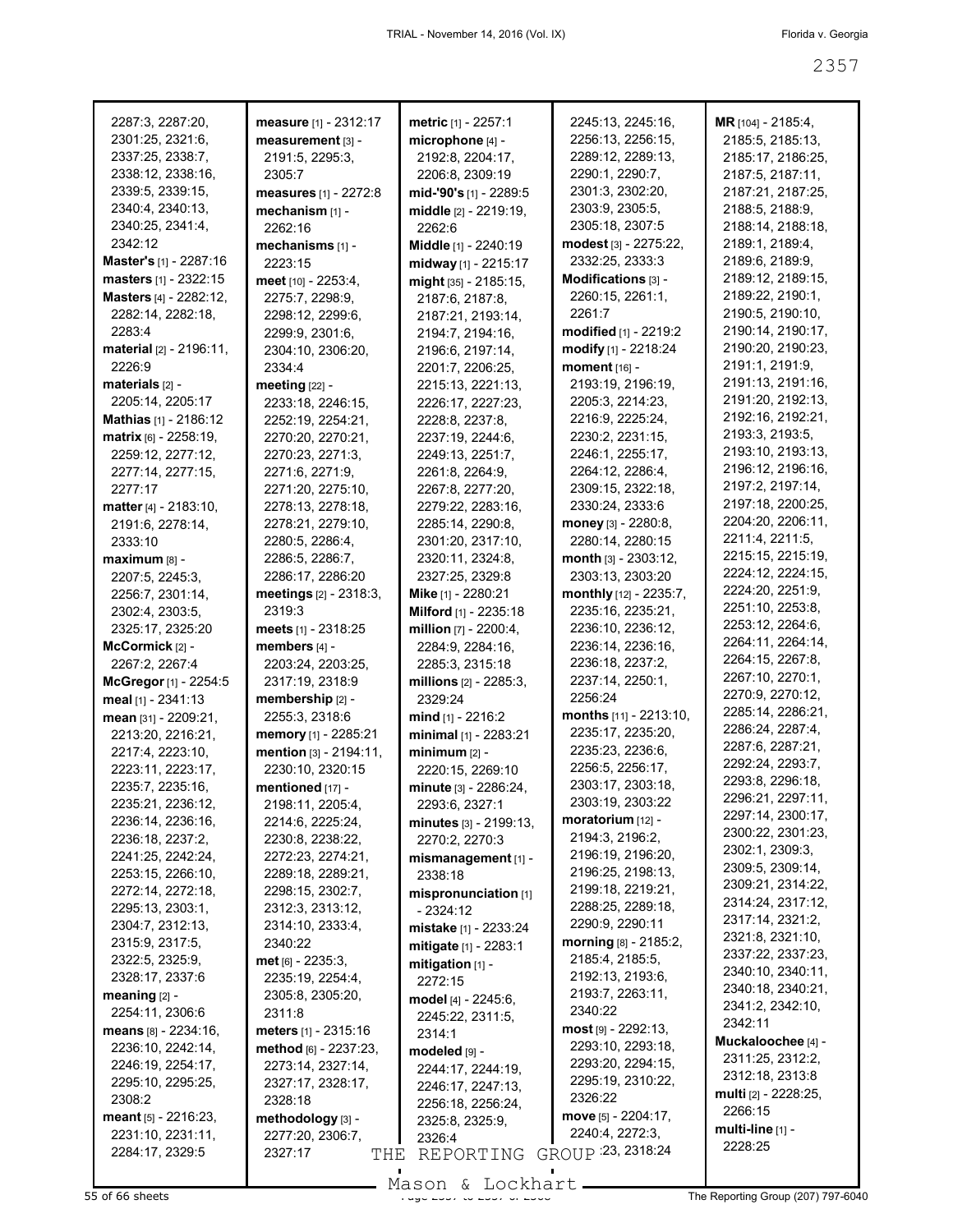| 2287:3, 2287:20,                      | measure [1] - 2312:17                 | <b>metric</b> [1] - 2257:1     | 2245:13, 2245:16,                     | MR [104] - 2185:4,                    |
|---------------------------------------|---------------------------------------|--------------------------------|---------------------------------------|---------------------------------------|
| 2301:25, 2321:6,                      | measurement [3] -                     | microphone [4] -               | 2256:13, 2256:15,                     | 2185:5, 2185:13,                      |
| 2337:25, 2338:7,                      | 2191:5, 2295:3,                       | 2192:8, 2204:17,               | 2289:12, 2289:13,                     | 2185:17, 2186:25,                     |
| 2338:12, 2338:16,                     | 2305:7                                | 2206:8, 2309:19                | 2290:1, 2290:7,                       | 2187:5, 2187:11,                      |
| 2339:5, 2339:15,                      | measures [1] - 2272:8                 | mid-'90's [1] - 2289:5         | 2301:3, 2302:20,                      | 2187:21, 2187:25,                     |
| 2340:4, 2340:13,                      | mechanism [1] -                       | middle [2] - 2219:19,          | 2303:9, 2305:5,                       | 2188:5, 2188:9,                       |
| 2340:25, 2341:4,                      | 2262:16                               | 2262:6                         | 2305:18, 2307:5                       | 2188:14, 2188:18,                     |
| 2342:12                               | mechanisms [1] -                      | Middle [1] - 2240:19           | modest [3] - 2275:22,                 | 2189:1, 2189:4,                       |
| Master's [1] - 2287:16                | 2223:15                               | midway [1] - 2215:17           | 2332:25, 2333:3                       | 2189:6, 2189:9,                       |
| masters [1] - 2322:15                 | meet [10] - 2253:4,                   | $mid$ [35] - 2185:15,          | Modifications [3] -                   | 2189:12, 2189:15,                     |
| Masters [4] - 2282:12,                | 2275:7, 2298:9,                       | 2187:6, 2187:8,                | 2260:15, 2261:1,                      | 2189:22, 2190:1,                      |
| 2282:14, 2282:18,                     | 2298:12, 2299:6,                      | 2187:21, 2193:14,              | 2261:7                                | 2190:5, 2190:10,                      |
| 2283:4                                | 2299:9, 2301:6,                       | 2194:7, 2194:16,               | modified [1] - 2219:2                 | 2190:14, 2190:17,                     |
| material [2] - 2196:11,               | 2304:10, 2306:20,                     | 2196:6, 2197:14,               | modify [1] - 2218:24                  | 2190:20, 2190:23,                     |
| 2226:9                                | 2334:4                                | 2201:7, 2206:25,               | moment [16] -                         | 2191:1, 2191:9,                       |
| materials [2] -                       | meeting $[22]$ -                      | 2215:13, 2221:13,              | 2193:19, 2196:19,                     | 2191:13, 2191:16,                     |
| 2205:14, 2205:17                      | 2233:18, 2246:15,                     | 2226:17, 2227:23,              | 2205:3, 2214:23,                      | 2191:20, 2192:13,                     |
| Mathias [1] - 2186:12                 | 2252:19, 2254:21,                     | 2228:8, 2237:8,                | 2216:9, 2225:24,                      | 2192:16, 2192:21,                     |
| matrix [6] - 2258:19,                 | 2270:20, 2270:21,                     | 2237:19, 2244:6,               | 2230:2, 2231:15,                      | 2193:3, 2193:5,                       |
| 2259:12, 2277:12,                     | 2270:23, 2271:3,                      | 2249:13, 2251:7,               | 2246:1, 2255:17,                      | 2193:10, 2193:13,                     |
| 2277:14, 2277:15,                     | 2271:6, 2271:9,                       | 2261:8, 2264:9,                | 2264:12, 2286:4,                      | 2196:12, 2196:16,                     |
| 2277:17                               | 2271:20, 2275:10,                     | 2267:8, 2277:20,               | 2309:15, 2322:18,                     | 2197:2, 2197:14,<br>2197:18, 2200:25, |
| <b>matter</b> [4] - 2183:10,          | 2278:13, 2278:18,                     | 2279:22, 2283:16,              | 2330:24, 2333:6                       | 2204:20, 2206:11,                     |
| 2191:6, 2278:14,                      | 2278:21, 2279:10,                     | 2285:14, 2290:8,               | money [3] - 2280:8,                   | 2211:4, 2211:5,                       |
| 2333:10                               | 2280:5, 2286:4,                       | 2301:20, 2317:10,              | 2280:14, 2280:15                      | 2215:15, 2215:19,                     |
| maximum [8] -                         | 2286:5, 2286:7,                       | 2320:11, 2324:8,               | month [3] - 2303:12,                  | 2224:12, 2224:15,                     |
| 2207:5, 2245:3,                       | 2286:17, 2286:20                      | 2327:25, 2329:8                | 2303:13, 2303:20                      | 2224:20, 2251:9,                      |
| 2256:7, 2301:14,                      | meetings [2] - 2318:3,                | Mike [1] - 2280:21             | monthly [12] - 2235:7,                | 2251:10, 2253:8,                      |
| 2302:4, 2303:5,                       | 2319:3                                | <b>Milford</b> $[1]$ - 2235:18 | 2235:16, 2235:21,                     | 2253:12, 2264:6,                      |
| 2325:17, 2325:20                      | <b>meets</b> [1] - 2318:25            | million $[7] - 2200.4$ ,       | 2236:10, 2236:12,                     | 2264:11, 2264:14,                     |
| McCormick $[2]$ -                     | members [4] -                         | 2284:9, 2284:16,               | 2236:14, 2236:16,                     | 2264:15, 2267:8,                      |
| 2267:2, 2267:4                        | 2203:24, 2203:25,                     | 2285:3, 2315:18                | 2236:18, 2237:2,                      | 2267:10, 2270:1,                      |
| McGregor [1] - 2254:5                 | 2317:19, 2318:9                       | millions [2] - 2285:3,         | 2237:14, 2250:1,                      | 2270:9, 2270:12,                      |
| meal $[1]$ - 2341:13                  | membership [2] -                      | 2329:24                        | 2256:24                               | 2285:14, 2286:21,                     |
| mean [31] - 2209:21,                  | 2255:3, 2318:6                        | $mid$ [1] - 2216:2             | months [11] - 2213:10,                | 2286:24, 2287:4,                      |
| 2213:20, 2216:21,                     | memory [1] - 2285:21                  | minimal [1] - 2283:21          | 2235:17, 2235:20,                     | 2287:6, 2287:21,                      |
| 2217:4, 2223:10,                      | mention [3] - 2194:11,                | $minimum$ [2] -                | 2235:23, 2236:6,                      | 2292:24, 2293:7,                      |
| 2223:11, 2223:17,                     | 2230:10, 2320:15                      | 2220:15, 2269:10               | 2256:5, 2256:17,                      | 2293:8, 2296:18,                      |
| 2235:7, 2235:16,                      | mentioned [17] -                      | minute [3] - 2286:24,          | 2303:17, 2303:18,<br>2303:19, 2303:22 | 2296:21, 2297:11,                     |
| 2235:21, 2236:12,                     | 2198:11, 2205:4,                      | 2293:6, 2327:1                 | <b>moratorium</b> $[12]$ -            | 2297:14, 2300:17,                     |
| 2236:14, 2236:16,                     | 2214:6, 2225:24,                      | $minutes$ $[3] - 2199:13$ ,    | 2194:3, 2196:2,                       | 2300:22, 2301:23,                     |
| 2236:18, 2237:2,<br>2241:25, 2242:24, | 2230:8, 2238:22,                      | 2270:2, 2270:3                 | 2196:19, 2196:20,                     | 2302:1, 2309:3,                       |
| 2253:15, 2266:10,                     | 2272:23, 2274:21,                     | mismanagement [1] -            | 2196:25, 2198:13,                     | 2309:5, 2309:14,                      |
| 2272:14, 2272:18,                     | 2289:18, 2289:21,<br>2298:15, 2302:7, | 2338:18                        | 2199:18, 2219:21,                     | 2309:21, 2314:22,                     |
| 2295:13, 2303:1,                      | 2312:3, 2313:12,                      | mispronunciation [1]           | 2288:25, 2289:18,                     | 2314:24, 2317:12,                     |
| 2304:7, 2312:13,                      | 2314:10, 2333:4,                      | - 2324:12                      | 2290:9, 2290:11                       | 2317:14, 2321:2,                      |
| 2315:9, 2317:5,                       | 2340:22                               | mistake [1] - 2233:24          | morning [8] - 2185:2,                 | 2321:8, 2321:10,                      |
| 2322:5, 2325:9,                       | $met_{[6]} - 2235:3,$                 | mitigate [1] - 2283:1          | 2185:4, 2185:5,                       | 2337:22, 2337:23,                     |
| 2328:17, 2337:6                       | 2235:19, 2254:4,                      | mitigation [1] -               | 2192:13, 2193:6,                      | 2340:10, 2340:11,                     |
| meaning [2] -                         | 2305:8, 2305:20,                      | 2272:15                        | 2193:7, 2263:11,                      | 2340:18, 2340:21,                     |
| 2254:11, 2306:6                       | 2311:8                                | model [4] - 2245:6,            | 2340:22                               | 2341:2, 2342:10,                      |
| means $[8] - 2234:16$ ,               | meters [1] - 2315:16                  | 2245:22, 2311:5,<br>2314:1     | $most$ [9] - 2292:13,                 | 2342:11                               |
| 2236:10, 2242:14,                     | method [6] - 2237:23,                 |                                | 2293:10, 2293:18,                     | Muckaloochee [4] -                    |
| 2246:19, 2254:17,                     | 2273:14, 2327:14,                     | modeled [9] -                  | 2293:20, 2294:15,                     | 2311:25, 2312:2,                      |
| 2295:10, 2295:25,                     | 2327:17, 2328:17,                     | 2244:17, 2244:19,              | 2295:19, 2310:22,                     | 2312:18, 2313:8                       |
| 2308:2                                | 2328:18                               | 2246:17, 2247:13,              | 2326:22                               | multi [2] - 2228:25,                  |
| meant $[5] - 2216:23$ ,               | methodology [3] -                     | 2256:18, 2256:24,              | move [5] - 2204:17,                   | 2266:15                               |
| 2231:10, 2231:11,                     | 2277:20, 2306:7,                      | 2325:8, 2325:9,<br>2326:4      | 2240:4, 2272:3,                       | multi-line $[1]$ -                    |
| 2284:17, 2329:5                       | 2327:17<br>THE                        | REPORTING                      | GROUP : 23, 2318:24                   | 2228:25                               |
|                                       |                                       |                                |                                       |                                       |

Mason & Lockhart **Page 2357 of 66 sheets**<br>55 of 66 sheets **Page 237 to 2368 The Reporting Group (207) 797-6040**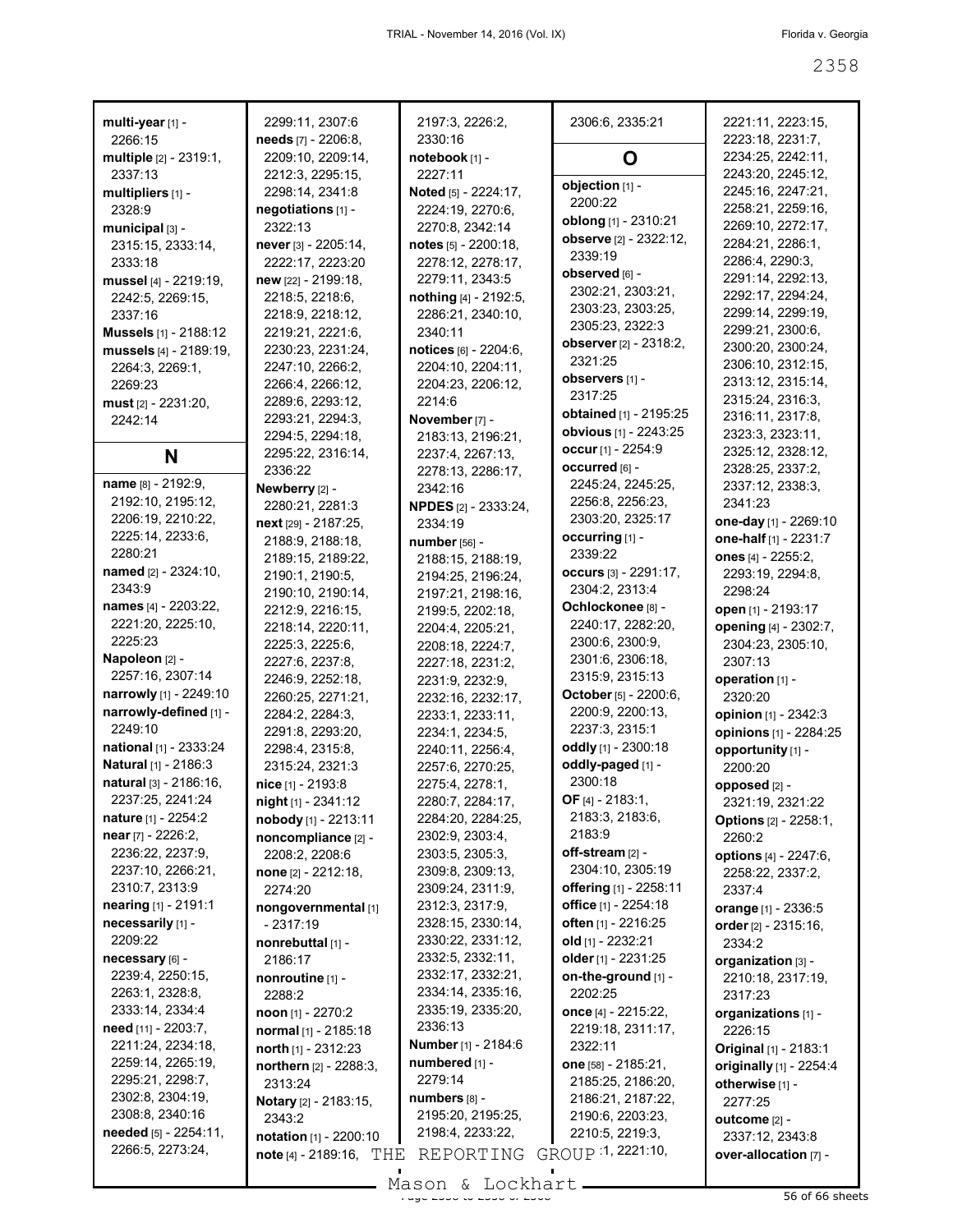| multi-year [1] -                  | 2299:11, 2307:6                       | 2197:3, 2226:2,                     | 2306:6, 2335:21                     | 2221:11, 2223:15,                      |
|-----------------------------------|---------------------------------------|-------------------------------------|-------------------------------------|----------------------------------------|
| 2266:15                           | needs [7] - 2206:8,                   | 2330:16                             |                                     | 2223:18, 2231:7,                       |
| multiple [2] - 2319:1,<br>2337:13 | 2209:10, 2209:14,<br>2212:3, 2295:15, | notebook [1] -<br>2227:11           | O                                   | 2234:25, 2242:11,<br>2243:20, 2245:12, |
| multipliers [1] -                 | 2298:14, 2341:8                       | Noted [5] - 2224:17,                | objection [1] -                     | 2245:16, 2247:21,                      |
| 2328:9                            | negotiations [1] -                    | 2224:19, 2270:6,                    | 2200:22                             | 2258:21, 2259:16,                      |
| municipal [3] -                   | 2322:13                               | 2270:8, 2342:14                     | oblong [1] - 2310:21                | 2269:10, 2272:17,                      |
| 2315:15, 2333:14,                 | never [3] - 2205:14,                  | notes [5] - 2200:18,                | observe [2] - 2322:12,              | 2284:21, 2286:1,                       |
| 2333:18                           | 2222:17, 2223:20                      | 2278:12, 2278:17,                   | 2339:19                             | 2286:4, 2290:3,                        |
| mussel [4] - 2219:19,             | new [22] - 2199:18,                   | 2279:11, 2343:5                     | observed [6] -                      | 2291:14, 2292:13,                      |
| 2242:5, 2269:15,                  | 2218:5, 2218:6,                       | nothing [4] - 2192:5,               | 2302:21, 2303:21,                   | 2292:17, 2294:24,                      |
| 2337:16                           | 2218:9, 2218:12,                      | 2286:21, 2340:10,                   | 2303:23, 2303:25,                   | 2299:14, 2299:19,                      |
| <b>Mussels</b> [1] - 2188:12      | 2219:21, 2221:6,                      | 2340:11                             | 2305:23, 2322:3                     | 2299:21, 2300:6,                       |
| mussels [4] - 2189:19,            | 2230:23, 2231:24,                     | notices [6] - 2204:6,               | observer [2] - 2318:2,              | 2300:20, 2300:24,                      |
| 2264:3, 2269:1,                   | 2247:10, 2266:2,                      | 2204:10, 2204:11,                   | 2321:25                             | 2306:10, 2312:15,                      |
| 2269:23                           | 2266:4, 2266:12,                      | 2204:23, 2206:12,                   | observers [1] -                     | 2313:12, 2315:14,                      |
| must [2] - 2231:20,               | 2289:6, 2293:12,                      | 2214:6                              | 2317:25                             | 2315:24, 2316:3,                       |
| 2242:14                           | 2293:21, 2294:3,                      | November [7] -                      | <b>obtained</b> [1] - 2195:25       | 2316:11, 2317:8,                       |
|                                   | 2294:5, 2294:18,                      | 2183:13, 2196:21,                   | obvious [1] - 2243:25               | 2323:3, 2323:11,                       |
| N                                 | 2295:22, 2316:14,                     | 2237:4, 2267:13,                    | occur [1] - 2254:9                  | 2325:12, 2328:12,                      |
|                                   | 2336:22                               | 2278:13, 2286:17,                   | occurred [6] -                      | 2328:25, 2337:2,                       |
| name [8] - 2192:9.                | Newberry [2] -                        | 2342:16                             | 2245:24, 2245:25,                   | 2337:12, 2338:3,                       |
| 2192:10, 2195:12,                 | 2280:21, 2281:3                       | <b>NPDES</b> [2] - 2333:24,         | 2256:8, 2256:23,                    | 2341:23                                |
| 2206:19, 2210:22,                 | $next$ [29] - 2187:25,                | 2334:19                             | 2303:20, 2325:17                    | one-day [1] - 2269:10                  |
| 2225:14, 2233:6,                  | 2188:9, 2188:18,                      | number [56] -                       | occurring [1] -                     | one-half [1] - 2231:7                  |
| 2280:21                           | 2189:15, 2189:22,                     | 2188:15, 2188:19,                   | 2339:22                             | ones [4] - 2255:2,                     |
| named [2] - 2324:10,              | 2190:1, 2190:5,                       | 2194:25, 2196:24,                   | occurs [3] - 2291:17,               | 2293:19, 2294:8,                       |
| 2343:9                            | 2190:10, 2190:14,                     | 2197:21, 2198:16,                   | 2304:2, 2313:4                      | 2298:24                                |
| names [4] - 2203:22,              | 2212:9, 2216:15,                      | 2199:5, 2202:18,                    | Ochlockonee [8] -                   | open [1] - 2193:17                     |
| 2221:20, 2225:10,<br>2225:23      | 2218:14, 2220:11,                     | 2204:4, 2205:21,                    | 2240:17, 2282:20,                   | opening [4] - 2302:7,                  |
| Napoleon [2] -                    | 2225:3, 2225:6,                       | 2208:18, 2224:7,                    | 2300:6, 2300:9,                     | 2304:23, 2305:10,                      |
| 2257:16, 2307:14                  | 2227:6, 2237:8,                       | 2227:18, 2231:2,                    | 2301:6, 2306:18,<br>2315:9, 2315:13 | 2307:13                                |
| narrowly [1] - 2249:10            | 2246:9, 2252:18,                      | 2231:9, 2232:9,                     | October [5] - 2200:6,               | operation [1] -                        |
| narrowly-defined [1] -            | 2260:25, 2271:21,                     | 2232:16, 2232:17,                   | 2200:9, 2200:13,                    | 2320:20                                |
| 2249:10                           | 2284:2, 2284:3,                       | 2233:1, 2233:11,                    | 2237:3, 2315:1                      | opinion [1] - 2342:3                   |
| national [1] - 2333:24            | 2291:8, 2293:20,<br>2298:4, 2315:8,   | 2234:1, 2234:5,                     | oddly [1] - 2300:18                 | opinions [1] - 2284:25                 |
| Natural [1] - 2186:3              | 2315:24, 2321:3                       | 2240:11, 2256:4,                    | oddly-paged [1] -                   | opportunity [1] -                      |
| natural [3] - 2186:16,            | nice [1] - 2193:8                     | 2257:6, 2270:25,<br>2275:4, 2278:1, | 2300:18                             | 2200:20                                |
| 2237:25, 2241:24                  | night [1] - 2341:12                   | 2280:7, 2284:17,                    | OF $[4] - 2183:1$ ,                 | opposed [2] -<br>2321:19, 2321:22      |
| <b>nature</b> [1] - 2254:2        | nobody [1] - 2213:11                  | 2284:20, 2284:25,                   | 2183:3, 2183:6,                     | <b>Options</b> [2] - 2258:1,           |
| near [7] - 2226:2,                | noncompliance [2] -                   | 2302:9, 2303:4,                     | 2183:9                              | 2260:2                                 |
| 2236:22, 2237:9,                  | 2208:2, 2208:6                        | 2303:5, 2305:3,                     | off-stream [2] -                    | options [4] - 2247:6,                  |
| 2237:10, 2266:21,                 | none [2] - 2212:18,                   | 2309:8, 2309:13,                    | 2304:10, 2305:19                    | 2258:22, 2337:2,                       |
| 2310:7, 2313:9                    | 2274:20                               | 2309:24, 2311:9,                    | offering [1] - 2258:11              | 2337:4                                 |
| nearing [1] - 2191:1              | nongovernmental [1]                   | 2312:3, 2317:9,                     | <b>office</b> [1] - 2254:18         | orange [1] - 2336:5                    |
| necessarily [1] -                 | - 2317:19                             | 2328:15, 2330:14,                   | <b>often</b> [1] - 2216:25          | order [2] - 2315:16,                   |
| 2209:22                           | nonrebuttal [1] -                     | 2330:22, 2331:12,                   | old [1] - 2232:21                   | 2334:2                                 |
| necessary [6] -                   | 2186:17                               | 2332:5, 2332:11,                    | older [1] - 2231:25                 | organization [3] -                     |
| 2239:4, 2250:15,                  | nonroutine [1] -                      | 2332:17, 2332:21,                   | on-the-ground [1] -                 | 2210:18, 2317:19,                      |
| 2263:1, 2328:8,                   | 2288:2                                | 2334:14, 2335:16,                   | 2202:25                             | 2317:23                                |
| 2333:14, 2334:4                   | $\text{noon}$ [1] - 2270:2            | 2335:19, 2335:20,                   | once [4] - 2215:22,                 | organizations [1] -                    |
| need [11] - 2203:7,               | normal [1] - 2185:18                  | 2336:13                             | 2219:18, 2311:17,                   | 2226:15                                |
| 2211:24, 2234:18,                 | north $[1]$ - 2312:23                 | Number [1] - 2184:6                 | 2322:11                             | Original [1] - 2183:1                  |
| 2259:14, 2265:19,                 | northern [2] - 2288:3,                | numbered [1] -                      | one [58] - 2185:21,                 | originally [1] - 2254:4                |
| 2295:21, 2298:7,                  | 2313:24                               | 2279:14                             | 2185:25, 2186:20,                   | otherwise [1] -                        |
| 2302:8, 2304:19,                  | Notary [2] - 2183:15,                 | numbers [8] -                       | 2186:21, 2187:22,                   | 2277:25                                |
| 2308:8, 2340:16                   | 2343:2                                | 2195:20, 2195:25,                   | 2190:6, 2203:23,                    | outcome [2] -                          |
| needed [5] - 2254:11,             | notation [1] - 2200:10                | 2198:4, 2233:22,                    | 2210:5, 2219:3,                     | 2337:12, 2343:8                        |
| 2266:5, 2273:24,                  | note $[4]$ - 2189:16, $THE$           | REPORTING                           | GROUP 1, 2221:10,                   | over-allocation [7] -                  |
|                                   |                                       | $Mogon$ $Iogon$                     |                                     |                                        |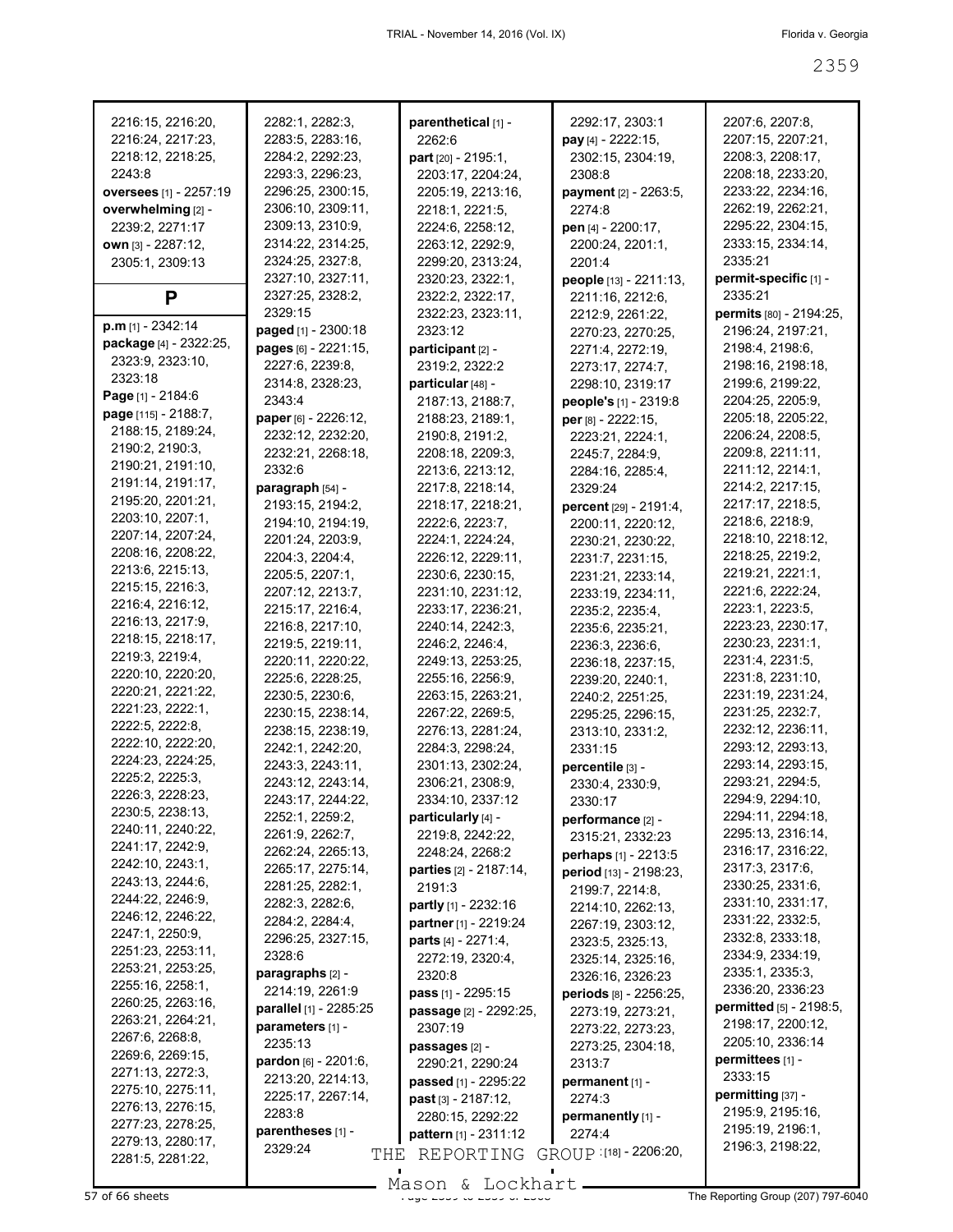| 2216:15, 2216:20,      | 2282:1, 2282:3,                      | parenthetical [1] -                  | 2292:17, 2303:1                       | 2207:6, 2207:8,                       |
|------------------------|--------------------------------------|--------------------------------------|---------------------------------------|---------------------------------------|
| 2216:24, 2217:23,      | 2283:5, 2283:16,                     | 2262:6                               | pay [4] - 2222:15,                    | 2207:15, 2207:21,                     |
| 2218:12, 2218:25,      | 2284:2, 2292:23,                     | part [20] - 2195:1,                  | 2302:15, 2304:19,                     | 2208:3, 2208:17,                      |
| 2243:8                 | 2293:3, 2296:23,                     | 2203:17, 2204:24,                    | 2308:8                                | 2208:18, 2233:20,                     |
| oversees [1] - 2257:19 | 2296:25, 2300:15,                    | 2205:19, 2213:16,                    | payment [2] - 2263:5,                 | 2233:22, 2234:16,                     |
| overwhelming [2] -     | 2306:10, 2309:11,                    | 2218:1, 2221:5,                      | 2274:8                                | 2262:19, 2262:21,                     |
| 2239:2, 2271:17        | 2309:13, 2310:9,                     | 2224:6, 2258:12,                     | pen [4] - 2200:17,                    | 2295:22, 2304:15,                     |
| own [3] - 2287:12,     | 2314:22, 2314:25,                    | 2263:12, 2292:9,                     | 2200:24, 2201:1,                      | 2333:15, 2334:14,                     |
| 2305:1, 2309:13        | 2324:25, 2327:8,                     | 2299:20, 2313:24,                    | 2201:4                                | 2335:21                               |
|                        | 2327:10, 2327:11,                    | 2320:23, 2322:1,                     | people [13] - 2211:13,                | permit-specific [1] -                 |
| P                      | 2327:25, 2328:2,<br>2329:15          | 2322:2, 2322:17,                     | 2211:16, 2212:6,                      | 2335:21                               |
| p.m [1] - 2342:14      |                                      | 2322:23, 2323:11,                    | 2212:9, 2261:22,                      | permits [80] - 2194:25,               |
| package [4] - 2322:25, | paged [1] - 2300:18                  | 2323:12                              | 2270:23, 2270:25,                     | 2196:24, 2197:21,                     |
| 2323:9, 2323:10,       | pages [6] - 2221:15,                 | participant [2] -                    | 2271:4, 2272:19,                      | 2198:4, 2198:6,                       |
| 2323:18                | 2227:6, 2239:8,                      | 2319:2, 2322:2                       | 2273:17, 2274:7,                      | 2198:16, 2198:18,                     |
| Page [1] - 2184:6      | 2314:8, 2328:23,<br>2343:4           | particular [48] -                    | 2298:10, 2319:17                      | 2199:6, 2199:22,                      |
| page [115] - 2188:7,   |                                      | 2187:13, 2188:7,                     | people's [1] - 2319:8                 | 2204:25, 2205:9,                      |
| 2188:15, 2189:24,      | paper [6] - 2226:12,                 | 2188:23, 2189:1,                     | per [8] - 2222:15,                    | 2205:18, 2205:22,<br>2206:24, 2208:5, |
| 2190:2, 2190:3,        | 2232:12, 2232:20,                    | 2190:8, 2191:2,                      | 2223:21, 2224:1,                      |                                       |
| 2190:21, 2191:10,      | 2232:21, 2268:18,<br>2332:6          | 2208:18, 2209:3,                     | 2245:7, 2284:9,                       | 2209:8, 2211:11,<br>2211:12, 2214:1,  |
| 2191:14, 2191:17,      |                                      | 2213:6, 2213:12,<br>2217:8, 2218:14, | 2284:16, 2285:4,                      | 2214:2, 2217:15,                      |
| 2195:20, 2201:21,      | paragraph [54] -<br>2193:15, 2194:2, | 2218:17, 2218:21,                    | 2329:24                               | 2217:17, 2218:5,                      |
| 2203:10, 2207:1,       | 2194:10, 2194:19,                    | 2222:6, 2223:7,                      | percent [29] - 2191:4,                | 2218:6, 2218:9,                       |
| 2207:14, 2207:24,      |                                      | 2224:1, 2224:24,                     | 2200:11, 2220:12,                     | 2218:10, 2218:12,                     |
| 2208:16, 2208:22,      | 2201:24, 2203:9,<br>2204:3, 2204:4,  | 2226:12, 2229:11,                    | 2230:21, 2230:22,                     | 2218:25, 2219:2,                      |
| 2213:6, 2215:13,       | 2205:5, 2207:1,                      | 2230:6, 2230:15,                     | 2231:7, 2231:15,                      | 2219:21, 2221:1,                      |
| 2215:15, 2216:3,       | 2207:12, 2213:7,                     | 2231:10, 2231:12,                    | 2231:21, 2233:14,                     | 2221:6, 2222:24,                      |
| 2216:4, 2216:12,       | 2215:17, 2216:4,                     | 2233:17, 2236:21,                    | 2233:19, 2234:11,                     | 2223:1, 2223:5,                       |
| 2216:13, 2217:9,       | 2216:8, 2217:10,                     | 2240:14, 2242:3,                     | 2235:2, 2235:4,<br>2235:6, 2235:21,   | 2223:23, 2230:17,                     |
| 2218:15, 2218:17,      | 2219:5, 2219:11,                     | 2246:2, 2246:4,                      |                                       | 2230:23, 2231:1,                      |
| 2219:3, 2219:4,        | 2220:11, 2220:22,                    | 2249:13, 2253:25,                    | 2236:3, 2236:6,                       | 2231:4, 2231:5,                       |
| 2220:10, 2220:20,      | 2225:6, 2228:25,                     | 2255:16, 2256:9,                     | 2236:18, 2237:15,<br>2239:20, 2240:1, | 2231:8, 2231:10,                      |
| 2220:21, 2221:22,      | 2230:5, 2230:6,                      | 2263:15, 2263:21,                    | 2240:2, 2251:25,                      | 2231:19, 2231:24,                     |
| 2221:23, 2222:1,       | 2230:15, 2238:14,                    | 2267:22, 2269:5,                     | 2295:25, 2296:15,                     | 2231:25, 2232:7,                      |
| 2222:5, 2222:8,        | 2238:15, 2238:19,                    | 2276:13, 2281:24,                    | 2313:10, 2331:2,                      | 2232:12, 2236:11,                     |
| 2222:10, 2222:20,      | 2242:1, 2242:20,                     | 2284:3, 2298:24,                     | 2331:15                               | 2293:12, 2293:13,                     |
| 2224:23, 2224:25,      | 2243:3, 2243:11,                     | 2301:13, 2302:24,                    | percentile [3] -                      | 2293:14, 2293:15,                     |
| 2225:2, 2225:3,        | 2243:12, 2243:14,                    | 2306:21, 2308:9,                     | 2330:4, 2330:9,                       | 2293:21, 2294:5,                      |
| 2226:3, 2228:23,       | 2243:17, 2244:22,                    | 2334:10, 2337:12                     | 2330:17                               | 2294:9, 2294:10,                      |
| 2230:5, 2238:13,       | 2252:1, 2259:2,                      | particularly [4] -                   | performance [2] -                     | 2294:11, 2294:18,                     |
| 2240:11, 2240:22,      | 2261:9, 2262:7,                      | 2219:8, 2242:22,                     | 2315:21, 2332:23                      | 2295:13, 2316:14,                     |
| 2241:17, 2242:9,       | 2262:24, 2265:13,                    | 2248:24, 2268:2                      | perhaps [1] - 2213:5                  | 2316:17, 2316:22,                     |
| 2242:10, 2243:1,       | 2265:17, 2275:14,                    | <b>parties</b> $[2] - 2187:14$ ,     | period [13] - 2198:23.                | 2317:3, 2317:6,                       |
| 2243:13, 2244:6,       | 2281:25, 2282:1,                     | 2191:3                               | 2199:7, 2214:8,                       | 2330:25, 2331:6,                      |
| 2244:22, 2246:9,       | 2282:3, 2282:6,                      | partly [1] - 2232:16                 | 2214:10, 2262:13,                     | 2331:10, 2331:17,                     |
| 2246:12, 2246:22,      | 2284:2, 2284:4,                      | partner [1] - 2219:24                | 2267:19, 2303:12,                     | 2331:22, 2332:5,                      |
| 2247:1, 2250:9,        | 2296:25, 2327:15,                    | <b>parts</b> [4] - 2271:4,           | 2323:5, 2325:13,                      | 2332:8, 2333:18,                      |
| 2251:23, 2253:11,      | 2328:6                               | 2272:19, 2320:4,                     | 2325:14, 2325:16,                     | 2334:9, 2334:19,                      |
| 2253:21, 2253:25,      | paragraphs [2] -                     | 2320:8                               | 2326:16, 2326:23                      | 2335:1, 2335:3,                       |
| 2255:16, 2258:1,       | 2214:19, 2261:9                      | pass [1] - 2295:15                   | periods [8] - 2256:25,                | 2336:20, 2336:23                      |
| 2260:25, 2263:16,      | <b>parallel</b> [1] - 2285:25        | passage [2] - 2292:25,               | 2273:19, 2273:21,                     | <b>permitted</b> $[5] - 2198:5$ ,     |
| 2263:21, 2264:21,      | parameters [1] -                     | 2307:19                              | 2273:22, 2273:23,                     | 2198:17, 2200:12,                     |
| 2267:6, 2268:8,        | 2235:13                              | passages [2] -                       | 2273:25, 2304:18,                     | 2205:10, 2336:14                      |
| 2269:6, 2269:15,       | <b>pardon</b> $[6] - 2201:6$         | 2290:21, 2290:24                     | 2313:7                                | permittees [1] -                      |
| 2271:13, 2272:3,       | 2213:20, 2214:13,                    | passed [1] - 2295:22                 | permanent [1] -                       | 2333:15                               |
| 2275:10, 2275:11,      | 2225:17, 2267:14,                    | <b>past</b> $[3] - 2187:12$          | 2274:3                                | $permitting$ [37] -                   |
| 2276:13, 2276:15,      | 2283:8                               | 2280:15, 2292:22                     | permanently [1] -                     | 2195:9, 2195:16,                      |
| 2277:23, 2278:25,      | parentheses [1] -                    | pattern [1] - 2311:12                | 2274:4                                | 2195:19, 2196:1,                      |
| 2279:13, 2280:17,      | 2329:24<br>THE                       | REPORTING                            | GROUP : [18] - 2206:20,               | 2196:3, 2198:22,                      |
| 2281:5, 2281:22,       |                                      |                                      |                                       |                                       |
|                        |                                      |                                      |                                       |                                       |

Mason & Lockhart **Page 2368 The Reporting Group (207) 797-6040**<br>
S7 of 66 sheets **Page 2379 to 2368 Contract Contract Contract Contract Contract Contract Contract Contract Contract Contract Contract Contract Contract Contr**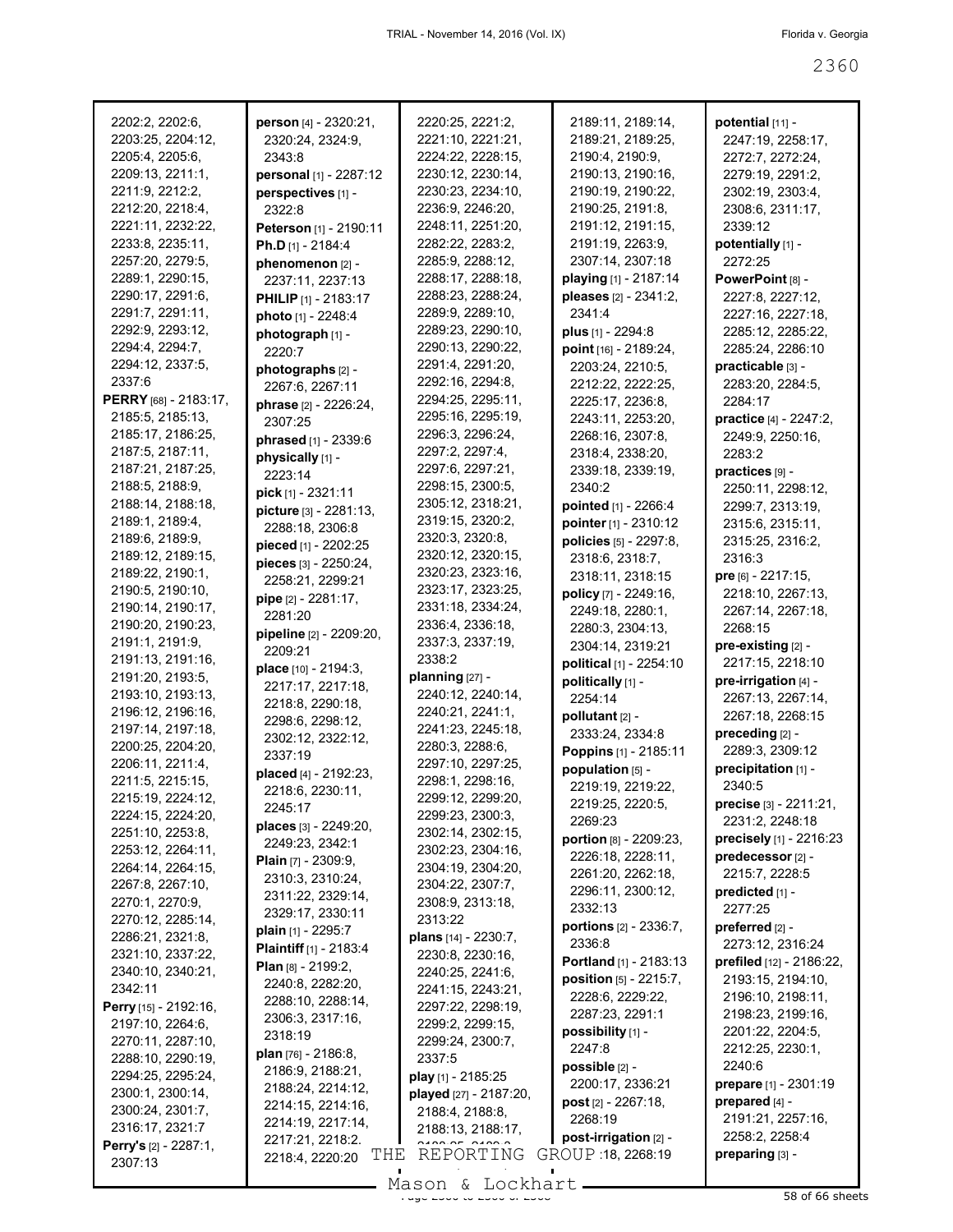| 2202:2, 2202:6,                  | person [4] - 2320:21,         | 2220:25, 2221:2,                           | 2189:11, 2189:14,           | potential [11] -               |
|----------------------------------|-------------------------------|--------------------------------------------|-----------------------------|--------------------------------|
| 2203:25, 2204:12,                | 2320:24, 2324:9,              | 2221:10, 2221:21,                          | 2189:21, 2189:25,           | 2247:19, 2258:17,              |
| 2205:4, 2205:6,                  | 2343:8                        | 2224:22, 2228:15,                          | 2190:4, 2190:9,             | 2272:7, 2272:24,               |
| 2209:13, 2211:1,                 | personal [1] - 2287:12        | 2230:12, 2230:14,                          | 2190:13, 2190:16,           | 2279:19, 2291:2,               |
| 2211:9, 2212:2,                  | perspectives [1] -            | 2230:23, 2234:10,                          | 2190:19, 2190:22,           | 2302:19, 2303:4,               |
| 2212:20, 2218:4,                 | 2322:8                        | 2236:9, 2246:20,                           | 2190:25, 2191:8,            | 2308:6, 2311:17,               |
| 2221:11, 2232:22,                | Peterson [1] - 2190:11        | 2248:11, 2251:20,                          | 2191:12, 2191:15,           | 2339:12                        |
| 2233:8, 2235:11,                 | <b>Ph.D</b> [1] - 2184:4      | 2282:22, 2283:2,                           | 2191:19, 2263:9,            | potentially [1] -              |
| 2257:20, 2279:5,                 | phenomenon [2] -              | 2285:9, 2288:12,                           | 2307:14, 2307:18            | 2272:25                        |
| 2289:1, 2290:15,                 | 2237:11, 2237:13              | 2288:17, 2288:18,                          | playing [1] - 2187:14       | PowerPoint [8] -               |
| 2290:17, 2291:6,                 | PHILIP [1] - 2183:17          | 2288:23, 2288:24,                          | pleases [2] - 2341:2,       | 2227:8, 2227:12,               |
| 2291:7, 2291:11,                 | photo [1] - 2248:4            | 2289:9, 2289:10,                           | 2341:4                      | 2227:16, 2227:18,              |
| 2292:9, 2293:12,                 | photograph [1] -              | 2289:23, 2290:10,                          | plus [1] - 2294:8           | 2285:12, 2285:22,              |
| 2294:4, 2294:7,                  | 2220:7                        | 2290:13, 2290:22,                          | point [16] - 2189:24,       | 2285:24, 2286:10               |
| 2294:12, 2337:5,                 | photographs [2] -             | 2291:4, 2291:20,                           | 2203:24, 2210:5,            | practicable [3] -              |
| 2337:6                           | 2267:6, 2267:11               | 2292:16, 2294:8,                           | 2212:22, 2222:25,           | 2283:20, 2284:5,               |
| PERRY [68] - 2183:17,            | phrase [2] - 2226:24,         | 2294:25, 2295:11,                          | 2225:17, 2236:8,            | 2284:17                        |
| 2185:5, 2185:13,                 | 2307:25                       | 2295:16, 2295:19,                          | 2243:11, 2253:20,           | practice [4] - 2247:2,         |
| 2185:17, 2186:25,                | phrased [1] - 2339:6          | 2296:3, 2296:24,                           | 2268:16, 2307:8,            | 2249:9, 2250:16,               |
| 2187:5, 2187:11,                 | physically [1] -              | 2297:2, 2297:4,                            | 2318:4, 2338:20,            | 2283:2                         |
| 2187:21, 2187:25,                | 2223:14                       | 2297:6, 2297:21,                           | 2339:18, 2339:19,           | practices [9] -                |
| 2188:5, 2188:9,                  | pick [1] - 2321:11            | 2298:15, 2300:5,                           | 2340:2                      | 2250:11, 2298:12,              |
| 2188:14, 2188:18,                | picture [3] - 2281:13,        | 2305:12, 2318:21,                          | pointed [1] - 2266:4        | 2299:7, 2313:19,               |
| 2189:1, 2189:4,                  | 2288:18, 2306:8               | 2319:15, 2320:2,                           | pointer [1] - 2310:12       | 2315:6, 2315:11,               |
| 2189:6, 2189:9,                  | pieced [1] - 2202:25          | 2320:3, 2320:8,                            | policies [5] - 2297:8,      | 2315:25, 2316:2,               |
| 2189:12, 2189:15,                | pieces [3] - 2250:24,         | 2320:12, 2320:15,                          | 2318:6, 2318:7,             | 2316:3                         |
| 2189:22, 2190:1,                 | 2258:21, 2299:21              | 2320:23, 2323:16,                          | 2318:11, 2318:15            | pre [6] - 2217:15,             |
| 2190:5, 2190:10,                 | pipe [2] - 2281:17,           | 2323:17, 2323:25,                          | policy [7] - 2249:16,       | 2218:10, 2267:13,              |
| 2190:14, 2190:17,                | 2281:20                       | 2331:18, 2334:24,                          | 2249:18, 2280:1,            | 2267:14, 2267:18,              |
| 2190:20, 2190:23,                | pipeline [2] - 2209:20,       | 2336:4, 2336:18,                           | 2280:3, 2304:13,            | 2268:15                        |
| 2191:1, 2191:9,                  | 2209:21                       | 2337:3, 2337:19,                           | 2304:14, 2319:21            | pre-existing [2] -             |
| 2191:13, 2191:16,                | place [10] - 2194:3,          | 2338:2                                     | political [1] - 2254:10     | 2217:15, 2218:10               |
| 2191:20, 2193:5,                 | 2217:17, 2217:18,             | planning [27] -                            | politically [1] -           | pre-irrigation [4] -           |
| 2193:10, 2193:13,                | 2218:8, 2290:18,              | 2240:12, 2240:14,                          | 2254:14                     | 2267:13, 2267:14,              |
| 2196:12, 2196:16,                | 2298:6, 2298:12,              | 2240:21, 2241:1,                           | pollutant [2] -             | 2267:18, 2268:15               |
| 2197:14, 2197:18,                | 2302:12, 2322:12,             | 2241:23, 2245:18,                          | 2333:24, 2334:8             | preceding [2] -                |
| 2200:25, 2204:20,                | 2337:19                       | 2280:3, 2288:6,                            | Poppins [1] - 2185:11       | 2289:3, 2309:12                |
| 2206:11, 2211:4,                 | placed [4] - 2192:23,         | 2297:10, 2297:25,                          | population [5] -            | precipitation [1] -            |
| 2211:5, 2215:15,                 | 2218:6, 2230:11,              | 2298:1, 2298:16,                           | 2219:19, 2219:22,           | 2340:5                         |
| 2215:19, 2224:12,                | 2245:17                       | 2299:12, 2299:20,                          | 2219:25, 2220:5,            | <b>precise</b> $[3] - 2211:21$ |
| 2224:15, 2224:20,                | places [3] - 2249:20,         | 2299:23, 2300:3,                           | 2269:23                     | 2231:2, 2248:18                |
| 2251:10, 2253:8,                 | 2249:23, 2342:1               | 2302:14, 2302:15,                          | portion [8] - 2209:23,      | precisely [1] - 2216:23        |
| 2253:12, 2264:11,                | <b>Plain</b> $[7] - 2309:9$   | 2302:23, 2304:16,                          | 2226:18, 2228:11,           | predecessor [2] -              |
| 2264:14, 2264:15,                | 2310:3, 2310:24,              | 2304:19, 2304:20,                          | 2261:20, 2262:18,           | 2215:7, 2228:5                 |
| 2267:8, 2267:10,                 | 2311:22, 2329:14,             | 2304:22, 2307:7,                           | 2296:11, 2300:12,           | predicted [1] -                |
| 2270:1, 2270:9,                  | 2329:17, 2330:11              | 2308:9, 2313:18,                           | 2332:13                     | 2277:25                        |
| 2270:12, 2285:14,                | plain [1] - 2295:7            | 2313:22                                    | portions [2] - 2336:7,      | preferred $[2]$ -              |
| 2286:21, 2321:8,                 | <b>Plaintiff</b> [1] - 2183:4 | plans [14] - 2230:7,                       | 2336:8                      | 2273:12, 2316:24               |
| 2321:10, 2337:22,                | <b>Plan</b> $[8] - 2199:2$    | 2230:8, 2230:16,                           | Portland [1] - 2183:13      | prefiled [12] - 2186:22,       |
| 2340:10, 2340:21,                | 2240:8, 2282:20,              | 2240:25, 2241:6,                           | position [5] - 2215:7,      | 2193:15, 2194:10,              |
| 2342:11                          | 2288:10, 2288:14,             | 2241:15, 2243:21,                          | 2228:6, 2229:22,            | 2196:10, 2198:11,              |
| Perry [15] - 2192:16,            | 2306:3, 2317:16,              | 2297:22, 2298:19,                          | 2287:23, 2291:1             | 2198:23, 2199:16,              |
| 2197:10, 2264:6,                 | 2318:19                       | 2299:2, 2299:15,                           | possibility [1] -           | 2201:22, 2204:5,               |
| 2270:11, 2287:10,                | <b>plan</b> [76] - 2186:8,    | 2299:24, 2300:7,                           | 2247:8                      | 2212:25, 2230:1,               |
| 2288:10, 2290:19,                | 2186:9, 2188:21,              | 2337:5                                     | possible [2] -              | 2240:6                         |
| 2294:25, 2295:24,                | 2188:24, 2214:12,             | play [1] - 2185:25                         | 2200:17, 2336:21            | prepare [1] - 2301:19          |
| 2300:1, 2300:14,                 | 2214:15, 2214:16,             | played [27] - 2187:20,                     | <b>post</b> $[2] - 2267:18$ | prepared [4] -                 |
| 2300:24, 2301:7,                 | 2214:19, 2217:14,             | 2188:4, 2188:8,                            | 2268:19                     | 2191:21, 2257:16,              |
| 2316:17, 2321:7                  | 2217:21, 2218:2.              | 2188:13, 2188:17,<br>A A A B A F A A A A A | post-irrigation [2] -       | 2258:2, 2258:4                 |
| Perry's [2] - 2287:1,<br>2307:13 | THE<br>2218:4, 2220:20        | REPORTING                                  | GROUP 18, 2268:19           | preparing [3] -                |
|                                  |                               | $Mason$ for $k$ and $N+1$                  |                             |                                |
|                                  |                               |                                            |                             |                                |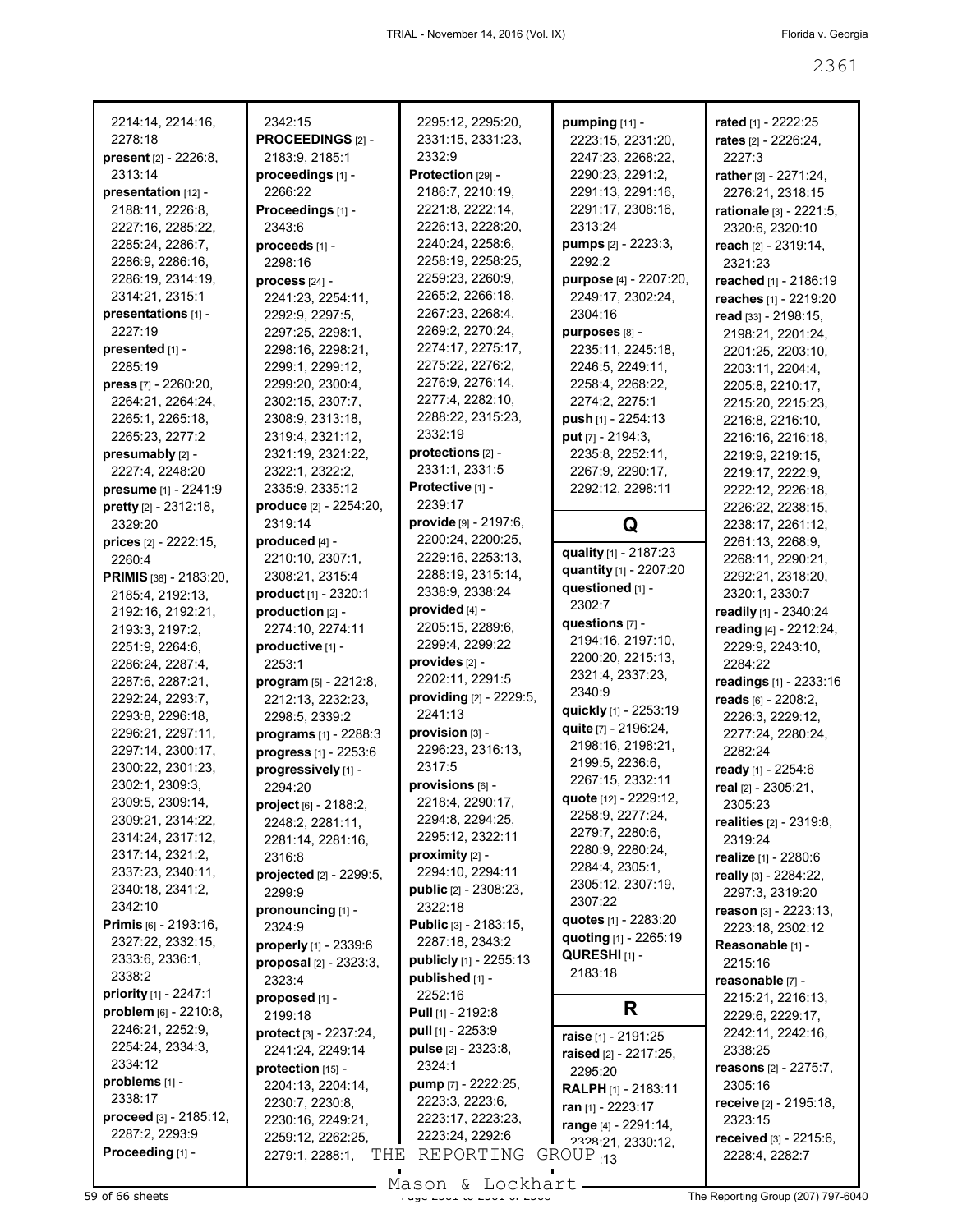| 2214:14, 2214:16,                     | 2342:15                               | 2295:12, 2295:20,                         | pumping [11] -                       | rated [1] - 2222:25                            |
|---------------------------------------|---------------------------------------|-------------------------------------------|--------------------------------------|------------------------------------------------|
| 2278:18                               | PROCEEDINGS [2] -                     | 2331:15, 2331:23,                         | 2223:15, 2231:20,                    | rates [2] - 2226:24,                           |
| present [2] - 2226:8,                 | 2183:9, 2185:1                        | 2332:9                                    | 2247:23, 2268:22,                    | 2227:3                                         |
| 2313:14                               | proceedings [1] -                     | Protection [29] -                         | 2290:23, 2291:2,                     | rather [3] - 2271:24,                          |
| presentation [12] -                   | 2266:22                               | 2186:7, 2210:19,                          | 2291:13, 2291:16,                    | 2276:21, 2318:15                               |
| 2188:11, 2226:8,                      | Proceedings [1] -                     | 2221:8, 2222:14,                          | 2291:17, 2308:16,                    | rationale [3] - 2221:5,                        |
| 2227:16, 2285:22,                     | 2343:6                                | 2226:13, 2228:20,                         | 2313:24                              | 2320:6, 2320:10                                |
| 2285:24, 2286:7,                      | proceeds [1] -                        | 2240:24, 2258:6,<br>2258:19, 2258:25,     | pumps [2] - 2223:3,<br>2292:2        | reach [2] - 2319:14,                           |
| 2286:9, 2286:16,<br>2286:19, 2314:19, | 2298:16                               | 2259:23, 2260:9,                          | purpose [4] - 2207:20,               | 2321:23                                        |
| 2314:21, 2315:1                       | $process [24] -$<br>2241:23, 2254:11, | 2265:2, 2266:18,                          | 2249:17, 2302:24,                    | reached [1] - 2186:19<br>reaches [1] - 2219:20 |
| presentations [1] -                   | 2292:9, 2297:5,                       | 2267:23, 2268:4,                          | 2304:16                              | read [33] - 2198:15,                           |
| 2227:19                               | 2297:25, 2298:1,                      | 2269:2, 2270:24,                          | purposes [8] -                       | 2198:21, 2201:24,                              |
| presented [1] -                       | 2298:16, 2298:21,                     | 2274:17, 2275:17,                         | 2235:11, 2245:18,                    | 2201:25, 2203:10,                              |
| 2285:19                               | 2299:1, 2299:12,                      | 2275:22, 2276:2,                          | 2246:5, 2249:11,                     | 2203:11, 2204:4,                               |
| <b>press</b> $[7] - 2260:20$ ,        | 2299:20, 2300:4,                      | 2276:9, 2276:14,                          | 2258:4, 2268:22,                     | 2205:8, 2210:17,                               |
| 2264:21, 2264:24,                     | 2302:15, 2307:7,                      | 2277:4, 2282:10,                          | 2274:2, 2275:1                       | 2215:20, 2215:23,                              |
| 2265:1, 2265:18,                      | 2308:9, 2313:18,                      | 2288:22, 2315:23,                         | push [1] - 2254:13                   | 2216:8, 2216:10,                               |
| 2265:23, 2277:2                       | 2319:4, 2321:12,                      | 2332:19                                   | put $[7] - 2194:3,$                  | 2216:16, 2216:18,                              |
| presumably [2] -                      | 2321:19, 2321:22,                     | protections [2] -                         | 2235:8, 2252:11,                     | 2219:9, 2219:15,                               |
| 2227:4, 2248:20                       | 2322:1, 2322:2,                       | 2331:1, 2331:5                            | 2267:9, 2290:17,                     | 2219:17, 2222:9,                               |
| presume [1] - 2241:9                  | 2335:9, 2335:12                       | Protective [1] -                          | 2292:12, 2298:11                     | 2222:12, 2226:18,                              |
| pretty [2] - 2312:18,                 | produce [2] - 2254:20,                | 2239:17                                   |                                      | 2226:22, 2238:15,                              |
| 2329:20                               | 2319:14                               | provide [9] - 2197:6,                     | Q                                    | 2238:17, 2261:12,                              |
| prices [2] - 2222:15,                 | produced [4] -                        | 2200:24, 2200:25,                         | quality [1] - 2187:23                | 2261:13, 2268:9,                               |
| 2260:4                                | 2210:10, 2307:1,                      | 2229:16, 2253:13,                         | quantity [1] - 2207:20               | 2268:11, 2290:21,                              |
| PRIMIS [38] - 2183:20,                | 2308:21, 2315:4                       | 2288:19, 2315:14,<br>2338:9, 2338:24      | questioned [1] -                     | 2292:21, 2318:20,                              |
| 2185:4, 2192:13,                      | product [1] - 2320:1                  | provided [4] -                            | 2302:7                               | 2320:1, 2330:7                                 |
| 2192:16, 2192:21,                     | production [2] -                      | 2205:15, 2289:6,                          | questions $[7]$ -                    | readily [1] - 2340:24                          |
| 2193:3, 2197:2,                       | 2274:10, 2274:11                      | 2299:4, 2299:22                           | 2194:16, 2197:10,                    | reading [4] - 2212:24,                         |
| 2251:9, 2264:6,<br>2286:24, 2287:4,   | productive [1] -<br>2253:1            | provides [2] -                            | 2200:20, 2215:13,                    | 2229:9, 2243:10,<br>2284:22                    |
| 2287:6, 2287:21,                      | program [5] - 2212:8,                 | 2202:11, 2291:5                           | 2321:4, 2337:23,                     | readings [1] - 2233:16                         |
| 2292:24, 2293:7,                      | 2212:13, 2232:23,                     | providing [2] - 2229:5,                   | 2340:9                               | reads [6] - 2208:2,                            |
| 2293:8, 2296:18,                      | 2298:5, 2339:2                        | 2241:13                                   | quickly [1] - 2253:19                | 2226:3, 2229:12,                               |
| 2296:21, 2297:11,                     | programs [1] - 2288:3                 | provision [3] -                           | quite [7] - 2196:24,                 | 2277:24, 2280:24,                              |
| 2297:14, 2300:17,                     | progress [1] - 2253:6                 | 2296:23, 2316:13,                         | 2198:16, 2198:21,                    | 2282:24                                        |
| 2300:22, 2301:23,                     | progressively [1] -                   | 2317:5                                    | 2199:5, 2236:6,                      | ready [1] - 2254:6                             |
| 2302:1, 2309:3,                       | 2294:20                               | provisions [6] -                          | 2267:15, 2332:11                     | real [2] - 2305:21,                            |
| 2309:5, 2309:14,                      | project [6] - 2188:2,                 | 2218:4, 2290:17,                          | quote [12] - 2229:12,                | 2305:23                                        |
| 2309:21, 2314:22,                     | 2248:2, 2281:11,                      | 2294:8, 2294:25,                          | 2258:9, 2277:24,                     | <b>realities</b> $[2] - 2319.8$                |
| 2314:24, 2317:12,                     | 2281:14, 2281:16,                     | 2295:12, 2322:11                          | 2279:7, 2280:6,                      | 2319:24                                        |
| 2317:14, 2321:2,                      | 2316:8                                | proximity [2] -                           | 2280:9, 2280:24,                     | realize [1] - 2280:6                           |
| 2337:23, 2340:11,                     | projected [2] - 2299:5,               | 2294:10, 2294:11                          | 2284:4, 2305:1,<br>2305:12, 2307:19, | really [3] - 2284:22,                          |
| 2340:18, 2341:2,                      | 2299:9                                | public [2] - 2308:23,                     | 2307:22                              | 2297:3, 2319:20                                |
| 2342:10                               | pronouncing [1] -                     | 2322:18                                   | quotes [1] - 2283:20                 | reason $[3] - 2223:13$ ,                       |
| <b>Primis</b> $[6] - 2193:16$ ,       | 2324:9                                | Public [3] - 2183:15,                     | quoting [1] - 2265:19                | 2223:18, 2302:12                               |
| 2327:22, 2332:15,<br>2333:6, 2336:1,  | properly [1] - 2339:6                 | 2287:18, 2343:2                           | QURESHI <sub>[1]</sub> -             | Reasonable [1] -                               |
| 2338:2                                | proposal $[2] - 2323:3$ ,             | publicly [1] - 2255:13<br>published [1] - | 2183:18                              | 2215:16                                        |
| priority [1] - 2247:1                 | 2323:4                                | 2252:16                                   |                                      | reasonable [7] -                               |
| problem [6] - 2210:8,                 | proposed [1] -<br>2199:18             | <b>Pull</b> [1] - 2192:8                  | R                                    | 2215:21, 2216:13,                              |
| 2246:21, 2252:9,                      | protect [3] - 2237:24,                | pull $[1]$ - 2253:9                       |                                      | 2229:6, 2229:17,<br>2242:11, 2242:16,          |
| 2254:24, 2334:3,                      | 2241:24, 2249:14                      | pulse [2] - 2323:8,                       | raise [1] - 2191:25                  | 2338:25                                        |
| 2334:12                               | protection [15] -                     | 2324:1                                    | raised [2] - 2217:25,                | reasons [2] - 2275:7,                          |
| problems [1] -                        | 2204:13, 2204:14,                     | pump [7] - 2222:25,                       | 2295:20<br>RALPH [1] - 2183:11       | 2305:16                                        |
| 2338:17                               | 2230:7, 2230:8,                       | 2223:3, 2223:6,                           | ran [1] - 2223:17                    | receive [2] - 2195:18,                         |
| proceed [3] - 2185:12,                | 2230:16, 2249:21,                     | 2223:17, 2223:23,                         | range [4] - 2291:14,                 | 2323:15                                        |
| 2287:2, 2293:9                        | 2259:12, 2262:25,                     | 2223:24, 2292:6                           | 2328:21, 2330:12,                    | received [3] - 2215:6,                         |
| Proceeding [1] -                      | 2279:1, 2288:1,<br>THE                | REPORTING                                 | $GROUP_{13}$                         | 2228:4, 2282:7                                 |
|                                       |                                       |                                           |                                      |                                                |

- Mason & Lockhart -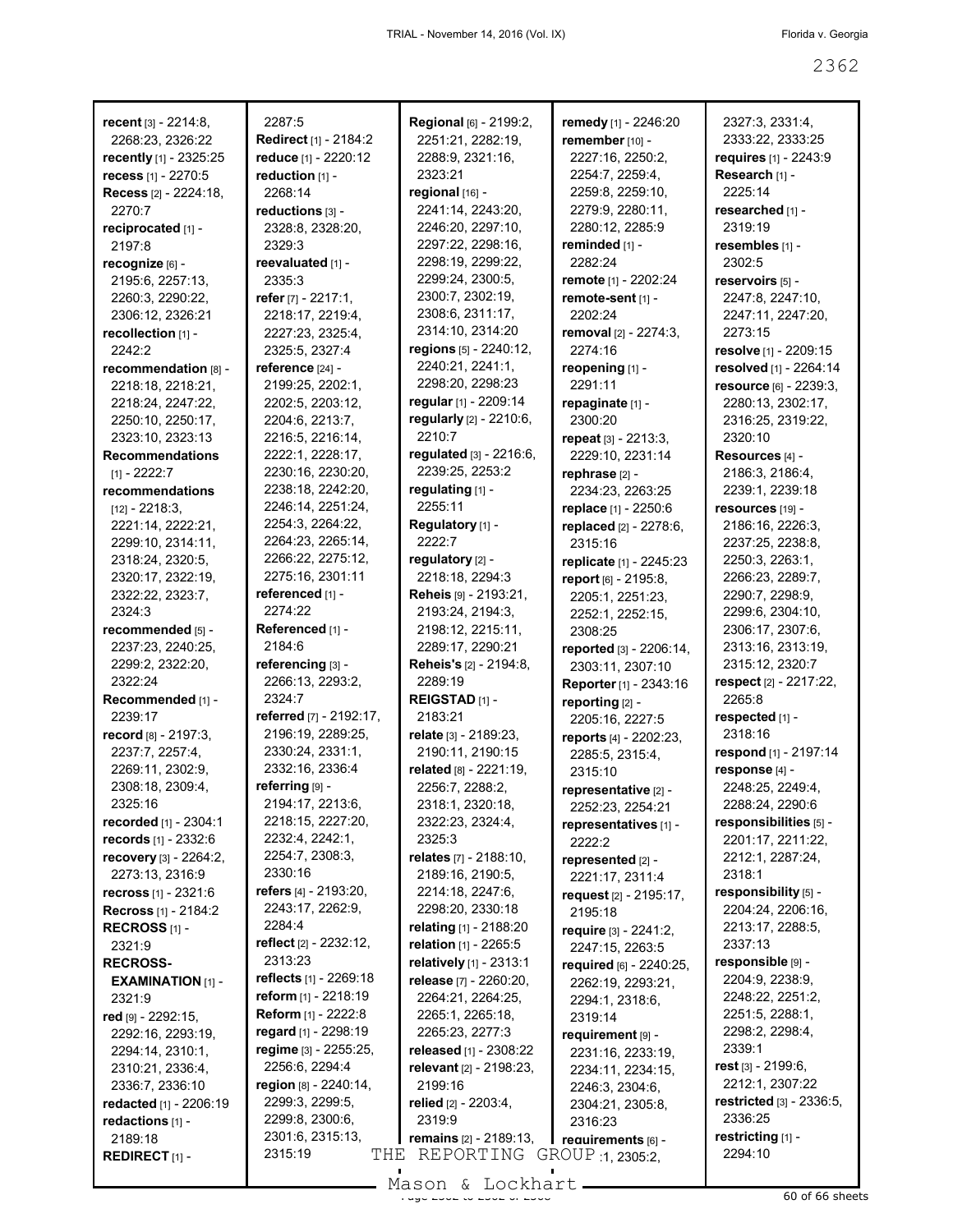| recent [3] - 2214:8,                            | 2287:5                                | Regional [6] - 2199:2,                           | remedy [1] - 2246:20                      | 2327:3, 2331:4,                       |
|-------------------------------------------------|---------------------------------------|--------------------------------------------------|-------------------------------------------|---------------------------------------|
| 2268:23, 2326:22                                | <b>Redirect</b> [1] - 2184:2          | 2251:21, 2282:19,                                | remember [10] -                           | 2333:22, 2333:25                      |
| recently [1] - 2325:25                          | reduce [1] - 2220:12                  | 2288:9, 2321:16,                                 | 2227:16, 2250:2,                          | requires [1] - 2243:9                 |
| recess [1] - 2270:5                             | reduction [1] -                       | 2323:21                                          | 2254:7, 2259:4,                           | Research [1] -                        |
| Recess [2] - 2224:18,                           | 2268:14                               | regional [16] -                                  | 2259:8, 2259:10,                          | 2225:14                               |
| 2270:7                                          | reductions [3] -                      | 2241:14, 2243:20,                                | 2279:9, 2280:11,                          | researched [1] -                      |
| reciprocated [1] -                              | 2328:8, 2328:20,                      | 2246:20, 2297:10,                                | 2280:12, 2285:9                           | 2319:19                               |
| 2197:8                                          | 2329:3                                | 2297:22, 2298:16,                                | reminded [1] -                            | resembles [1] -                       |
| recognize [6] -                                 | reevaluated [1] -                     | 2298:19, 2299:22,                                | 2282:24                                   | 2302:5                                |
| 2195:6, 2257:13,                                | 2335:3                                | 2299:24, 2300:5,                                 | remote [1] - 2202:24                      | reservoirs [5] -                      |
| 2260:3, 2290:22,                                | refer $[7] - 2217:1$ ,                | 2300:7, 2302:19,                                 | remote-sent [1] -                         | 2247:8, 2247:10,                      |
| 2306:12, 2326:21                                | 2218:17, 2219:4,                      | 2308:6, 2311:17,                                 | 2202:24                                   | 2247:11, 2247:20,                     |
| recollection [1] -                              | 2227:23, 2325:4,                      | 2314:10, 2314:20                                 | removal $[2] - 2274:3$ ,                  | 2273:15                               |
| 2242:2                                          | 2325:5, 2327:4                        | regions $[5]$ - 2240:12,                         | 2274:16                                   | resolve [1] - 2209:15                 |
| recommendation [8] -                            | reference [24] -                      | 2240:21, 2241:1,                                 | reopening [1] -                           | resolved [1] - 2264:14                |
| 2218:18, 2218:21,                               | 2199:25, 2202:1,                      | 2298:20, 2298:23                                 | 2291:11                                   | resource [6] - 2239:3,                |
| 2218:24, 2247:22,                               | 2202:5, 2203:12,                      | regular [1] - 2209:14<br>regularly [2] - 2210:6, | repaginate [1] -                          | 2280:13, 2302:17,                     |
| 2250:10, 2250:17,<br>2323:10, 2323:13           | 2204:6, 2213:7,<br>2216:5, 2216:14,   | 2210:7                                           | 2300:20<br>repeat [3] - 2213:3,           | 2316:25, 2319:22,<br>2320:10          |
| <b>Recommendations</b>                          | 2222:1, 2228:17,                      | regulated [3] - 2216:6,                          | 2229:10, 2231:14                          | Resources [4] -                       |
| $[1] - 2222:7$                                  | 2230:16, 2230:20,                     | 2239:25, 2253:2                                  | rephrase [2] -                            | 2186:3, 2186:4,                       |
| recommendations                                 | 2238:18, 2242:20,                     | regulating [1] -                                 | 2234:23, 2263:25                          | 2239:1, 2239:18                       |
| $[12] - 2218:3$                                 | 2246:14, 2251:24,                     | 2255:11                                          | replace [1] - 2250:6                      | resources [19] -                      |
| 2221:14, 2222:21,                               | 2254:3, 2264:22,                      | Regulatory [1] -                                 | replaced [2] - 2278:6,                    | 2186:16, 2226:3,                      |
| 2299:10, 2314:11,                               | 2264:23, 2265:14,                     | 2222:7                                           | 2315:16                                   | 2237:25, 2238:8,                      |
| 2318:24, 2320:5,                                | 2266:22, 2275:12,                     | regulatory [2] -                                 | replicate [1] - 2245:23                   | 2250:3, 2263:1,                       |
| 2320:17, 2322:19,                               | 2275:16, 2301:11                      | 2218:18, 2294:3                                  | report [6] - 2195:8,                      | 2266:23, 2289:7,                      |
| 2322:22, 2323:7,                                | referenced [1] -                      | Reheis [9] - 2193:21,                            | 2205:1, 2251:23,                          | 2290:7, 2298:9,                       |
| 2324:3                                          | 2274:22                               | 2193:24, 2194:3,                                 | 2252:1, 2252:15,                          | 2299:6, 2304:10,                      |
| recommended [5] -                               | Referenced [1] -                      | 2198:12, 2215:11,                                | 2308:25                                   | 2306:17, 2307:6,                      |
| 2237:23, 2240:25,                               | 2184:6                                | 2289:17, 2290:21                                 | reported [3] - 2206:14,                   | 2313:16, 2313:19,                     |
| 2299:2, 2322:20,                                | referencing [3] -                     | <b>Reheis's [2] - 2194:8,</b>                    | 2303:11, 2307:10                          | 2315:12, 2320:7                       |
| 2322:24                                         | 2266:13, 2293:2,                      | 2289:19                                          | Reporter [1] - 2343:16                    | respect [2] - 2217:22,                |
| Recommended [1] -                               | 2324:7                                | REIGSTAD <sub>[1]</sub> -                        | reporting [2] -                           | 2265:8                                |
| 2239:17                                         | referred [7] - 2192:17,               | 2183:21                                          | 2205:16, 2227:5                           | respected [1] -                       |
| record [8] - 2197:3,                            | 2196:19, 2289:25,                     | relate [3] - 2189:23,                            | reports [4] - 2202:23,                    | 2318:16                               |
| 2237:7, 2257:4,                                 | 2330:24, 2331:1,                      | 2190:11, 2190:15                                 | 2285:5, 2315:4,                           | respond [1] - 2197:14                 |
| 2269:11, 2302:9,                                | 2332:16, 2336:4                       | related [8] - 2221:19,                           | 2315:10                                   | response [4] -                        |
| 2308:18, 2309:4,                                | referring [9] -                       | 2256:7, 2288:2,                                  | representative [2] -                      | 2248:25, 2249:4,                      |
| 2325:16                                         | 2194:17, 2213:6,<br>2218:15, 2227:20, | 2318:1, 2320:18,                                 | 2252:23, 2254:21                          | 2288:24, 2290:6                       |
| recorded $[1] - 2304:1$<br>records [1] - 2332:6 | 2232:4, 2242:1,                       | 2322:23, 2324:4,<br>2325:3                       | representatives [1] -                     | responsibilities [5] -                |
| recovery [3] - 2264:2,                          | 2254:7, 2308:3,                       | <b>relates</b> $[7] - 2188:10,$                  | 2222:2                                    | 2201:17, 2211:22,<br>2212:1, 2287:24, |
| 2273:13, 2316:9                                 | 2330:16                               | 2189:16, 2190:5,                                 | represented [2] -                         | 2318:1                                |
| <b>recross</b> $[1] - 2321:6$                   | <b>refers</b> [4] - 2193:20,          | 2214:18, 2247:6,                                 | 2221:17, 2311:4<br>request [2] - 2195:17, | responsibility [5] -                  |
| <b>Recross</b> [1] - 2184:2                     | 2243:17, 2262:9,                      | 2298:20, 2330:18                                 | 2195:18                                   | 2204:24, 2206:16,                     |
| $RECROSS$ [1] -                                 | 2284:4                                | relating $[1]$ - 2188:20                         | require [3] - 2241:2,                     | 2213:17, 2288:5,                      |
| 2321:9                                          | reflect [2] - 2232:12,                | relation [1] - 2265:5                            | 2247:15, 2263:5                           | 2337:13                               |
| <b>RECROSS-</b>                                 | 2313:23                               | relatively $[1]$ - 2313:1                        | required $[6] - 2240.25$ ,                | responsible [9] -                     |
| <b>EXAMINATION</b> $[1]$ -                      | reflects $[1]$ - 2269:18              | release [7] - 2260:20,                           | 2262:19, 2293:21,                         | 2204:9, 2238:9,                       |
| 2321:9                                          | reform $[1]$ - 2218:19                | 2264:21, 2264:25,                                | 2294:1, 2318:6,                           | 2248:22, 2251:2,                      |
| red [9] - 2292:15,                              | <b>Reform</b> [1] - 2222:8            | 2265:1, 2265:18,                                 | 2319:14                                   | 2251:5, 2288:1,                       |
| 2292:16, 2293:19,                               | regard $[1] - 2298:19$                | 2265:23, 2277:3                                  | requirement [9] -                         | 2298:2, 2298:4,                       |
| 2294:14, 2310:1,                                | regime [3] - 2255:25,                 | released $[1] - 2308:22$                         | 2231:16, 2233:19,                         | 2339:1                                |
| 2310:21, 2336:4,                                | 2256:6, 2294:4                        | relevant [2] - 2198:23,                          | 2234:11, 2234:15,                         | rest $[3]$ - 2199:6,                  |
| 2336:7, 2336:10                                 | region $[8] - 2240:14,$               | 2199:16                                          | 2246:3, 2304:6,                           | 2212:1, 2307:22                       |
| <b>redacted</b> [1] - 2206:19                   | 2299:3, 2299:5,                       | relied $[2] - 2203:4$ ,                          | 2304:21, 2305:8,                          | <b>restricted</b> $[3] - 2336:5$ ,    |
| redactions [1] -                                | 2299:8, 2300:6,                       | 2319:9                                           | 2316:23                                   | 2336:25                               |
| 2189:18                                         | 2301:6, 2315:13,                      | <b>remains</b> [2] - 2189:13,                    | requirements [6] -                        | restricting [1] -                     |
| <b>REDIRECT</b> $[1]$ -                         | 2315:19<br>THE                        | REPORTING                                        | GROUP 1, 2305:2,                          | 2294:10                               |

Mason & Lockhart <u>external and the 2368 sheets</u>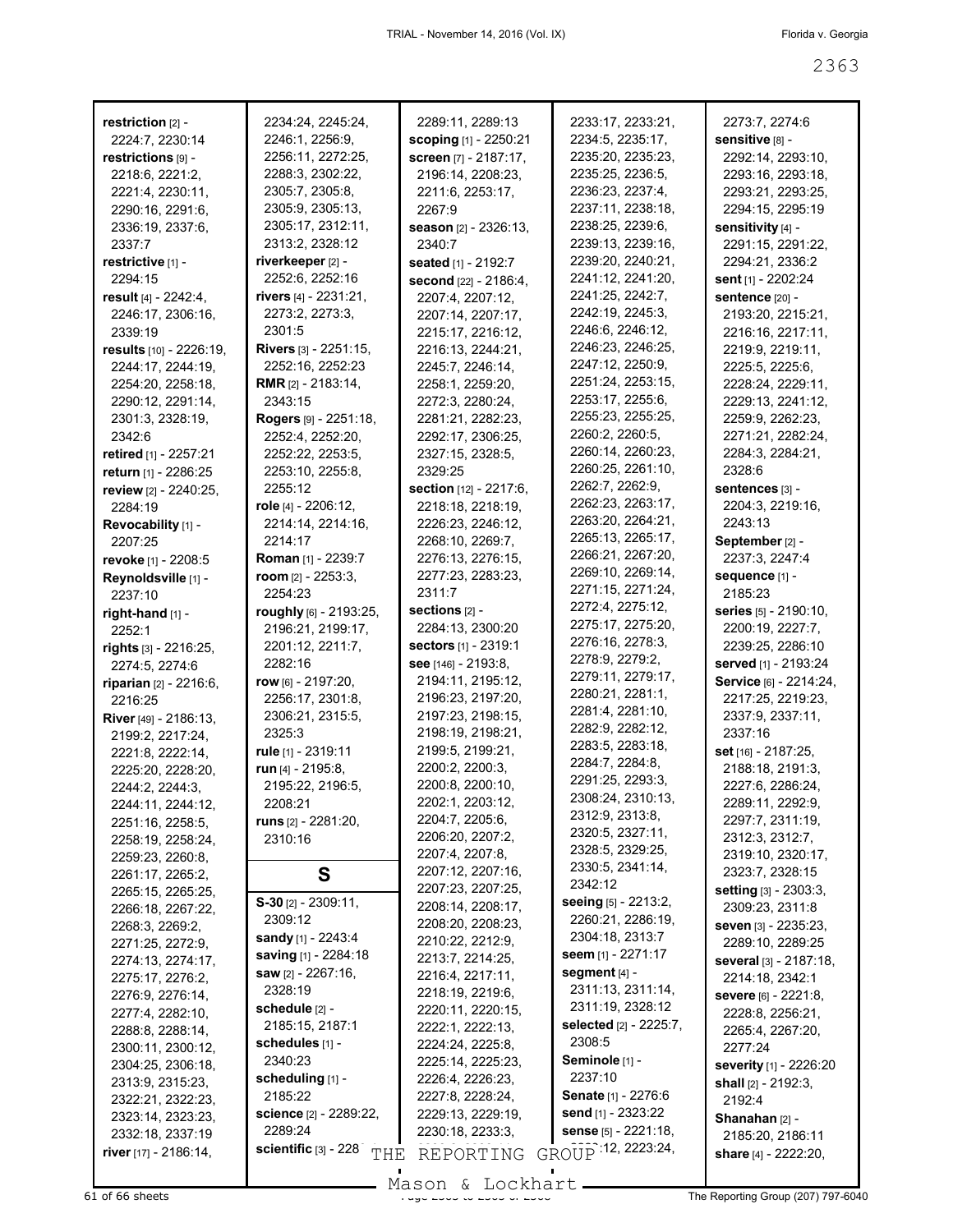| restriction [2] -            | 2234:24, 2245:24,                        | 2289:11, 2289:13             | 2233:17, 2233:21,           | 2273:7, 2274:6                        |
|------------------------------|------------------------------------------|------------------------------|-----------------------------|---------------------------------------|
| 2224:7, 2230:14              | 2246:1, 2256:9,                          | <b>scoping</b> [1] - 2250:21 | 2234:5, 2235:17,            | sensitive [8] -                       |
| restrictions [9] -           | 2256:11, 2272:25,                        | screen [7] - 2187:17,        | 2235:20, 2235:23,           | 2292:14, 2293:10,                     |
| 2218:6, 2221:2,              | 2288:3, 2302:22,                         | 2196:14, 2208:23,            | 2235:25, 2236:5,            | 2293:16, 2293:18,                     |
| 2221:4, 2230:11,             | 2305:7, 2305:8,                          | 2211:6, 2253:17,             | 2236:23, 2237:4,            | 2293:21, 2293:25,                     |
| 2290:16, 2291:6,             | 2305:9, 2305:13,                         | 2267:9                       | 2237:11, 2238:18,           | 2294:15, 2295:19                      |
|                              | 2305:17, 2312:11,                        |                              | 2238:25, 2239:6,            | sensitivity [4] -                     |
| 2336:19, 2337:6,<br>2337:7   | 2313:2, 2328:12                          | season [2] - 2326:13,        | 2239:13, 2239:16,           | 2291:15, 2291:22,                     |
|                              |                                          | 2340:7                       | 2239:20, 2240:21,           |                                       |
| restrictive [1] -<br>2294:15 | riverkeeper [2] -<br>2252:6, 2252:16     | seated [1] - 2192:7          | 2241:12, 2241:20,           | 2294:21, 2336:2                       |
|                              |                                          | second [22] - 2186:4,        | 2241:25, 2242:7,            | sent [1] - 2202:24                    |
| result [4] - 2242:4,         | rivers [4] - 2231:21,                    | 2207:4, 2207:12,             | 2242:19, 2245:3,            | sentence [20] -                       |
| 2246:17, 2306:16,            | 2273:2, 2273:3,<br>2301:5                | 2207:14, 2207:17,            | 2246:6, 2246:12,            | 2193:20, 2215:21,                     |
| 2339:19                      |                                          | 2215:17, 2216:12,            | 2246:23, 2246:25,           | 2216:16, 2217:11,                     |
| results [10] - 2226:19,      | Rivers [3] - 2251:15,                    | 2216:13, 2244:21,            | 2247:12, 2250:9,            | 2219:9, 2219:11,                      |
| 2244:17, 2244:19,            | 2252:16, 2252:23                         | 2245:7, 2246:14,             | 2251:24, 2253:15,           | 2225:5, 2225:6,                       |
| 2254:20, 2258:18,            | <b>RMR</b> $[2] - 2183:14$ ,             | 2258:1, 2259:20,             | 2253:17, 2255:6,            | 2228:24, 2229:11,                     |
| 2290:12, 2291:14,            | 2343:15                                  | 2272:3, 2280:24,             | 2255:23, 2255:25,           | 2229:13, 2241:12,<br>2259:9, 2262:23, |
| 2301:3, 2328:19,             | Rogers [9] - 2251:18,                    | 2281:21, 2282:23,            | 2260:2, 2260:5,             |                                       |
| 2342:6                       | 2252:4, 2252:20,                         | 2292:17, 2306:25,            | 2260:14, 2260:23,           | 2271:21, 2282:24,                     |
| retired [1] - 2257:21        | 2252:22, 2253:5,                         | 2327:15, 2328:5,             | 2260:25, 2261:10,           | 2284:3, 2284:21,                      |
| return [1] - 2286:25         | 2253:10, 2255:8,                         | 2329:25                      | 2262:7, 2262:9,             | 2328:6                                |
| review [2] - 2240:25,        | 2255:12                                  | section [12] - 2217:6,       | 2262:23, 2263:17,           | sentences [3] -                       |
| 2284:19                      | role $[4] - 2206:12$ ,                   | 2218:18, 2218:19,            | 2263:20, 2264:21,           | 2204:3, 2219:16,                      |
| Revocability [1] -           | 2214:14, 2214:16,                        | 2226:23, 2246:12,            | 2265:13, 2265:17,           | 2243:13                               |
| 2207:25                      | 2214:17                                  | 2268:10, 2269:7,             | 2266:21, 2267:20,           | September <sub>[2]</sub> -            |
| revoke [1] - 2208:5          | Roman [1] - 2239:7                       | 2276:13, 2276:15,            | 2269:10, 2269:14,           | 2237:3, 2247:4                        |
| Reynoldsville [1] -          | room [2] - 2253:3,                       | 2277:23, 2283:23,            | 2271:15, 2271:24,           | sequence [1] -                        |
| 2237:10                      | 2254:23                                  | 2311:7                       | 2272:4, 2275:12,            | 2185:23                               |
| right-hand [1] -             | roughly [6] - 2193:25,                   | sections [2] -               | 2275:17, 2275:20,           | series [5] - 2190:10,                 |
| 2252:1                       | 2196:21, 2199:17,                        | 2284:13, 2300:20             | 2276:16, 2278:3,            | 2200:19, 2227:7,                      |
| rights $[3]$ - 2216:25,      | 2201:12, 2211:7,                         | <b>sectors</b> [1] - 2319:1  | 2278:9, 2279:2,             | 2239:25, 2286:10                      |
| 2274:5, 2274:6               | 2282:16                                  | see [146] - 2193:8,          | 2279:11, 2279:17,           | served [1] - 2193:24                  |
| riparian [2] - 2216:6,       | row [6] - 2197:20,                       | 2194:11, 2195:12,            | 2280:21, 2281:1,            | Service [6] - 2214:24,                |
| 2216:25                      | 2256:17, 2301:8,                         | 2196:23, 2197:20,            | 2281:4, 2281:10,            | 2217:25, 2219:23,                     |
| River [49] - 2186:13,        | 2306:21, 2315:5,                         | 2197:23, 2198:15,            | 2282:9, 2282:12,            | 2337:9, 2337:11,                      |
| 2199:2, 2217:24,             | 2325:3                                   | 2198:19, 2198:21,            | 2283:5, 2283:18,            | 2337:16                               |
| 2221:8, 2222:14,             | rule [1] - 2319:11                       | 2199:5, 2199:21,             | 2284:7, 2284:8,             | set [16] - 2187:25,                   |
| 2225:20, 2228:20,            | run $[4] - 2195:8$ ,                     | 2200:2, 2200:3,              | 2291:25, 2293:3,            | 2188:18, 2191:3,                      |
| 2244:2, 2244:3,              | 2195:22, 2196:5,                         | 2200:8, 2200:10,             | 2308:24, 2310:13,           | 2227:6, 2286:24,                      |
| 2244:11, 2244:12,            | 2208:21                                  | 2202:1, 2203:12,             | 2312:9, 2313:8,             | 2289:11, 2292:9,                      |
| 2251:16, 2258:5,             | runs $[2] - 2281:20,$                    | 2204:7, 2205:6,              | 2320:5, 2327:11,            | 2297:7, 2311:19,                      |
| 2258:19, 2258:24,            | 2310:16                                  | 2206:20, 2207:2,             | 2328:5, 2329:25,            | 2312:3, 2312:7,                       |
| 2259:23, 2260:8,             |                                          | 2207:4, 2207:8,              | 2330:5, 2341:14,            | 2319:10, 2320:17,                     |
| 2261:17, 2265:2,             | S                                        | 2207:12, 2207:16,            | 2342:12                     | 2323:7, 2328:15                       |
| 2265:15, 2265:25,            | $S-30$ [2] - 2309:11,                    | 2207:23, 2207:25,            | <b>seeing</b> [5] - 2213:2, | setting [3] - 2303:3,                 |
| 2266:18, 2267:22,            | 2309:12                                  | 2208:14, 2208:17,            | 2260:21, 2286:19,           | 2309:23, 2311:8                       |
| 2268:3, 2269:2,              | sandy [1] - 2243:4                       | 2208:20, 2208:23,            | 2304:18, 2313:7             | seven [3] - 2235:23,                  |
| 2271:25, 2272:9,             | saving [1] - 2284:18                     | 2210:22, 2212:9,             | <b>seem</b> [1] - 2271:17   | 2289:10, 2289:25                      |
| 2274:13, 2274:17,            | saw [2] - 2267:16,                       | 2213:7, 2214:25,             | segment $[4]$ -             | several [3] - 2187:18,                |
| 2275:17, 2276:2,             | 2328:19                                  | 2216:4, 2217:11,             | 2311:13, 2311:14,           | 2214:18, 2342:1                       |
| 2276:9, 2276:14,             | schedule [2] -                           | 2218:19, 2219:6,             | 2311:19, 2328:12            | Severe [6] - 2221:8,                  |
| 2277:4, 2282:10,             | 2185:15, 2187:1                          | 2220:11, 2220:15,            | selected [2] - 2225:7,      | 2228:8, 2256:21,                      |
| 2288:8, 2288:14,             | schedules [1] -                          | 2222:1, 2222:13,             | 2308:5                      | 2265:4, 2267:20,                      |
| 2300:11, 2300:12,            | 2340:23                                  | 2224:24, 2225:8,             | Seminole [1] -              | 2277:24                               |
| 2304:25, 2306:18,            | scheduling [1] -                         | 2225:14, 2225:23,            | 2237:10                     | severity [1] - 2226:20                |
| 2313:9, 2315:23,             | 2185:22                                  | 2226:4, 2226:23,             | <b>Senate</b> [1] - 2276:6  | shall [2] - 2192:3,                   |
| 2322:21, 2322:23,            |                                          | 2227:8, 2228:24,             | send $[1]$ - 2323:22        | 2192:4                                |
| 2323:14, 2323:23,            | <b>science</b> [2] - 2289:22,<br>2289:24 | 2229:13, 2229:19,            | sense [5] - 2221:18,        | Shanahan [2] -                        |
| 2332:18, 2337:19             | scientific $[3] - 228$                   | 2230:18, 2233:3,             |                             | 2185:20, 2186:11                      |
| river $[17] - 2186:14$ ,     | THE                                      | REPORTING                    | GROUP 12, 2223:24,          | share [4] - 2222:20,                  |

Mason & Lockhart

 $\overline{61}$  of 66 sheets  $\overline{3363}$  of  $\overline{336}$   $\overline{336}$  of  $\overline{336}$   $\overline{336}$  of  $\overline{336}$   $\overline{336}$   $\overline{336}$  of  $\overline{336}$   $\overline{336}$   $\overline{336}$   $\overline{336}$   $\overline{336}$   $\overline{336}$   $\overline{336}$   $\overline{336}$   $\overline{336}$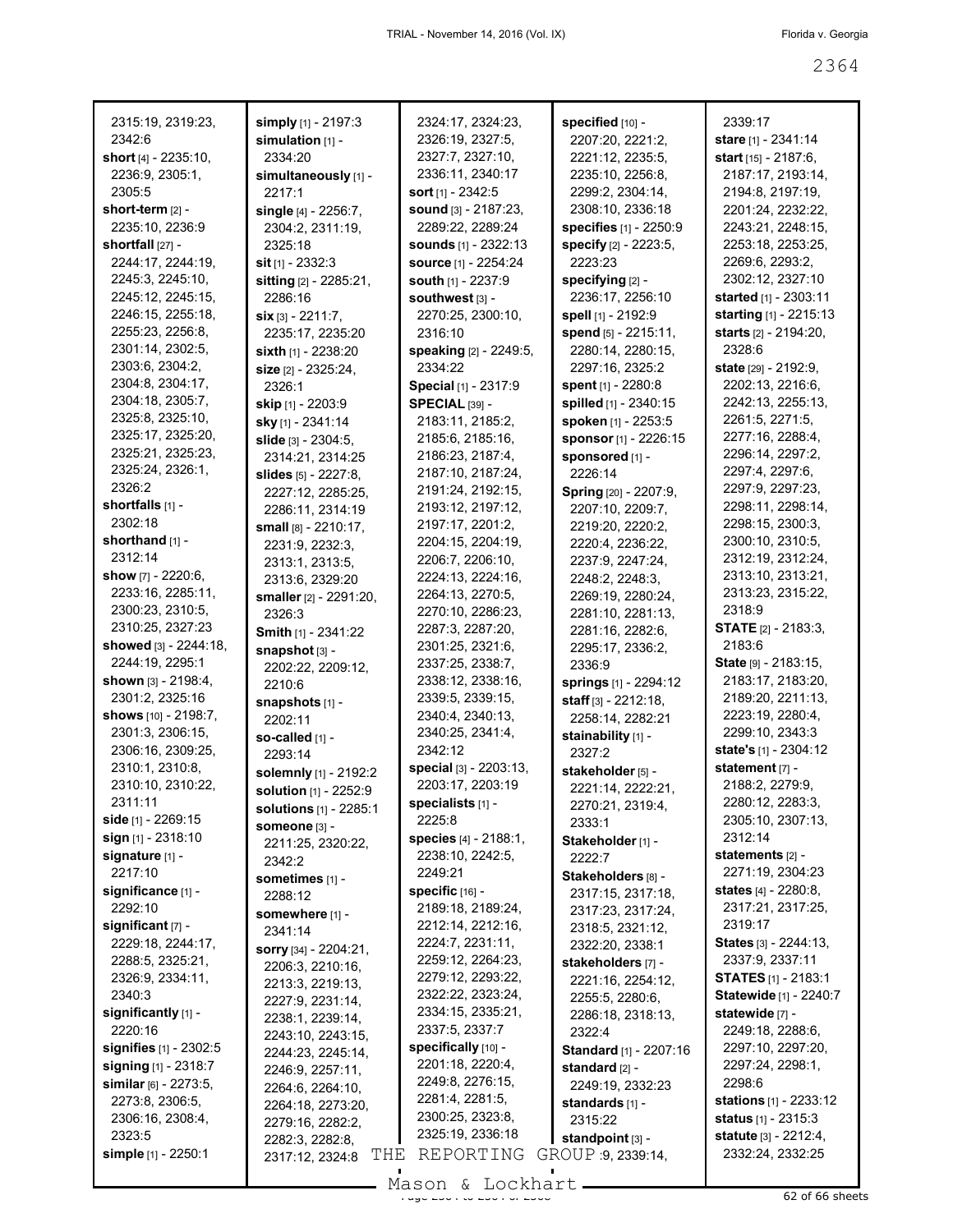| 2315:19, 2319:23,               | simply [1] - 2197:3           | 2324:17, 2324:23,           | specified [10] -              | 2339:17                         |
|---------------------------------|-------------------------------|-----------------------------|-------------------------------|---------------------------------|
| 2342:6                          | simulation $[1]$ -            | 2326:19, 2327:5,            | 2207:20, 2221:2,              | stare [1] - 2341:14             |
| <b>short</b> [4] - 2235:10,     | 2334:20                       | 2327:7, 2327:10,            | 2221:12, 2235:5,              | start [15] - 2187:6,            |
| 2236:9, 2305:1,                 | simultaneously [1] -          | 2336:11, 2340:17            | 2235:10, 2256:8,              | 2187:17, 2193:14,               |
| 2305:5                          | 2217:1                        | sort $[1]$ - 2342:5         | 2299:2, 2304:14,              | 2194:8, 2197:19,                |
| short-term [2] -                | single [4] - 2256:7,          | sound [3] - 2187:23,        | 2308:10, 2336:18              | 2201:24, 2232:22,               |
| 2235:10, 2236:9                 | 2304:2, 2311:19,              | 2289:22, 2289:24            | specifies [1] - 2250:9        | 2243:21, 2248:15,               |
| shortfall $[27]$ -              | 2325:18                       | <b>sounds</b> [1] - 2322:13 | specify [2] - 2223:5,         | 2253:18, 2253:25,               |
| 2244:17, 2244:19,               | sit $[1] - 2332:3$            | <b>source</b> [1] - 2254:24 | 2223:23                       | 2269:6, 2293:2,                 |
| 2245:3, 2245:10,                | sitting [2] - 2285:21,        | south [1] - 2237:9          | specifying [2] -              | 2302:12, 2327:10                |
| 2245:12, 2245:15,               | 2286:16                       | southwest [3] -             | 2236:17, 2256:10              | started [1] - 2303:11           |
| 2246:15, 2255:18,               | $six$ [3] - 2211:7,           | 2270:25, 2300:10,           | spell [1] - 2192:9            | starting [1] - 2215:13          |
| 2255:23, 2256:8,                | 2235:17, 2235:20              | 2316:10                     | spend [5] - 2215:11,          | starts [2] - 2194:20,           |
| 2301:14, 2302:5,                | sixth [1] - 2238:20           | speaking [2] - 2249:5,      | 2280:14, 2280:15,             | 2328:6                          |
| 2303:6, 2304:2,                 | size [2] - 2325:24,           | 2334:22                     | 2297:16, 2325:2               | <b>state</b> [29] - 2192:9,     |
| 2304:8, 2304:17,                | 2326:1                        | Special [1] - 2317:9        | spent $[1] - 2280.8$          | 2202:13, 2216:6,                |
| 2304:18, 2305:7,                | <b>skip</b> [1] - 2203:9      | <b>SPECIAL [39] -</b>       | spilled [1] - 2340:15         | 2242:13, 2255:13,               |
| 2325:8, 2325:10,                | sky [1] - 2341:14             | 2183:11, 2185:2,            | spoken [1] - 2253:5           | 2261:5, 2271:5,                 |
| 2325:17, 2325:20,               | slide [3] - 2304:5,           | 2185:6, 2185:16,            | sponsor [1] - 2226:15         | 2277:16, 2288:4,                |
| 2325:21, 2325:23,               | 2314:21, 2314:25              | 2186:23, 2187:4,            | sponsored [1] -               | 2296:14, 2297:2,                |
| 2325:24, 2326:1,                | slides $[5] - 2227:8$ ,       | 2187:10, 2187:24,           | 2226:14                       | 2297:4, 2297:6,                 |
| 2326:2                          | 2227:12, 2285:25,             | 2191:24, 2192:15,           | Spring [20] - 2207:9,         | 2297:9, 2297:23,                |
| shortfalls [1] -                | 2286:11, 2314:19              | 2193:12, 2197:12,           | 2207:10, 2209:7,              | 2298:11, 2298:14,               |
| 2302:18                         | small [8] - 2210:17,          | 2197:17, 2201:2,            | 2219:20, 2220:2,              | 2298:15, 2300:3,                |
| shorthand [1] -                 | 2231:9, 2232:3,               | 2204:15, 2204:19,           | 2220:4, 2236:22,              | 2300:10, 2310:5,                |
| 2312:14                         | 2313:1, 2313:5,               | 2206:7, 2206:10,            | 2237:9, 2247:24,              | 2312:19, 2312:24,               |
| show [7] - 2220:6,              | 2313:6, 2329:20               | 2224:13, 2224:16,           | 2248:2, 2248:3,               | 2313:10, 2313:21,               |
| 2233:16, 2285:11,               | smaller [2] - 2291:20,        | 2264:13, 2270:5,            | 2269:19, 2280:24,             | 2313:23, 2315:22,               |
| 2300:23, 2310:5,                | 2326:3                        | 2270:10, 2286:23,           | 2281:10, 2281:13,             | 2318:9                          |
| 2310:25, 2327:23                | <b>Smith</b> $[1]$ - 2341:22  | 2287:3, 2287:20,            | 2281:16, 2282:6,              | <b>STATE</b> [2] - 2183:3,      |
| showed [3] - 2244:18,           | snapshot [3] -                | 2301:25, 2321:6,            | 2295:17, 2336:2,              | 2183:6                          |
| 2244:19, 2295:1                 | 2202:22, 2209:12,             | 2337:25, 2338:7,            | 2336:9                        | State [9] - 2183:15,            |
| shown [3] - 2198:4,             | 2210:6                        | 2338:12, 2338:16,           | springs [1] - 2294:12         | 2183:17, 2183:20,               |
| 2301:2, 2325:16                 | snapshots [1] -               | 2339:5, 2339:15,            | staff [3] - 2212:18,          | 2189:20, 2211:13,               |
| shows [10] - 2198:7,            | 2202:11                       | 2340:4, 2340:13,            | 2258:14, 2282:21              | 2223:19, 2280:4,                |
| 2301:3, 2306:15,                | so-called [1] -               | 2340:25, 2341:4,            | stainability [1] -            | 2299:10, 2343:3                 |
| 2306:16, 2309:25,               | 2293:14                       | 2342:12                     | 2327:2                        | state's [1] - 2304:12           |
| 2310:1, 2310:8,                 | solemnly [1] - 2192:2         | special [3] - 2203:13,      | stakeholder [5] -             | statement [7] -                 |
| 2310:10, 2310:22,               | solution [1] - 2252:9         | 2203:17, 2203:19            | 2221:14, 2222:21,             | 2188:2, 2279:9,                 |
| 2311:11                         | <b>solutions</b> [1] - 2285:1 | specialists [1] -           | 2270:21, 2319:4,              | 2280:12, 2283:3,                |
| side $[1]$ - 2269:15            | Someone [3] -                 | 2225:8                      | 2333:1                        | 2305:10, 2307:13,               |
| $sign_{[1]} - 2318:10$          | 2211:25, 2320:22,             | species [4] - 2188:1,       | Stakeholder [1] -             | 2312:14                         |
| signature [1] -                 | 2342:2                        | 2238:10, 2242:5,            | 2222:7                        | statements $[2]$ -              |
| 2217:10                         | sometimes [1] -               | 2249:21                     | Stakeholders [8] -            | 2271:19, 2304:23                |
| significance [1] -              | 2288:12                       | specific $[16]$ -           | 2317:15, 2317:18,             | <b>states</b> $[4] - 2280.8$    |
| 2292:10                         | somewhere [1] -               | 2189:18, 2189:24,           | 2317:23, 2317:24,             | 2317:21, 2317:25,               |
| significant [7] -               | 2341:14                       | 2212:14, 2212:16,           | 2318:5, 2321:12,              | 2319:17                         |
| 2229:18, 2244:17,               | <b>sorry</b> [34] - 2204:21,  | 2224:7, 2231:11,            | 2322:20, 2338:1               | States [3] - 2244:13,           |
| 2288:5, 2325:21,                | 2206:3, 2210:16,              | 2259:12, 2264:23,           | stakeholders [7] -            | 2337:9, 2337:11                 |
| 2326:9, 2334:11,                | 2213:3, 2219:13,              | 2279:12, 2293:22,           | 2221:16, 2254:12,             | <b>STATES</b> [1] - 2183:1      |
| 2340:3                          | 2227:9, 2231:14,              | 2322:22, 2323:24,           | 2255:5, 2280:6,               | Statewide [1] - 2240:7          |
| significantly [1] -             | 2238:1, 2239:14,              | 2334:15, 2335:21,           | 2286:18, 2318:13,             | statewide [7] -                 |
| 2220:16                         | 2243:10, 2243:15,             | 2337:5, 2337:7              | 2322:4                        | 2249:18, 2288:6,                |
| <b>signifies</b> $[1] - 2302:5$ | 2244:23, 2245:14,             | specifically [10] -         | <b>Standard</b> [1] - 2207:16 | 2297:10, 2297:20,               |
| signing $[1]$ - 2318:7          | 2246:9, 2257:11,              | 2201:18, 2220:4,            | standard [2] -                | 2297:24, 2298:1,                |
| similar $[6] - 2273.5$ ,        | 2264:6, 2264:10,              | 2249:8, 2276:15,            | 2249:19, 2332:23              | 2298:6                          |
| 2273:8, 2306:5,                 | 2264:18, 2273:20,             | 2281:4, 2281:5,             | standards [1] -               | <b>stations</b> $[1]$ - 2233:12 |
| 2306:16, 2308:4,                | 2279:16, 2282:2,              | 2300:25, 2323:8,            | 2315:22                       | <b>status</b> $[1] - 2315.3$    |
| 2323:5                          | 2282:3, 2282:8,               | 2325:19, 2336:18            | standpoint $[3]$ -            | statute [3] - 2212:4,           |
| simple [1] - 2250:1             | THE<br>2317:12, 2324:8        | REPORTING                   | GROUP 9, 2339:14,             | 2332:24, 2332:25                |
|                                 |                               |                             |                               |                                 |
|                                 |                               | $M$ acon f. Iochart         |                               |                                 |

Mason & Lockhart <u>external and the 2366 sheets</u>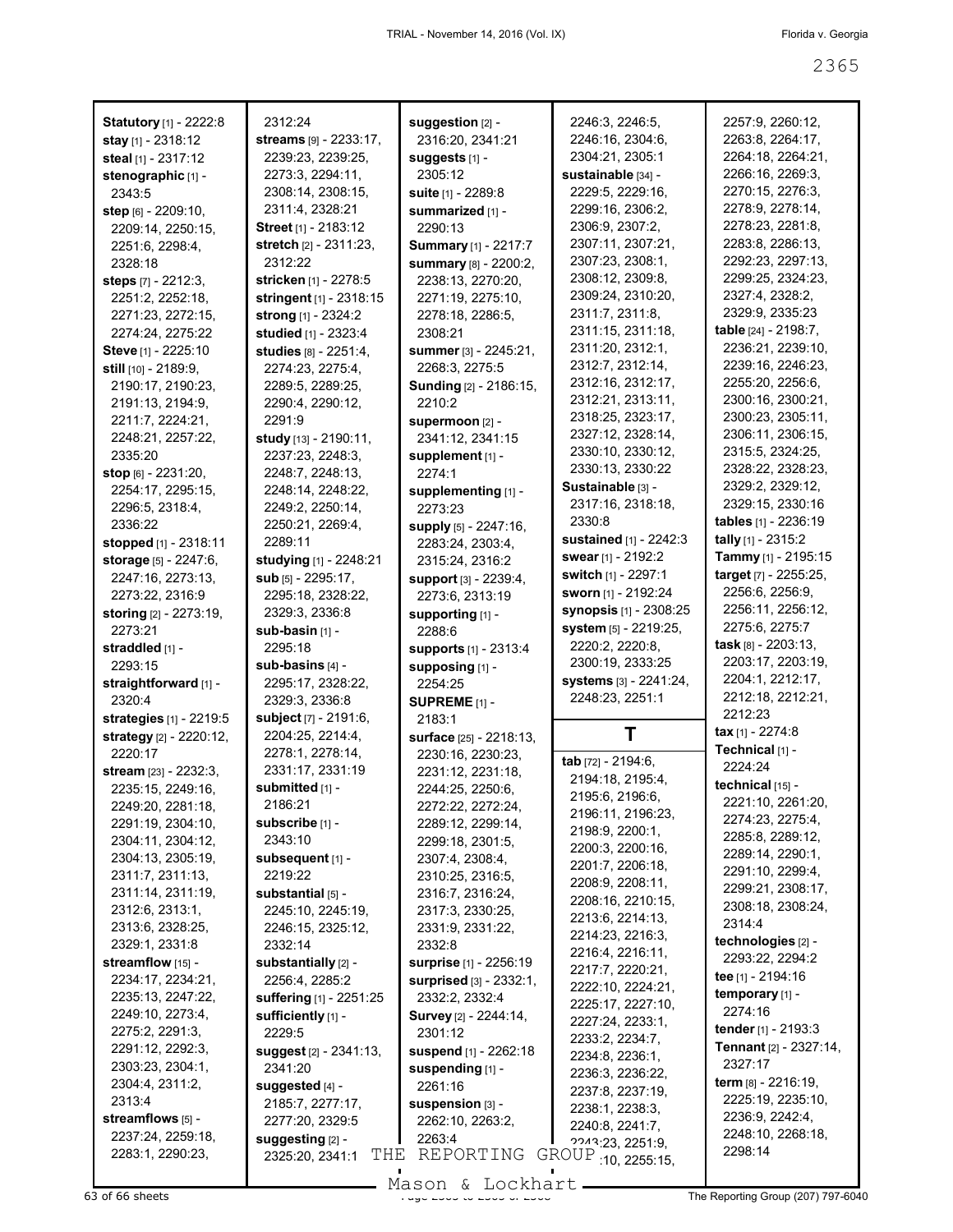| <b>Statutory</b> [1] - 2222:8       | 2312:24                                 | suggestion [2] -                             | 2246:3, 2246:5,                        | 2257:9, 2260:12,                       |
|-------------------------------------|-----------------------------------------|----------------------------------------------|----------------------------------------|----------------------------------------|
| stay [1] - 2318:12                  | streams [9] - 2233:17,                  | 2316:20, 2341:21                             | 2246:16, 2304:6,                       | 2263:8, 2264:17,                       |
| steal [1] - 2317:12                 | 2239:23, 2239:25,                       | suggests [1] -                               | 2304:21, 2305:1                        | 2264:18, 2264:21,                      |
| stenographic [1] -                  | 2273:3, 2294:11,                        | 2305:12                                      | sustainable [34] -                     | 2266:16, 2269:3,                       |
| 2343:5                              | 2308:14, 2308:15,                       | suite [1] - 2289:8                           | 2229:5, 2229:16,                       | 2270:15, 2276:3,                       |
| step [6] - 2209:10.                 | 2311:4, 2328:21                         | summarized [1] -                             | 2299:16, 2306:2,                       | 2278:9, 2278:14,                       |
| 2209:14, 2250:15,                   | <b>Street</b> [1] - 2183:12             | 2290:13                                      | 2306:9, 2307:2,                        | 2278:23, 2281:8,                       |
| 2251:6, 2298:4,                     | stretch [2] - 2311:23,                  | <b>Summary</b> [1] - 2217:7                  | 2307:11, 2307:21,                      | 2283:8, 2286:13,                       |
| 2328:18                             | 2312:22                                 | summary [8] - 2200:2,                        | 2307:23, 2308:1,                       | 2292:23, 2297:13,                      |
| steps [7] - 2212:3,                 | stricken [1] - 2278:5                   | 2238:13, 2270:20,                            | 2308:12, 2309:8,                       | 2299:25, 2324:23,                      |
| 2251:2, 2252:18,                    | stringent [1] - 2318:15                 | 2271:19, 2275:10,                            | 2309:24, 2310:20,                      | 2327:4, 2328:2,                        |
| 2271:23, 2272:15,                   | strong [1] - 2324:2                     | 2278:18, 2286:5,                             | 2311:7, 2311:8,                        | 2329:9, 2335:23                        |
| 2274:24, 2275:22                    | studied [1] - 2323:4                    | 2308:21                                      | 2311:15, 2311:18,                      | table [24] - 2198:7,                   |
| Steve [1] - 2225:10                 | studies [8] - 2251:4,                   | summer [3] - 2245:21,                        | 2311:20, 2312:1,                       | 2236:21, 2239:10,                      |
| still [10] - 2189:9,                | 2274:23, 2275:4,                        | 2268:3, 2275:5                               | 2312:7, 2312:14,                       | 2239:16, 2246:23,                      |
| 2190:17, 2190:23,                   | 2289:5, 2289:25,                        | <b>Sunding [2] - 2186:15,</b>                | 2312:16, 2312:17,                      | 2255:20, 2256:6,                       |
| 2191:13, 2194:9,                    | 2290:4, 2290:12,                        | 2210:2                                       | 2312:21, 2313:11,                      | 2300:16, 2300:21,<br>2300:23, 2305:11, |
| 2211:7, 2224:21,                    | 2291:9                                  | supermoon [2] -                              | 2318:25, 2323:17,<br>2327:12, 2328:14, | 2306:11, 2306:15,                      |
| 2248:21, 2257:22,                   | study [13] - 2190:11,                   | 2341:12, 2341:15                             | 2330:10, 2330:12,                      | 2315:5, 2324:25,                       |
| 2335:20                             | 2237:23, 2248:3,                        | supplement [1] -                             | 2330:13, 2330:22                       | 2328:22, 2328:23,                      |
| stop [6] - 2231:20,                 | 2248:7, 2248:13,                        | 2274:1                                       | Sustainable [3] -                      | 2329:2, 2329:12,                       |
| 2254:17, 2295:15,                   | 2248:14, 2248:22,                       | supplementing [1] -                          | 2317:16, 2318:18,                      | 2329:15, 2330:16                       |
| 2296:5, 2318:4,<br>2336:22          | 2249:2, 2250:14,                        | 2273:23                                      | 2330:8                                 | tables [1] - 2236:19                   |
| stopped [1] - 2318:11               | 2250:21, 2269:4,<br>2289:11             | supply [5] - 2247:16,                        | sustained [1] - 2242:3                 | tally [1] - 2315:2                     |
| storage [5] - 2247:6,               | studying [1] - 2248:21                  | 2283:24, 2303:4,<br>2315:24, 2316:2          | <b>swear</b> [1] - 2192:2              | Tammy [1] - 2195:15                    |
| 2247:16, 2273:13,                   | sub $[5] - 2295:17$ ,                   | support [3] - 2239:4,                        | switch [1] - 2297:1                    | target [7] - 2255:25,                  |
| 2273:22, 2316:9                     | 2295:18, 2328:22,                       | 2273:6, 2313:19                              | sworn [1] - 2192:24                    | 2256:6, 2256:9,                        |
| <b>storing</b> [2] - 2273:19,       | 2329:3, 2336:8                          | supporting [1] -                             | <b>synopsis</b> [1] - 2308:25          | 2256:11, 2256:12,                      |
| 2273:21                             | sub-basin [1] -                         | 2288:6                                       | system [5] - 2219:25,                  | 2275:6, 2275:7                         |
| straddled [1] -                     | 2295:18                                 | supports [1] - 2313:4                        | 2220:2, 2220:8,                        | task [8] - 2203:13,                    |
|                                     |                                         |                                              |                                        |                                        |
|                                     |                                         |                                              | 2300:19, 2333:25                       | 2203:17, 2203:19,                      |
| 2293:15                             | sub-basins [4] -                        | supposing [1] -                              | <b>systems</b> [3] - 2241:24,          | 2204:1, 2212:17,                       |
| straightforward [1] -<br>2320:4     | 2295:17, 2328:22,                       | 2254:25                                      | 2248:23, 2251:1                        | 2212:18, 2212:21,                      |
| strategies [1] - 2219:5             | 2329:3, 2336:8<br>subject [7] - 2191:6, | SUPREME <sub>[1]</sub> -<br>2183:1           |                                        | 2212:23                                |
| strategy [2] - 2220:12,             | 2204:25, 2214:4,                        |                                              | Т                                      | tax $[1] - 2274:8$                     |
| 2220:17                             | 2278:1, 2278:14,                        | surface [25] - 2218:13,<br>2230:16, 2230:23, |                                        | Technical [1] -                        |
| stream $[23] - 2232:3$ ,            | 2331:17, 2331:19                        | 2231:12, 2231:18,                            | tab [72] - 2194:6,                     | 2224:24                                |
| 2235:15, 2249:16,                   | submitted [1] -                         | 2244:25, 2250:6,                             | 2194:18, 2195:4,                       | technical [15] -                       |
| 2249:20, 2281:18,                   | 2186:21                                 | 2272:22, 2272:24,                            | 2195:6, 2196:6,                        | 2221:10, 2261:20,                      |
| 2291:19, 2304:10,                   | subscribe [1] -                         | 2289:12, 2299:14,                            | 2196:11, 2196:23,                      | 2274:23, 2275:4,                       |
| 2304:11, 2304:12,                   | 2343:10                                 | 2299:18, 2301:5,                             | 2198:9, 2200:1,                        | 2285:8, 2289:12,                       |
| 2304:13, 2305:19,                   | subsequent [1] -                        | 2307:4, 2308:4,                              | 2200:3, 2200:16,<br>2201:7, 2206:18,   | 2289:14, 2290:1,                       |
| 2311:7, 2311:13,                    | 2219:22                                 | 2310:25, 2316:5,                             | 2208:9, 2208:11,                       | 2291:10, 2299:4,                       |
| 2311:14, 2311:19,                   | substantial [5] -                       | 2316:7, 2316:24,                             | 2208:16, 2210:15,                      | 2299:21, 2308:17,                      |
| 2312:6, 2313:1,                     | 2245:10, 2245:19,                       | 2317:3, 2330:25,                             | 2213:6, 2214:13,                       | 2308:18, 2308:24,                      |
| 2313:6, 2328:25,                    | 2246:15, 2325:12,                       | 2331:9, 2331:22,                             | 2214:23, 2216:3,                       | 2314:4                                 |
| 2329:1, 2331:8                      | 2332:14                                 | 2332:8                                       | 2216:4, 2216:11,                       | technologies [2] -                     |
| streamflow [15] -                   | substantially [2] -                     | surprise [1] - 2256:19                       | 2217:7, 2220:21,                       | 2293:22, 2294:2                        |
| 2234:17, 2234:21,                   | 2256:4, 2285:2                          | surprised [3] - 2332:1,                      | 2222:10, 2224:21,                      | tee [1] - 2194:16<br>temporary [1] -   |
| 2235:13, 2247:22,                   | suffering [1] - 2251:25                 | 2332:2, 2332:4                               | 2225:17, 2227:10,                      | 2274:16                                |
| 2249:10, 2273:4,                    | sufficiently [1] -                      | Survey [2] - 2244:14,                        | 2227:24, 2233:1,                       | tender [1] - 2193:3                    |
| 2275:2, 2291:3,                     | 2229:5                                  | 2301:12                                      | 2233:2, 2234:7,                        | <b>Tennant</b> $[2] - 2327:14$ ,       |
| 2291:12, 2292:3,                    | suggest [2] - 2341:13,                  | suspend [1] - 2262:18                        | 2234:8, 2236:1,                        | 2327:17                                |
| 2303:23, 2304:1,<br>2304:4, 2311:2, | 2341:20                                 | suspending [1] -                             | 2236:3, 2236:22,                       | term [8] - 2216:19,                    |
| 2313:4                              | suggested [4] -                         | 2261:16<br>suspension [3] -                  | 2237:8, 2237:19,                       | 2225:19, 2235:10,                      |
| streamflows [5] -                   | 2185:7, 2277:17,<br>2277:20, 2329:5     |                                              | 2238:1, 2238:3,                        | 2236:9, 2242:4,                        |
| 2237:24, 2259:18,                   | suggesting [2] -                        | 2262:10, 2263:2,<br>2263:4                   | 2240:8, 2241:7,                        | 2248:10, 2268:18,                      |
| 2283:1, 2290:23,                    | THE<br>2325:20, 2341:1                  | REPORTING                                    | 2243:23, 2251:9,<br>GROUP 10, 2255 15, | 2298:14                                |

- Mason & Lockhart -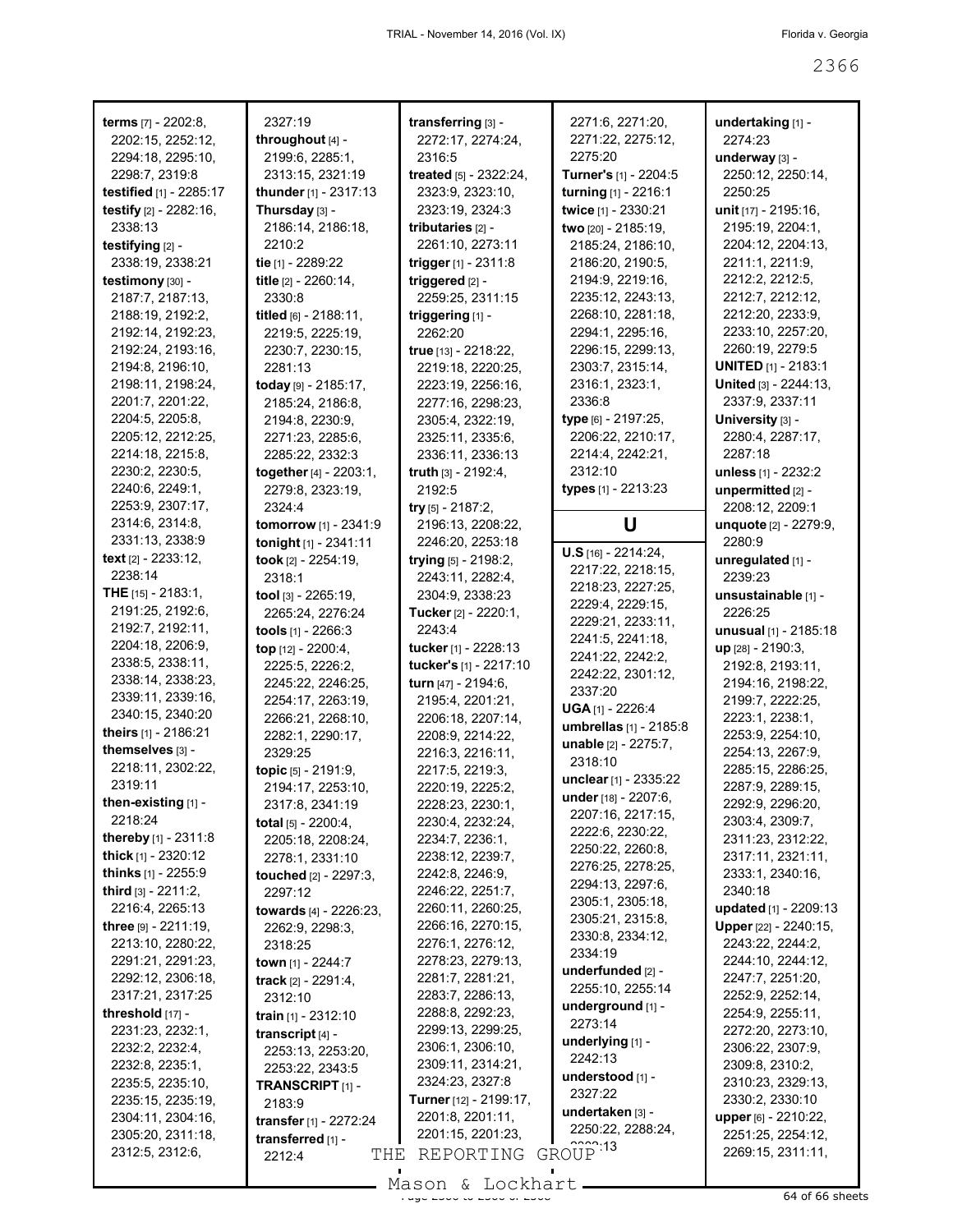| <b>terms</b> [7] - 2202:8,           | 2327:19                            | transferring [3] -             | 2271:6, 2271:20,          | undertaking [1] -                      |
|--------------------------------------|------------------------------------|--------------------------------|---------------------------|----------------------------------------|
| 2202:15, 2252:12,                    | throughout [4] -                   | 2272:17, 2274:24,              | 2271:22, 2275:12,         | 2274:23                                |
| 2294:18, 2295:10,                    | 2199:6, 2285:1,                    | 2316:5                         | 2275:20                   | underway [3] -                         |
| 2298:7, 2319:8                       | 2313:15, 2321:19                   | treated [5] - 2322:24,         | Turner's [1] - 2204:5     | 2250:12, 2250:14,                      |
| testified [1] - 2285:17              | thunder [1] - 2317:13              | 2323:9, 2323:10,               | turning [1] - 2216:1      | 2250:25                                |
| testify [2] - 2282:16,               | Thursday [3] -                     | 2323:19, 2324:3                | twice [1] - 2330:21       | unit [17] - 2195:16,                   |
| 2338:13                              | 2186:14, 2186:18,                  | tributaries [2] -              | two [20] - 2185:19,       | 2195:19, 2204:1,                       |
| testifying [2] -                     | 2210:2                             | 2261:10, 2273:11               | 2185:24, 2186:10,         | 2204:12, 2204:13,                      |
| 2338:19, 2338:21                     | tie [1] - 2289:22                  | trigger [1] - 2311:8           | 2186:20, 2190:5,          | 2211:1, 2211:9,                        |
| testimony [30] -                     | title [2] - 2260:14,               | triggered [2] -                | 2194:9, 2219:16,          | 2212:2, 2212:5,                        |
| 2187:7, 2187:13,                     | 2330:8                             | 2259:25, 2311:15               | 2235:12, 2243:13,         | 2212:7, 2212:12,                       |
| 2188:19, 2192:2,                     | titled $[6] - 2188:11$ ,           | triggering [1] -               | 2268:10, 2281:18,         | 2212:20, 2233:9,                       |
| 2192:14, 2192:23,                    | 2219:5, 2225:19,                   | 2262:20                        | 2294:1, 2295:16,          | 2233:10, 2257:20,                      |
| 2192:24, 2193:16,                    | 2230:7, 2230:15,                   | true [13] - 2218:22,           | 2296:15, 2299:13,         | 2260:19, 2279:5                        |
| 2194:8, 2196:10,                     | 2281:13                            | 2219:18, 2220:25,              | 2303:7, 2315:14,          | <b>UNITED</b> [1] - 2183:1             |
| 2198:11, 2198:24,                    | today [9] - 2185:17,               | 2223:19, 2256:16,              | 2316:1, 2323:1,           | United [3] - 2244:13,                  |
| 2201:7, 2201:22,                     | 2185:24, 2186:8,                   | 2277:16, 2298:23,              | 2336:8                    | 2337:9, 2337:11                        |
| 2204:5, 2205:8,                      | 2194:8, 2230:9,                    | 2305:4, 2322:19,               | type [6] - 2197:25,       | University [3] -                       |
| 2205:12, 2212:25,                    | 2271:23, 2285:6,                   | 2325:11, 2335:6,               | 2206:22, 2210:17,         | 2280:4, 2287:17,                       |
| 2214:18, 2215:8,                     | 2285:22, 2332:3                    | 2336:11, 2336:13               | 2214:4, 2242:21,          | 2287:18                                |
| 2230:2, 2230:5,                      | together [4] - 2203:1,             | truth $[3] - 2192:4,$          | 2312:10                   | unless [1] - 2232:2                    |
| 2240:6, 2249:1,                      | 2279:8, 2323:19,                   | 2192:5                         | types [1] - 2213:23       | unpermitted [2] -                      |
| 2253:9, 2307:17,                     | 2324:4                             | try $[5]$ - 2187:2,            |                           | 2208:12, 2209:1                        |
| 2314:6, 2314:8,                      | tomorrow [1] - 2341:9              | 2196:13, 2208:22,              | U                         | unquote [2] - 2279:9,                  |
| 2331:13, 2338:9                      | tonight [1] - 2341:11              | 2246:20, 2253:18               |                           | 2280:9                                 |
| text $[2] - 2233:12$ ,               | took [2] - 2254:19,                | trying [5] - 2198:2,           | $U.S$ [16] - 2214:24,     | unregulated [1] -                      |
| 2238:14                              | 2318:1                             | 2243:11, 2282:4,               | 2217:22, 2218:15,         | 2239:23                                |
| <b>THE</b> $[15] - 2183:1$ ,         | tool $[3] - 2265:19$ ,             | 2304:9, 2338:23                | 2218:23, 2227:25,         | unsustainable [1] -                    |
| 2191:25, 2192:6,                     | 2265:24, 2276:24                   | Tucker [2] - 2220:1,           | 2229:4, 2229:15,          | 2226:25                                |
| 2192:7, 2192:11,                     | tools [1] - 2266:3                 | 2243:4                         | 2229:21, 2233:11,         | unusual [1] - 2185:18                  |
| 2204:18, 2206:9,                     | top [12] - 2200:4,                 | tucker [1] - 2228:13           | 2241:5, 2241:18,          | up [28] - 2190:3,                      |
|                                      |                                    |                                |                           |                                        |
|                                      |                                    |                                | 2241:22, 2242:2,          |                                        |
| 2338:5, 2338:11,                     | 2225:5, 2226:2,                    | tucker's [1] - 2217:10         | 2242:22, 2301:12,         | 2192:8, 2193:11,                       |
| 2338:14, 2338:23,                    | 2245:22, 2246:25,                  | turn [47] - 2194:6,            | 2337:20                   | 2194:16, 2198:22,                      |
| 2339:11, 2339:16,                    | 2254:17, 2263:19,                  | 2195:4, 2201:21,               | <b>UGA</b> $[1]$ - 2226:4 | 2199:7, 2222:25,                       |
| 2340:15, 2340:20                     | 2266:21, 2268:10,                  | 2206:18, 2207:14,              | umbrellas [1] - 2185:8    | 2223:1, 2238:1,                        |
| theirs [1] - 2186:21                 | 2282:1, 2290:17,                   | 2208:9, 2214:22,               | unable [2] - 2275:7,      | 2253:9, 2254:10,                       |
| themselves [3] -                     | 2329:25                            | 2216:3, 2216:11,               | 2318:10                   | 2254:13, 2267:9,                       |
| 2218:11, 2302:22,                    | topic [5] - 2191:9,                | 2217:5, 2219:3,                | unclear [1] - 2335:22     | 2285:15, 2286:25,                      |
| 2319:11                              | 2194:17, 2253:10,                  | 2220:19, 2225:2,               | under [18] - 2207:6,      | 2287:9, 2289:15,                       |
| then-existing [1] -                  | 2317:8, 2341:19                    | 2228:23, 2230:1,               | 2207:16, 2217:15,         | 2292:9, 2296:20,                       |
| 2218:24                              | <b>total</b> $[5] - 2200:4$ ,      | 2230:4, 2232:24,               | 2222:6, 2230:22,          | 2303:4, 2309:7,                        |
| thereby [1] - 2311:8                 | 2205:18, 2208:24,                  | 2234:7, 2236:1,                | 2250:22, 2260:8,          | 2311:23, 2312:22,                      |
| <b>thick</b> $[1] - 2320:12$         | 2278:1, 2331:10                    | 2238:12, 2239:7,               | 2276:25, 2278:25,         | 2317:11, 2321:11,                      |
| <b>thinks</b> $[1]$ - 2255:9         | touched [2] - 2297:3,              | 2242:8, 2246:9,                | 2294:13, 2297:6,          | 2333:1, 2340:16,                       |
| third [3] - 2211:2.                  | 2297:12                            | 2246:22, 2251:7,               | 2305:1, 2305:18,          | 2340:18                                |
| 2216:4, 2265:13                      | towards [4] - 2226:23,             | 2260:11, 2260:25,              | 2305:21, 2315:8,          | updated [1] - 2209:13                  |
| three $[9] - 2211:19$ ,              | 2262:9, 2298:3,                    | 2266:16, 2270:15,              | 2330:8, 2334:12,          | Upper [22] - 2240:15,                  |
| 2213:10, 2280:22,                    | 2318:25                            | 2276:1, 2276:12,               | 2334:19                   | 2243:22, 2244:2,                       |
| 2291:21, 2291:23,                    | town $[1]$ - 2244:7                | 2278:23, 2279:13,              | underfunded $[2]$ -       | 2244:10, 2244:12,                      |
| 2292:12, 2306:18,                    | track $[2] - 2291:4,$              | 2281:7, 2281:21,               | 2255:10, 2255:14          | 2247:7, 2251:20,                       |
| 2317:21, 2317:25                     | 2312:10                            | 2283:7, 2286:13,               | underground [1] -         | 2252:9, 2252:14,                       |
| threshold [17] -                     | train [1] - 2312:10                | 2288:8, 2292:23,               | 2273:14                   | 2254:9, 2255:11,                       |
| 2231:23, 2232:1,                     | transcript [4] -                   | 2299:13, 2299:25,              | underlying $[1]$ -        | 2272:20, 2273:10,                      |
| 2232:2, 2232:4,                      | 2253:13, 2253:20,                  | 2306:1, 2306:10,               | 2242:13                   | 2306:22, 2307:9,                       |
| 2232:8, 2235:1,                      | 2253:22, 2343:5                    | 2309:11, 2314:21,              | understood [1] -          | 2309:8, 2310:2,                        |
| 2235:5, 2235:10,                     | TRANSCRIPT <sub>[1]</sub> -        | 2324:23, 2327:8                | 2327:22                   | 2310:23, 2329:13,                      |
| 2235:15, 2235:19,                    | 2183:9                             | <b>Turner</b> [12] - 2199:17,  | undertaken [3] -          | 2330:2, 2330:10                        |
| 2304:11, 2304:16,                    | transfer [1] - 2272:24             | 2201:8, 2201:11,               | 2250:22, 2288:24,         | upper [6] - 2210:22,                   |
| 2305:20, 2311:18,<br>2312:5, 2312:6, | transferred [1] -<br>THE<br>2212:4 | 2201:15, 2201:23,<br>REPORTING | GROUP <sup>13</sup>       | 2251:25, 2254:12,<br>2269:15, 2311:11, |

 $\frac{2366611}{2366666}$  of 66 sheets - Mason & Lockhart -

 $\overline{\phantom{a}}$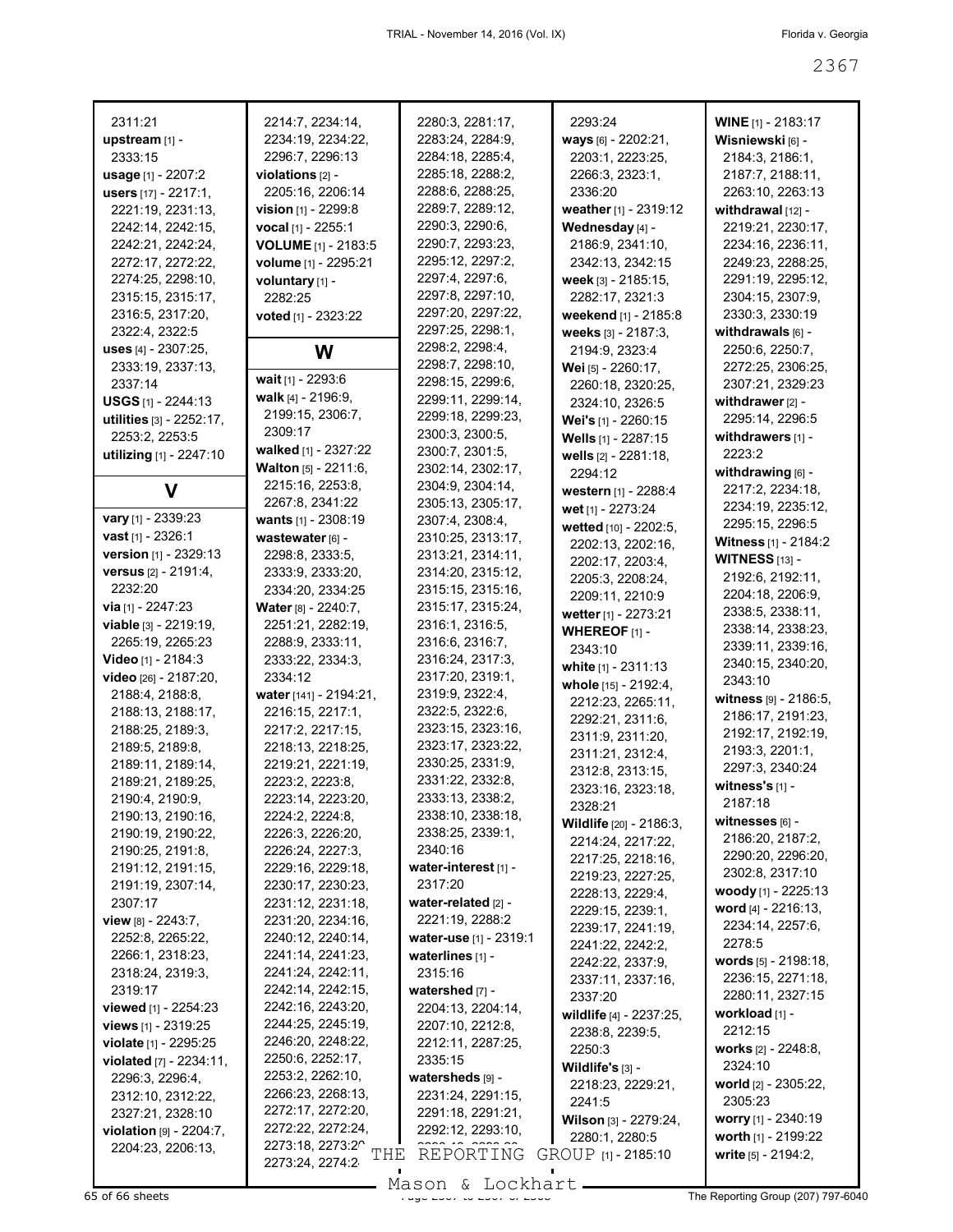| 2311:21                                | 2214:7, 2234:14,<br>2234:19, 2234:22,  | 2280:3, 2281:17,<br>2283:24, 2284:9,   | 2293:24                                 | <b>WINE</b> [1] - 2183:17              |
|----------------------------------------|----------------------------------------|----------------------------------------|-----------------------------------------|----------------------------------------|
| upstream [1] -<br>2333:15              | 2296:7, 2296:13                        | 2284:18, 2285:4,                       | ways [6] - 2202:21,                     | Wisniewski [6] -                       |
|                                        |                                        |                                        | 2203:1, 2223:25,                        | 2184:3, 2186:1,                        |
| usage [1] - 2207:2                     | violations $[2]$ -                     | 2285:18, 2288:2,<br>2288:6, 2288:25,   | 2266:3, 2323:1,                         | 2187:7, 2188:11,                       |
| users [17] - 2217:1,                   | 2205:16, 2206:14                       | 2289:7, 2289:12,                       | 2336:20                                 | 2263:10, 2263:13                       |
| 2221:19, 2231:13,                      | vision [1] - 2299:8                    | 2290:3, 2290:6,                        | weather [1] - 2319:12                   | withdrawal $[12]$ -                    |
| 2242:14, 2242:15,                      | vocal [1] - 2255:1                     | 2290:7, 2293:23,                       | Wednesday [4] -                         | 2219:21, 2230:17,                      |
| 2242:21, 2242:24,                      | VOLUME [1] - 2183:5                    | 2295:12, 2297:2,                       | 2186:9, 2341:10,                        | 2234:16, 2236:11,                      |
| 2272:17, 2272:22,<br>2274:25, 2298:10, | volume [1] - 2295:21                   | 2297:4, 2297:6,                        | 2342:13, 2342:15<br>week [3] - 2185:15, | 2249:23, 2288:25,<br>2291:19, 2295:12, |
| 2315:15, 2315:17,                      | voluntary [1] -                        | 2297:8, 2297:10,                       | 2282:17, 2321:3                         | 2304:15, 2307:9,                       |
| 2316:5, 2317:20,                       | 2282:25                                | 2297:20, 2297:22,                      | weekend [1] - 2185:8                    | 2330:3, 2330:19                        |
| 2322:4, 2322:5                         | voted [1] - 2323:22                    | 2297:25, 2298:1,                       | weeks [3] - 2187:3,                     | withdrawals $[6]$ -                    |
| uses [4] - 2307:25,                    |                                        | 2298:2, 2298:4,                        | 2194:9, 2323:4                          | 2250:6, 2250:7,                        |
| 2333:19, 2337:13,                      | W                                      | 2298:7, 2298:10,                       | Wei [5] - 2260:17,                      | 2272:25, 2306:25,                      |
| 2337:14                                | wait [1] - 2293:6                      | 2298:15, 2299:6,                       | 2260:18, 2320:25,                       | 2307:21, 2329:23                       |
| <b>USGS</b> $[1]$ - 2244:13            | walk $[4] - 2196.9$ ,                  | 2299:11, 2299:14,                      | 2324:10, 2326:5                         | withdrawer [2] -                       |
| utilities [3] - 2252:17,               | 2199:15, 2306:7,                       | 2299:18, 2299:23,                      | Wei's [1] - 2260:15                     | 2295:14, 2296:5                        |
| 2253:2, 2253:5                         | 2309:17                                | 2300:3, 2300:5,                        | Wells [1] - 2287:15                     | withdrawers $[1]$ -                    |
| utilizing [1] - 2247:10                | walked [1] - 2327:22                   | 2300:7, 2301:5,                        | wells [2] - 2281:18,                    | 2223:2                                 |
|                                        | Walton [5] - 2211:6,                   | 2302:14, 2302:17,                      | 2294:12                                 | withdrawing [6] -                      |
| V                                      | 2215:16, 2253:8,                       | 2304:9, 2304:14,                       | western [1] - 2288:4                    | 2217:2, 2234:18,                       |
|                                        | 2267:8, 2341:22                        | 2305:13, 2305:17,                      | wet [1] - 2273:24                       | 2234:19, 2235:12,                      |
| vary [1] - 2339:23                     | wants [1] - 2308:19                    | 2307:4, 2308:4,                        | wetted [10] - 2202:5,                   | 2295:15, 2296:5                        |
| vast [1] - 2326:1                      | wastewater [6] -                       | 2310:25, 2313:17,                      | 2202:13, 2202:16,                       | Witness [1] - 2184:2                   |
| version [1] - 2329:13                  | 2298:8, 2333:5,                        | 2313:21, 2314:11,                      | 2202:17, 2203:4,                        | <b>WITNESS</b> [13] -                  |
| versus [2] - 2191:4,                   | 2333:9, 2333:20,                       | 2314:20, 2315:12,                      | 2205:3, 2208:24,                        | 2192:6, 2192:11,                       |
| 2232:20                                | 2334:20, 2334:25                       | 2315:15, 2315:16,                      | 2209:11, 2210:9                         | 2204:18, 2206:9,                       |
| via $[1] - 2247:23$                    | Water [8] - 2240:7,                    | 2315:17, 2315:24,                      | wetter [1] - 2273:21                    | 2338:5, 2338:11,                       |
| viable [3] - 2219:19,                  | 2251:21, 2282:19,                      | 2316:1, 2316:5,                        | WHEREOF $[1]$ -                         | 2338:14, 2338:23,                      |
| 2265:19, 2265:23                       | 2288:9, 2333:11,                       | 2316:6, 2316:7,                        | 2343:10                                 | 2339:11, 2339:16,                      |
| Video [1] - 2184:3                     | 2333:22, 2334:3,                       | 2316:24, 2317:3,                       | white $[1]$ - 2311:13                   | 2340:15, 2340:20,                      |
| video [26] - 2187:20,                  | 2334:12                                | 2317:20, 2319:1,                       | whole [15] - 2192:4,                    | 2343:10                                |
| 2188:4, 2188:8,                        | water [141] - 2194:21,                 | 2319:9, 2322:4,                        | 2212:23, 2265:11,                       | witness $[9] - 2186:5,$                |
| 2188:13, 2188:17,                      | 2216:15, 2217:1,                       | 2322:5, 2322:6,                        | 2292:21, 2311:6,                        | 2186:17, 2191:23,                      |
| 2188:25, 2189:3,                       | 2217:2, 2217:15,                       | 2323:15, 2323:16,                      | 2311:9, 2311:20,                        | 2192:17, 2192:19,                      |
| 2189:5, 2189:8,                        | 2218:13, 2218:25,                      | 2323:17, 2323:22,                      | 2311:21, 2312:4,                        | 2193:3, 2201:1,                        |
| 2189:11, 2189:14,                      | 2219:21, 2221:19,                      | 2330:25, 2331:9,                       | 2312:8, 2313:15,                        | 2297:3, 2340:24                        |
| 2189:21, 2189:25,                      | 2223:2, 2223:8,                        | 2331:22, 2332:8,                       | 2323:16, 2323:18,                       | witness's $[1]$ -                      |
| 2190:4, 2190:9,                        | 2223:14, 2223:20                       | 2333:13, 2338:2.                       | 2328:21                                 | 2187:18                                |
| 2190:13, 2190:16,                      | 2224:2, 2224:8,                        | 2338:10, 2338:18,                      | Wildlife [20] - 2186:3,                 | witnesses $[6]$ -                      |
| 2190:19, 2190:22,                      | 2226:3, 2226:20,                       | 2338:25, 2339:1,                       | 2214:24, 2217:22,                       | 2186:20, 2187:2,                       |
| 2190:25, 2191:8,                       | 2226:24, 2227:3,                       | 2340:16                                | 2217:25, 2218:16,                       | 2290:20, 2296:20,                      |
| 2191:12, 2191:15,                      | 2229:16, 2229:18,                      | water-interest [1] -                   | 2219:23, 2227:25,                       | 2302:8, 2317:10                        |
| 2191:19, 2307:14,                      | 2230:17, 2230:23,                      | 2317:20                                | 2228:13, 2229:4,                        | woody [1] - $2225:13$                  |
| 2307:17                                | 2231:12, 2231:18,                      | water-related [2] -<br>2221:19, 2288:2 | 2229:15, 2239:1,                        | word [4] - 2216:13,                    |
| view [8] - 2243:7,                     | 2231:20, 2234:16,                      | water-use [1] - 2319:1                 | 2239:17, 2241:19,                       | 2234:14, 2257:6,                       |
| 2252:8, 2265:22,<br>2266:1, 2318:23,   | 2240:12, 2240:14,<br>2241:14, 2241:23, | waterlines [1] -                       | 2241:22, 2242:2,                        | 2278:5                                 |
| 2318:24, 2319:3,                       | 2241:24, 2242:11,                      | 2315:16                                | 2242:22, 2337:9,                        | words $[5]$ - 2198:18,                 |
| 2319:17                                | 2242:14, 2242:15,                      | watershed [7] -                        | 2337:11, 2337:16,                       | 2236:15, 2271:18,                      |
| <b>viewed</b> $[1]$ - 2254:23          | 2242:16, 2243:20,                      | 2204:13, 2204:14,                      | 2337:20                                 | 2280:11, 2327:15                       |
| views [1] - 2319:25                    | 2244:25, 2245:19,                      | 2207:10, 2212:8,                       | wildlife [4] - 2237:25,                 | workload [1] -                         |
| violate [1] - 2295:25                  | 2246:20, 2248:22,                      | 2212:11, 2287:25,                      | 2238:8, 2239:5,                         | 2212:15                                |
| <b>violated</b> $[7] - 2234:11$ ,      | 2250:6, 2252:17,                       | 2335:15                                | 2250:3                                  | works [2] - 2248:8,                    |
| 2296:3, 2296:4,                        | 2253:2, 2262:10,                       | watersheds [9] -                       | Wildlife's $[3]$ -                      | 2324:10                                |
| 2312:10, 2312:22,                      | 2266:23, 2268:13,                      | 2231:24, 2291:15,                      | 2218:23, 2229:21,                       | world [2] - 2305:22,                   |
| 2327:21, 2328:10                       | 2272:17, 2272:20,                      | 2291:18, 2291:21,                      | 2241:5                                  | 2305:23                                |
| violation [9] - 2204:7,                | 2272:22, 2272:24,                      | 2292:12, 2293:10,                      | Wilson [3] - 2279:24,                   | worry $[1]$ - 2340:19                  |
| 2204:23, 2206:13,                      | 2273:18, 2273:20                       |                                        | 2280:1, 2280:5                          | worth [1] - 2199:22                    |
|                                        | THE<br>2273:24, 2274:2                 | REPORTING                              | GROUP [1] - 2185:10                     | write [5] - 2194:2,                    |
|                                        |                                        | Mason & Lockhart                       |                                         |                                        |
| 65 of 66 sheets                        |                                        |                                        |                                         | The Reporting Group (207) 797-6040     |